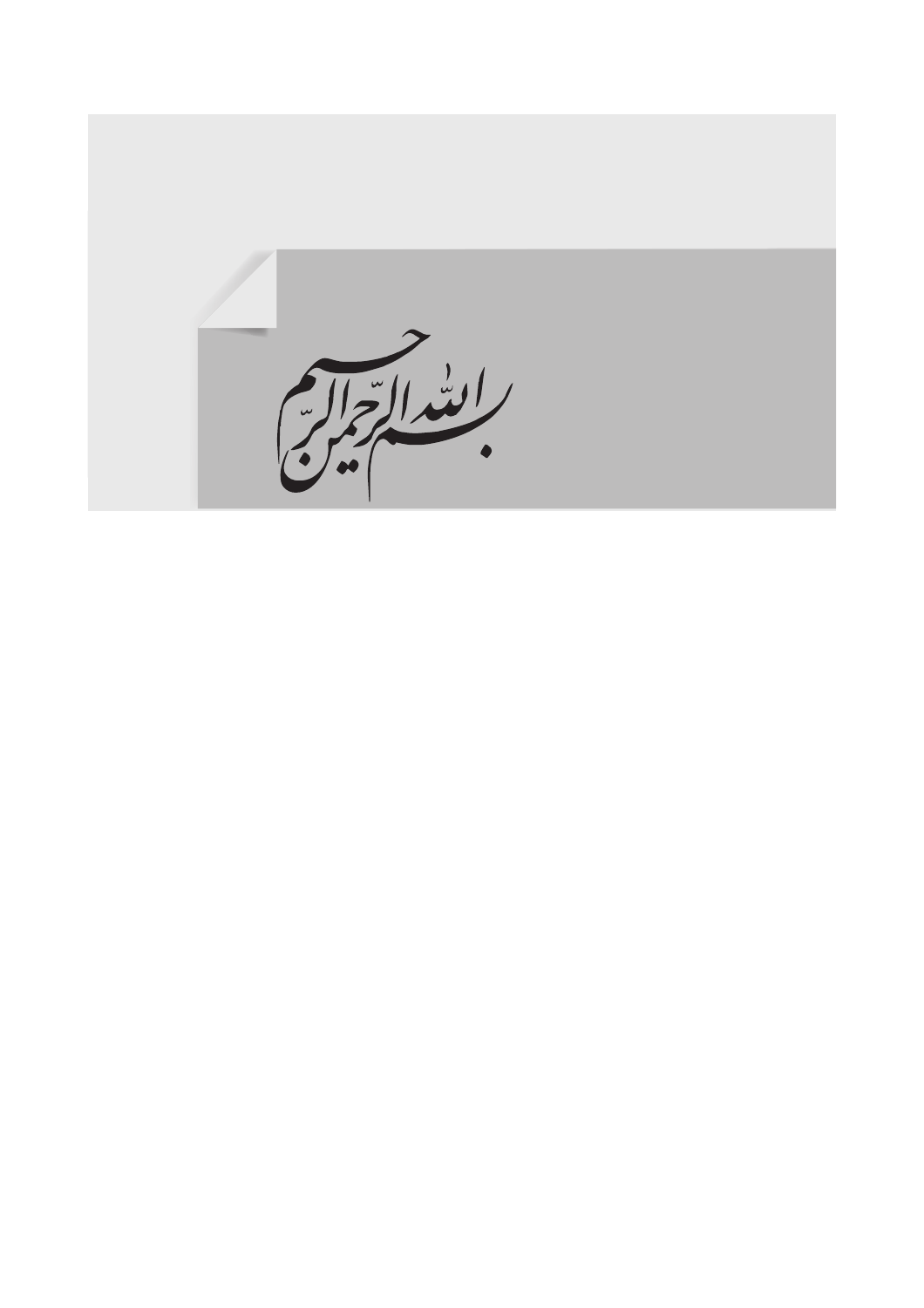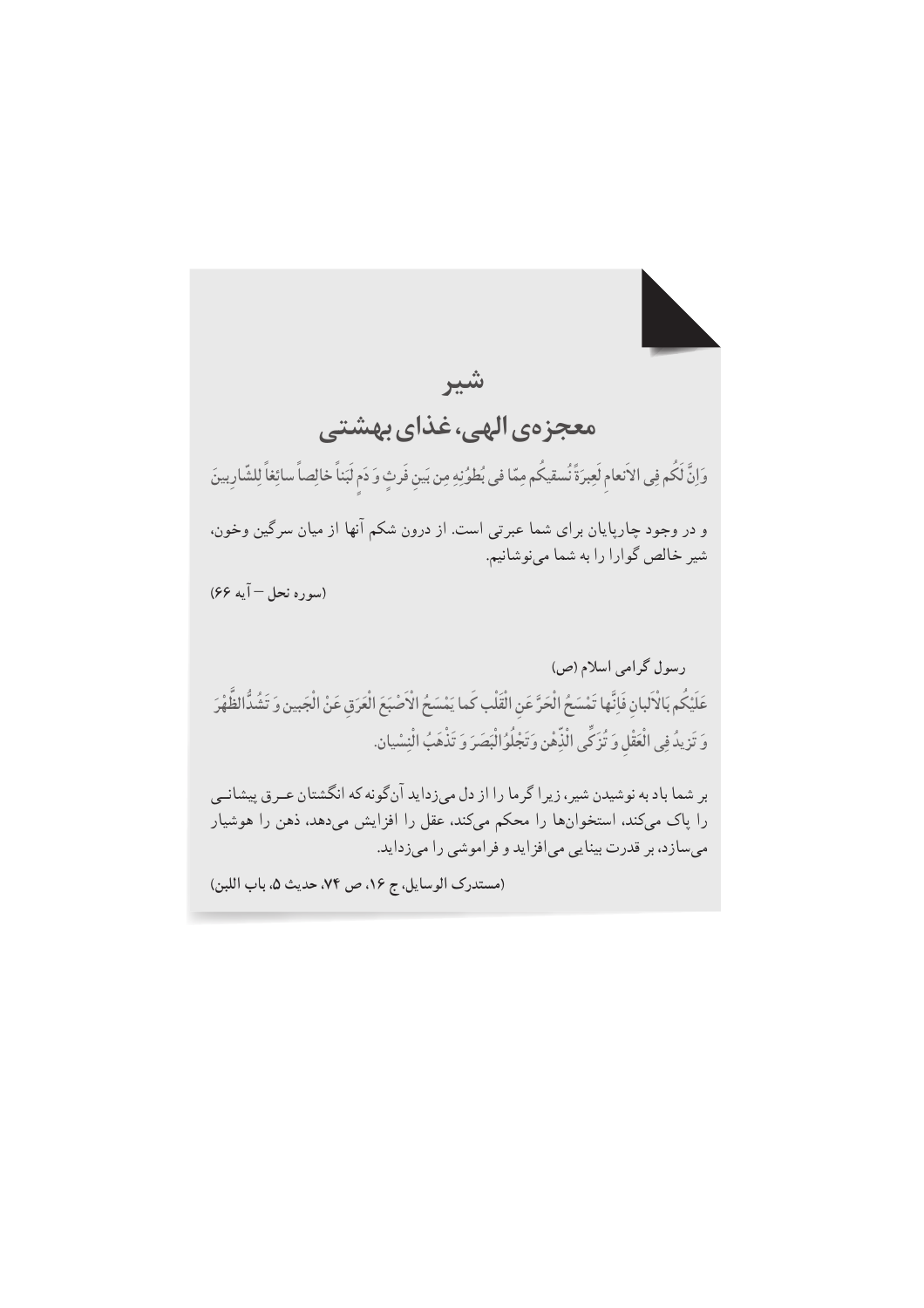شير معجزهي الهي، غذاي بهشتي وَإِنَّ لَكُم فِي الاَنعام لَعِبرَةً نُسقيكُم مِمّا في بُطوُنِهِ مِن بَين فَرِثٍ وَ دَم لَبَناً خالِصاً سائِغاً لِلشّارِبينَ و در وجود چارپایان برای شما عبرتی است. از درون شکم آنها از میان سرگین وخون، شیر خالص گوارا را به شما مینوشانیم. (سوره نحل – آيه ۶۶) رسول گرامی اسلام (ص) عَلَيْكُم بَالْأَلبان فَإِنَّها تَمْسَحُ الْحَرَّ عَنِ الْقَلْبِ كَما يَمْسَحُ الْأَصْبَعَ الْعَرَقِ عَنْ الْجَبين وَ تَشُدُّالظَّهْرَ وَ تَزِيدُ فِي الْعَقْلِ وَ تُزَكِّي الْذِّهْنِ وَتَجْلُوُ الْبَصَرَ وَ تَذْهَبُ الْنِسْيان. بر شما باد به نوشیدن شیر ، زیر اگر ما را از دل می;زداید آنگونه که انگشتان عــرق پیشانــی را پاک میکند، استخوانها را محکم میکند، عقل را افزایش میدهد، ذهن را هوشیار میسازد، بر قدرت بینایی میافزاید و فراموشی را میزداید.

(مستدرك الوسايل، ج ١۶، ص ٧۴، حديث ٥، باب اللبن)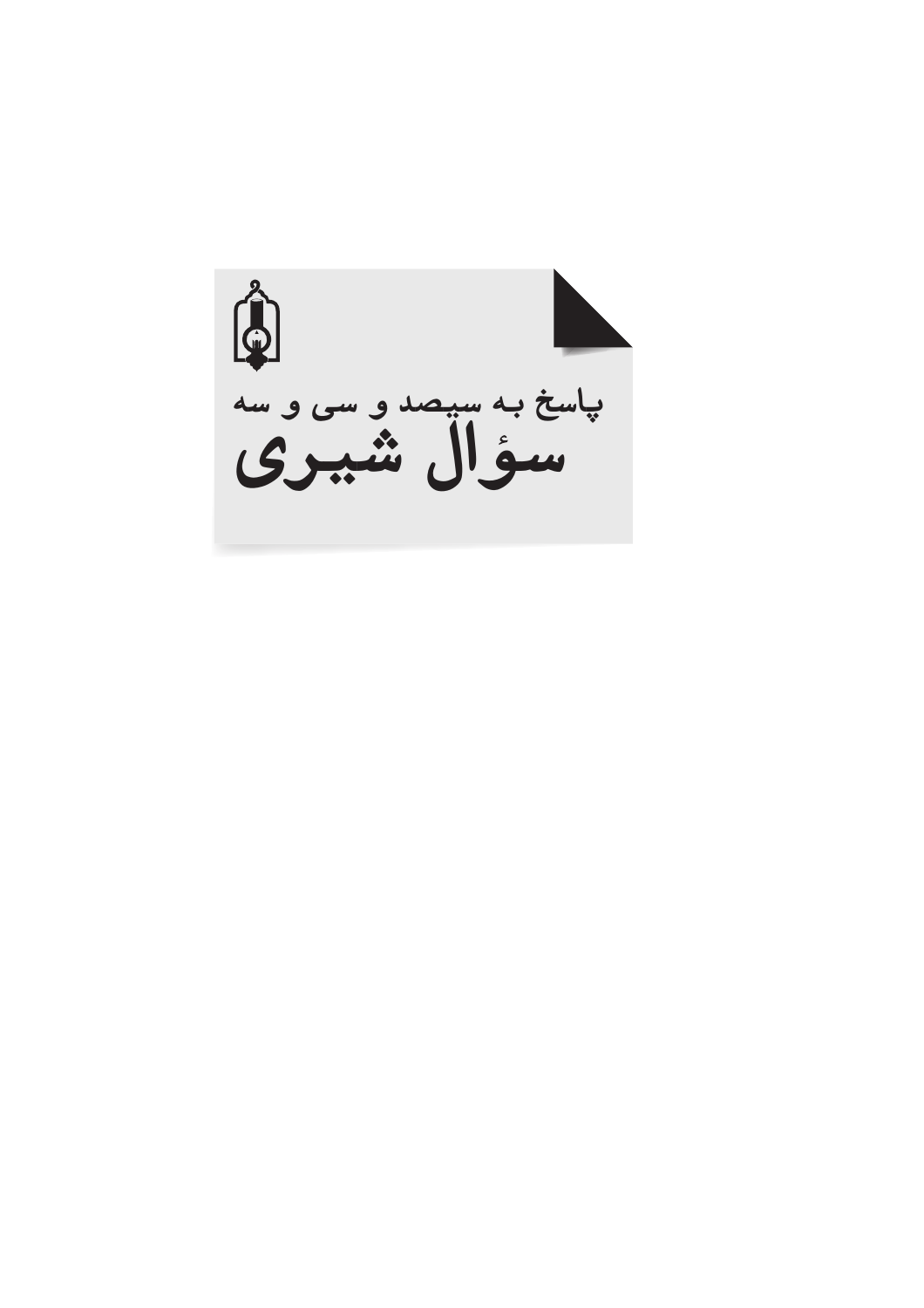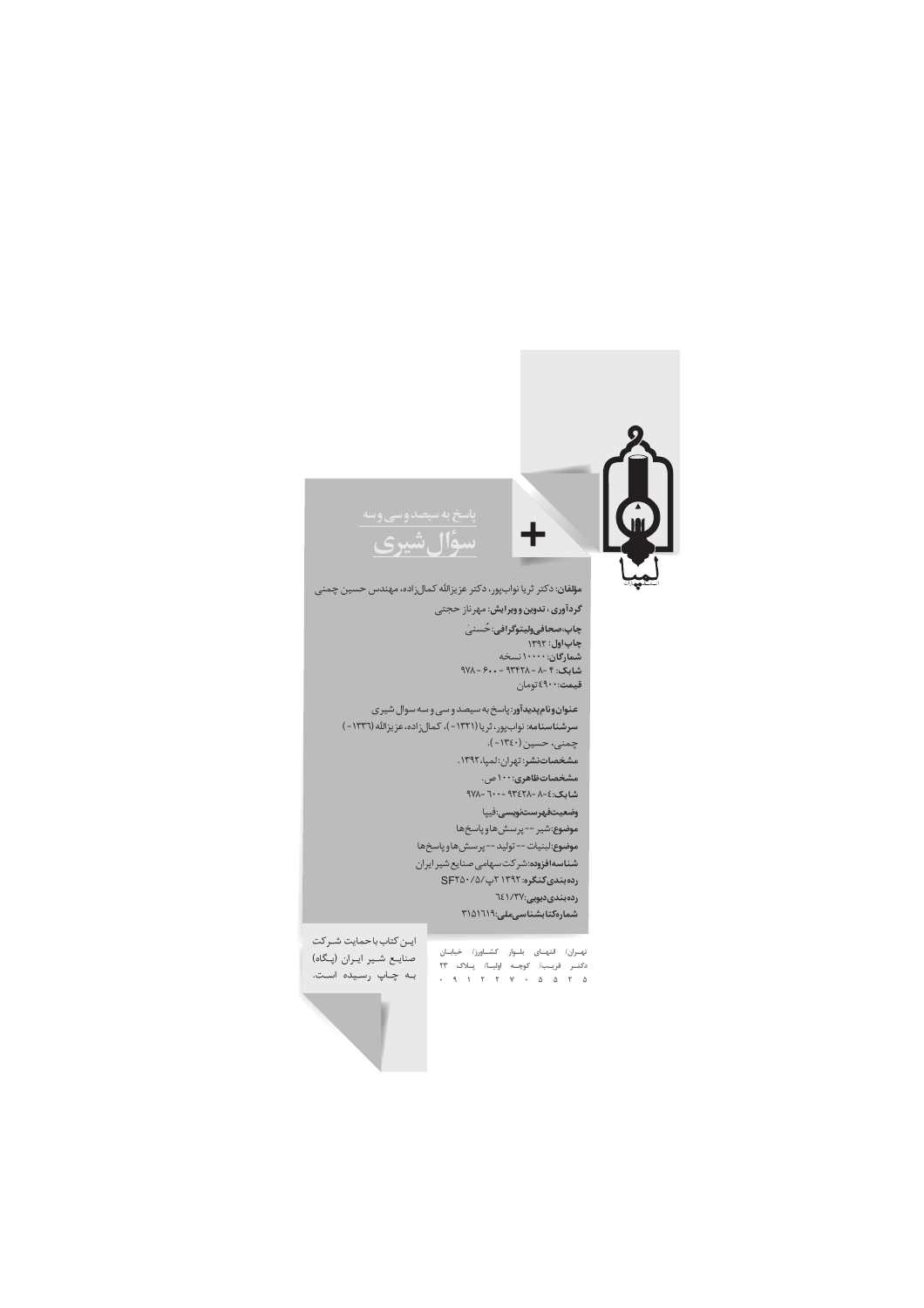

چاپ،صحافیولیتوگرافی:حُسنیٰ<br>چاپ اول : ۱۳۹۲<br>شمارگان: ۱۰۰۰۰ نسخه<br>شابک: ۴ - ۸ - ۹۳۴۲۸ - ۶۰۰ - ۹۷۸ قیمت:٤٩٠٠تومان

عنوان ونام پدیدآور: پاسخ به سیصد و سی و سه سوال شیری سرشناسنامه: نوابپور، ثريا (١٣٢١ - )، كمالزاده، عزيزالله (١٣٣٦ - ) چمنی، حسین (۱۳٤۰-). مشخصاتنشر: تهران:لمپا،١٣٩٢. .<br>م<mark>شخصاتظاهری:۱۰۰</mark> ص. شابک:٤-٨-٩٣٤٢٨ -٦٠٠ -٩٧٨ وضعيتفهرستنويسى:فيپا موضوع:شير --پرسشهاوپاسخها موضوع:لبنيات -- توليد -- پرسشهاو پاسخها شناسه افزوده: شركت سهامى صنايع شير ايران رده بندی کنگره: ۱۳۹۲ ۲پ/۲۵۰/۵/ .<br>رده بندی دیویی:۱/۳۷ }۲ شمارەكتابشناسىملى:٣١٥١٦١٩

تهــران/ انتهــای بلــوار کشـــاورز/ خیابــان<br>دکتــر قریــــــ// کوچـــه اولیــــ// یـــلاک ۲۳<br>۵ ۲ ۵ ۵ ۵ ۰ ۲ ۲ ۱ ۰

ایــن کتاب باحمایت شــرکت صنایـع شـیر ایـران (پـگاه) به چاپ رسیده است.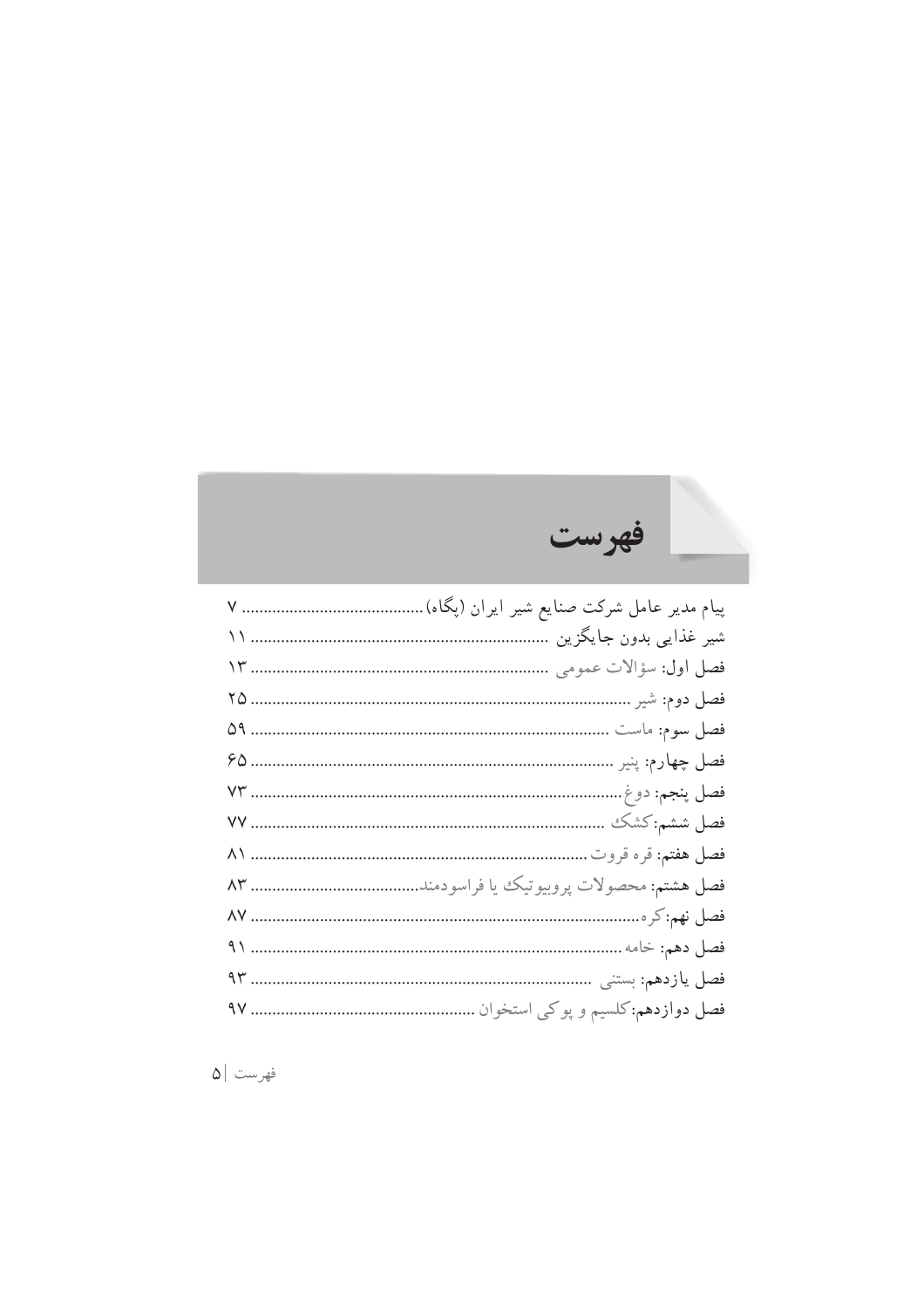### \_!888888888888888888888888888888888888888888`a,MBb!#/\*A/!\*(5!cA,Xd!9N\*5!V-,=!\*AO-!e,(B ff!888888888888888888888888888888888888888888888888888888888888888888888!'ATMA,D!#&O@!HA/gh!\*(5 fi!888888888888888888888888888888888888888888888888888888888888888888888 !"#\$%&'()\*+!jP&/!VkU l^!8888888888888888888888888888888888888888888888888888888888888888888888888888888888888888,-.!je&7!VkU ^m!88888888888888888888888888888888888888888888888888888888888888888888888888888888888&/+0"!je\$+!VkU n^!888888888888888888888888888888888888888888888888888888888888888888888888888888888888&,-12!je6,0C!VkU \_i!88888888888888888888888888888888888888888888888888888888888888888888888888888888888888345&j3oXB!VkU \_\_!8888888888888888888888888888888888888888888888888888888888888888888888888888888888&678j3J5!VkU pf!888888888888888888888888888888888888888888888888888888888888888888888888888888'4,9&:,9&j3LqQ!VkU pi!888888888888888888888888888888888888888;1"5#+),<&0=&6->#-?4,2&'(#@A"&j3LJQ!VkU p\_!888888888888888888888888888888888888888888888888888888888888888888888888888888888888888888:,8j301!VkU mf!88888888888888888888888888888888888888888888888888888888888888888888888888888888888888B"0C!j3Q7!VkU mi!8888888888888888888888888888888888888888888888888888888888888888888888888888888 &!1DE?!j3Q7.,A!VkU m\_!8888888888888888888888888888888888888888888888888888 F)#GD+)&!8#2&4&H-EI8j3Q7./&7!VkU

فهر ست

 $|\mathsf{Q}|$  فهرست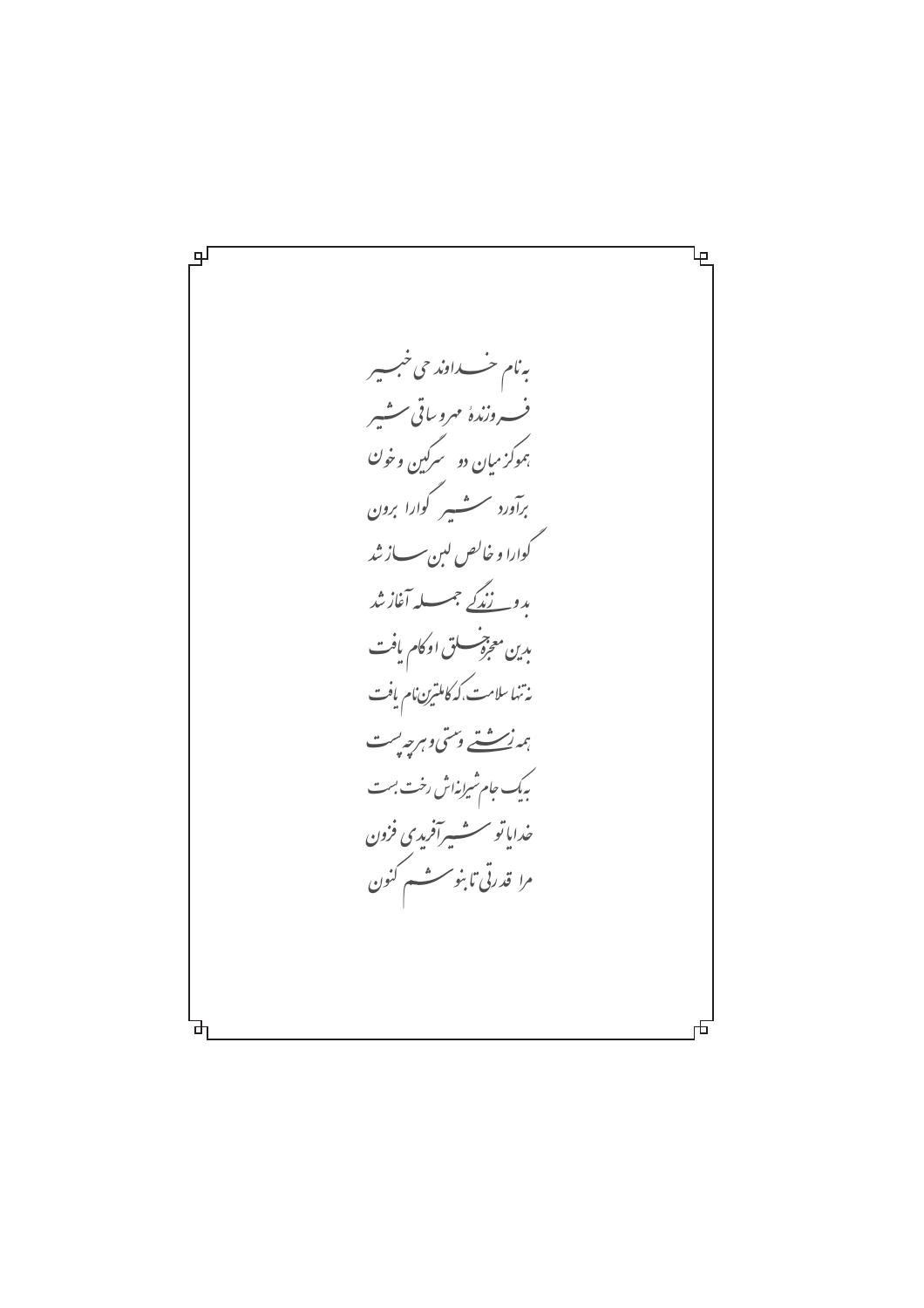பு Ψ به نام خــــداوند حی خبـــیر ف دنندهٔ مهروساقی مشیر بموکز میان دو سرگین وخو<sup>ن</sup> برآورد سنشسير گوارا برون گوارا و خالص لېن سساز شد بد<u>و نندگے</u> جب آغازشد بدين معجزة سسلق اوكام يافت .<br>نەتئەسلامت،كەكاملىرىن،م يافت ہمەنە ئەستى دىسى دېرجەپىت .<br>بیک جام شیرانه<sup>ا</sup>ش رخت بست خدایاتو سشسپرآفریدی فزون مرا<sub>ً</sub> قدرتی تا بنو سسٹسم کنون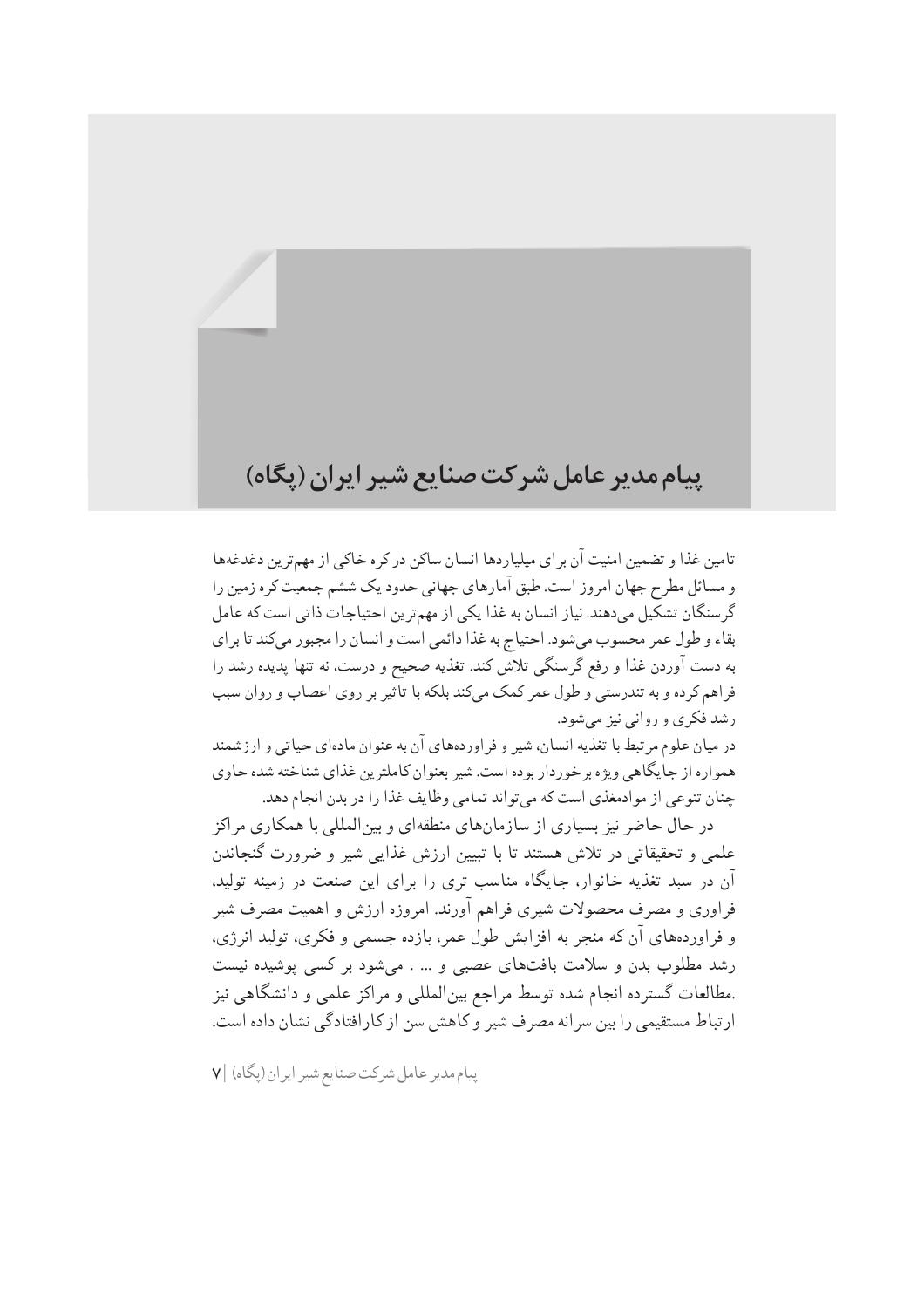## يبام مدير عامل شركت صنايع شير ايران (يگاه)

تامین غذا و تضمین امنیت آن بر ای میلیاردها انسان ساکن در کره خاکی از مهمترین دغدغهها و مسائل مطرح جهان امروز است. طبق آمارهای جهانی حدود یک ششم جمعیت کره زمین را گرسنگان تشکیل میدهند. نیاز انسان به غذا یکی از مهمترین احتیاجات ذاتی است که عامل بقاء و طول عمر محسوب مىشود. احتياج به غذا دائمى است و انسان را مجبور مى كند تا براى به دست آوردن غذا و رفع گرسنگی تلاش کند. تغذیه صحیح و درست، نه تنها پدیده رشد را فراهم کرده و به تندرستی و طول عمر کمک میکند بلکه با تاًثیر بر روی اعصاب و روان سبب رشد فکري و روانې نيز مېشود.

در میان علوم مرتبط با تغذیه انسان، شیر و فراوردههای آن به عنوان مادهای حیاتی و ارزشمند همواره از جایگاهی ویژه برخوردار بوده است. شیر بعنوان کاملترین غذای شناخته شده حاوی چنان تنوعي از موادمغذي است كه مي تواند تمامي وظايف غذا را در بدن انجام دهد.

در حال حاضر نیز بسیاری از سازمانهای منطقهای و بین|لمللی با همکاری مراکز علمی و تحقیقاتی در تلاش هستند تا با تبیین ارزش غذایی شیر و ضرورت گنجاندن آن در سبد تغذیه خانوار، جایگاه مناسب تری را برای این صنعت در زمینه تولید، فراوري و مصرف محصولات شيري فراهم آورند. امروزه ارزش و اهميت مصرف شير و فراوردههای آن که منجر به افزایش طول عمر، بازده جسمی و فکری، تولید انرژی، رشد مطلوب بدن و سلامت بافتهای عصبی و … . می شود بر کسی پوشیده نیست .مطالعات گسترده انجام شده توسط مراجع بین|لمللی و مراکز علمی و دانشگاهی نیز ارتباط مستقیمی را بین سرانه مصرف شیر و کاهش سن از کارافتادگی نشان داده است.

یبام مدیر عامل شرکت صنایع شیر ایران (یگاه) |۷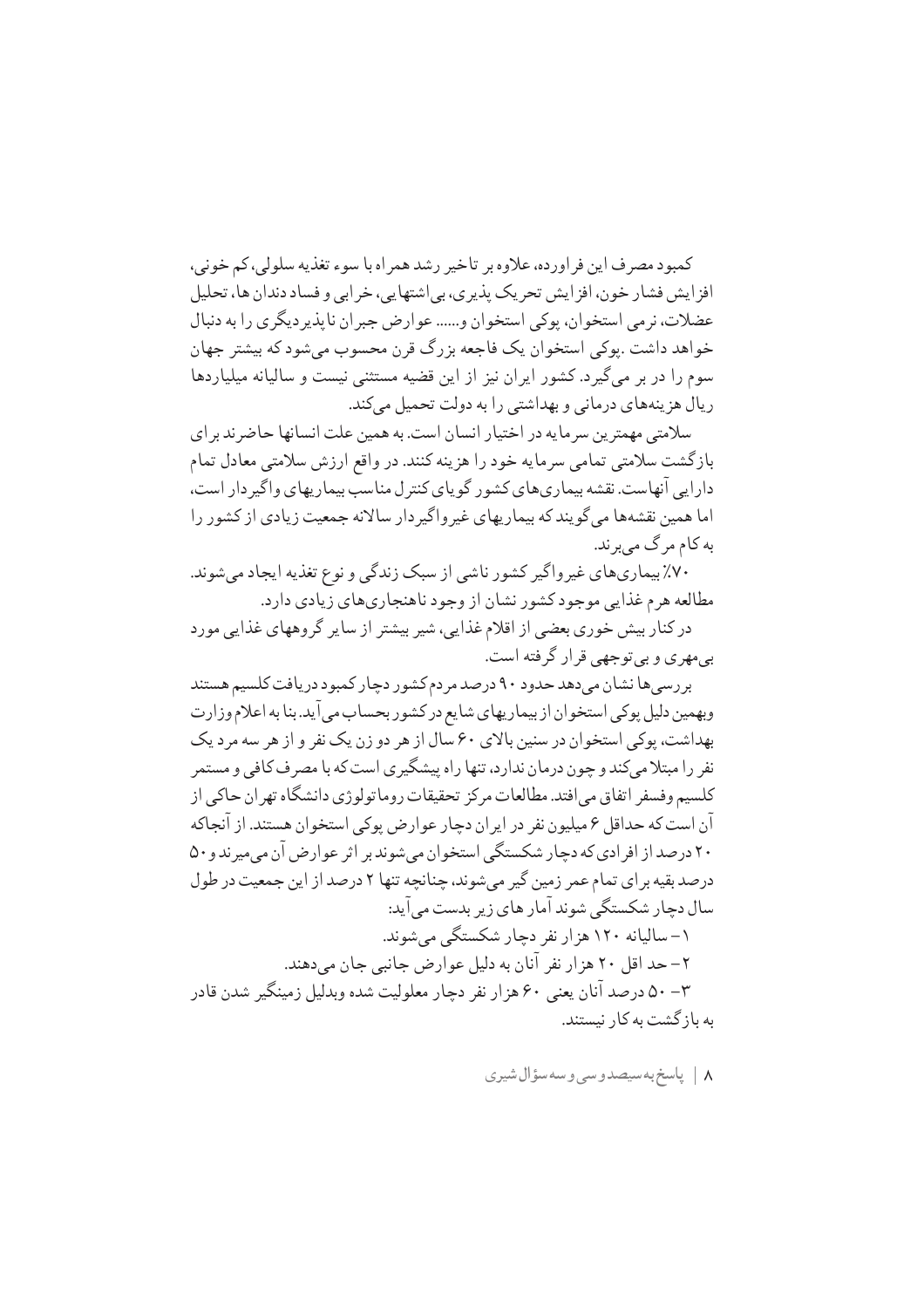كمبود مصرف اين فراورده، علاوه بر تاخير رشد همراه با سوء تغذيه سلولي، كم خوني، افز ایش فشار خون، افز ایش تحریک پذیری، بی اشتهایی، خر ابی و فساد دندان ها، تحلیل عضلات، نر می استخوان، پوکی استخوان و...... عوارض جبران ناپذیر دیگر ی را به دنبال خواهد داشت .يوکي استخوان يک فاجعه بزرگ قرن محسوب مي شود که بيشتر جهان سوم را در بر می گیرد. کشور ایران نیز از این قضیه مستثنی نیست و سالیانه میلیاردها ریال هزینههای درمانی و بهداشتی را به دولت تحمیل می کند.

سلامتی مهمترین سرمایه در اختیار انسان است. به همین علت انسانها حاضر ند بر ای بازگشت سلامتی تمامی سرمایه خود را هزینه کنند. در واقع ارزش سلامتی معادل تمام دارایی آنهاست. نقشه بیماریهای کشور گویای کنترل مناسب بیماریهای واگیر دار است، اما همین نقشهها می گویند که بیماریهای غیر واگیر دار سالانه جمعیت زیادی از کشور را به کام مرگ می بر ند.

۷۰٪ بیماریهای غیرواگیر کشور ناشی از سبک زندگی و نوع تغذیه ایجاد می شوند. مطالعه هرم غذايي موجود كشور نشان از وجود ناهنجاريهاي زيادي دارد.

در کنار بیش خوری بعضی از اقلام غذایی، شیر بیشتر از سایر گروههای غذایی مورد بے مهر ی و بے توجهے قرار گرفته است.

بررسی ها نشان می دهد حدود ۹۰ درصد مردم کشور دچار کمبود دریافت کلسیم هستند وبهمين دليل پوكي استخوان از بيماريهاي شايع در كشور بحساب مي آيد. بنا به اعلام وزارت بهداشت، پوکی استخوان در سنین بالای ۶۰ سال از هر دو زن یک نفر و از هر سه مرد یک نفر را مبتلا می کند و چون درمان ندارد، تنها راه پیشگیری است که با مصر ف کافی و مستمر كلسيم وفسفر اتفاق مى افتد. مطالعات مركز تحقيقات روما تولو ژى دانشگاه تهر ان حاكى از آن است که حداقل ۶ میلیون نفر در ایران دچار عوارض پوکی استخوان هستند. از آنجاکه ۲۰ درصد از افر ادی که دچار شکستگی استخوان می شوند بر اثر عوارض آن می میرند و ۵۰ درصد بقیه برای تمام عمر زمین گیر میشوند، چنانچه تنها ۲ درصد از این جمعیت در طول سال دچار شکستگی شوند آمار های زیر بدست می آید: ۱– سالیانه ۱۲۰ هزار نفر دچار شکستگی می شوند. ٢- حد اقل ٢٠ هزار نفر آنان به دليل عوارض جانبي جان مي دهند. ۳– ۵۰ درصد آنان یعنی ۶۰ هزار نفر دچار معلولیت شده وبدلیل زمینگیر شدن قادر به باز گشت به کار نیستند.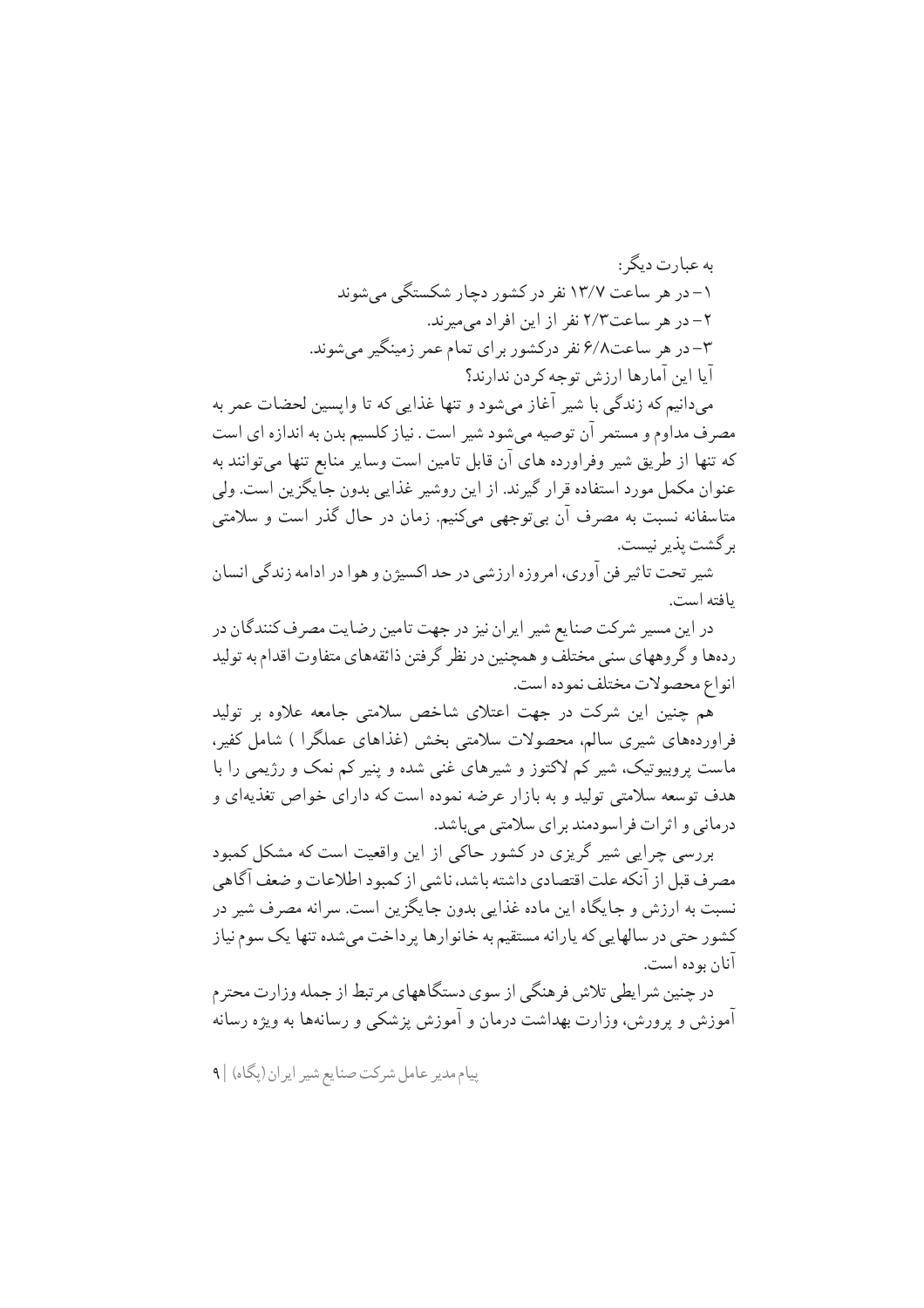ىە عىارت دىگە : ۱– در هر ساعت ۱۳/۷ نفر در کشور دچار شکستگی می شوند ۲– در هر ساعت۲/۳ نفر از این افراد می میرند. ۳–در هر ساعت۶/۸ نفر درکشور برای تمام عمر زمینگیر می شوند. آيا اين آمارها ارزش توجه كردن ندارند؟

می دانیم که زندگی با شیر آغاز میشود و تنها غذایی که تا واپسین لحضات عمر به مصرف مداوم و مستمر ان توصیه می شود شیر است . نیاز کلسیم بدن به اندازه ای است که تنها از طریق شیر وفراورده های آن قابل تامین است وسایر منابع تنها میتوانند به عنوان مکمل مورد استفاده قرار گیرند. از این روشیر غذایی بدون جایگزین است. ولی متاسفانه نسبت به مصرف آن بی توجهی میکنیم. زمان در حال گذر است و سلامتی بر گشت پذیر نیست.

شير تحت تاثير فن آوري، امروزه ارزشي در حد اكسيژن و هوا در ادامه زندگي انسان يافته است.

در این مسیر شرکت صنایع شیر ایران نیز در جهت تامین رضایت مصرف کنندگان در ردهها و گروههای سنی مختلف و همچنین در نظر گرفتن ذائقههای متفاوت اقدام به تولید انواع محصولات مختلف نموده است.

هم چنین این شرکت در جهت اعتلای شاخص سلامتی جامعه علاوه بر تولید فراوردههای شیری سالم، محصولات سلامتی بخش (غذاهای عملگرا ) شامل کفیر، ماست پروبیوتیک، شیر کم لاکتوز و شیرهای غنی شده و پنیر کم نمک و رژیمی را با هدف توسعه سلامتی تولید و به بازار عرضه نموده است که دارای خواص تغذیهای و درمانی و اثر ات فر اسودمند بر ای سلامتی میباشد.

بررسی چرایی شیر گریزی در کشور حاکی از این واقعیت است که مشکل کمبود مصر ف قبل از آنکه علت اقتصادي داشته باشد، ناشي از کمبود اطلاعات و ضعف آگاهي نسبت به ارزش و جایگاه این ماده غذایی بدون جایگزین است. سرانه مصرف شیر در کشور حتی در سالهایی که پارانه مستقیم به خانوارها پر داخت می شده تنها یک سوم نیاز آنان بو ده است.

در چنین شر ایطی تلاش فر هنگی از سوی دستگاههای مر تبط از جمله وزارت محتر م آموزش و پرورش، وزارت بهداشت درمان و آموزش پزشکی و رسانهها به ویژه رسانه

ییام مدیر عامل شرکت صنایع شیر ایران (یگاه) |۹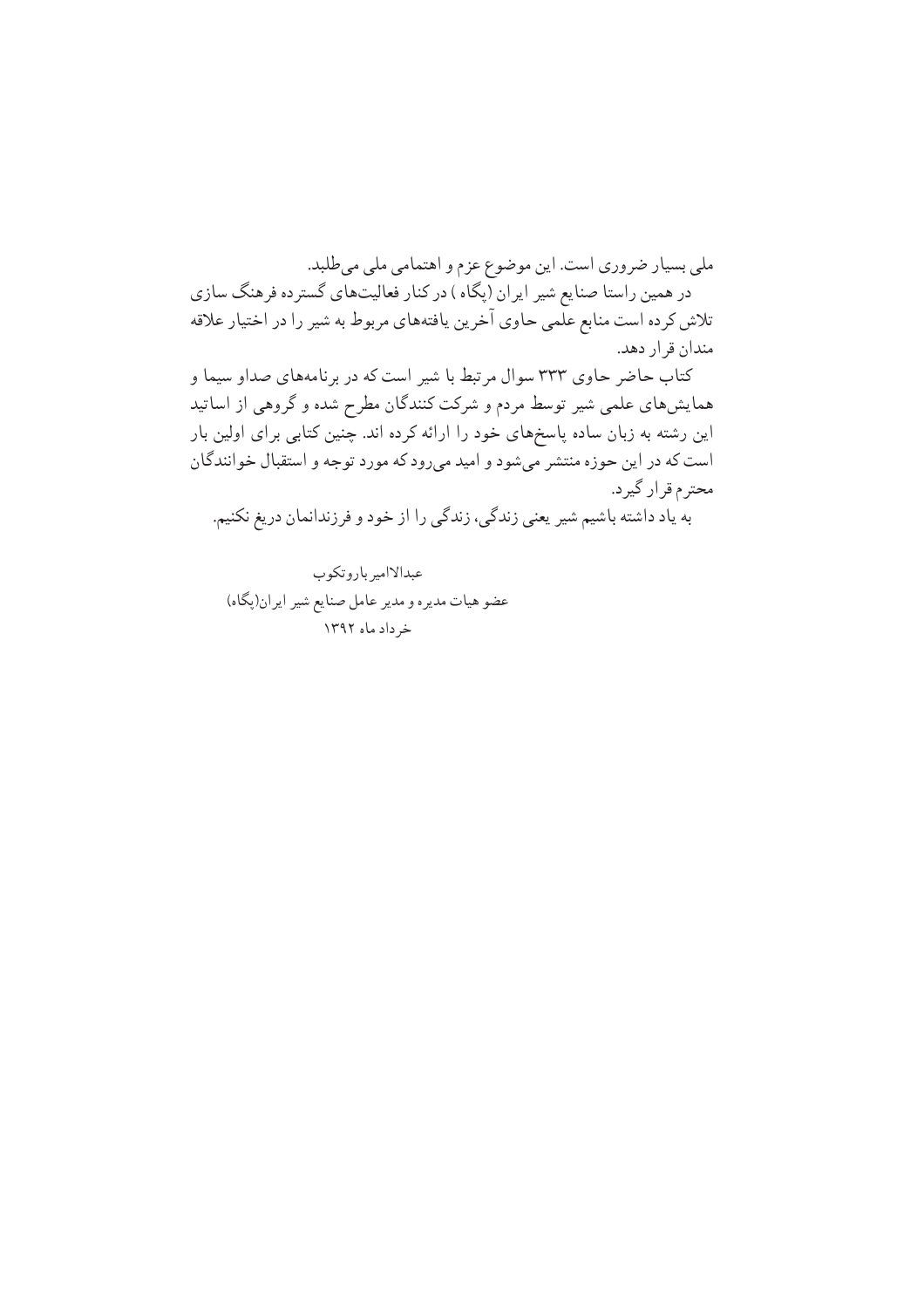ملي بسيار ضروري است. اين موضوع عزم و اهتمامي ملي مي طلبد. در همین راستا صنایع شیر ایران (پگاه) در کنار فعالیتهای گسترده فرهنگ سازی تلاش کرده است منابع علمی حاوی آخرین یافتههای مربوط به شیر را در اختیار علاقه مندان قرار دهد. کتاب حاضر حاوی ۳۳۳ سوال مرتبط با شیر است که در برنامههای صداو سیما و

همایشهای علمی شیر توسط مردم و شرکت کنندگان مطرح شده و گروهی از اساتید این رشته به زبان ساده پاسخهای خود را ارائه کرده اند. چنین کتابی برای اولین بار است که در این حوزه منتشر میشود و امید میرود که مورد توجه و استقبال خوانندگان محترم قرار گیرد. به یاد داشته باشیم شیر یعنی زندگی، زندگی را از خود و فرزندانمان دریغ نکنیم.

عبدالاامير باروتكوب عضو هیات مدیره و مدیر عامل صنایع شیر ایران(پگاه) خر داد ماه ۱۳۹۲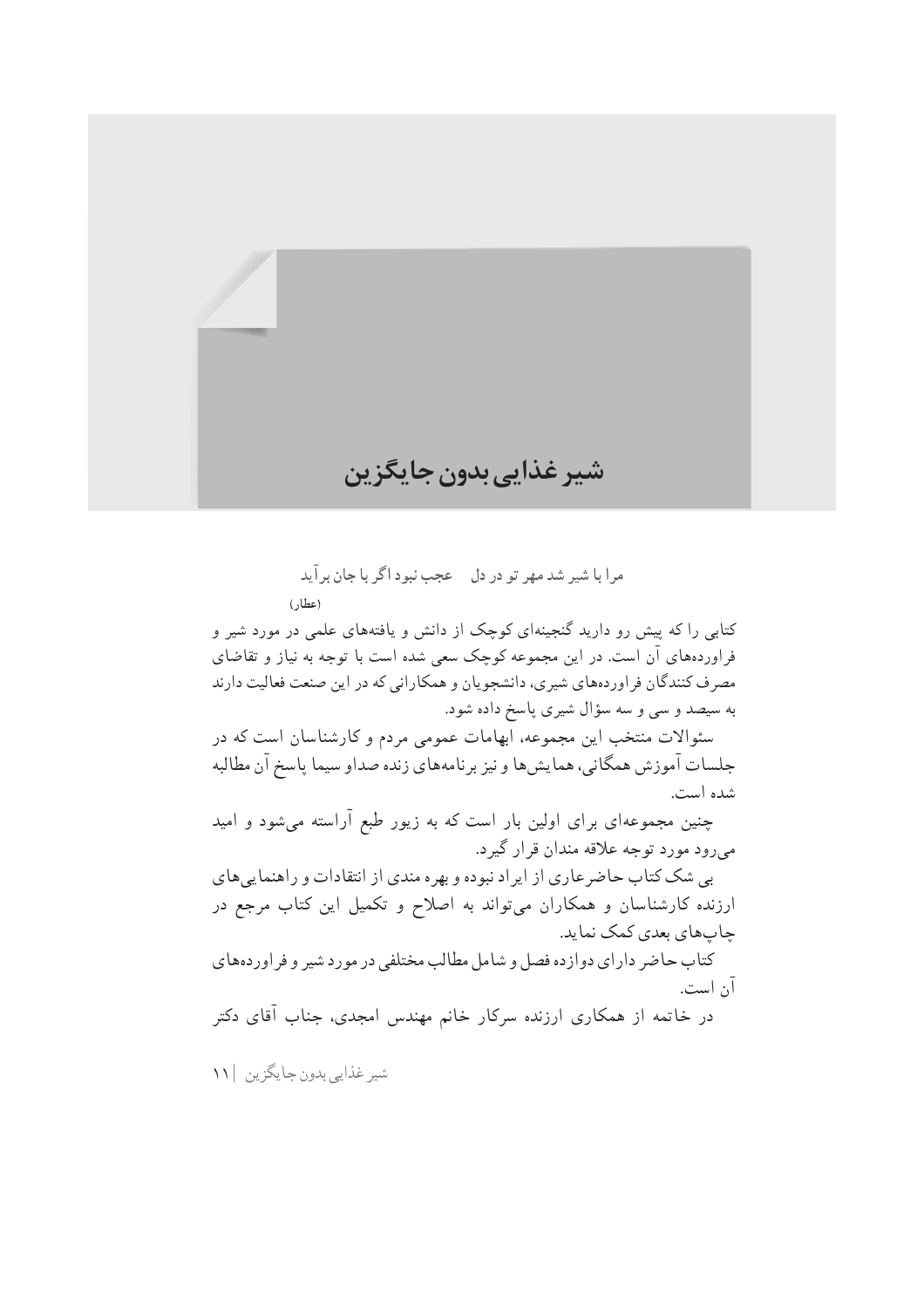

مرا با شير شد مهر تو در دل - عجب نبود اگر با جان بر آيد (عطار)

کتابی را که پیش رو دارید گنجینهای کوچک از دانش و یافتههای علمی در مورد شیر و فراوردههای آن است. در این مجموعه کوچک سعی شده است با توجه به نیاز و تقاضای مصرف کنندگان فر اوردههای شیری، دانشجویان و همکارانی که در این صنعت فعالیت دارند به سیصد و سی و سه سؤال شیری پاسخ داده شود.

سئوالات منتخب این مجموعه، ابهامات عمومی مردم و کارشناسان است که در جلسات آموزش همگاني، همايش ها و نيز برنامههاي زنده صداو سيما ياسخ آن مطالبه شده است.

چنین مجموعهای برای اولین بار است که به زیور طبع آراسته میشود و امید مي رود مورد توجه علاقه مندان قرار گيرد.

بی شک کتاب حاضرعاری از ایراد نبوده و بهره مندی از انتقادات و راهنماییهای ارزنده کارشناسان و همکاران میتواند به اصلاح و تکمیل این کتاب مرجع در چاپهاي بعدي كمک نمايد.

کتاب حاضر دارای دوازده فصل و شامل مطالب مختلفی در مورد شیر و فراوردههای آن است.

در خاتمه از همکاری ارزنده سرکار خانم مهندس امجدی، جناب آقای دکتر

شیر غذایی بدون جایگزین ۱۱۱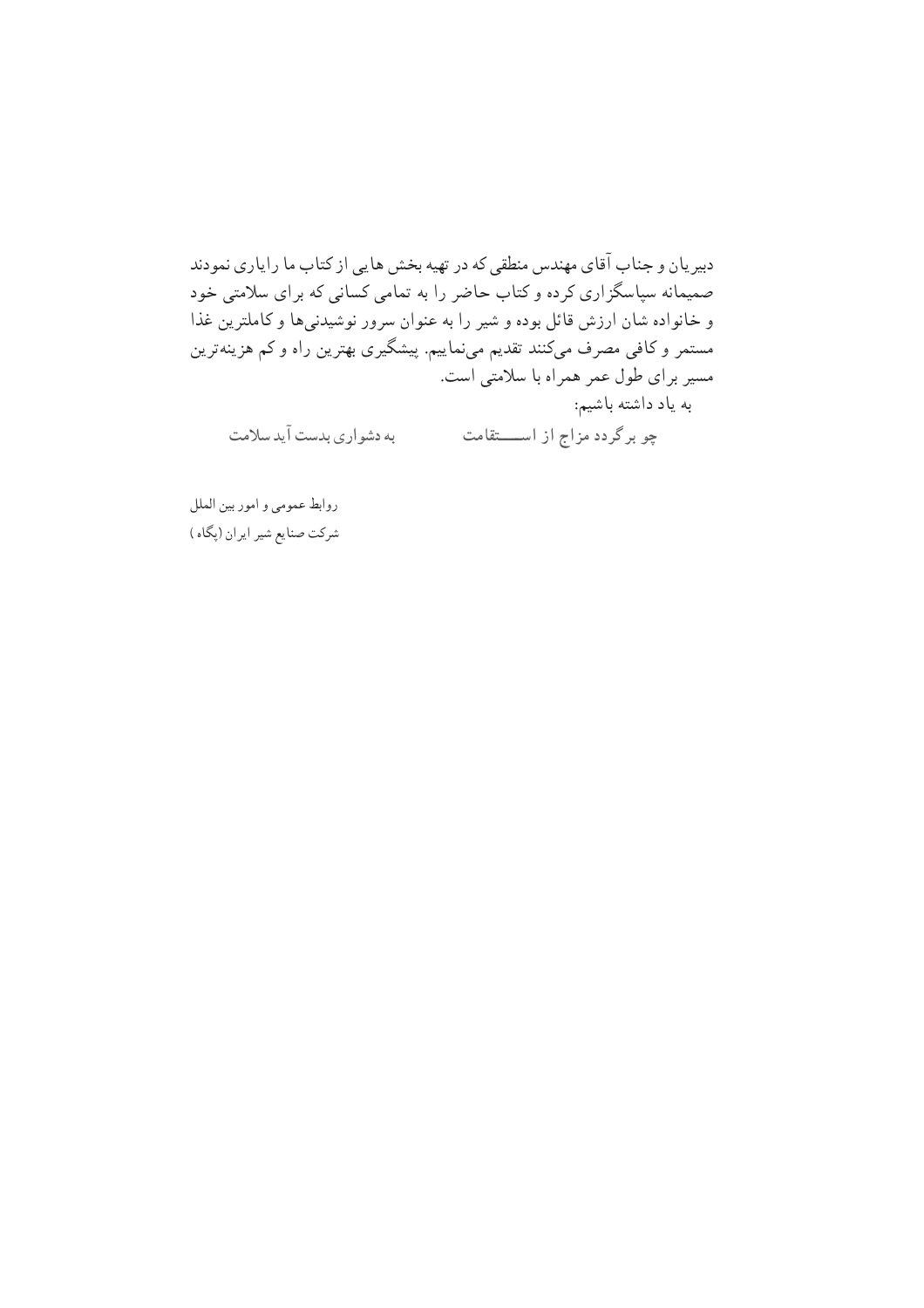دبیریان و جناب آقای مهندس منطقی که در تهیه بخش هایی از کتاب ما رایاری نمودند صمیمانه سپاسگزاری کرده و کتاب حاضر را به تمامی کسانی که برای سلامتی خود و خانواده شان ارزش قائل بوده و شیر را به عنوان سرور نوشیدنیها و کاملترین غذا مستمر و کافی مصرف میکنند تقدیم مینماییم. پیشگیری بهترین راه و کم هزینهترین مسیر برای طول عمر همراه با سلامتی است. به یاد داشته باشیم: به دشواری بدست آید سلامت چو برگردد مزاج از استقامت

روابط عمومي و امور بين الملل شرکت صنایع شیر ایران (پگاه)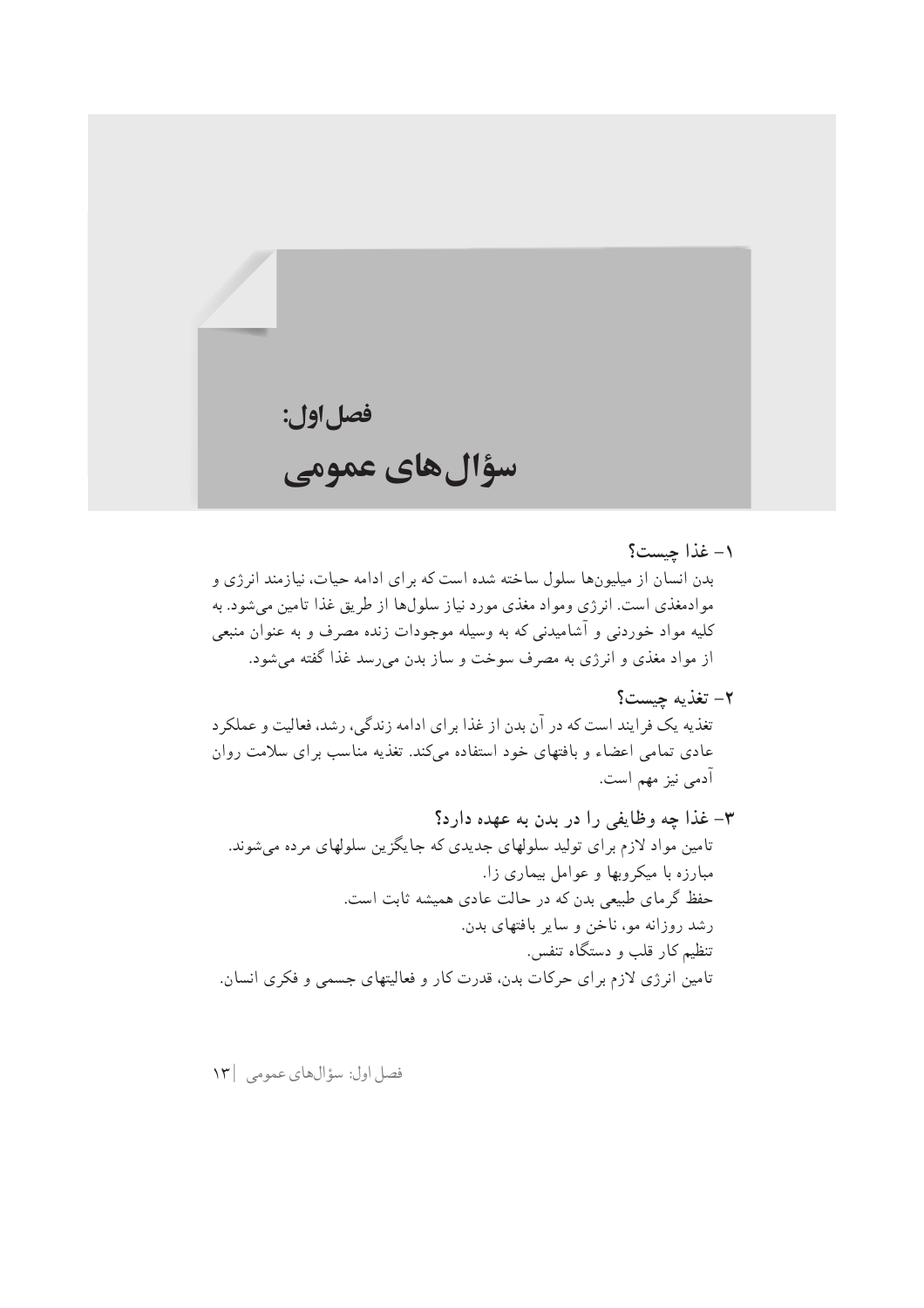# فصل اول: سؤال های عمومی

#### ١- غذا چيست؟

بدن انسان از میلیونها سلول ساخته شده است که برای ادامه حیات، نیازمند انرژی و موادمغذی است. انرژی ومواد مغذی مورد نیاز سلولها از طریق غذا تامین میشود. به کلیه مواد خوردنی و آشامیدنی که به وسیله موجودات زنده مصرف و به عنوان منبعی از مواد مغذی و انرژی به مصرف سوخت و ساز بدن میرسد غذا گفته میشود.

٢- تغذيه چيست؟

تغذیه یک فرایند است که در آن بدن از غذا برای ادامه زندگی، رشد، فعالیت و عملکرد عادی تمامی اعضاء و بافتهای خود استفاده میکند. تغذیه مناسب برای سلامت روان آدمي نيز مهم است.

فصل اول: سؤالهاي عمومي ١٣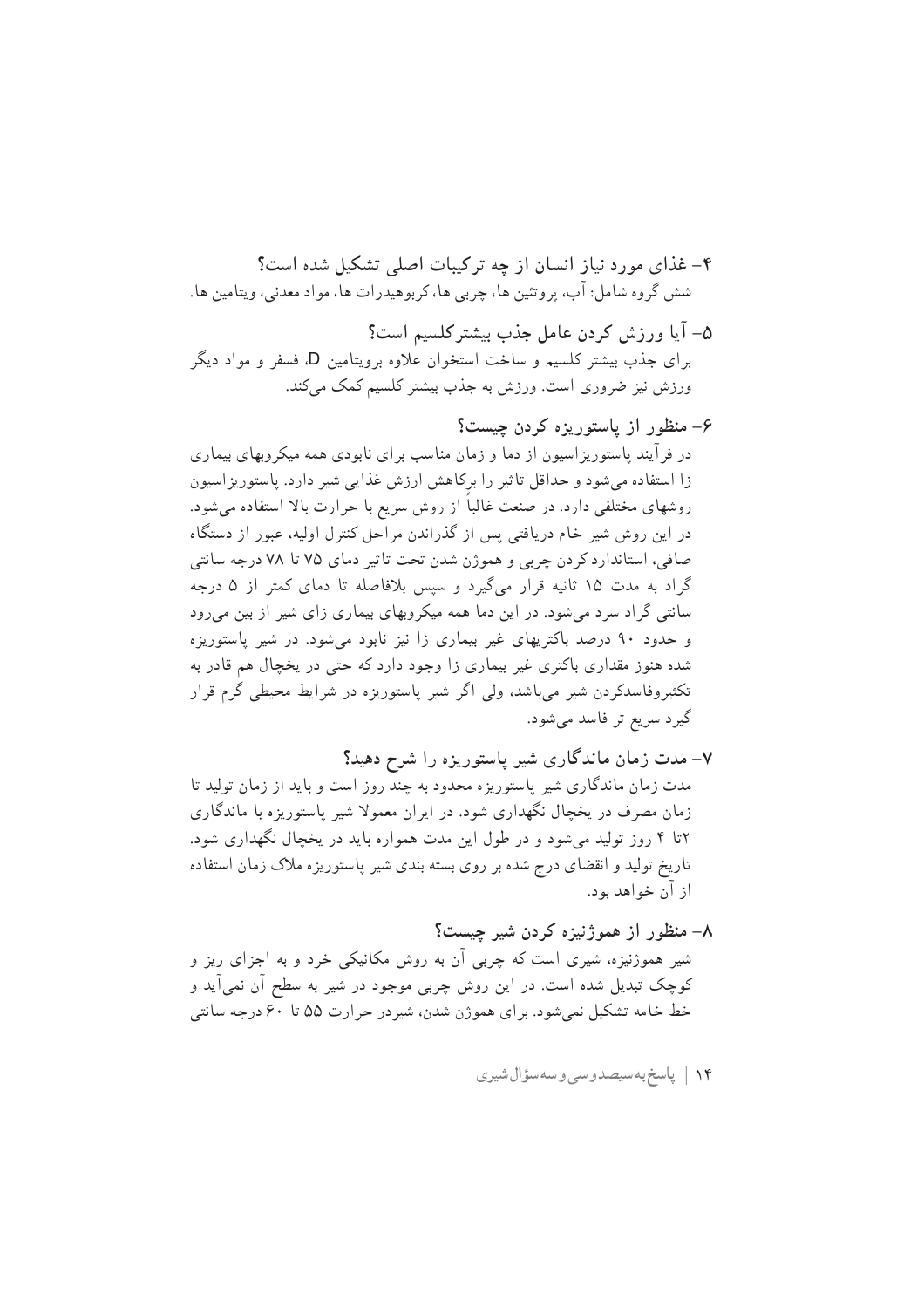۵– آیا ورزش کردن عامل جذب بیشتر کلسیم است؟ برای جذب بیشتر کلسیم و ساخت استخوان علاوه برویتامین D، فسفر و مواد دیگر ورزش نیز ضروری است. ورزش به جذب بیشتر کلسیم کمک مے کند.

#### ۶– منظور از پاستوریزه کردن چیست؟ در فر آیند پاستوریز اسپون از دما و زمان مناسب بر ای نابودی همه میکروبهای بیماری

زا استفاده میشود و حداقل تاثیر را برکاهش ارزش غذایی شیر دارد. پاستوریزاسیون روشهای مختلفی دارد. در صنعت غالباً از روش سریع با حرارت بالا استفاده میشود. در این روش شیر خام دریافتی پس از گذراندن مراحل کنترل اولیه، عبور از دستگاه صافی، استاندارد کردن چربی و هموژن شدن تحت تاثیر دمای ۷۵ تا ۷۸ درجه سانتی گراد به مدت ۱۵ ثانیه قرار میگیرد و سپس بلافاصله تا دمای کمتر از ۵ درجه سانتی گراد سرد می شود. در این دما همه میکروبهای بیماری زای شیر از بین می رود و حدود ۹۰ درصد باکتریهای غیر بیماری زا نیز نابود می شود. در شیر پاستوریزه شده هنوز مقداری باکتری غیر بیماری زا وجود دارد که حتی در یخچال هم قادر به تکثیروفاسدکردن شیر می،باشد، ولی اگر شیر پاستوریزه در شرایط محیطی گرم قرار گیرد سریع تر فاسد میشود.

۷- مدت زمان ماندگاری شیر پاستوریزه را شرح دهید؟ مدت زمان ماندگاری شیر پاستوریزه محدود به چند روز است و باید از زمان تولید تا زمان مصرف در پخچال نگهداری شود. در ایران معمولا شیر پاستوریزه با ماندگاری ۲تا ۴ روز تولید میشود و در طول این مدت همواره باید در یخچال نگهداری شود. تاریخ تولید و انقضای درج شده بر روی بسته بندی شیر پاستوریزه ملاک زمان استفاده از آن خواهد بود.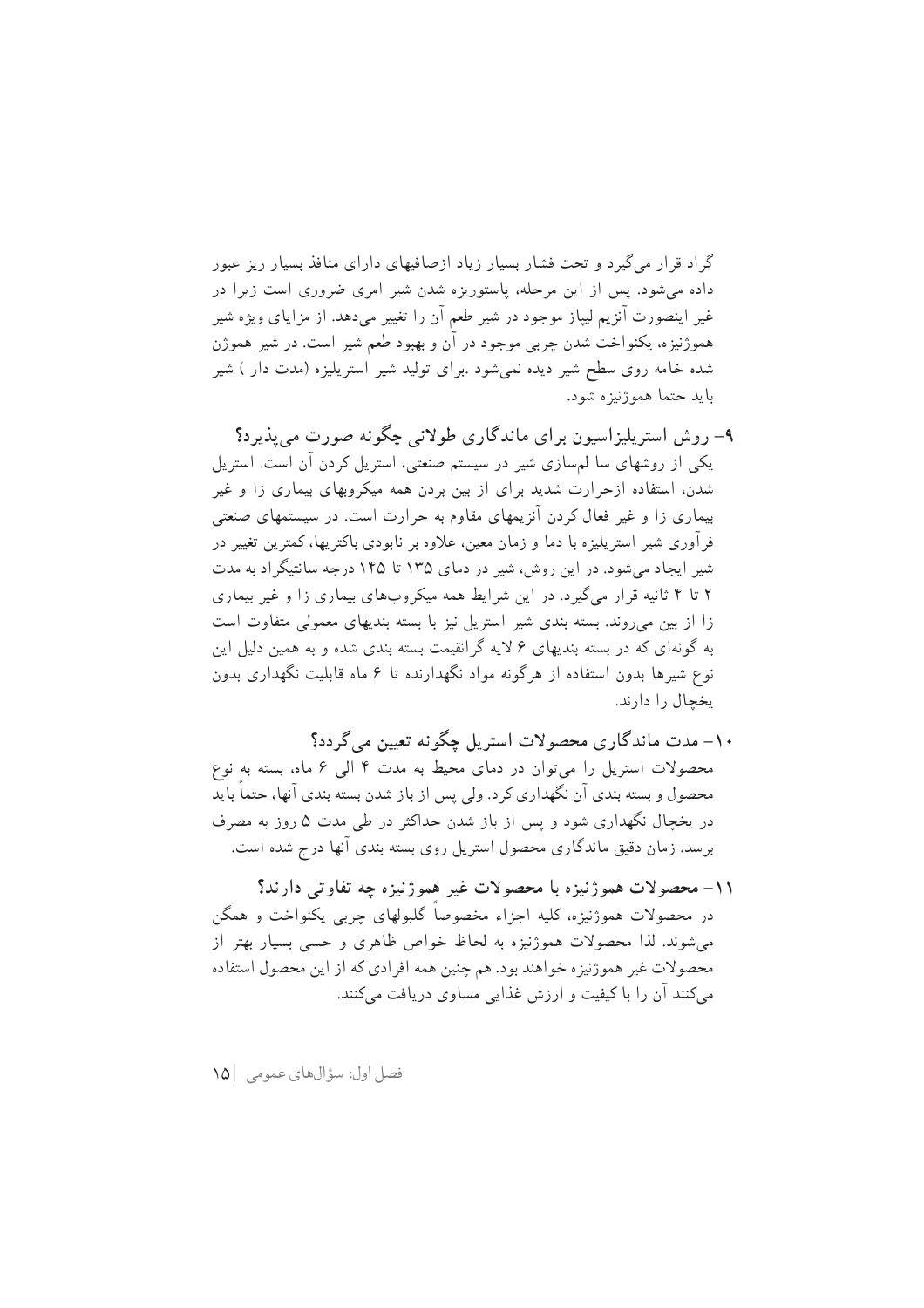گراد قرار می گیرد و تحت فشار بسیار زیاد ازصافیهای دارای منافذ بسیار ریز عبور داده می شود. پس از این مرحله، پاستوریزه شدن شیر آمری ضروری است زیرا در غیر اینصورت آنزیم لیپاز موجود در شیر طعم آن را تغییر می دهد. از مزایای ویژه شیر هموژنیزه، یکنواخت شدن چربی موجود در آن و بهبود طعم شیر است. در شیر هموژن شده خامه روی سطح شیر دیده نمی شود .برای تولید شیر استریلیزه (مدت دار ) شیر بايد حتما هموژنيزه شود.

- ۹- روش استریلیزاسیون برای ماندگاری طولانی چگونه صورت می پذیرد؟ یکی از روشهای سا لم سازی شیر در سیستم صنعتی، استریل کردن آن است. استریل شدن، استفاده ازحرارت شدید برای از بین بردن همه میکروبهای بیماری زا و غیر بیماری زا و غیر فعال کردن آنزیمهای مقاوم به حرارت است. در سیستمهای صنعتی فر آوری شیر استریلیزه با دما و زمان معین، علاوه بر نابودی باکتریها، کمترین تغییر در شیر ایجاد می شود. در این روش، شیر در دمای ۱۳۵ تا ۱۴۵ درجه سانتیگر اد به مدت ۲ تا ۴ ثانیه قرار میگیرد. در این شرایط همه میکروبهای بیماری زا و غیر بیماری زا از بین می روند. بسته بندی شیر استریل نیز با بسته بندیهای معمولی متفاوت است به گونهای که در بسته بندیهای ۶ لایه گرانقیمت بسته بندی شده و به همین دلیل این نوع شیرها بدون استفاده از هرگونه مواد نگهدارنده تا ۶ ماه قابلیت نگهداری بدون يخحال را دارند.
- ۱۰– مدت ماندگاری محصولات استریل چگونه تعیین می گردد؟ محصولات استریل را می توان در دمای محیط به مدت ۴ الی ۶ ماه، بسته به نوع محصول و بسته بندی آن نگهداری کرد. ولی پس از باز شدن بسته بندی آنها، حتما باید در یخچال نگهداری شود و پس از باز شدن حداکثر در طی مدت ۵ روز به مصرف برسد. زمان دقیق ماندگاری محصول استریل روی بسته بندی آنها درج شده است.
- ١١- محصولات هموژنيزه با محصولات غير هموژنيزه چه تفاوتي دارند؟ در محصولات هموژنیزه، کلیه اجزاء مخصوصاً گلبولهای چربی یکنواخت و همگن می شوند. لذا محصولات هموژنیزه به لحاظ خواص ظاهری و حسی بسیار بهتر از محصولات غیر هموژنیزه خواهند بود. هم چنین همه افرادی که از این محصول استفاده می کنند آن را با کیفیت و ارزش غذایی مساوی دریافت می کنند.

فصل اول: سؤالهاي عمومي | ١٥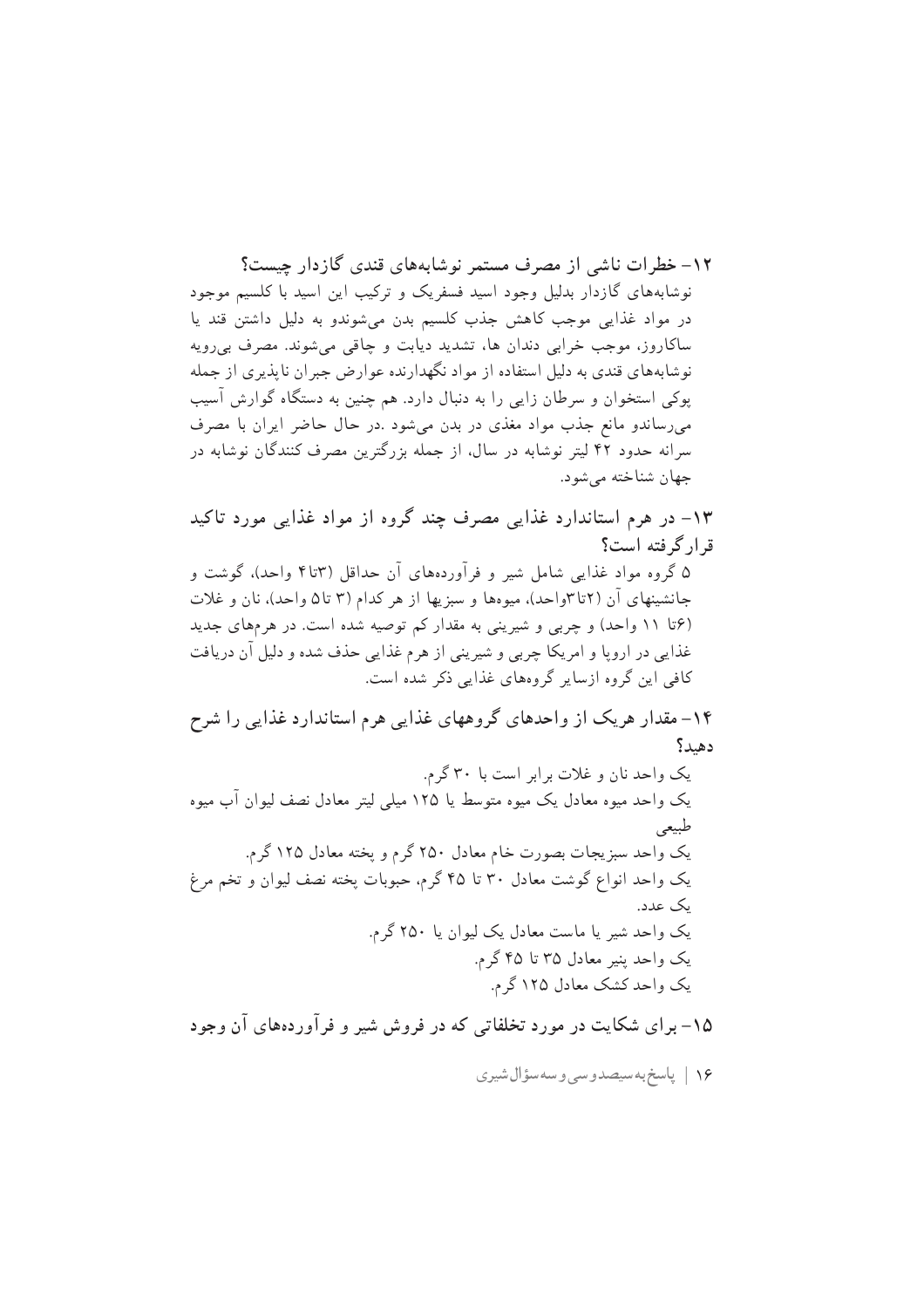١٢- خطرات ناشر از مصرف مستمر نوشاپههای قندی گازدار حست؟ نوشابههای گازدار بدلیل وجود اسید فسفریک و ترکیب این اسید با کلسیم موجود در مواد غذایی موجب کاهش جذب کلسیم بدن می شوندو به دلیل داشتن قند یا ساکاروز، موجب خرابی دندان ها، تشدید دیابت و چاقی میشوند. مصرف بی رویه نوشابههای قندی به دلیل استفاده از مواد نگهدارنده عوارض جبران ناپذیری از جمله پوکی استخوان و سرطان زایی را به دنبال دارد. هم چنین به دستگاه گوارش آسیب میرساندو مانع جذب مواد مغذی در بدن میشود .در حال حاضر ایران با مصرف سرانه حدود ۴۲ لیتر نوشابه در سال، از جمله بزرگترین مصرف کنندگان نوشابه در جهان شناخته مي شود.

۱۳– در هرم استاندارد غذایی مصرف چند گروه از مواد غذایی مورد تاکید قرار گرفته است؟ ۵ گروه مواد غذایی شامل شیر و فرآوردههای آن حداقل (۳تا۴ واحد)، گوشت و جانشینهای آن (۲تا۳واحد). میوهها و سبزیها از هر کدام (۳ تا۵ واحد). نان و غلات (۶تا ۱۱ واحد) و چربی و شیرینی به مقدار کم توصیه شده است. در هرمهای جدید غذایی در اروپا و امریکا چربی و شیرینی از هرم غذایی حذف شده و دلیل آن دریافت کافی این گروه ازسایر گروههای غذایی ذکر شده است.

۱۴– مقدار هریک از واحدهای گروههای غذایی هرم استاندارد غذایی را شرح دهيد؟ یک واحد نان و غلات بر ابر است با ۳۰ گرم.

۱۵– برای شکایت در مورد تخلفاتی که در فروش شیر و فرآوردههای آن وجود

۱۶ | پاسخ به سیصدوسی و سه سؤال شیری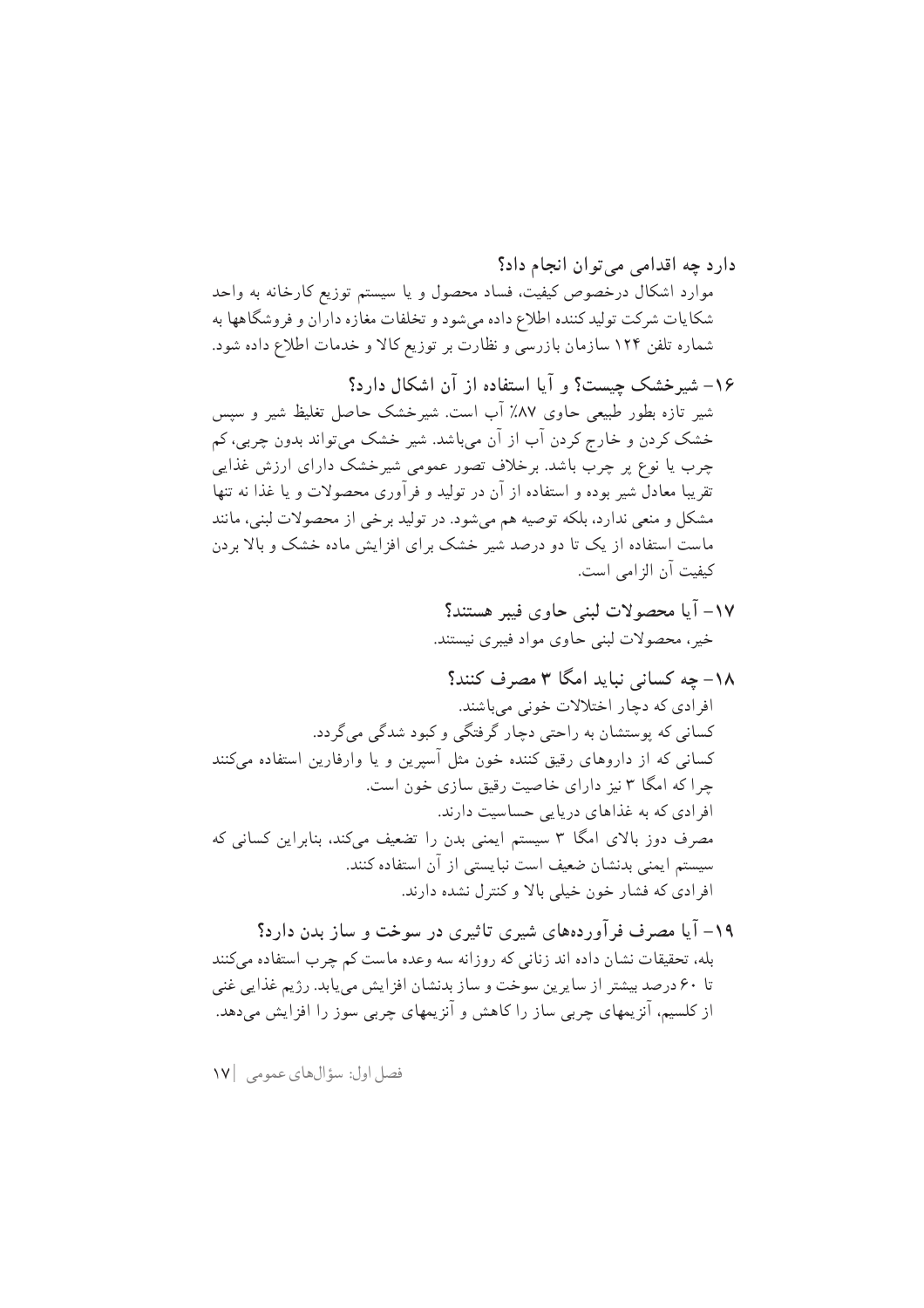فصل اول: سؤالهاي عمومي ١٧|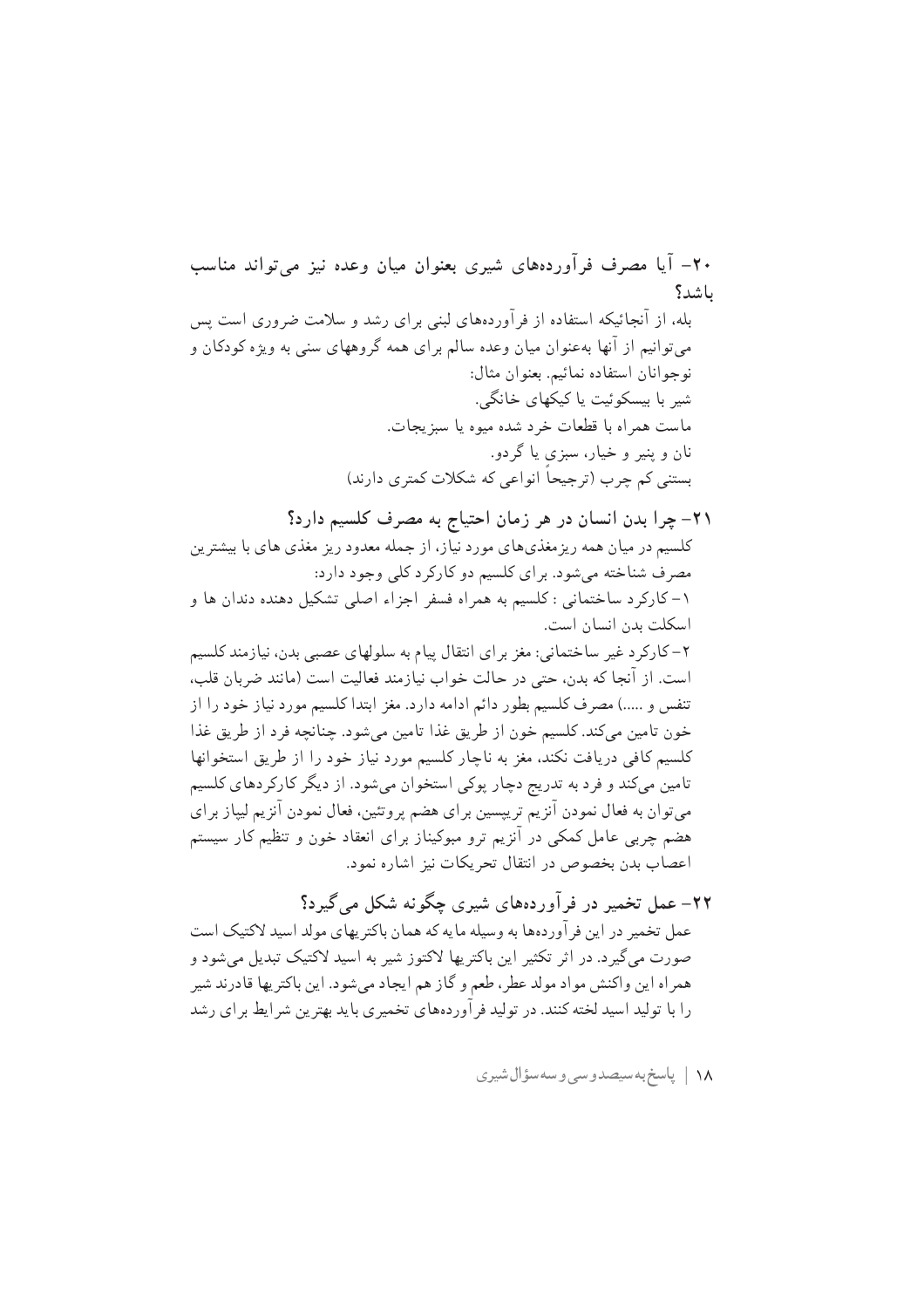خون تامین میکند. کلسیم خون از طریق غذا تامین میشود. چنانچه فرد از طریق غذا كلسيم كافي دريافت نكند، مغز به ناچار كلسيم مورد نياز خود را از طريق استخوانها تامین میکند و فرد به تدریج دچار پوکی استخوان میشود. از دیگر کارکردهای کلسیم میتوان به فعال نمودن آنزیم تریپسین برای هضم پروتئین، فعال نمودن آنزیم لیپاز برای هضم چربی عامل کمکی در آنزیم ترو مبوکیناز برای انعقاد خون و تنظیم کار سیستم اعصاب بدن بخصوص در انتقال تحريكات نيز اشاره نمود.

۲۲– عمل تخمیر در فرآوردههای شیری چگونه شکل می گیرد؟ عمل تخمیر در این فر آوردهها به وسیله مایه که همان باکتریهای مولد اسید لاکتیک است صورت میگیرد. در اثر تکثیر این باکتریها لاکتوز شیر به اسید لاکتیک تبدیل میشود و همراه این واکنش مواد مولد عطر، طعم و گاز هم ایجاد میشود. این باکتریها قادرند شیر را با تولید اسید لخته کنند. در تولید فر آوردههای تخمیری باید بهترین شر ایط بر ای رشد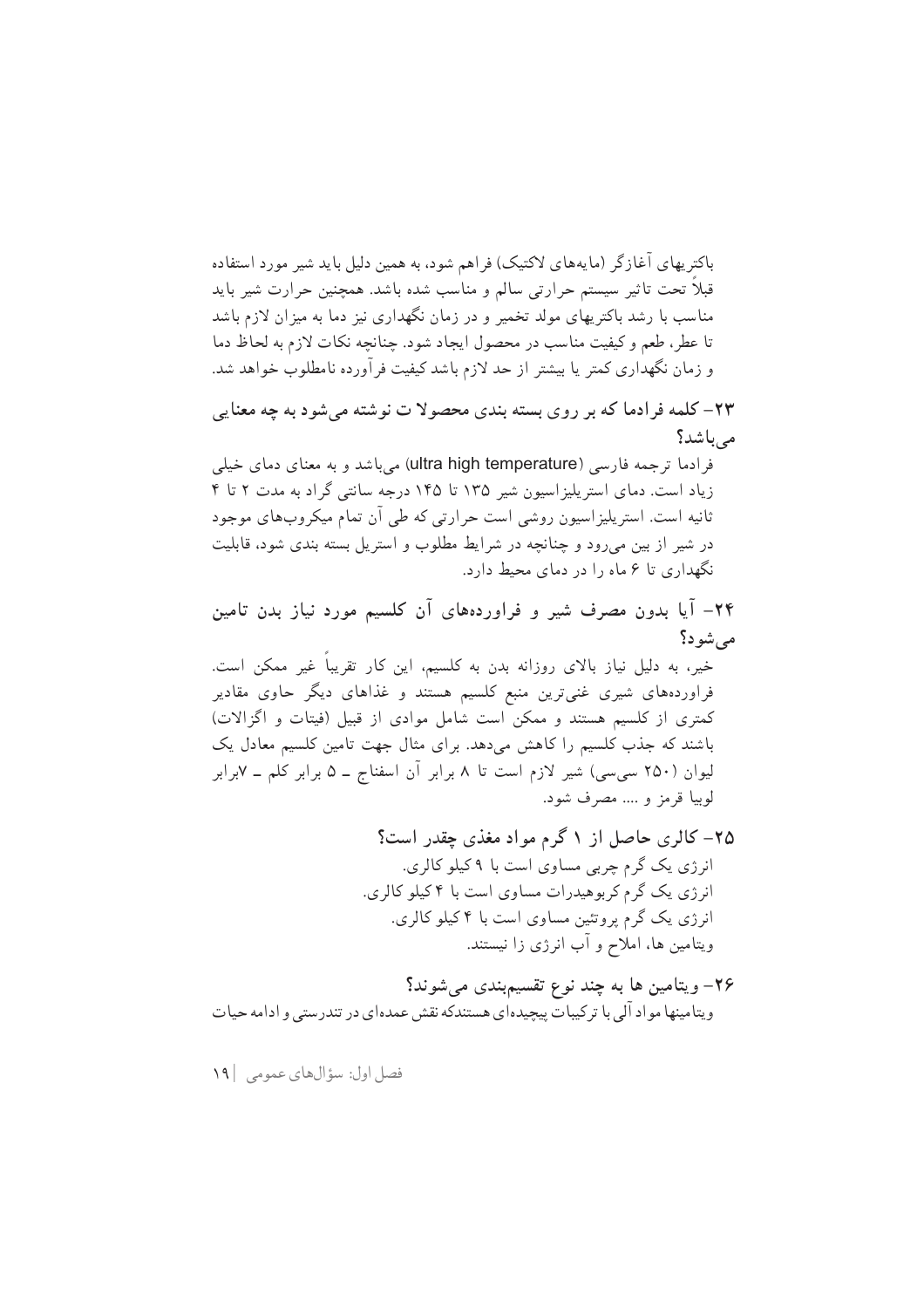باکتریهای آغازگر (مایههای لاکتیک) فراهم شود، به همین دلیل باید شیر مورد استفاده قبلاً تحت تاثير سيستم حرارتي سالم و مناسب شده باشد. همچنين حرارت شير بايد مناسب با رشد باکتریهای مولد تخمیر و در زمان نگهداری نیز دما به میزان لازم باشد تا عطر، طعم و كيفيت مناسب در محصول ايجاد شود. چنانچه نكات لازم به لحاظ دما و زمان نگهداری کمتر یا بیشتر از حد لازم باشد کیفیت فرآورده نامطلوب خواهد شد.

۲۳– کلمه فرادما که بر روی بسته بندی محصولا ت نوشته میشود به چه معنایی مرباشد؟

فرادما ترجمه فارسی (ultra high temperature) می باشد و به معنای دمای خیلی زیاد است. دمای استر پلیز اسپون شیر ۱۳۵ تا ۱۴۵ درجه سانتی گراد به مدت ۲ تا ۴ ثانیه است. استریلیزاسیون روشی است حرارتی که طی آن تمام میکروبهای موجود در شیر از بین می رود و چنانچه در شرایط مطلوب و استریل بسته بندی شود، قابلیت نگهداری تا ۶ ماه را در دمای محیط دارد.

۲۴– آیا بدون مصرف شیر و فراوردههای آن کلسیم مورد نیاز بدن تامین مے شو د؟

خیر، به دلیل نیاز بالای روزانه بدن به کلسیم، این کار تقریباً غیر ممکن است. فراوردههای شیری غنیترین منبع کلسیم هستند و غذاهای دیگر حاوی مقادیر کمتری از کلسیم هستند و ممکن است شامل موادی از قبیل (فیتات و اگزالات) باشند که جذب کلسیم را کاهش میدهد. برای مثال جهت تامین کلسیم معادل یک لیوان (۲۵۰ سیسی) شیر لازم است تا ۸ برابر آن اسفناج ــ ۵ برابر کلم ــ ۷برابر لوبيا قرمز و .... مصرف شود.

- ۲۵– کالري حاصل از ۱ گرم مواد مغذي چقدر است؟ انرژی یک گرم چربی مساوی است با ۹کیلو کالری. انرژی یک گرم کربوهیدرات مساوی است با ۴ کیلو کالری. انرژی یک گرم پروتئین مساوی است با ۴کیلو کالری. ویتامین ها، املاح و آب انرژی زا نیستند.
- ۲۶– ویتامین ها به چند نوع تقسیمېندی میشوند؟ ویتامینها مواد آلی با ترکیبات پیچیدهای هستندکه نقش عمدهای در تندرستی و ادامه حیات

فصل اول: سؤالهاي عمومي | ١٩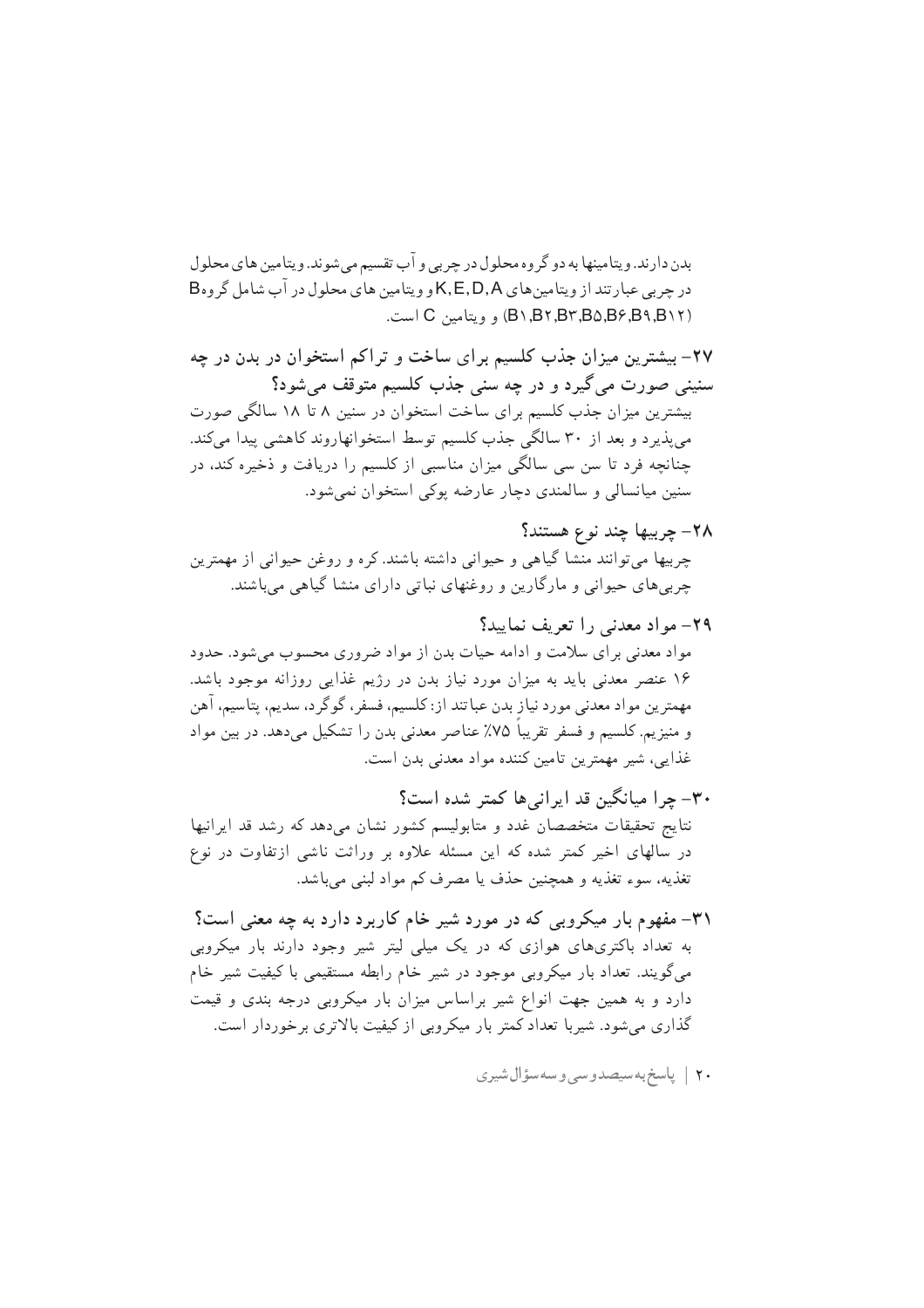بدن دارند. و پتامینها به دو گر وه محلول در چربے و آب تقسیم مے شوند. و پتامین های محلول در چربی عبارتند از ویتامین های K,E,D,A و ویتامین های محلول در آب شامل گروهB (B \, B \, B \, B \, B \, B \, B \, B ( ويتامين C است.

۲۷- بیشترین میزان جذب کلسیم برای ساخت و تراکم استخوان در بدن در چه سنيني صورت مي گيرد و در چه سني جذب كلسيم متوقف مي شود؟ بیشترین میزان جذب کلسیم برای ساخت استخوان در سنین ۸ تا ۱۸ سالگی صورت می پذیر د و بعد از ۳۰ سالگی جذب کلسیم توسط استخوانهاروند کاهشی پیدا می کند. چنانچه فرد تا سن سی سالگی میزان مناسبی از کلسیم را دریافت و ذخیره کند، در سنین میانسالی و سالمندی دچار عارضه یوکی استخوان نمیشود.

- ٢٨– چربيها چند نوع هستند؟ چربیها میتوانند منشا گیاهی و حیوانی داشته باشند. کره و روغن حیوانی از مهمترین چربی های حیوانی و مارگارین و روغنهای نباتی دارای منشا گیاهی می باشند.
- ٢٩- مواد معدني را تعريف نماييد؟ مواد معدنی برای سلامت و ادامه حیات بدن از مواد ضروری محسوب میشود. حدود ۱۶ عنصر معدنی باید به میزان مورد نیاز بدن در رژیم غذایی روزانه موجود باشد. مهمترين مواد معدني مورد نياز بدن عباتند از: كلسيم، فسفر ، گوگر د، سديم، يتاسيم، آهن و منیزیم. کلسیم و فسفر تقریبا ۷۵٪ عناصر معدنی بدن را تشکیل میدهد. در بین مواد غذایی، شیر مهمترین تامین کننده مواد معدنی بدن است.
- ۳۰– چرا میانگین قد ایرانی ها کمتر شده است؟ نتايج تحقيقات متخصصان غدد و متابوليسم كشور نشان مى دهد كه رشد قد ايرانيها در سالهای اخیر کمتر شده که این مسئله علاوه بر وراثت ناشی ازتفاوت در نوع تغذيه، سوء تغذيه و همچنين حذف يا مصرف كم مواد لبنى مى باشد.
- ۳۱– مفهوم بار میکروبی که در مورد شیر خام کاربرد دارد به چه معنی است؟ به تعداد باکتریهای هوازی که در یک میلی لیتر شیر وجود دارند بار میکروبی میگویند. تعداد بار میکروبی موجود در شیر خام رابطه مستقیمی با کیفیت شیر خام دارد و به همین جهت انواع شیر براساس میزان بار میکروبی درجه بندی و قیمت گذاری میشود. شیربا تعداد کمتر بار میکروبی از کیفیت بالاتری برخوردار است.
	- ۲۰ | پاسخ به سیصدوسی و سه سؤال شیری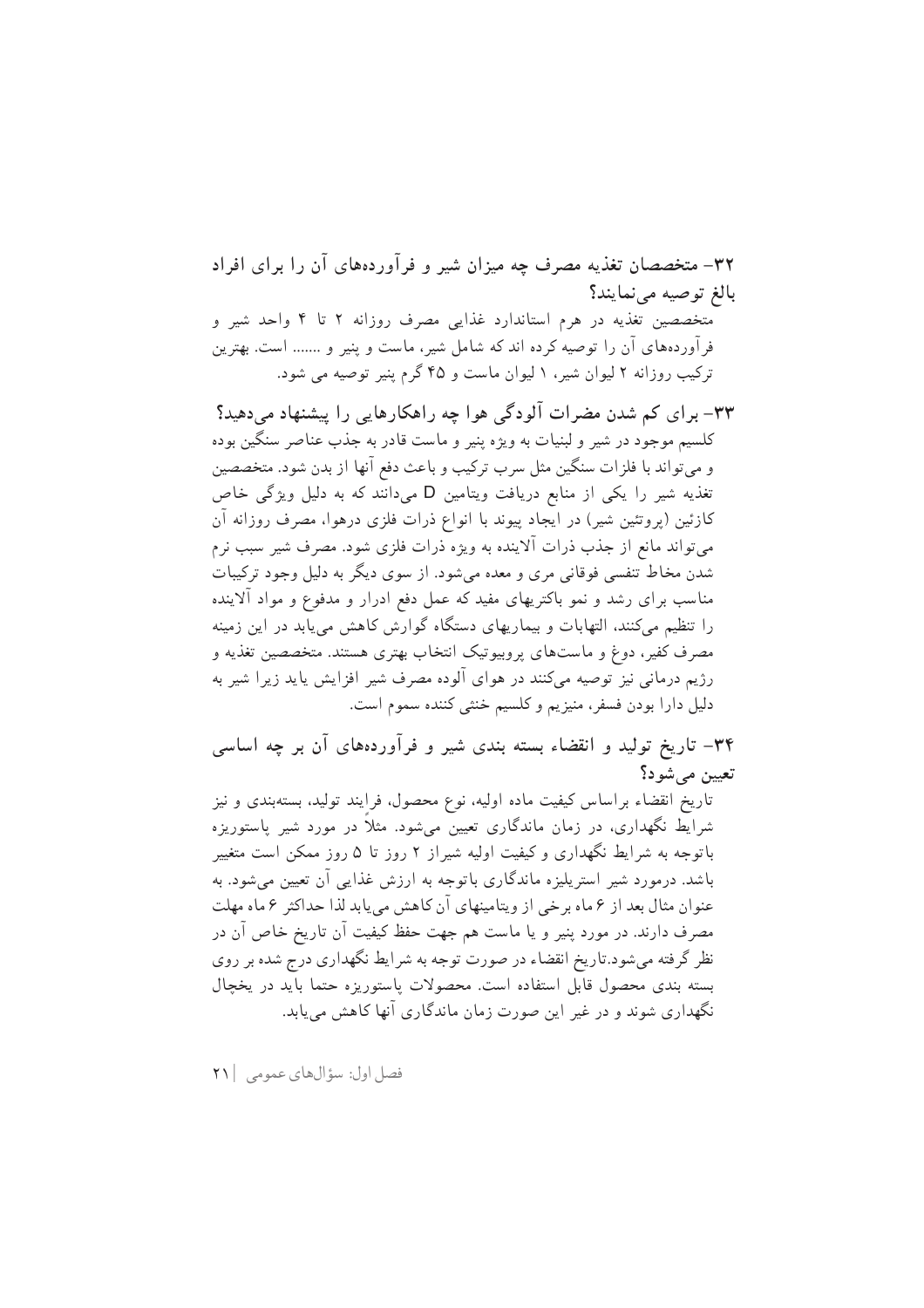۳۲– متخصصان تغذیه مصرف چه میزان شیر و فرآوردههای آن را برای افراد بالغ توصيه مى نمايند؟ متخصصین تغذیه در هرم استاندارد غذایی مصرف روزانه ۲ تا ۴ واحد شیر و فراوردههای آن را توصیه کرده اند که شامل شیر، ماست و پنیر و ....... است. بهترین ترکیب روزانه ۲ لیوان شیر، ۱ لیوان ماست و ۴۵ گرم پنیر توصیه می شود.

۳۳– برای کم شدن مضرات آلودگی هوا چه راهکارهایی را پیشنهاد میدهید؟ کلسیم موجود در شیر و لبنیات به ویژه پنیر و ماست قادر به جذب عناصر سنگین بوده و می تواند با فلزات سنگین مثل سرب ترکیب و باعث دفع آنها از بدن شود. متخصصین تغذیه شیر را یکی از منابع دریافت ویتامین D میدانند که به دلیل ویژگی خاص کازئین (پروتئین شیر) در ایجاد پیوند با انواع ذرات فلزی درهوا، مصرف روزانه آن میتواند مانع از جذب ذرات آلاینده به ویژه ذرات فلزی شود. مصرف شیر سبب نرم شدن مخاط تنفسی فوقانی مری و معده میشود. از سوی دیگر به دلیل وجود ترکیبات مناسب برای رشد و نمو باکتریهای مفید که عمل دفع ادرار و مدفوع و مواد آلاینده را تنظیم میکنند، التهابات و بیماریهای دستگاه گوارش کاهش می یابد در این زمینه مصرف کفیر، دوغ و ماستهای پروبیوتیک انتخاب بهتری هستند. متخصصین تغذیه و رژیم درمانی نیز توصیه میکنند در هوای آلوده مصرف شیر افزایش یاید زیرا شیر به دليل دارا بودن فسفر، منيزيم و كلسيم خنثي كننده سموم است.

۳۴– تاریخ تولید و انقضاء بسته بندی شیر و فرآوردههای آن بر چه اساسی تعيين مي شود؟

تاریخ انقضاء براساس کیفیت ماده اولیه، نوع محصول، فرایند تولید، بستهبندی و نیز شرایط نگهداری، در زمان ماندگاری تعیین می شود. مثلاً در مورد شیر پاستوریزه باتوجه به شرایط نگهداری و کیفیت اولیه شیراز ۲ روز تا ۵ روز ممکن است متغییر باشد. درمورد شیر استریلیزه ماندگاری باتوجه به ارزش غذایی آن تعیین میشود. به عنوان مثال بعد از ۶ ماه برخی از ویتامینهای آن کاهش می یابد لذا حداکثر ۶ ماه مهلت مصرف دارند. در مورد پنیر و یا ماست هم جهت حفظ کیفیت آن تاریخ خاص آن در نظر گرفته می شود.تاریخ انقضاء در صورت توجه به شر ایط نگهداری درج شده بر روی بسته بندی محصول قابل استفاده است. محصولات پاستوریزه حتما باید در یخچال نگهداری شوند و در غیر این صورت زمان ماندگاری آنها کاهش می پابد.

فصل اول: سؤال هاي عمومي | ٢١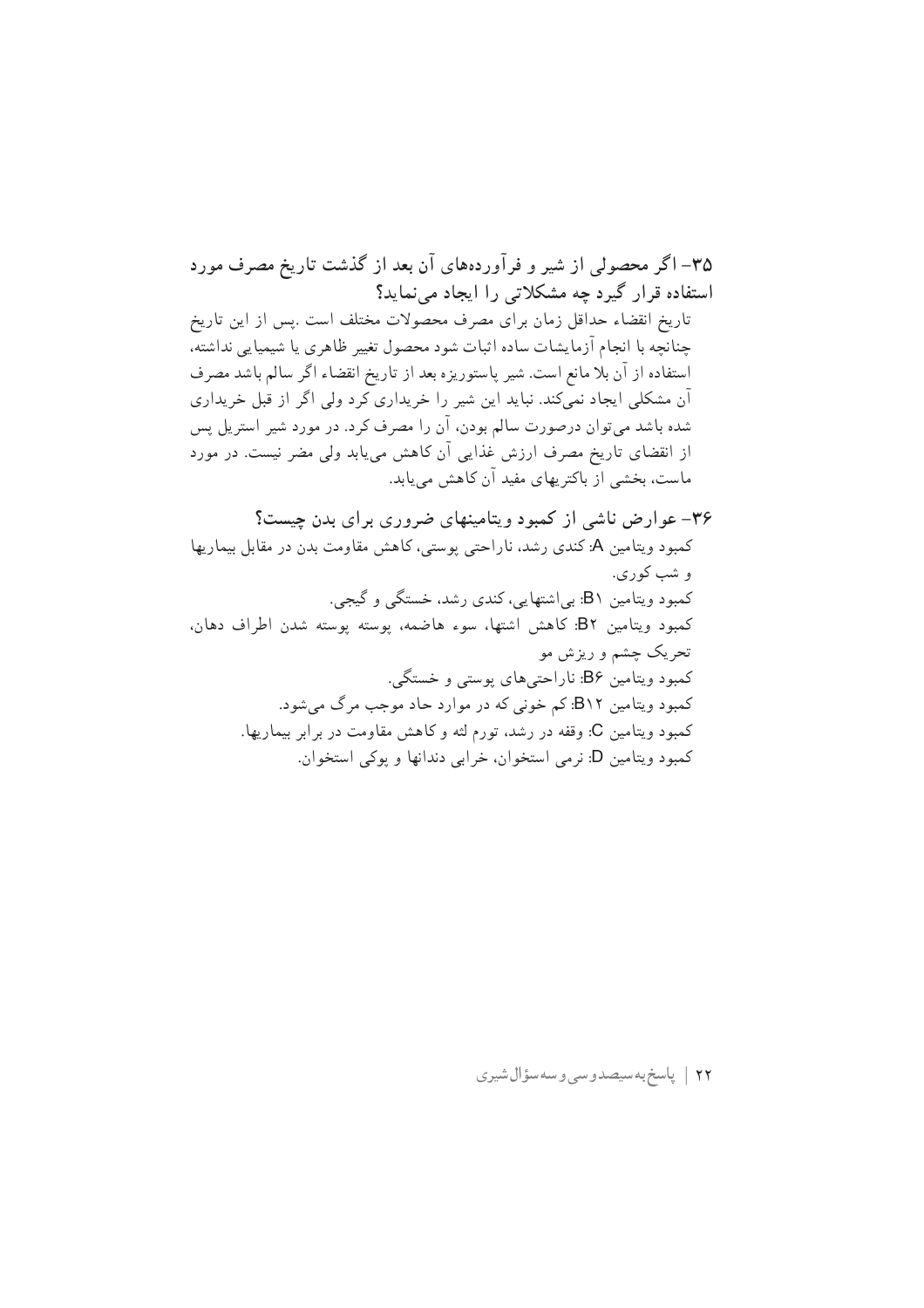۳۵– اگر محصولی از شیر و فرآوردههای آن بعد از گذشت تاریخ مصرف مورد استفاده قرار گیرد چه مشکلاتی را ایجاد می نماید؟ تاريخ انقضاء حداقل زمان براي مصرف محصولات مختلف است .پس از اين تاريخ چنانچه با انجام آزمایشات ساده اثبات شود محصول تغییر ظاهری یا شیمیایی نداشته، استفاده از آن بلا مانع است. شیر پاستوریزه بعد از تاریخ انقضاء اگر سالم باشد مصرف آن مشکلی ایجاد نمیکند. نباید این شیر را خریداری کرد ولی اگر از قبل خریداری شده باشد میتوان درصورت سالم بودن، آن را مصرف کرد. در مورد شیر استریل پس از انقضای تاریخ مصرف ارزش غذایی آن کاهش مییابد ولی مضر نیست. در مورد ماست، بخشی از باکتریهای مفید آن کاهش می یابد.

۳۶– عوارض ناشی از کمبود ویتامینهای ضروری برای بدن چیست؟ کمبود ویتامین A: کندی رشد، ناراحتی پوستی، کاهش مقاومت بدن در مقابل بیماریها و شب کوري. کمبود ویتامین B۱: بی|شتهایی، کندی رشد، خستگی و گیجی. كمبود ويتامين B۲: كاهش اشتها، سوء هاضمه، يوسته يوسته شدن اطراف دهان، تحریک چشم و ریزش مو کمبود ویتامین B۶: ناراحتیهای پوستی و خستگی. کمبود ویتامین B۱۲: کم خونی که در موارد حاد موجب مرگ می شود. کمبود ویتامین C: وقفه در رشد، تورم لثه و کاهش مقاومت در برابر بیماریها. كمبود ويتامين D: نرمي استخوان، خرابي دندانها و يوكي استخوان.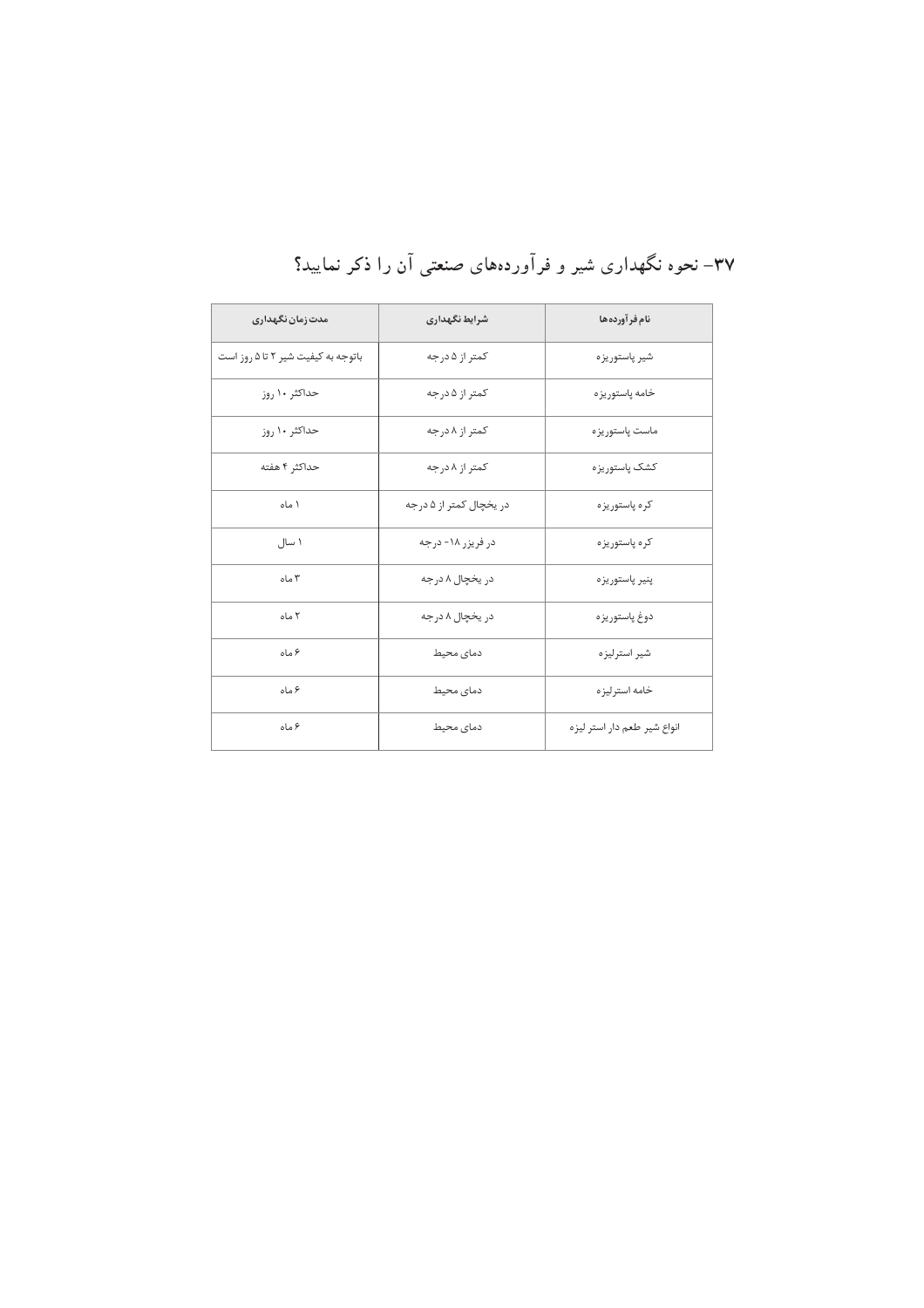| مدت زمان نگهداری                   | شرايط نگهداري           | نام فرآورده ها              |  |  |
|------------------------------------|-------------------------|-----------------------------|--|--|
| باتوجه به کیفیت شیر ۲ تا ۵ روز است | کمتر از ۵ درجه          | شير پاستوريزه               |  |  |
| حداکثر ۱۰ روز                      | کمتر از ۵ درجه          | خامه پاستوريزه              |  |  |
| حداکثر ۱۰ روز                      | کمتر از ۸ درجه          | ماست ياستوريز ه             |  |  |
| حداكثر ۴ هفته                      | کمتر از ۸ درجه          | کشک یاستور یز ہ             |  |  |
| ۱ ماه                              | در یخچال کمتر از ۵ درجه | کر ہ پاستوریز ہ             |  |  |
| ۱ سال                              | در فریزر ۱۸- درجه       | کره پاستوریزه               |  |  |
| ۳ ماه                              | در یخچال ۸ درجه         | پنير پاستوريزه              |  |  |
| ٢ ماه                              | در یخچال ۸ درجه         | دوغ پاستوريزه               |  |  |
| ۶ ماه                              | دمای محیط               | شير استرليزه                |  |  |
| ۶ ماه                              | دمای محیط               | خامه استر ليز ه             |  |  |
| ۶ ماه                              | دمای محیط               | انواع شير طعم دار استر ليزه |  |  |

۳۷– نحوه نگهداری شیر و فرآوردههای صنعتی آن را ذکر نمایید؟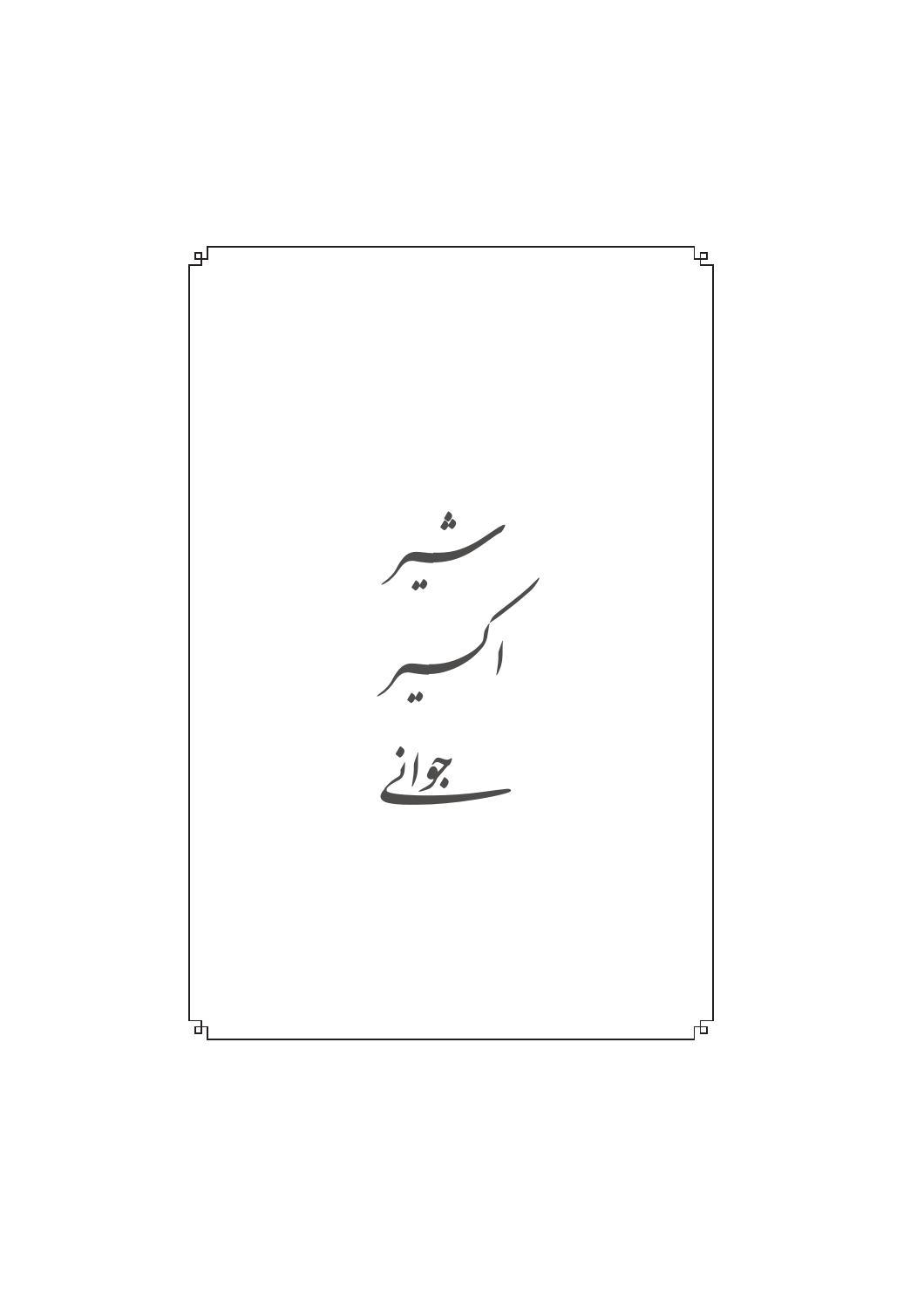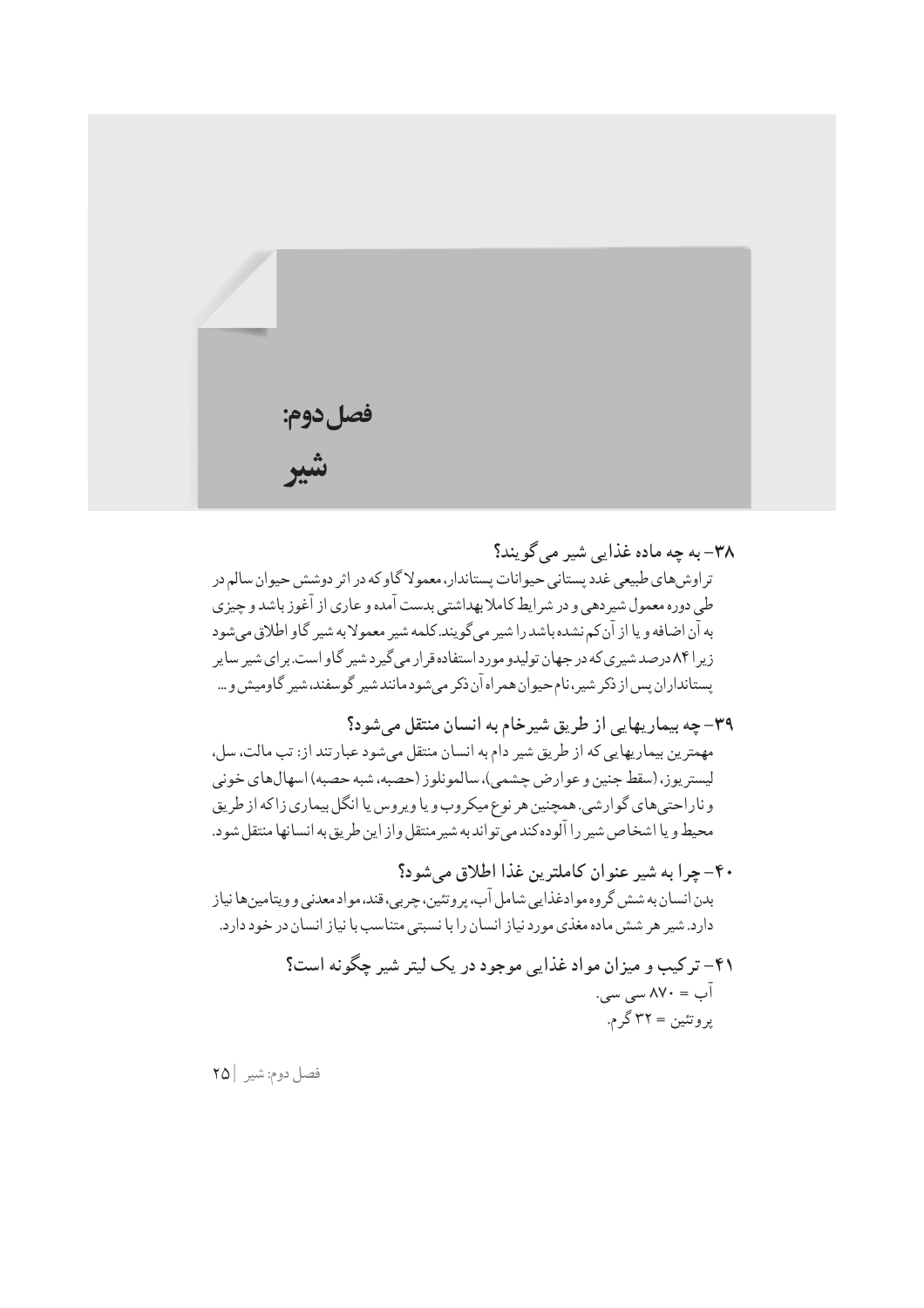

٣٨– به چه ماده غذایی شیر می گویند؟ تر اوش های طبیعی غدد پستانی حیوانات پستاندار،معمولا گاو که در اثر دوشش حیوان سالم در طی دوره معمول شیردهی و در شرایط کاملا بهداشتی بدست آمده و عاری از آغوز باشد و چیزی به آن اضافه و یا از آن کم نشده باشد را شیر می گویند. کلمه شیر معمولا به شیر گاو اطلاق می شود زیر ۸۴۱ درصد شیری که در جهان تولیدو مورد استفاده قر ار می گیر د شیر گاو است. بر ای شیر سایر يستانداران پس از ذكر شير،نام حيوان همراه آن ذكر مى شود مانند شير گوسفند، شير گاوميش و ...

٣٩- چه بيماريهايي از طريق شيرخام به انسان منتقل مي شود؟ مهمترين بيماريهايي كه از طريق شير دام به انسان منتقل مي شود عبارتند از: تب مالت، سل، ليستريوز، (سقط جنين و عوارض چشمي)، سالمونلوز (حصبه، شبه حصبه) اسهال هاي خوني و ناراحتی های گوارشی. همچنین هر نوع میکروب و یا ویروس یا انگل بیماری زاکه از طریق محيط ويا اشخاص شير را آلوده كند مى تواند به شير منتقل واز اين طريق به انسانها منتقل شود.

- ۴۰- چرا به شير عنوان كاملترين غذا اطلاق مي شود؟ بدن انسان به شش گروه موادغذایی شامل آب، پروتئین، چربی، قند، مواد معدنی و ویتامین ها نیاز دارد. شیر هر شش ماده مغذی مورد نیاز انسان را با نسبتی متناسب با نیاز انسان در خود دارد.
	- ۴۱– ترکیب و میزان مواد غذایی موجود در یک لیتر شیر چگونه است؟  $\cdots$ اب = ۸۷۰ سی سی پروتئين = ٣٢ گر م.

فصل دوم: شير |٢٥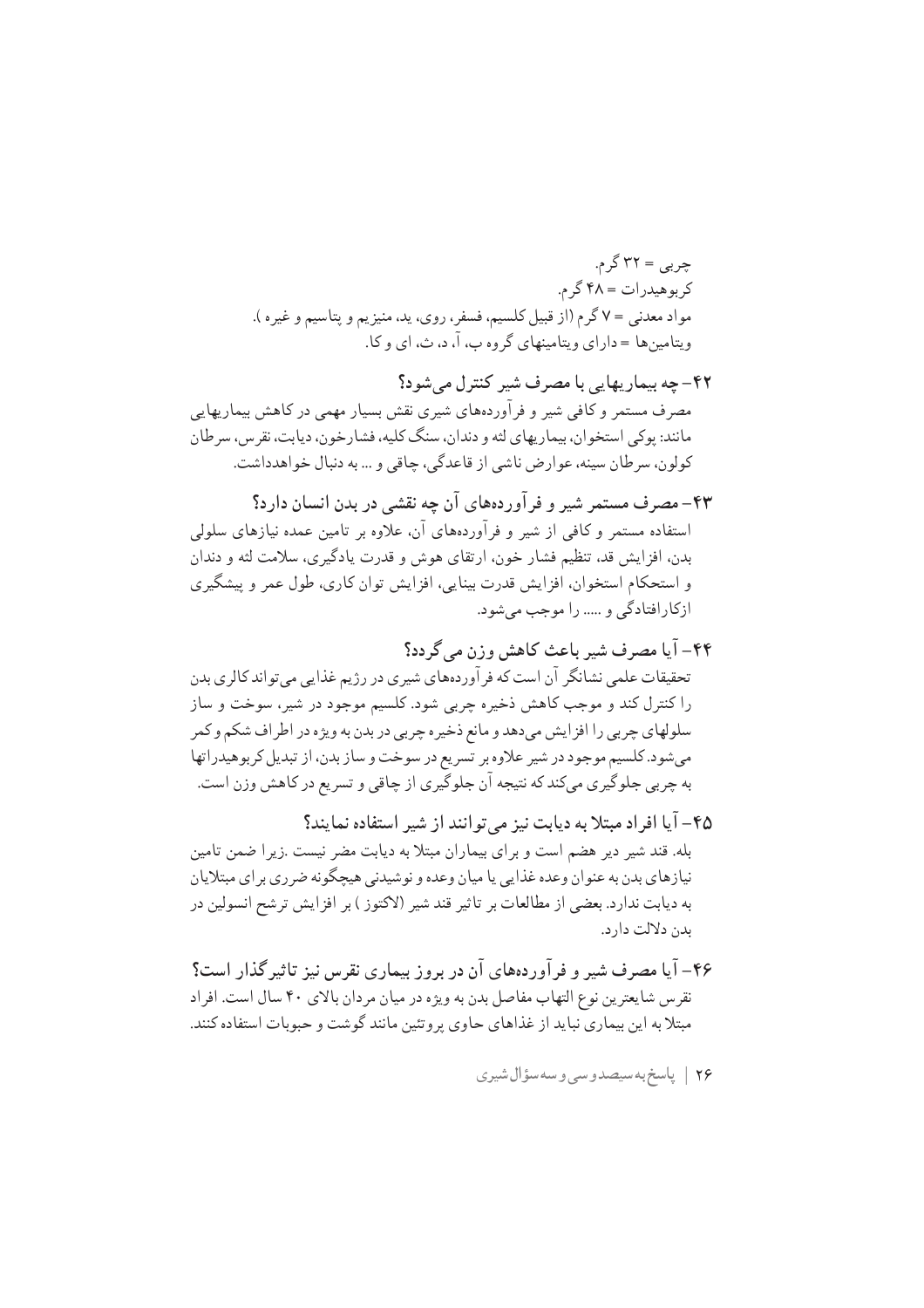۴۲– چه بیماریهایی با مصرف شیر کنترل می شود؟ مصرف مستمر و کافی شیر و فر آوردههای شیری نقش بسیار مهمی در کاهش بیماریهایی مانند: یوکی استخوان، بیماریهای لثه و دندان، سنگ کلیه، فشارخون، دیابت، نقرس، سرطان کولون، سرطان سینه، عوارض ناشی از قاعدگی، چاقی و … به دنبال خواهدداشت.

- ۴۳– مصرف مستمر شیر و فرآوردههای آن چه نقشے در بدن انسان دارد؟ استفاده مستمر و کافی از شیر و فرآوردههای آن، علاوه بر تامین عمده نیازهای سلولی بدن، افزايش قد، تنظيم فشار خون، ارتقاي هوش و قدرت يادگيري، سلامت لثه و دندان و استحکام استخوان، افزایش قدرت بینایی، افزایش توان کاری، طول عمر و پیشگیری ازکارافتادگی و ..... را موجب می شود.
- ۴۴- آیا مصرف شیر باعث کاهش وزن میگردد؟ تحقیقات علمی نشانگر آن است که فر آوردههای شیری در رژیم غذایی می تواند کالری بدن را کنترل کند و موجب کاهش ذخیره چربی شود. کلسیم موجود در شیر، سوخت و ساز سلولهاي چربي را افزايش ميدهد و مانع ذخيره چربي در بدن به ويژه در اطراف شكم و كمر میشود. کلسیم موجود در شیر علاوه بر تسریع در سوخت و ساز بدن، از تبدیل کربوهیدراتها به چربی جلوگیری میکند که نتیجه آن جلوگیری از چاقی و تسریع در کاهش وزن است.
- ۴۵– آیا افراد مبتلا به دیابت نیز می توانند از شیر استفاده نمایند؟ بله. قند شیر دیر هضم است و برای بیماران مبتلا به دیابت مضر نیست .زیرا ضمن تامین نیازهای بدن به عنوان وعده غذایی یا میان وعده و نوشیدنی هیچگونه ضرری بر ای مبتلایان به دیابت ندارد. بعضی از مطالعات بر تاثیر قند شیر (لاکتوز ) بر افزایش ترشح انسولین در ىدن دلالت دار د.
- ۴۶– آیا مصرف شیر و فر آوردههای آن در بروز بیماری نقرس نیز تاثیر گذار است؟ نقرس شايعترين نوع التهاب مفاصل بدن به ويژه در ميان مر دان بالاي ۴۰ سال است. افر اد مبتلا به این بیماری نباید از غذاهای حاوی پروتئین مانند گوشت و حبوبات استفاده کنند.
	- ۲۶ | پاسخ به سیصدوسی و سه سؤال شیری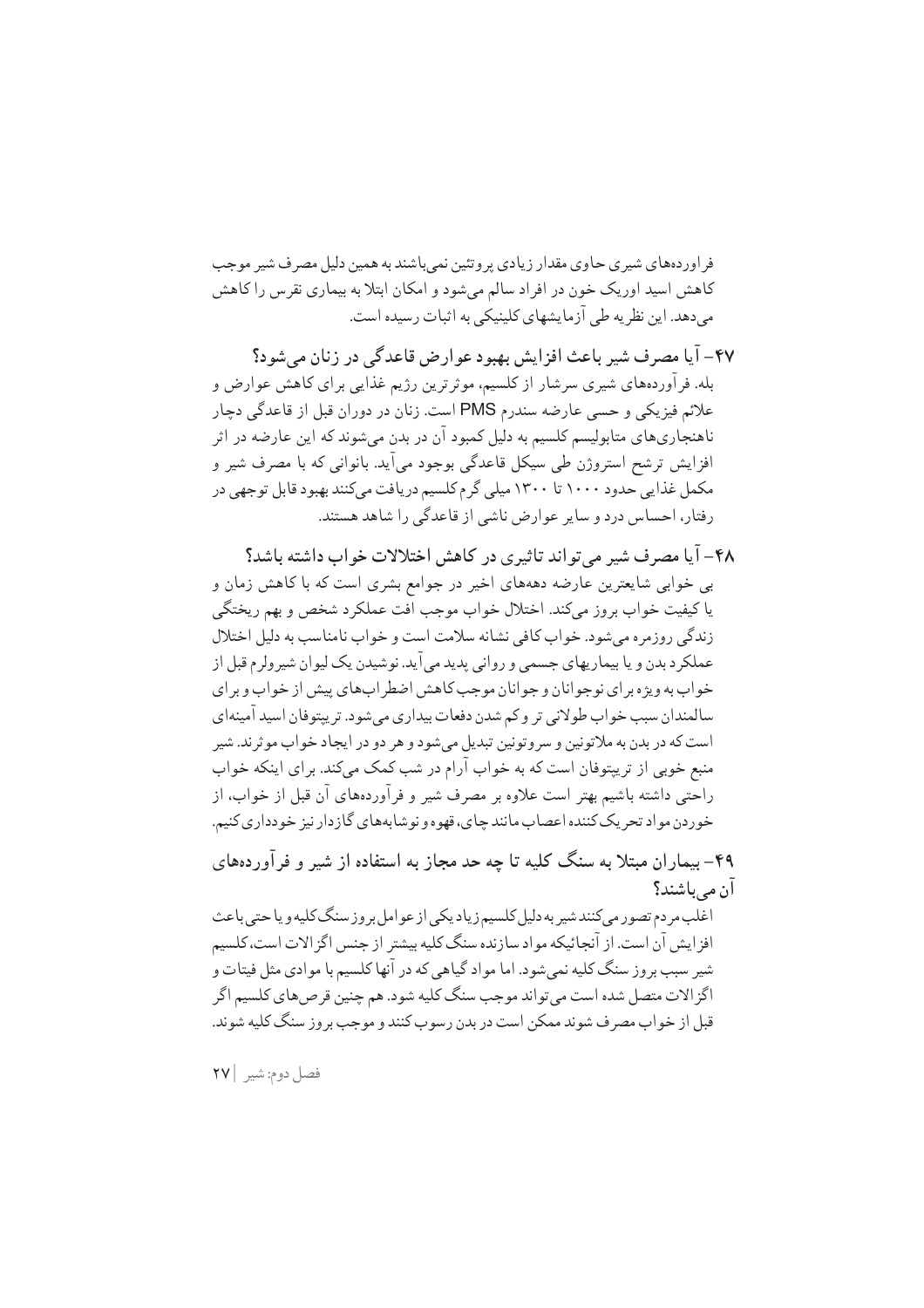فر اور دههای شیری حاوی مقدار زیادی بروتئین نمی باشند به همین دلیل مصر ف شیر موجب کاهش اسید اوریک خون در افراد سالم میشود و امکان ابتلا به بیماری نقرس را کاهش می دهد. این نظر یه طی آزمایشهای کلینیکی به اثبات رسیده است.

- ۴۷- آیا مصرف شیر باعث افزایش بهبود عوارض قاعدگی در زنان میشود؟ بله. فرآوردههای شیری سرشار از کلسیم، موثرترین رژیم غذایی برای کاهش عوارض و علائم فيزيكي و حسى عارضه سندرم PMS است. زنان در دوران قبل از قاعدگي دڃار ناهنجاریهای متابولیسم کلسیم به دلیل کمبود آن در بدن میشوند که این عارضه در اثر افزایش ترشح استروژن طی سیکل قاعدگی بوجود میآید. بانوانی که با مصرف شیر و مکمل غذایی حدود ۱۰۰۰ تا ۱۳۰۰ میلی گرم کلسیم دریافت میکنند بهبود قابل توجهی در رفتار، احساس درد و سایر عوارض ناشی از قاعدگی را شاهد هستند.
- ۴۸– آیا مصرف شیر مرتواند تاثیری در کاهش اختلالات خواب داشته باشد؟ بی خوابی شایعترین عارضه دهههای اخیر در جوامع بشری است که با کاهش زمان و يا كيفيت خواب بروز مى كند. اختلال خواب موجب افت عملكرد شخص و بهم ريختگى زندگی روزمره می شود. خواب کافی نشانه سلامت است و خواب نامناسب به دلیل اختلال عملکرد بدن و یا بیماریهای جسمی و روانی پدید می آید. نوشیدن یک لیوان شیرولرم قبل از خواب به ویژه برای نوجوانان و جوانان موجب کاهش اضطر اب های پیش از خواب و بر ای سالمندان سبب خواب طولاني تر وكم شدن دفعات بيداري مىشود. تريپتوفان اسيد آمينهاي است که در بدن به ملاتونین و سروتونین تبدیل میشود و هر دو در ایجاد خواب موثرند. شیر منبع خوبی از تریپتوفان است که به خواب آرام در شب کمک میکند. برای اینکه خواب راحتی داشته باشیم بهتر است علاوه بر مصرف شیر و فرآوردههای آن قبل از خواب، از خوردن مواد تحريک کننده اعصاب مانند چاي، قهوه و نوشابههاي گازدار نيز خودداري کنيم.

۴۹– بیماران مبتلا به سنگ کلیه تا چه حد مجاز به استفاده از شیر و فرآوردههای آن مے باشند؟

اغلب مر دم تصور می کنند شیر به دلیل کلسیم زیاد یکی از عوامل بر وز سنگ کلیه و یا حتی باعث افز ایش آن است. از آنجائیکه مواد سازنده سنگ کلیه بیشتر از جنس اگز الات است، کلسیم شیر سبب بروز سنگ کلیه نمی شود. اما مواد گیاهی که در آنها کلسیم با موادی مثل فیتات و اگز الات متصل شده است می تو اند موجب سنگ کلیه شود. هم چنین قر ص های کلسیم اگر قبل از خواب مصر ف شوند ممکن است در بدن رسوب کنند و موجب بروز سنگ کلیه شوند.

فصل دوم: شير ٢٧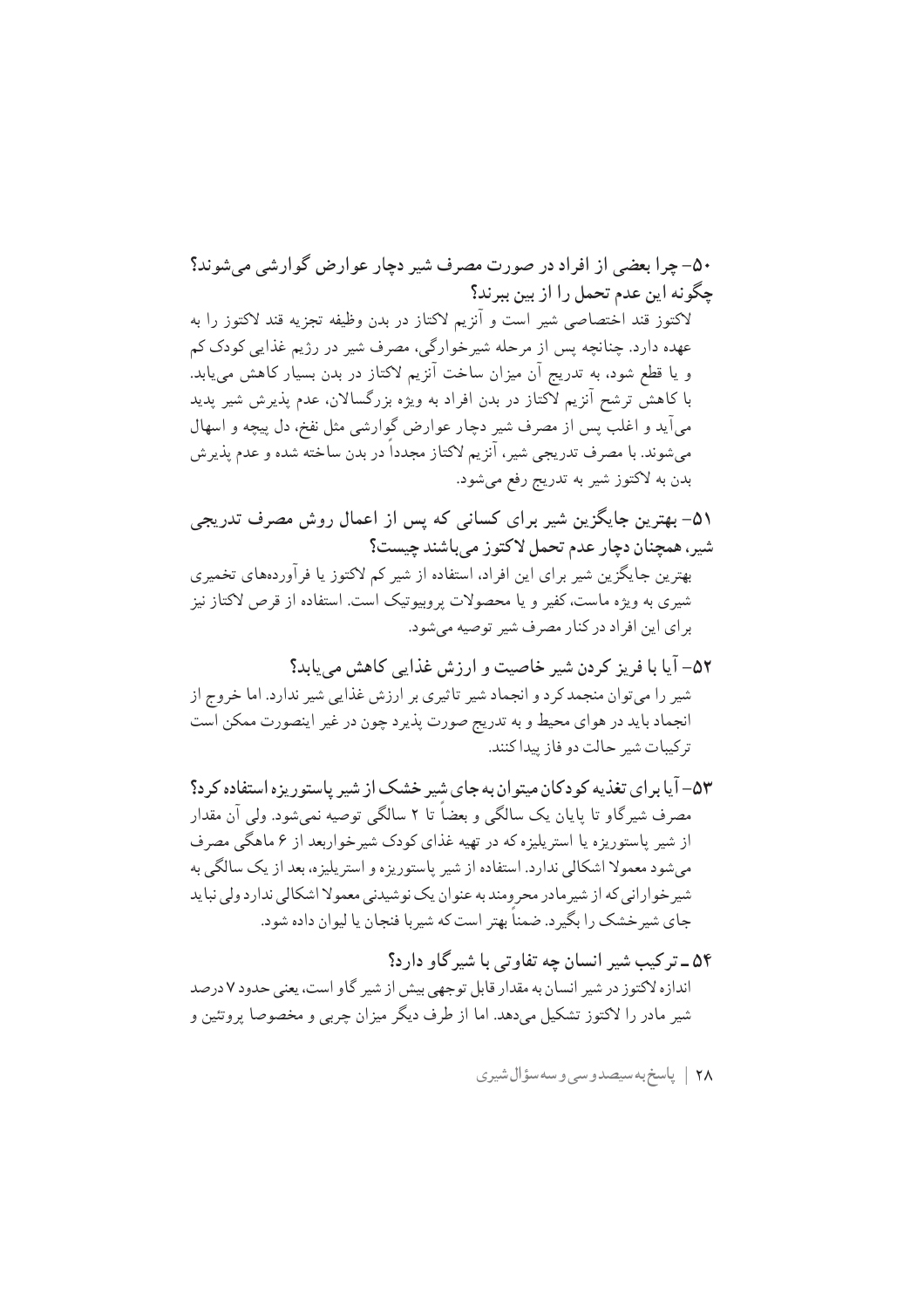۵۰– چرا بعضی از افراد در صورت مصرف شیر دچار عوارض گوارشی می شوند؟ چگونه این عدم تحمل را از بین ببرند؟ لاكتوز قند اختصاصي شير است و آنزيم لاكتاز در بدن وظيفه تجزيه قند لاكتوز را به عهده دارد. چنانچه پس از مرحله شیرخوارگی، مصرف شیر در رژیم غذایی کودک کم و یا قطع شود، به تدریج آن میزان ساخت آنزیم لاکتاز در بدن بسیار کاهش می یابد. با کاهشّ ترشح آنزیم لاکتاز در بدن افراد به ویژه بزرگسالان، عدم پذیرش شیر پدید میآید و اغلب پس از مصرف شیر دچار عوارض گوارشی مثل نفخ، دل پیچه و اسهال میشوند. با مصرف تدریجی شیر، آنزیم لاکتاز مجدداً در بدن ساخته شده و عدم پذیرش بدن به لاکتوز شیر به تدریج رفع میشود.

۵۱– بهترین جایگزین شیر برای کسانی که پس از اعمال روش مصرف تدریجی شیر، همچنان دچار عدم تحمل لاکتوز میباشند چیست؟ بهترین جایگزین شیر برای این افراد، استفاده از شیر کم لاکتوز یا فرآوردههای تخمیری شیری به ویژه ماست، کفیر و یا محصولات پروبیوتیک است. استفاده از قرص لاکتاز نیز برای این افراد در کنار مصرف شیر توصیه می شود.

۵۲– آیا با فریز کردن شیر خاصیت و ارزش غذایی کاهش می یابد؟ شیر را میتوان منجمد کرد و انجماد شیر تاثیری بر ارزش غذایی شیر ندارد. اما خروج از انجماد بايد در هواي محيط و به تدريج صورت پذير د چون در غير اينصورت ممكن است تركيبات شير حالت دو فاز پيداكنند.

۵۳- آیا برای تغذیه کودکان میتوان به جای شیر خشک از شیر پاستوریزه استفاده کرد؟ مصرف شیر گاو تا پایان یک سالگی و بعضاً تا ۲ سالگی توصیه نمی شود. ولی آن مقدار از شیر پاستوریزه یا استرپلیزه که در تهیه غذای کودک شیرخواربعد از ۶ ماهگی مصرف م شود معمولا اشکالی ندارد. استفاده از شیر پاستوریز ه و استرپلیز ه، بعد از یک سالگی به شیر خوارانی که از شیر مادر محرومند به عنوان یک نوشیدنی معمولا اشکالی ندارد ولی نباید جاي شير خشک را بگير د. ضمناً بهتر است که شيربا فنجان يا ليوان داده شود.

۵۴ ـ تر کیب شیر انسان چه تفاوتی با شیر گاو دارد؟ اندازه لاکتوز در شیر انسان به مقدار قابل توجهی بیش از شیر گاو است، یعنی حدود ۷ درصد شیر مادر را لاکتوز تشکیل می دهد. اما از طرف دیگر میزان چربی و مخصوصا پروتئین و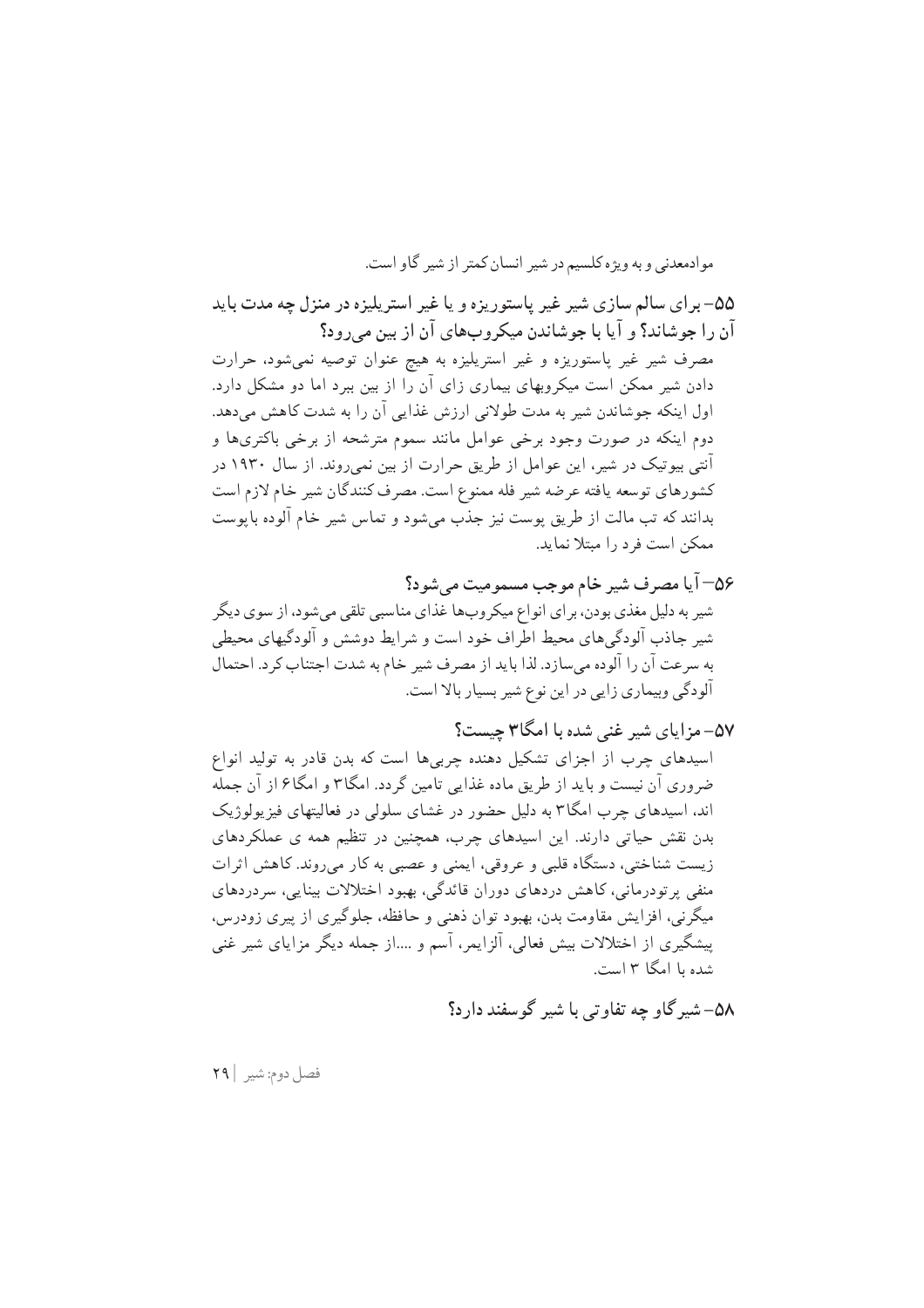موادمعدنی و به ویژه کلسیم در شیر انسان کمتر از شیر گاو است.

۵۵– برای سالم سازی شیر غیر پاستوریزه و یا غیر استریلیزه در منزل چه مدت باید أن را جوشاند؟ و آيا با جوشاندن ميكروبهاي آن از بين مي رود؟ مصرف شیر غیر پاستوریزه و غیر استریلیزه به هیچ عنوان توصیه نمی شود، حرارت

دادن شیر ممکن است میکروبهای بیماری زای آن را از بین ببرد اما دو مشکل دارد. اول اینکه جوشاندن شیر به مدت طولانی ارزش غذایی آن را به شدت کاهش میدهد. دوم اینکه در صورت وجود برخی عوامل مانند سموم مترشحه از برخی باکتریها و آنتی بیوتیک در شیر، این عوامل از طریق حرارت از بین نمی روند. از سال ۱۹۳۰ در كشورهاي توسعه يافته عرضه شير فله ممنوع است. مصرف كنندگان شير خام لازم است بدانند که تب مالت از طريق پوست نيز جذب مي شود و تماس شير خام آلوده بايوست ممكن است فرد را مبتلا نمايد.

۵۶– آیا مصرف شیر خام موجب مسمومیت میشود؟ شیر به دلیل مغذی بودن، برای انواع میکروبها غذای مناسبی تلقی میشود، از سوی دیگر شیر جاذب آلودگی های محیط اطراف خود است و شرایط دوشش و آلودگیهای محیطی به سرعت آن را آلوده میسازد. لذا باید از مصرف شیر خام به شدت اجتناب کرد. احتمال آلودگی وبیماری زایی در این نوع شیر بسیار بالا است.

۵۷- مزایای شیر غنر شده با امگا۳ حست؟ اسیدهای چرب از اجزای تشکیل دهنده چربی ها است که بدن قادر به تولید انواع ضروری آن نیست و باید از طریق ماده غذایی تامین گردد. امگا۳ و امگا۶ از آن جمله اند، اسیدهای چرب امگا۳ به دلیل حضور در غشای سلولی در فعالیتهای فیز یولوژیک بدن نقش حیاتی دارند. این اسیدهای چرب، همچنین در تنظیم همه ی عملکردهای زیست شناختی، دستگاه قلبی و عروقی، ایمنی و عصبی به کار می روند. کاهش اثرات منفی پرتودرمانی، کاهش دردهای دوران قائدگی، بهبود اختلالات بینایی، سردردهای میگرنی، افزایش مقاومت بدن، بهبود توان ذهنی و حافظه، جلوگیری از پیری زودرس، پیشگیری از اختلالات بیش فعالی، آلزایمر، آسم و ….از جمله دیگر مزایای شیر غنی شده با امگا ۳ است.

۵۸– شیرگاو چه تفاوتی با شیر گوسفند دارد؟

فصل دوم: شير | ٢٩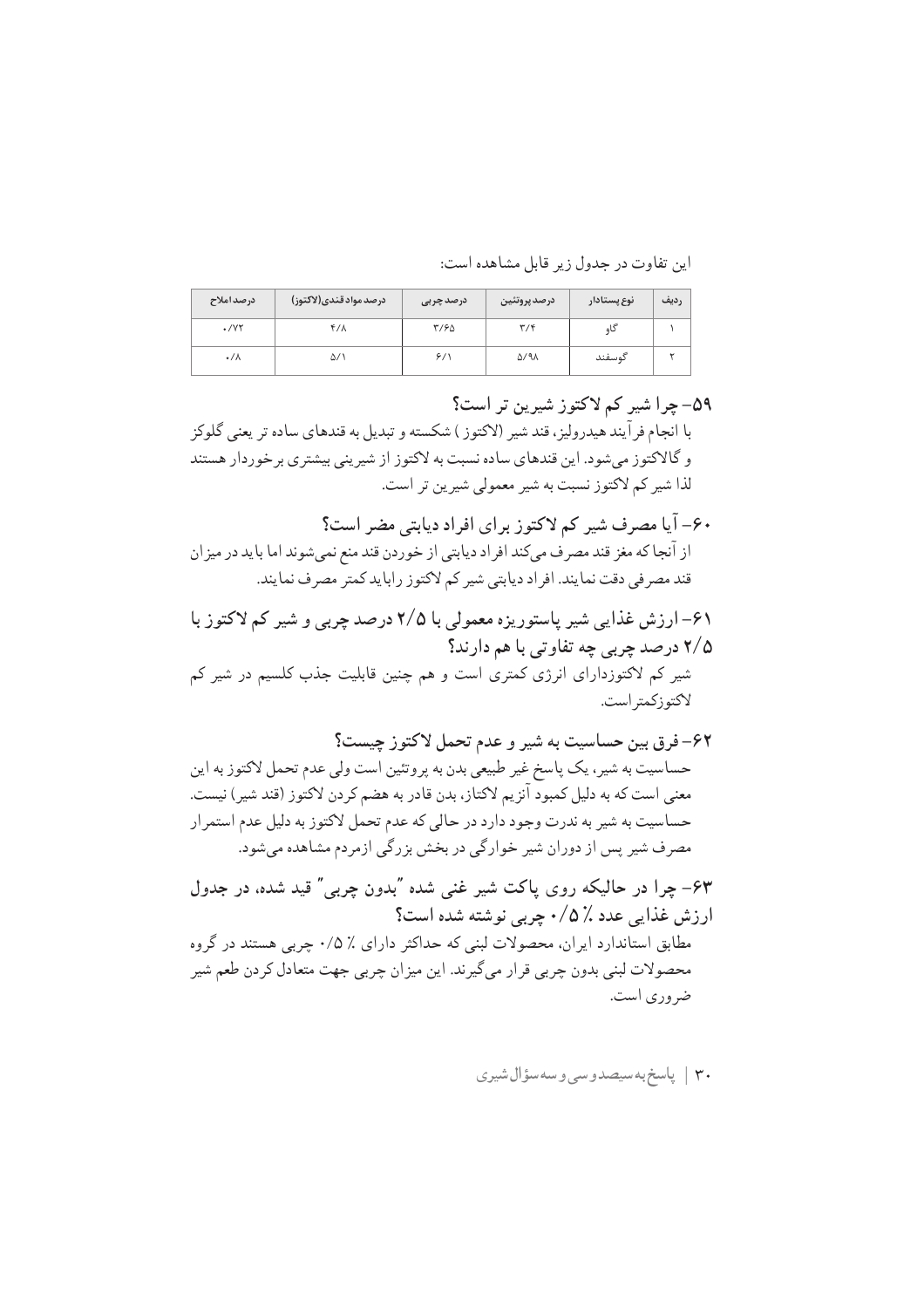این تفاوت در جدول زیر قابل مشاهده است:

| درصد املاح      | درصد مواد قندي(لاكتوز) | درصد چربی | درصد پروتئين          | نوع پستادار | رديف |
|-----------------|------------------------|-----------|-----------------------|-------------|------|
| $\cdot$ /Y٢     | ۴/۸                    | ۳/۶۵      | ۳/۴                   | کاہ         |      |
| $\cdot/\lambda$ | ۵/۱                    | 9/1       | $\Delta$ /9 $\Lambda$ | گوسفند      |      |

#### ٥٩- حرا شير کم لاکتوز شيرين تر است؟

با انجام فرآيند هيدروليز، قند شير (لاكتوز ) شكسته و تبديل به قندهاي ساده تر يعني گلوكز و گالاکتوز میشود. این قندهای ساده نسبت به لاکتوز از شیرینی بیشتری برخوردار هستند لذا شير كم لاكتوز نسبت به شير معمولي شيرين تر است.

- ۶۰– آیا مصرف شیر کم لاکتوز برای افراد دیابتی مضر است؟ از آنجا كه مغز قند مصرف مىكند افراد ديابتى از خوردن قند منع نمىشوند اما بايد در ميزان قند مصر في دقت نمايند. افر اد ديابتي شير كم لاكتوز رابايد كمتر مصر ف نمايند.
- ۶۱– ارزش غذایی شیر پاستوریزه معمولی با ۲/۵ درصد چربی و شیر کم لاکتوز با ۲/۵ درصد چربي چه تفاوتي با هم دارند؟ شیر کم لاکتوزدارای انرژی کمتری است و هم چنین قابلیت جذب کلسیم در شیر کم لاكتوزكمتر است.

حساسیت به شیر، یک پاسخ غیر طبیعی بدن به پروتئین است ولی عدم تحمل لاکتوز به این معنى است كه به دليل كمبود آنزيم لاكتاز، بدن قادر به هضم كردن لاكتوز (قند شير) نيست. حساسیت به شیر به ندرت وجود دارد در حالی که عدم تحمل لاکتوز به دلیل عدم استمرار مصرف شیر پس از دوران شیر خوارگی در بخش بزرگی ازمردم مشاهده میشود.

۶۳– چرا در حالیکه روی یاکت شیر غنی شده "بدون چربی" قید شده، در جدول ارزش غذایی عدد ٪۵/۰ چربی نوشته شده است؟ مطابق استاندارد ایران، محصولات لبنی که حداکثر دارای ٪ ۰/۵ جربی هستند در گروه محصولات لبنی بدون چربی قرار میگیرند. این میزان چربی جهت متعادل کردن طعم شیر ضروري است.

$$
\mid \mathbf{y} \mid
$$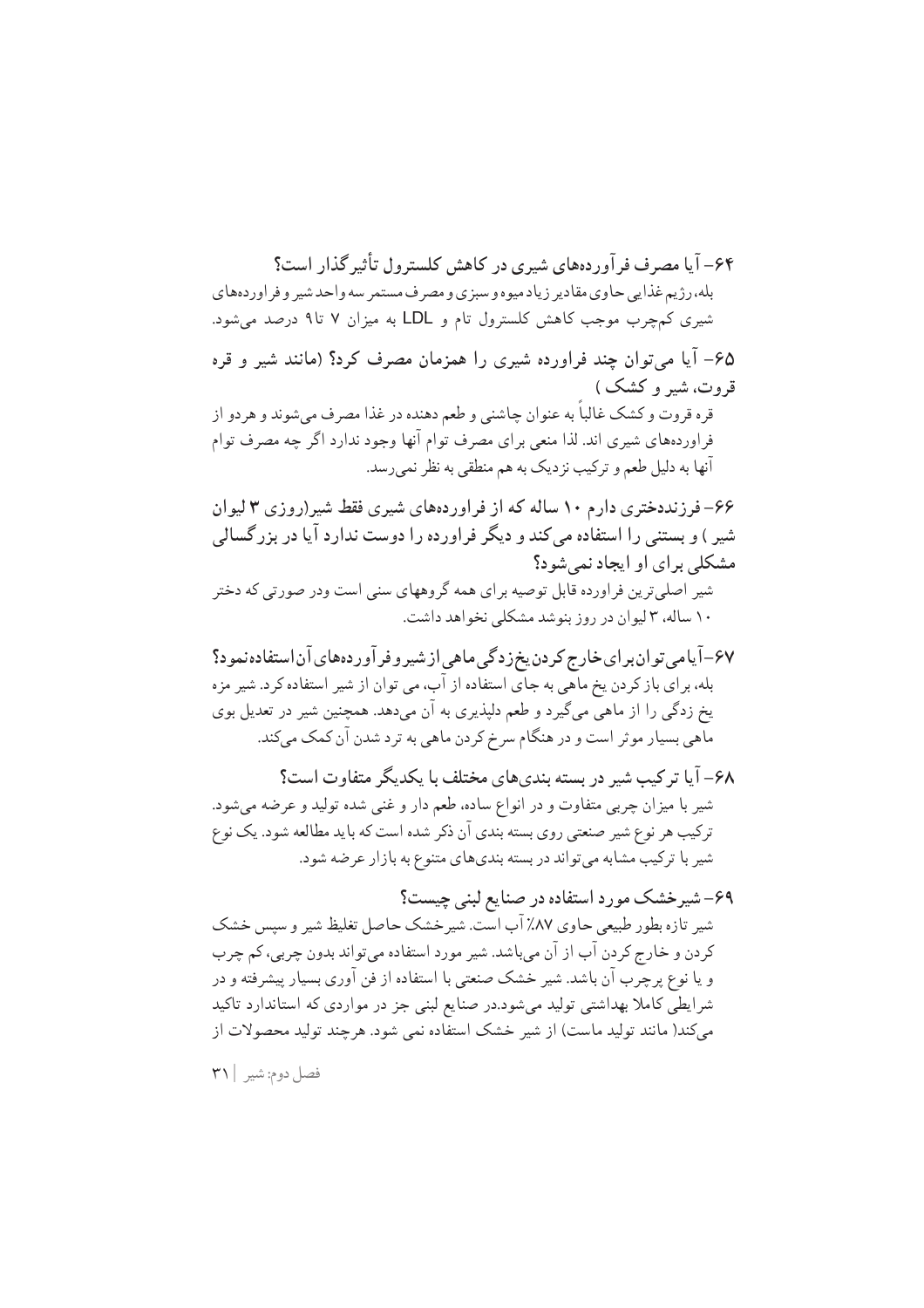۶۴– آیا مصرف فر آوردههای شیری در کاهش کلسترول تأثیر گذار است؟ بله، رژیم غذایی حاوی مقادیر زیاد میوه و سبزی و مصرف مستمر سه واحد شیر و فراوردههای شیری کمچرب موجب کاهش کلسترول تام و LDL به میزان ۷ تا۹ درصد می شود. ۶۵– آیا می توان چند فراورده شیری را همزمان مصرف کرد؟ (مانند شیر و قره قروت، شیر و کشک ) قره قروت و کشک غالباً به عنوان چاشنی و طعم دهنده در غذا مصرف میشوند و هردو از فراوردههای شیری اند. لذا منعی برای مصرف توام آنها وجود ندارد اگر چه مصرف توام آنها به دلیل طعم و ترکیب نز دیک به هم منطقی به نظر نمی رسد. ۶۶– فرزنددختری دارم ۱۰ ساله که از فراوردههای شیری فقط شیر(روزی ۳ لیوان شیر ) و بستنی را استفاده می کند و دیگر فراورده را دوست ندارد آیا در بزرگسالی مشکلي براي او ايجاد نمي شود؟ شیر اصلی ترین فراورده قابل توصیه برای همه گروههای سنی است ودر صورتی که دختر ۱۰ ساله، ۳ لیوان در روز بنوشد مشکلی نخواهد داشت.

۶۷–آیامی توان برای خارج کردن یخ زدگی ماهی از شیر و فر آور دههای آن استفاده نمود؟ بله، برای باز کردن یخ ماهی به جای استفاده از آب، می توان از شیر استفاده کرد. شیر مزه یخ زدگی را از ماهی میگیرد و طعم دلپذیری به آن میدهد. همچنین شیر در تعدیل بوی ماهي بسيار موثر است و در هنگام سرخ كردن ماهي به ترد شدن آن كمك ميكند.

۶۸– آیا ترکیب شیر در بسته بندیهای مختلف با یکدیگر متفاوت است؟ شیر با میزان چربی متفاوت و در انواع ساده، طعم دار و غنی شده تولید و عرضه میشود. ترکیب هر نوع شیر صنعتی روی بسته بندی آن ذکر شده است که باید مطالعه شود. یک نوع شیر با ترکیب مشابه می تواند در بسته بندیهای متنوع به بازار عرضه شود.

۶۹– شیرخشک مورد استفاده در صنایع لبنی چیست؟ شیر تازه بطور طبیعی حاوی ۸۷٪ آب است. شیر خشک حاصل تغلیظ شیر و سپس خشک کر دن و خارج کر دن آب از آن می باشد. شیر مورد استفاده می تواند بدون چربی، کم چرب و یا نوع پرچرب آن باشد. شیر خشک صنعتی با استفاده از فن آوری بسیار پیشرفته و در شرایطی کاملا بهداشتی تولید میشود.در صنایع لبنی جز در مواردی که استاندارد تاکید می کند( مانند تولید ماست) از شیر خشک استفاده نمی شود. هرچند تولید محصولات از

فصل دوم: شير | ٣١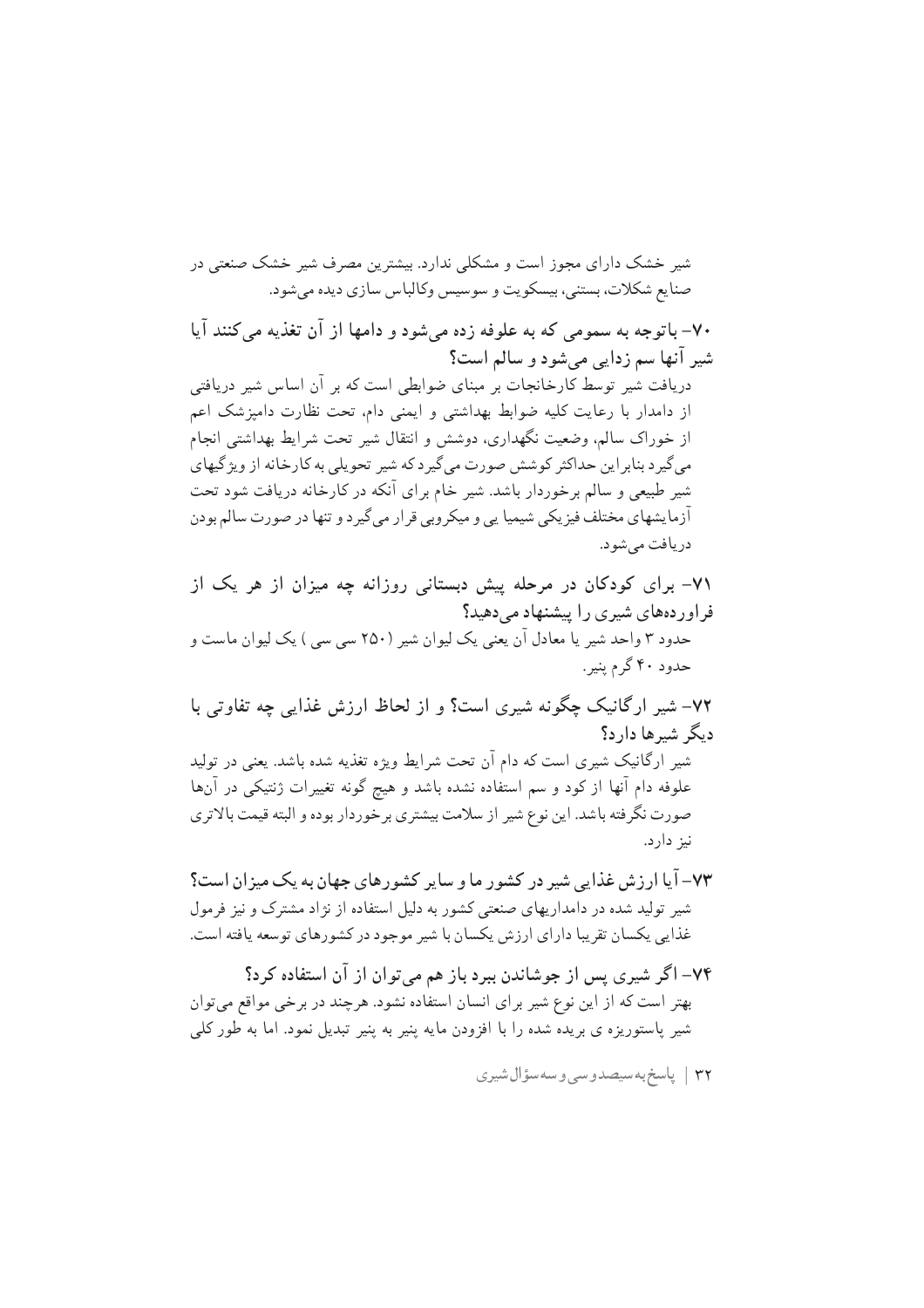شیر خشک دارای مجوز است و مشکلی ندارد. بیشترین مصرف شیر خشک صنعتی در صنايع شكلات، بستني، بيسكويت و سوسيس وكالباس سازي ديده مي شود.

۷۰– باتوجه به سمومی که به علوفه زده می شود و دامها از آن تغذیه می کنند آیا شير آنها سم زدايي مي شود و سالم است؟ دریافت شیر توسط کارخانجات بر مبنای ضوابطی است که بر آن اساس شیر دریافتی از دامدار با رعایت کلیه ضوابط بهداشتی و ایمنی دام. تحت نظارت دامپزشک اعم از خوراک سالم، وضعیت نگهداری، دوشش و انتقال شیر تحت شرایط بهداشتی انجام می گیرد بنابراین حداکثر کوشش صورت می گیرد که شیر تحویلی به کارخانه از ویژگیهای شیر طبیعی و سالم بر خوردار باشد. شیر خام بر ای آنکه در کارخانه دریافت شود تحت آزمایشهای مختلف فیزیکی شیمیا یی و میکروبی قرار می گیر د و تنها در صورت سالم بودن دريافت مي شو د.

۷۱– برای کودکان در مرحله پیش دبستانی روزانه چه میزان از هر یک از فر اور دههای شیری را پیشنهاد می دهید؟ حدود ۳ واحد شیر یا معادل آن یعنی یک لیوان شیر (۲۵۰ سی سی ) یک لیوان ماست و حدود ۴۰ گرم پنیر .

۷۲– شیر ارگانیک چگونه شیری است؟ و از لحاظ ارزش غذایی چه تفاوتی با دیگر شیرها دارد؟

شیر ارگانیک شیری است که دام آن تحت شرایط ویژه تغذیه شده باشد. یعنی در تولید علوفه دام آنها از کود و سم استفاده نشده باشد و هیچ گونه تغییرات ژنتیکی در آنها صورت نگرفته باشد. این نوع شیر از سلامت بیشتری برخوردار بوده و البته قیمت بالاتری نيز دارد.

۷۳– آیا ارزش غذایی شیر در کشور ما و سایر کشورهای جهان به یک میزان است؟ شیر تولید شده در دامداریهای صنعتی کشور به دلیل استفاده از نژاد مشترک و نیز فرمول غذایی یکسان تقریبا دارای ارزش یکسان با شیر موجود در کشورهای توسعه یافته است.

۷۴– اگر شیری پس از جوشاندن ببرد باز هم می توان از آن استفاده کرد؟ بهتر است که از این نوع شیر برای انسان استفاده نشود. هرچند در برخی مواقع میتوان شیر پاستوریزه ی بریده شده را با افزودن مایه پنیر به پنیر تبدیل نمود. اما به طور کلی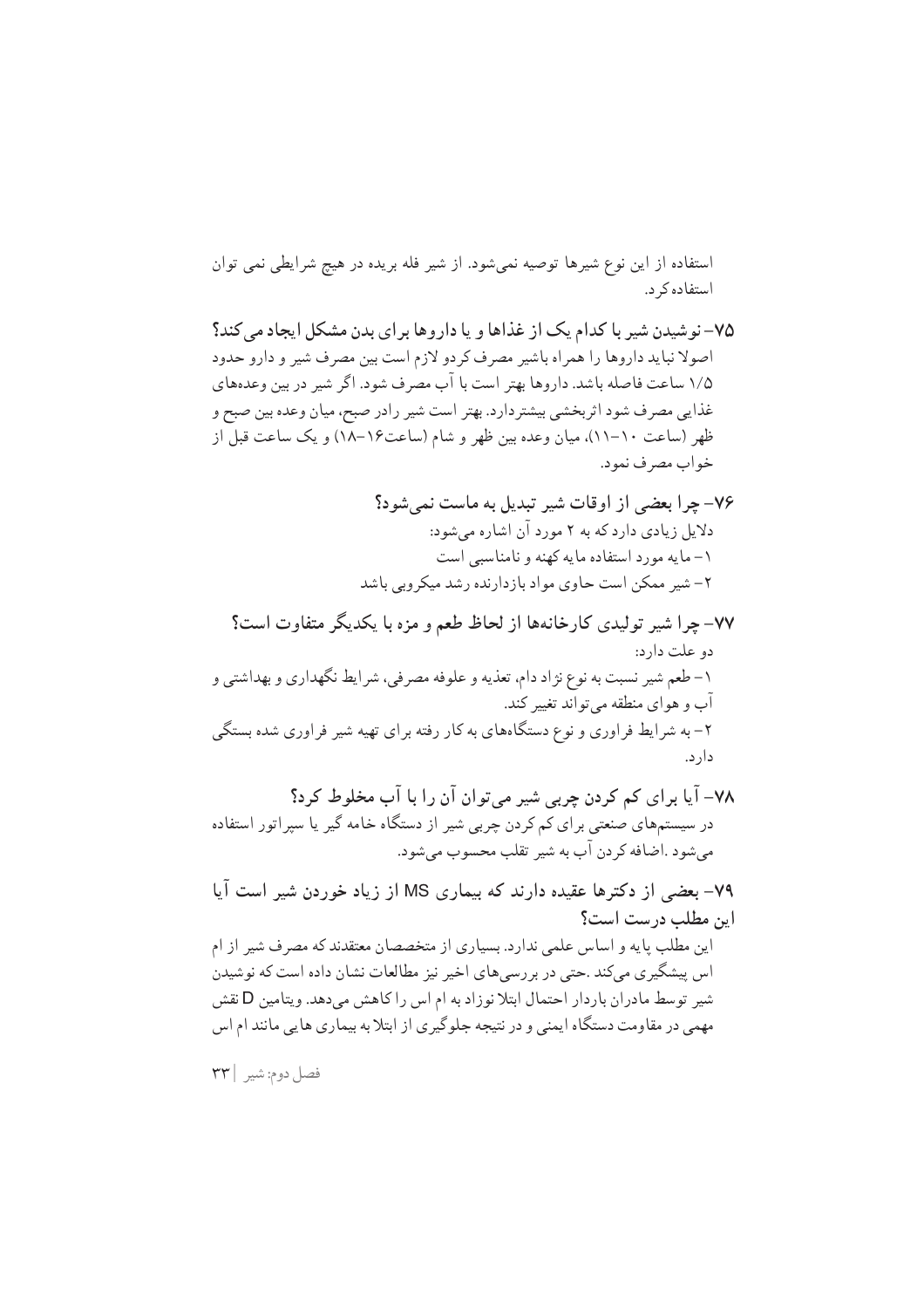استفاده از این نوع شیرها توصیه نمیشود. از شیر فله بریده در هیچ شرایطی نمی توان استفاده کر د.

۷۵- نو شیدن شیر با کدام یک از غذاها و یا داروها بر ای بدن مشکل ایجاد می کند؟ اصولا نباید داروها را همراه باشیر مصرف کردو لازم است بین مصرف شیر و دارو حدود ۱/۵ ساعت فاصله باشد. داروها بهتر است با آب مصرف شود. اگر شیر در بین وعدههای غذايي مصر ف شود اثر بخشي بيشتردارد. بهتر است شير رادر صبح، ميان وعده بين صبح و ظهر (ساعت ١٠–١١)، ميان وعده بين ظهر و شام (ساعت١۶–١٨) و يک ساعت قبل از خواب مصرف نمود.

- ۷۷– چرا شیر تولیدی کارخانهها از لحاظ طعم و مزه با یکدیگر متفاوت است؟ دو علت دارد: ۱– طعم شیر نسبت به نوع نژاد دام، تعذیه و علوفه مصرفی، شرایط نگهداری و بهداشتی و آب و هوای منطقه می تواند تغییر کند. ۲– به شرایط فراوری و نوع دستگاههای به کار رفته برای تهیه شیر فراوری شده بستگی دار د.
- ۷۸– آیا برای کم کردن چربی شیر میتوان آن را با آب مخلوط کرد؟ در سیستمهای صنعتی برای کم کردن چربی شیر از دستگاه خامه گیر یا سپراتور استفاده مي شود .اضافه كردن آب به شير تقلب محسوب مي شود.

۷۹– بعضی از دکترها عقیده دارند که بیماری MS از زیاد خوردن شیر است آیا این مطلب درست است؟ این مطلب پایه و اساس علمی ندارد. بسیاری از متخصصان معتقدند که مصرف شیر از ام اس پیشگیری میکند .حتی در بررسیهای اخیر نیز مطالعات نشان داده است که نوشیدن شیر توسط مادران باردار احتمال ابتلا نوزاد به ام اس را کاهش می دهد. ویتامین D نقش مهمی در مقاومت دستگاه ایمنی و در نتیجه جلوگیری از ابتلا به بیماری هایی مانند ام اس

فصل دوم: شير ٢٣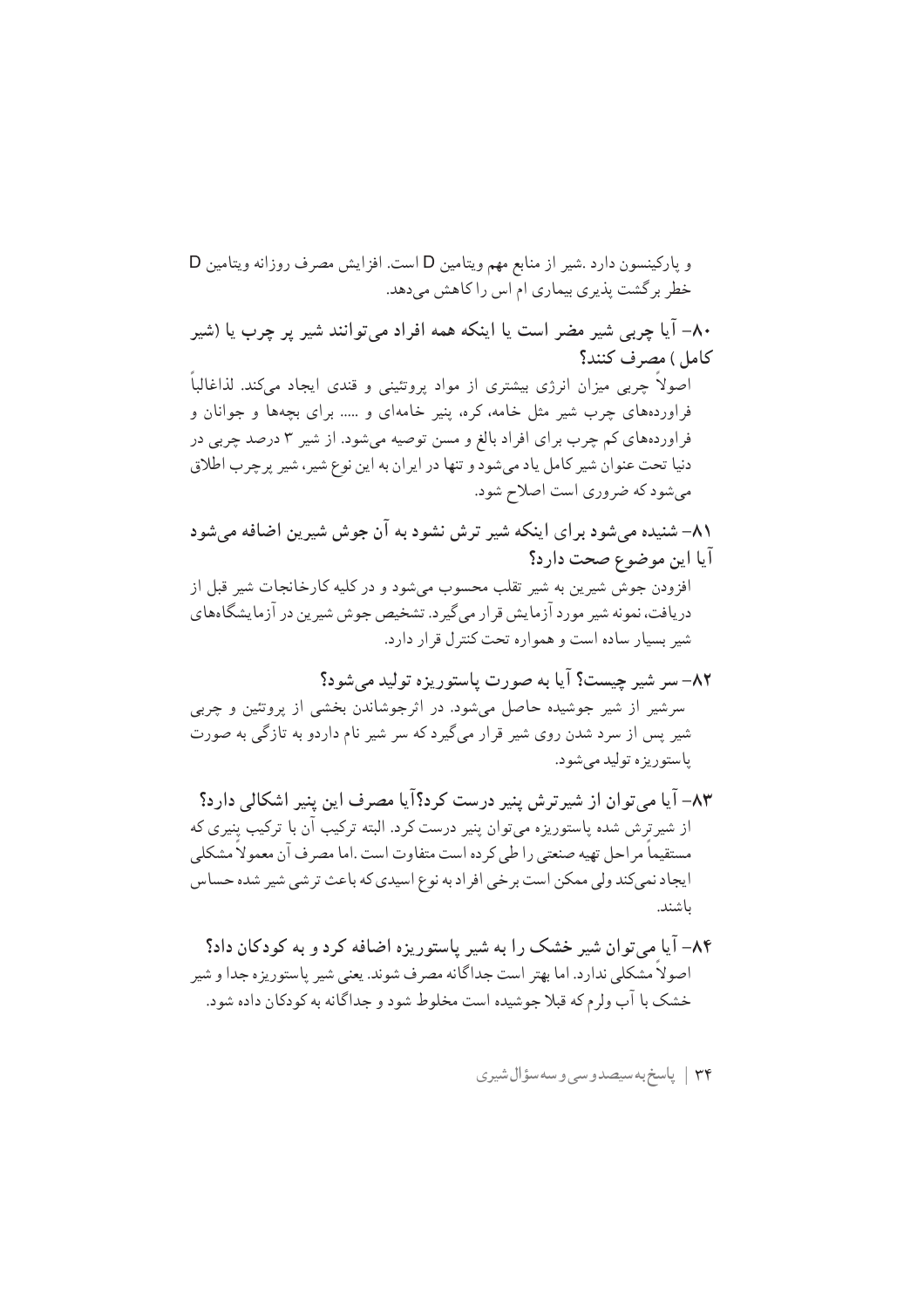خطر برگشت پذیری بیماری ام اس را کاهش میدهد. ۸۰– آیا چربے شیر مضر است یا اینکه همه افراد می توانند شیر پر چرب یا (شیر كامل) مصرف كنند؟ اصولاً چربی میزان انرژی بیشتری از مواد پروتئینی و قندی ایجاد می کند. لذاغالباً فراوردههای چرب شیر مثل خامه، کره، پنیر خامهای و ..... برای بچهها و جوانان و فر اوردههای کم چرب بر ای افر اد بالغ و مسن توصیه میشود. از شیر ۳ درصد چربی در دنیا تحت عنوان شیر کامل یاد میشود و تنها در ایران به این نوع شیر، شیر پرچرب اطلاق می شود که ضروری است اصلاح شود. ٨١- شنيده مي شود براي اينكه شير ترش نشود به آن جوش شيرين اضافه مي شود آيا اين موضوع صحت دارد؟ افزودن جوش شیرین به شیر تقلب محسوب مے شود و در کلیه کارخانجات شیر قبل از دریافت، نمونه شیر مورد آزمایش قرار می گیرد. تشخیص جوش شیرین در آزمایشگاههای شير بسيار ساده است و همواره تحت كنترل قرار دارد. ٨٢– سر شير چيست؟ آيا به صورت پاستوريزه توليد مي شود؟ سرشیر از شیر جوشیده حاصل میشود. در اثرجوشاندن بخشی از پروتئین و چربی شیر پس از سرد شدن روی شیر قرار میگیرد که سر شیر نام داردو به تازگی به صورت ياستوريزه توليد مي شود. ٨٣– آيا مي توان از شيرترش پنير درست كرد؟آيا مصرف اين ينير اشكالي دارد؟ از شیرترش شده پاستوریزه میتوان پنیر درست کرد. البته ترکیب آن با ترکیب پنیری که مستقيماً مراحل تهيه صنعتي را طي كرده است متفاوت است .اما مصرف آن معمولاً مشكلي ايجاد نمي كند ولي ممكن است بر خي افر اد به نوع اسيدي كه باعث تر شي شير شده حساس باشند. ۸۴– آیا میتوان شیر خشک را به شیر پاستوریزه اضافه کرد و به کودکان داد؟ اصولا مشکلی ندارد. اما بهتر است جداگانه مصرف شوند. یعنی شیر پاستوریزه جدا و شیر خشک با آب ولرم که قبلا جوشیده است مخلوط شود و جداگانه به کودکان داده شود.

و یارکینسون دارد .شیر از منابع مهم ویتامین D است. افزایش مصرف روزانه ویتامین D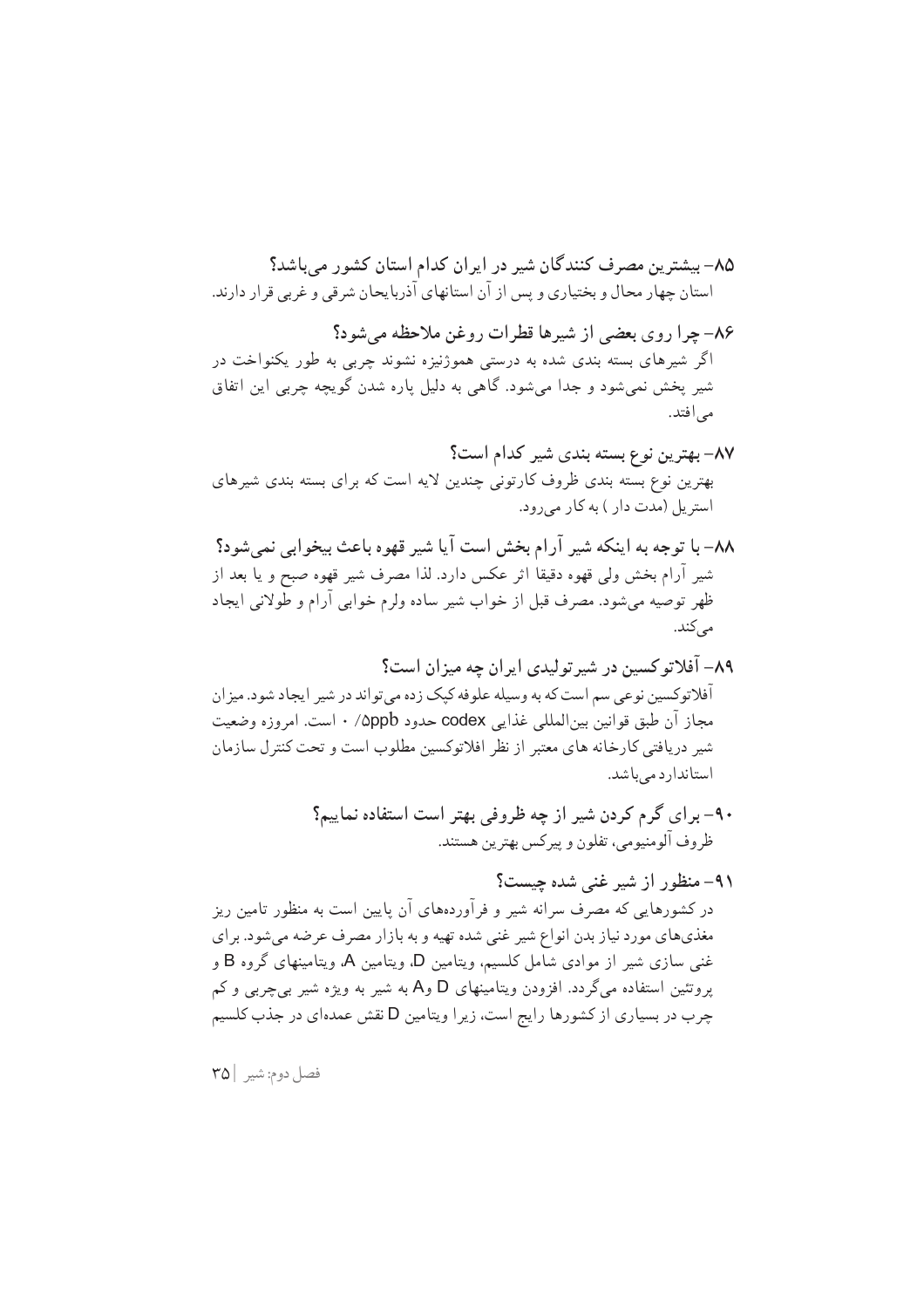فصل دوم: شير | ٣٥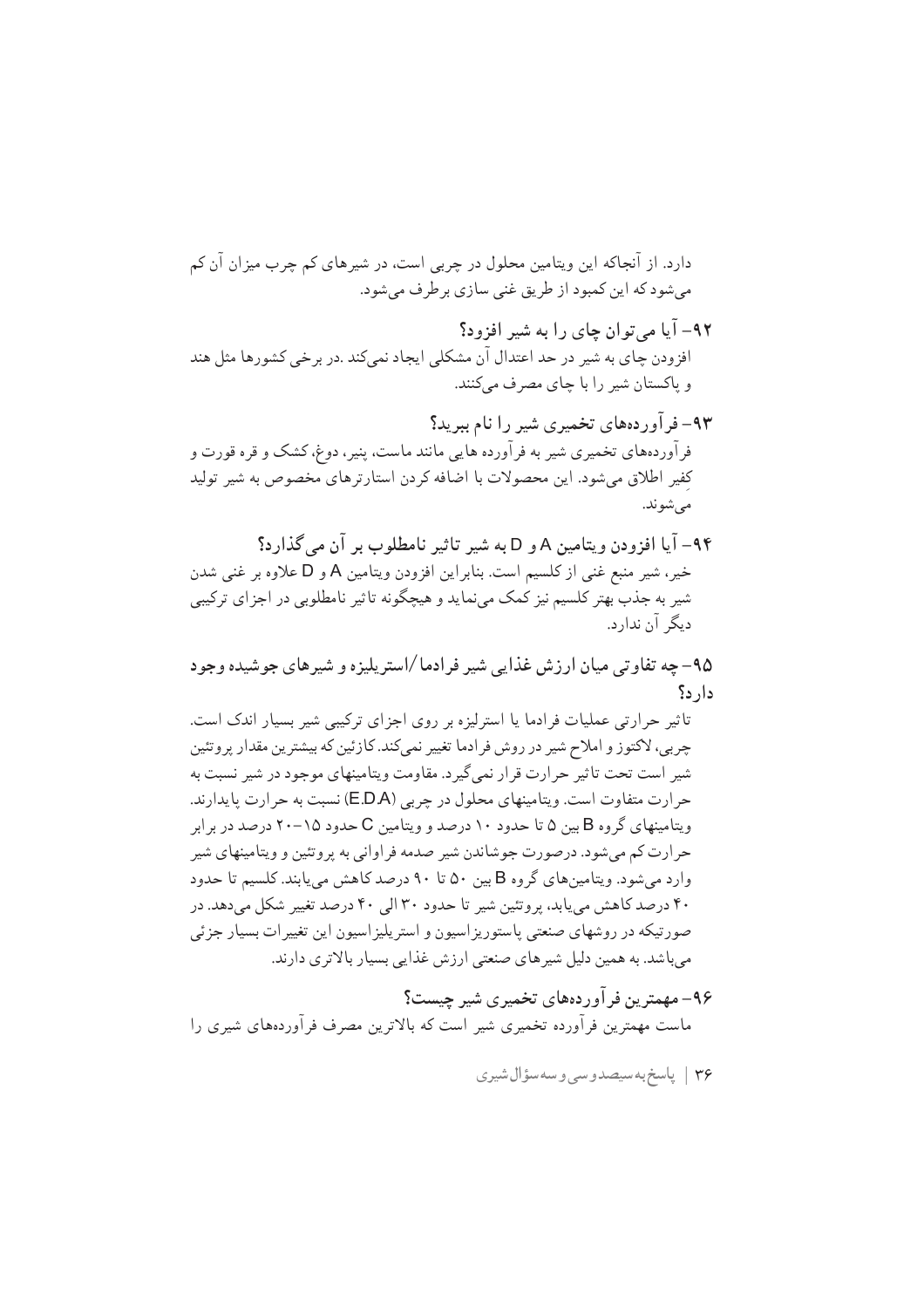دارد. از آنجاکه این ویتامین محلول در چربی است، در شیرهای کم چرب میزان آن کم مي شود كه اين كمبود از طريق غني سازي برطرف مي شود.

۹۲- آیا مے توان چای را به شیر افزود؟ افزودن چای به شیر در حد اعتدال آن مشکلی ایجاد نمیکند .در بر خی کشورها مثل هند و پاکستان شیر را با چای مصرف می کنند.

۹۳– فر آوردههای تخمیری شیر را نام ببرید؟ فرآوردههای تخمیری شیر به فرآورده هایی مانند ماست، پنیر، دوغ، کشک و قره قورت و كفير اطلاق مى شود. اين محصولات با اضافه كردن استارترهاى مخصوص به شير توليد مے شوند.

۹۴- آیا افزودن و پتامین A و D به شیر تاثیر نامطلوب بر آن مرگذارد؟ خير، شير منبع غني از كلسيم است. بنابر اين افزودن ويتامين A و D علاوه بر غني شدن شیر به جذب بهتر کلسیم نیز کمک مینماید و هیچگونه تاثیر نامطلوبی در اجزای ترکیبی دیگر آن ندارد.

۹۵– چه تفاوتی میان ارزش غذایی شیر فرادما /استریلیزه و شیرهای جوشیده وجود دار د؟

تاثیر حرارتی عملیات فرادما یا استرلیزه بر روی اجزای ترکیبی شیر بسیار اندک است. چربی، لاکتوز و املاح شیر در روش فرادما تغییر نمیکند. کازئین که بیشترین مقدار پروتئین شیر است تحت تاثیر حرارت قرار نمی گیرد. مقاومت ویتامینهای موجود در شیر نسبت به حرارت متفاوت است. ويتامينهاي محلول در چربي (E.D.A) نسبت به حرارت پايدارند. ویتامینهای گروه B بین ۵ تا حدود ۱۰ درصد و ویتامین C حدود ۱۵–۲۰ درصد در بر ابر حرارت کم میشود. درصورت جوشاندن شیر صدمه فراوانی به پروتئین و ویتامینهای شیر وارد می شود. ویتامین های گروه B بین ۵۰ تا ۹۰ درصد کاهش می پابند. کلسیم تا حدود ۴۰ درصد کاهش می یابد، پروتئین شیر تا حدود ۳۰ الی ۴۰ درصد تغییر شکل میدهد. در صورتیکه در روشهای صنعتی پاستوریزاسیون و استریلیزاسیون این تغییرات بسیار جزئی میباشد. به همین دلیل شیرهای صنعتی ارزش غذایی بسیار بالاتری دارند.

۹۶– مهمترین فرآوردههای تخمیری شیر چیست؟ ماست مهمترین فرآورده تخمیری شیر است که بالاترین مصرف فرآوردههای شیری را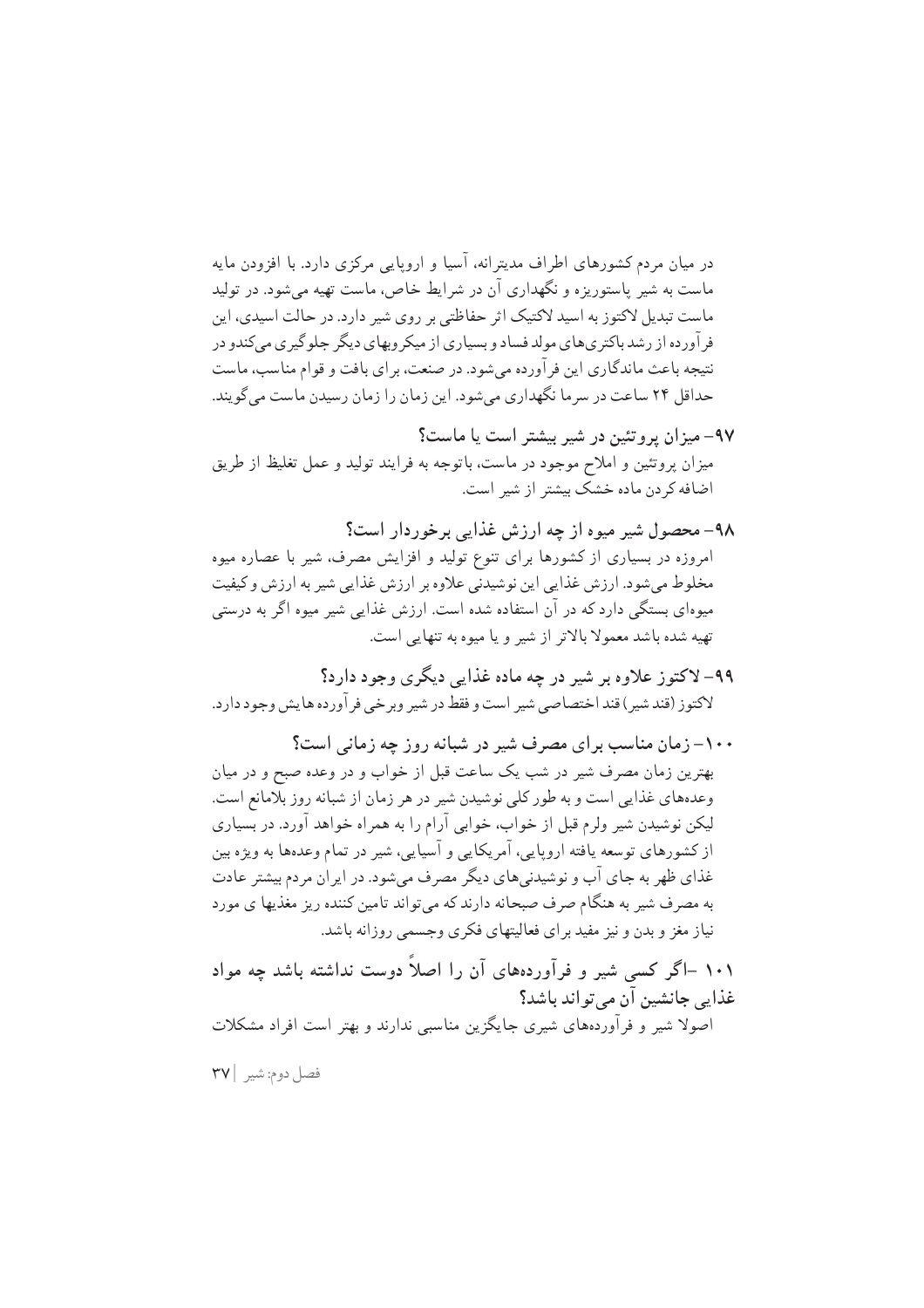در میان مردم کشورهای اطراف مدیترانه، آسیا و اروپایی مرکزی دارد. با افزودن مایه ماست به شیر پاستوریزه و نگهداری آن در شرایط خاص، ماست تهیه می شود. در تولید ماست تبدیل لاکتوز به اسید لاکتیک اثر حفاظتی بر روی شیر دارد. در حالت اسیدی، این فر آورده از رشد باکتری های مولد فساد و بسیاری از میکر وبهای دیگر جلو گیری می کندو در نتیجه باعث ماندگاری این فر آورده می شود. در صنعت، بر ای بافت و قوام مناسب، ماست حداقل ۲۴ ساعت در سرما نگهداری میشود. این زمان را زمان رسیدن ماست می گویند.

- ۹۷– میزان پروتئین در شیر بیشتر است یا ماست؟ میزان پروتئین و املاح موجود در ماست، باتوجه به فرایند تولید و عمل تغلیظ از طریق اضافه کردن ماده خشک بیشتر از شیر است.
- ۹۸– محصول شیر میوه از چه ارزش غذایی برخوردار است؟ امروزه در بسیاری از کشورها برای تنوع تولید و افزایش مصرف، شیر با عصاره میوه مخلوط میشود. ارزش غذایی این نوشیدنی علاوه بر ارزش غذایی شیر به ارزش و کیفیت میوهای بستگی دارد که در آن استفاده شده است. ارزش غذایی شیر میوه اگر به درستی تهيه شده باشد معمولاً بالاتر از شير و يا ميوه به تنهايي است.
- ۹۹– لاکتوز علاوه بر شیر در چه ماده غذایی دیگری وجود دارد؟ لاكتوز (قند شير ) قند اختصاصي شير است و فقط در شير وبر خي فر آورده ها يش وجود دارد.
- ۱۰۰– زمان مناسب برای مصرف شیر در شبانه روز چه زمانی است؟ بهترین زمان مصرف شیر در شب یک ساعت قبل از خواب و در وعده صبح و در میان وعدههای غذایی است و به طور کلی نوشیدن شیر در هر زمان از شبانه روز بلامانع است. لیکن نوشیدن شیر ولرم قبل از خواب، خوابی آرام را به همراه خواهد آورد. در بسیاری از کشورهای توسعه یافته اروپایی، آمریکایی و آسیایی، شیر در تمام وعدهها به ویژه بین غذای ظهر به جای آب و نوشیدنی های دیگر مصرف می شود. در ایر ان مردم بیشتر عادت به مصرف شیر به هنگام صرف صبحانه دارند که میتواند تامین کننده ریز مغذیها ی مورد نیاز مغز و بدن و نیز مفید برای فعالیتهای فکری وجسمی روزانه باشد.
- ۱۰۱ –اگر کسی شیر و فرآوردههای آن را اصلاً دوست نداشته باشد چه مواد غذایی جانشین آن می تواند باشد؟ اصولا شیر و فرآوردههای شیری جایگزین مناسبی ندارند و بهتر است افراد مشکلات

فصل دوم: شير ٢٧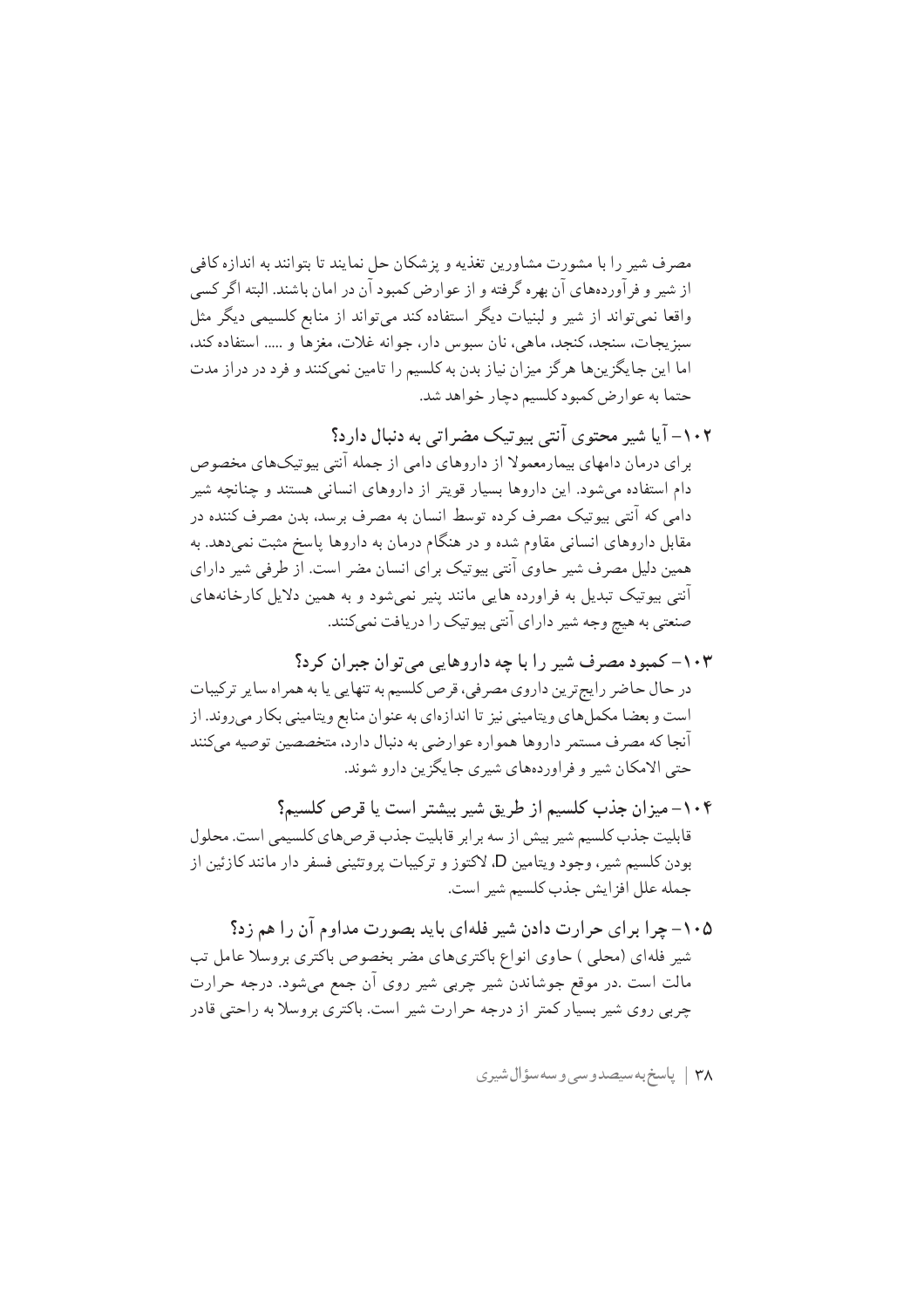مصرف شير را با مشورت مشاورين تغذيه و يزشكان حل نمايند تا بتوانند به اندازه كافي از شیر و فرآوردههای آن بهره گرفته و از عوارض کمبود آن در امان باشند. البته اگر کسی واقعا نمیتواند از شیر و لبنیات دیگر استفاده کند میتواند از منابع کلسیمی دیگر مثل سبز يجات، سنجد، كنجد، ماهي، نان سبوس دار، جوانه غلات، مغزها و ..... استفاده كند، اما این جایگزینها هرگز میزان نیاز بدن به کلسیم را تامین نمیکنند و فرد در دراز مدت حتما به عوارض كمبود كلسيم دچار خواهد شد.

- ۱۰۲– آیا شیر محتوی آنتی بیو تیک مضراتی به دنبال دار د؟ بر ای درمان دامهای بیمارمعمولا از داروهای دامی از جمله آنتی بیوتیکهای مخصوص دام استفاده میشود. این داروها بسیار قویتر از داروهای انسانی هستند و چنانچه شیر دامی که آنتی بیوتیک مصرف کرده توسط انسان به مصرف برسد، بدن مصرف کننده در مقابل داروهای انسانی مقاوم شده و در هنگام درمان به داروها پاسخ مثبت نمی دهد. به همین دلیل مصرف شیر حاوی آنتی بیوتیک برای انسان مضر است. از طرفی شیر دارای آنتی بیوتیک تبدیل به فراورده هایی مانند پنیر نمیشود و به همین دلایل کارخانههای صنعتی به هیچ وجه شیر دارای آنتی بیوتیک را دریافت نمی کنند.
- ۱۰۳– کمبود مصرف شیر را با چه داروهایی می توان جبران کرد؟ در حال حاضر رايج ترين داروي مصرفي، قرص كلسيم به تنهايي يا به همراه ساير تركيبات است و بعضا مکملهای ویتامینی نیز تا اندازهای به عنوان منابع ویتامینی بکار میروند. از آنجا که مصرف مستمر داروها همواره عوارضي به دنبال دارد، متخصصين توصيه ميكنند حتی الامکان شیر و فراوردههای شیری جایگزین دارو شوند.
- ۱۰۴– میزان جذب کلسیم از طریق شیر بیشتر است یا قرص کلسیم؟ قابلیت جذب کلسیم شیر بیش از سه برابر قابلیت جذب قرصهای کلسیمی است. محلول بودن کلسیم شیر، وجود ویتامین D، لاکتوز و ترکیبات پروتئینی فسفر دار مانند کازئین از جمله علل افز ايش جذب كلسيم شير است.
- ۰۰۵– چرا برای حرارت دادن شیر فلهای باید بصورت مداوم آن را هم زد؟ شیر فلهای (محلبی ) حاوی انواع باکتریهای مضر بخصوص باکتری بروسلا عامل تب مالت است .در موقع جوشاندن شیر چربی شیر روی آن جمع میشود. درجه حرارت چربی روی شیر بسیار کمتر از درجه حرارت شیر است. باکتری بروسلا به راحتی قادر

٣٨ | پاسخ به سيصدوسي وسه سؤال شيري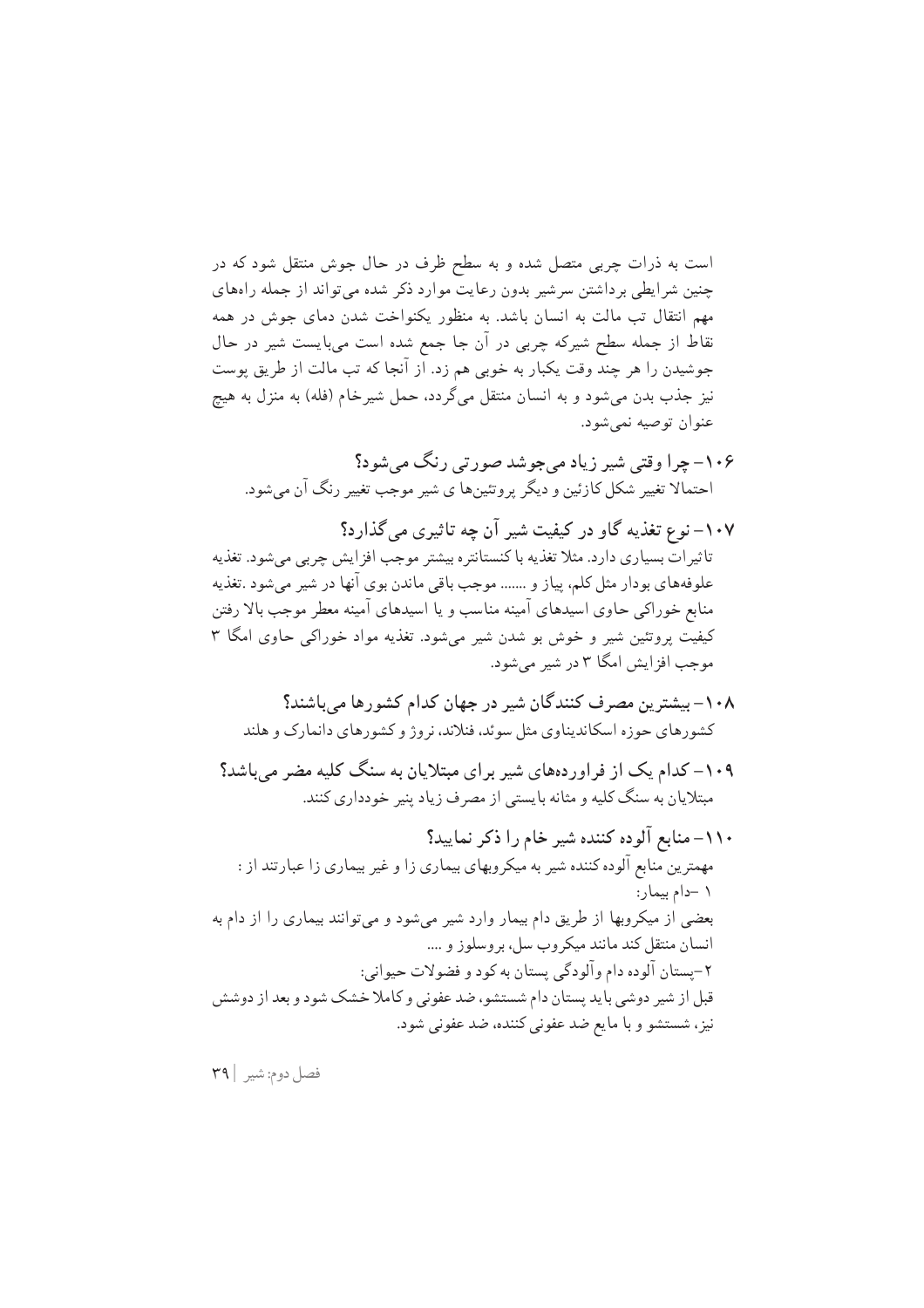است به ذرات چربی متصل شده و به سطح ظرف در حال جوش منتقل شود که در چنین شر ایطی بر داشتن سرشیر بدون رعایت موارد ذکر شده می تواند از جمله راههای مهم انتقال تب مالت به انسان باشد. به منظور یکنواخت شدن دمای جوش در همه نقاط از جمله سطح شیرکه چربی در آن جا جمع شده است میبایست شیر در حال جوشیدن را هر چند وقت یکبار به خوبی هم زد. اَز آنجا که تب مالت از طریق پوست نیز جذب بدن میشود و به انسان منتقل میگردد. حمل شیرخام (فله) به منزل به هیچ عنوان توصيه نمي شود.

- ۱۰۶– چرا وقتی شیر زیاد میجوشد صورتی رنگ میشود؟ احتمالا تغییر شکل کازئین و دیگر پروتئینها ی شیر موجب تغییر رنگ آن می شود.
- ۱۰۷– نوع تغذیه گاو در کیفیت شیر آن چه تاثیری می گذارد؟ تاثیر اتّ بسیاری دارد. مثلا تغذیه با کنستانتره بیشتر موجب افزایش چربی میشود. تغذیه علوفههاي بودار مثل كلم، پياز و ....... موجب باقي ماندن بوي آنها در شير مي شود .تغذيه منابع خوراکی حاوی اسیدهای آمینه مناسب و یا اسیدهای آمینه معطر موجب بالا رفتن کیفیت پروتئین شیر و خوش بو شدن شیر میشود. تغذیه مواد خوراکی حاوی امگا ۳ موجب افزايش امگا ٣ در شير مي شود.
	- ۱۰۸– بیشترین مصرف کنندگان شیر در جهان کدام کشورها می باشند؟ کشورهای حوزه اسکاندیناوی مثل سوئد، فنلاند، نروژ و کشورهای دانمارک و هلند
- ۱۰۹– کدام یک از فراوردههای شیر برای مبتلایان به سنگ کلیه مضر میباشد؟ مبتلایان به سنگ کلیه و مثانه بایستی از مصرف زیاد پنیر خودداری کنند.
- ۱۱۰– منابع آلوده کننده شیر خام را ذکر نمایید؟ مهمترین منابع آلوده کننده شیر به میکروبهای بیماری زا و غیر بیماری زا عبارتند از : ١ -دام بيمار: بعضی از میکروبها از طریق دام بیمار وارد شیر میشود و میتوانند بیماری را از دام به انسان منتقل کند مانند میکروب سل، بروسلوز و .... ۲-پستان آلوده دام وآلودگي پستان به کود و فضولات حيواني: قبل از شیر دوشی باید پستان دام شستشو، ضد عفونی و کاملا خشک شود و بعد از دوشش نيز، شستشو و با مايع ضد عفوني كننده، ضد عفوني شود.

فصل دوم: شير | ٣٩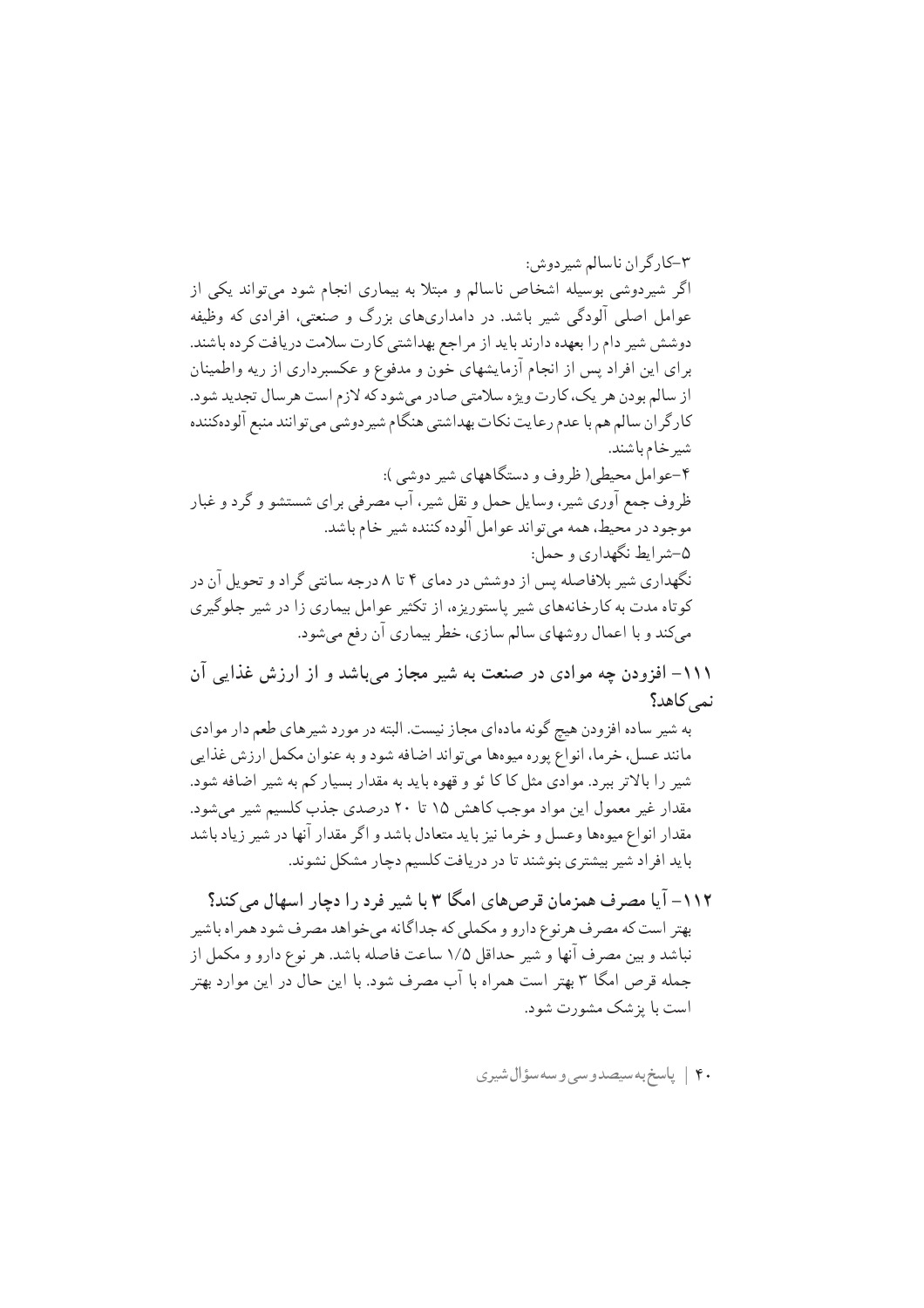۳-کار گر ان ناسالم شير دوش: اگر شیردوشی بوسیله اشخاص ناسالم و مبتلا به بیماری انجام شود می تواند یکی از عوامل اصلی آلودگی شیر باشد. در دامداریهای بزرگ و صنعتی، افرادی که وظیفه دوشش شیر دام را بعهده دارند باید از مراجع بهداشتی کارت سلامت دریافت کرده باشند. برای این افراد پس از انجام آزمایشهای خون و مدفوع و عکسبرداری از ریه واطمینان از سالم بودن هر یک، کارت ویژه سلامتی صادر میشود که لازم است هرسال تجدید شود. كارگر ان سالم هم با عدم رعايت نكات بهداشتي هنگام شير دوشي مي توانند منبع آلودهكننده شير خام باشند. ۴-عوامل محیطی( ظروف و دستگاههای شیر دوشی ): ظروف جمع آوري شيږ ، وسايل حمل و نقل شيږ ، آب مصرفي براي شستشو و گر د و غبار موجود در محیط، همه میتواند عوامل آلوده کننده شیر خام باشد. ۵-شرايط نگهداري و حمل: نگهداری شیر بلافاصله پس از دوشش در دمای ۴ تا ۸ درجه سانتی گر اد و تحویل آن در کوتاه مدت به کارخانههای شیر پاستوریزه، از تکثیر عوامل بیماری زا در شیر جلوگیری میکند و با اعمال روشهای سالم سازی، خطر بیماری آن رفع میشود.

۱۱۱– افزودن چه موادی در صنعت به شیر مجاز میباشد و از ارزش غذایی آن نمے کاهد؟

به شیر ساده افزودن هیچ گونه مادهای مجاز نیست. البته در مورد شیرهای طعم دار موادی مانند عسل، خرما، انواع پوره میوهها می تواند اضافه شود و به عنوان مکمل ارزش غذایی شیر را بالاتر ببرد. موادی مثل کا کا ئو و قهوه باید به مقدار بسیار کم به شیر اضافه شود. مقدار غیر معمول این مواد موجب کاهش ۱۵ تا ۲۰ درصدی جذب کلسیم شیر می شود. مقدار انواع میوهها وعسل و خرما نیز باید متعادل باشد و اگر مقدار آنها در شیر زیاد باشد باید افراد شیر بیشتری بنوشند تا در دریافت کلسیم دچار مشکل نشوند.

- ۱۱۲– آیا مصرف همزمان قرصهای امگا ۳ با شیر فرد را دچار اسهال می کند؟ بهتر است که مصرف هرنوع دارو و مکملی که جداگانه می خواهد مصرف شود همراه باشیر نباشد و بین مصرف آنها و شیر حداقل ۱/۵ ساعت فاصله باشد. هر نوع دارو و مکمل از جمله قرص امگا ۳ بهتر است همراه با آب مصرف شود. با این حال در این موارد بهتر است با بز شک مشورت شود.
	- ۴۰ | پاسخ به سیصدوسی وسه سؤال شیری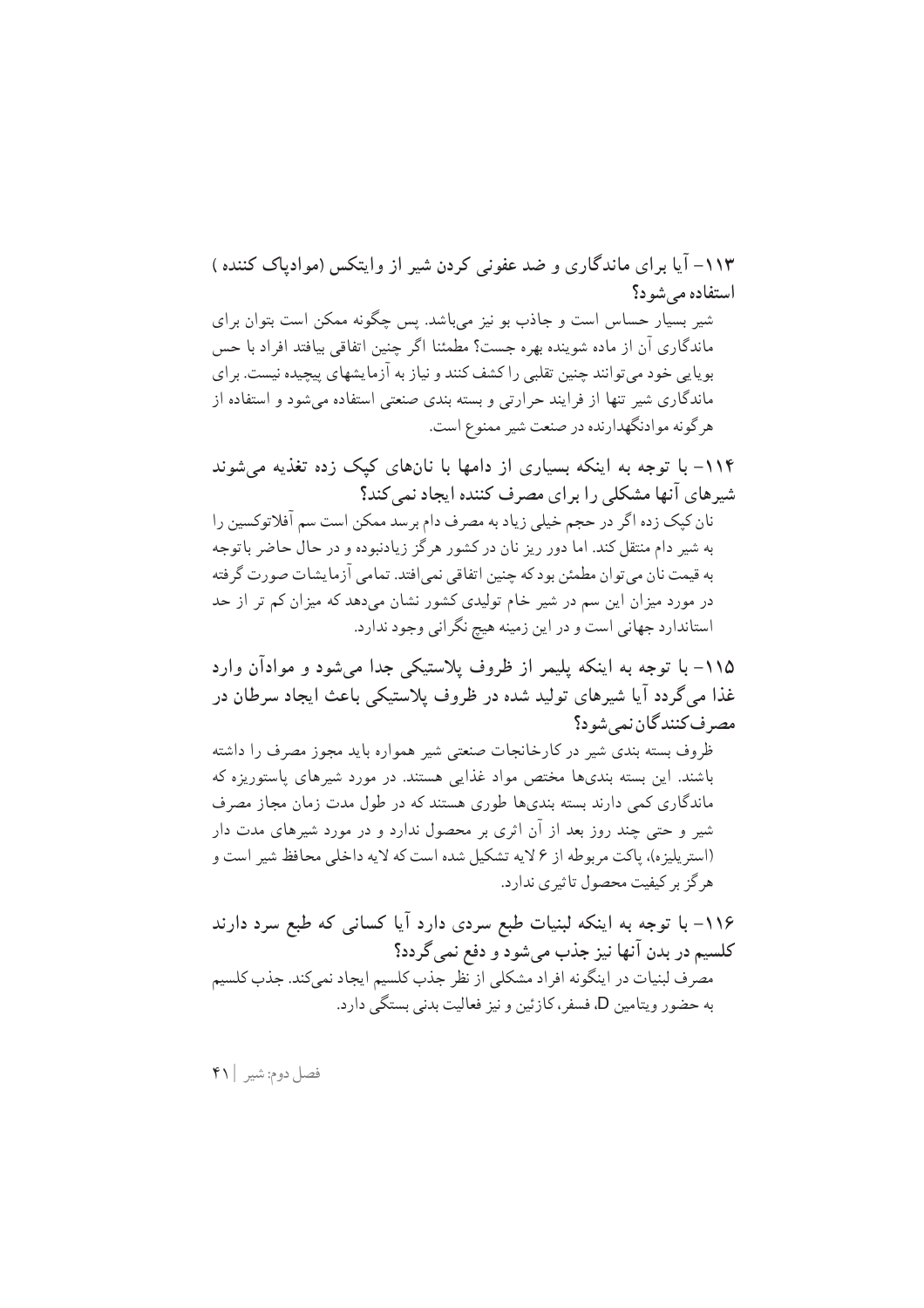۱۱۳- آیا بر ای ماندگاری و ضد عفونی کردن شیر از وایتکس (موادیاک کننده ) استفاده می شود؟ شیر بسیار حساس است و جاذب بو نیز می باشد. پس چگونه ممکن است بتوان برای ماندگاری آن از ماده شوینده بهره جست؟ مطمئنا اگر چنین اتفاقی بیافتد افراد با حس بویایی خود میتوانند چنین تقلبی را کشف کنند و نیاز به آزمایشهای پیچیده نیست. برای ماندگاری شیر تنها از فرایند حرارتی و بسته بندی صنعتی استفاده می شود و استفاده از هر گونه موادنگهدارنده در صنعت شیر ممنوع است.

۱۱۴– با توجه به اینکه بسیاری از دامها با نانهای کیک زده تغذیه میشوند شیرهای آنها مشکلی را برای مصرف کننده ایجاد نمی کند؟

نان کیک زده اگر در حجم خیلی زیاد به مصرف دام برسد ممکن است سم آفلاتوکسین را به شیر دام منتقل کند. اما دور ریز نان در کشور هرگز زیادنبوده و در حال حاضر باتوجه به قیمت نان می توان مطمئن بود که چنین اتفاقی نمی افتد. تمامی آزمایشات صورت گرفته در مورد میزان این سم در شیر خام تولیدی کشور نشان میدهد که میزان کم تر از حد استاندارد جهانی است و در این زمینه هیچ نگرانی وجود ندارد.

۱۱۵– با توجه به اینکه پلیمر از ظروف پلاستیکی جدا میشود و موادآن وارد غذا می گردد آیا شیرهای تولید شده در ظروف پلاستیکی باعث ایجاد سرطان در مصر ف کنند گان نمے شو د؟

ظروف بسته بندی شیر در کارخانجات صنعتی شیر همواره باید مجوز مصرف را داشته باشند. این بسته بندیها مختص مواد غذایی هستند. در مورد شیرهای پاستوریزه که ماندگاری کمی دارند بسته بندیها طوری هستند که در طول مدت زمان مجاز مصرف شیر و حتی چند روز بعد از آن اثری بر محصول ندارد و در مورد شیرهای مدت دار (استريليزه)، ياكت مربوطه از ٤ لايه تشكيل شده است كه لايه داخلي محافظ شير است و هرگز بر کیفیت محصول تاثیری ندارد.

۱۱۶– با توجه به اینکه لبنیات طبع سردی دارد آیا کسانی که طبع سرد دارند کلسیم در بدن آنها نیز جذب میشود و دفع نمی گردد؟ مصرف لبنیات در اینگونه افراد مشکلی از نظر جذب کلسیم ایجاد نمی کند. جذب کلسیم به حضور ويتامين D، فسفر، كازئين و نيز فعاليت بدني بستگي دارد.

فصل دوم: شير | ۴۱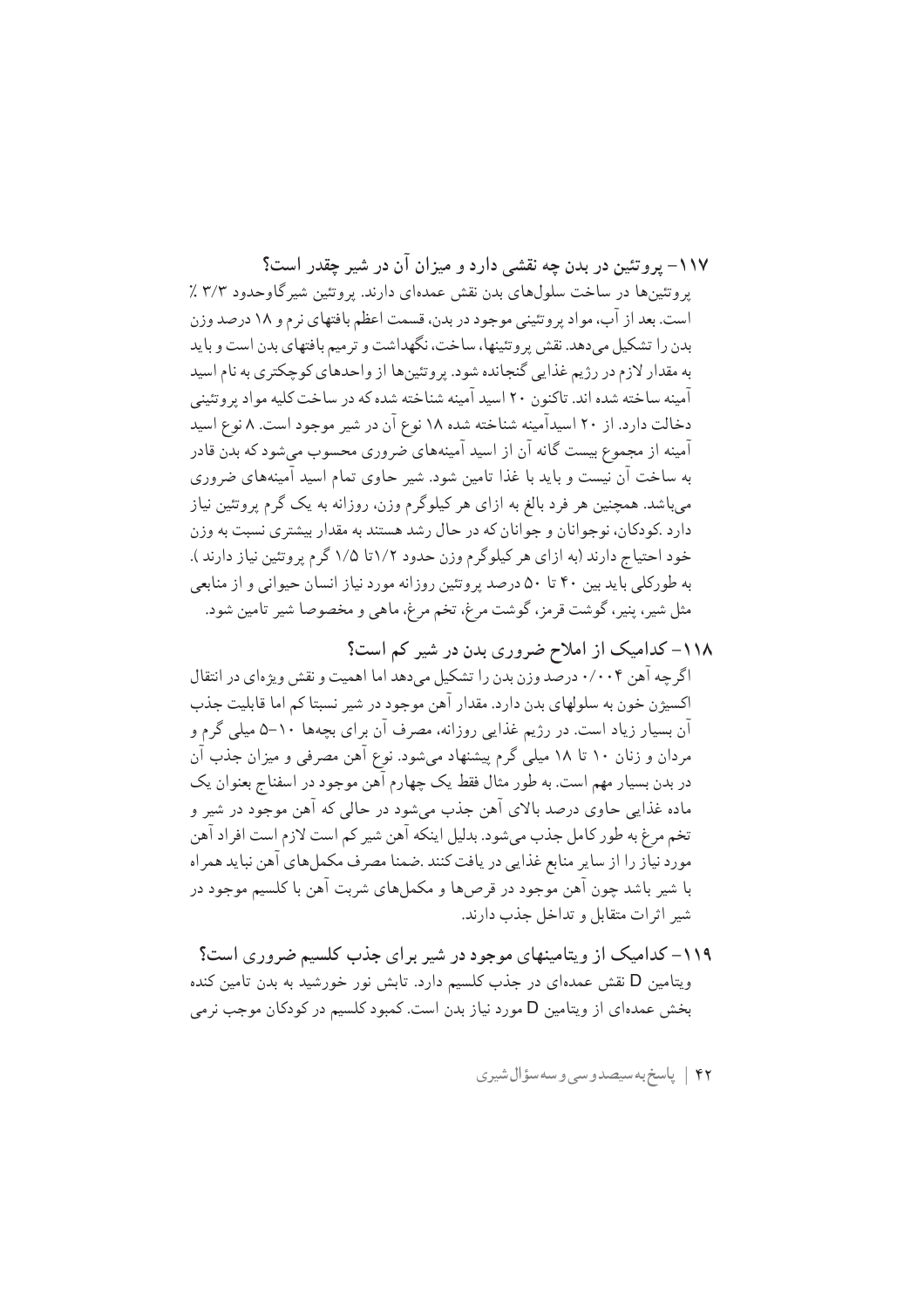۱۱۷– برو تئین در بدن چه نقشی دارد و میزان آن در شیر چقدر است؟ یروتئینها در ساخت سلولهای بدن نقش عمدهای دارند. پروتئین شیر گاوحدود ۳/۳ ٪ است. بعد از آب، مواد پروتئینی موجود در بدن، قسمت اعظم بافتهای نرم و ۱۸ درصد وزن بدن را تشکیل می دهد. نقش پر وتئینها، ساخت، نگهداشت و تر میم بافتهای بدن است و باید به مقدار لازم در رژیم غذایی گنجانده شود. پروتئینها از واحدهای کوچکتری به نام اسید آمینه ساخته شده اند. تاکنون ۲۰ اسید آمینه شناخته شده که در ساخت کلیه مواد پر وتئینی دخالت دارد. از ۲۰ اسیدآمینه شناخته شده ۱۸ نوع آن در شیر موجود است. ۸ نوع اسید آمینه از مجموع بیست گانه آن از اسید آمینههای ضروری محسوب میشود که بدن قادر به ساخت آن نیست و باید با غذا تامین شود. شیر حاوی تمام اسید آمینههای ضروری میباشد. همچنین هر فرد بالغ به ازای هر کیلوگرم وزن، روزانه به یک گرم پروتئین نیاز دارد .کودکان، نوجوانان و جوانان که در حال رشد هستند به مقدار بیشتری نسبت به وزن خود احتیاج دارند (به ازای هر کیلوگرم وزن حدود ۱/۲تا ۱/۵ گرم پروتئین نیاز دارند ). به طورکلی باید بین ۴۰ تا ۵۰ درصد پروتئین روزانه مورد نیاز انسان حیوانی و از منابعی مثل شیر، پنیر، گوشت قرمز، گوشت مرغ، تخم مرغ، ماهی و مخصوصا شیر تامین شود.

١١٨- كداميك از املاح ضروري بدن در شير كم است؟ اگر چه آهن ۰/۰۰۴ درصد وزن بدن را تشکیل می دهد اما اهمیت و نقش ویژهای در انتقال اکسیژن خون به سلولهای بدن دارد. مقدار آهن موجود در شیر نسبتا کم اما قابلیت جذب آن بسیار زیاد است. در رژیم غذایی روزانه، مصرف آن برای بچهها ۱۰–۵ میلی گرم و مردان و زنان ۱۰ تا ۱۸ میلی گرم پیشنهاد میشود. نوع آهن مصرفی و میزان جذب آن در بدن بسیار مهم است. به طور مثال فقط یک چهارم آهن موجود در اسفناج بعنوان یک ماده غذایی حاوی درصد بالای آهن جذب میشود در حالی که آهن موجود در شیر و تخم مرغ به طور كامل جذب مىشود. بدليل اينكه آهن شير كم است لازم است افراد آهن مورد نیاز را از سایر منابع غذایی در یافت کنند .ضمنا مصرف مکملهای آهن نباید همراه با شیر باشد چون آهن موجود در قرصها و مکملهای شربت آهن با کلسیم موجود در شیر اثرات متقابل و تداخل حذب دارند.

۱۱۹– کدامیک از ویتامینهای موجود در شیر برای جذب کلسیم ضروری است؟ ویتامین D نقش عمدهای در جذب کلسیم دارد. تابش نور خورشید به بدن تامین کنده بخش عمدهای از ویتامین D مورد نیاز بدن است. کمبود کلسیم در کودکان موجب نرمی

۴۲ | پاسخ به سیصدوسی و سه سؤال شیری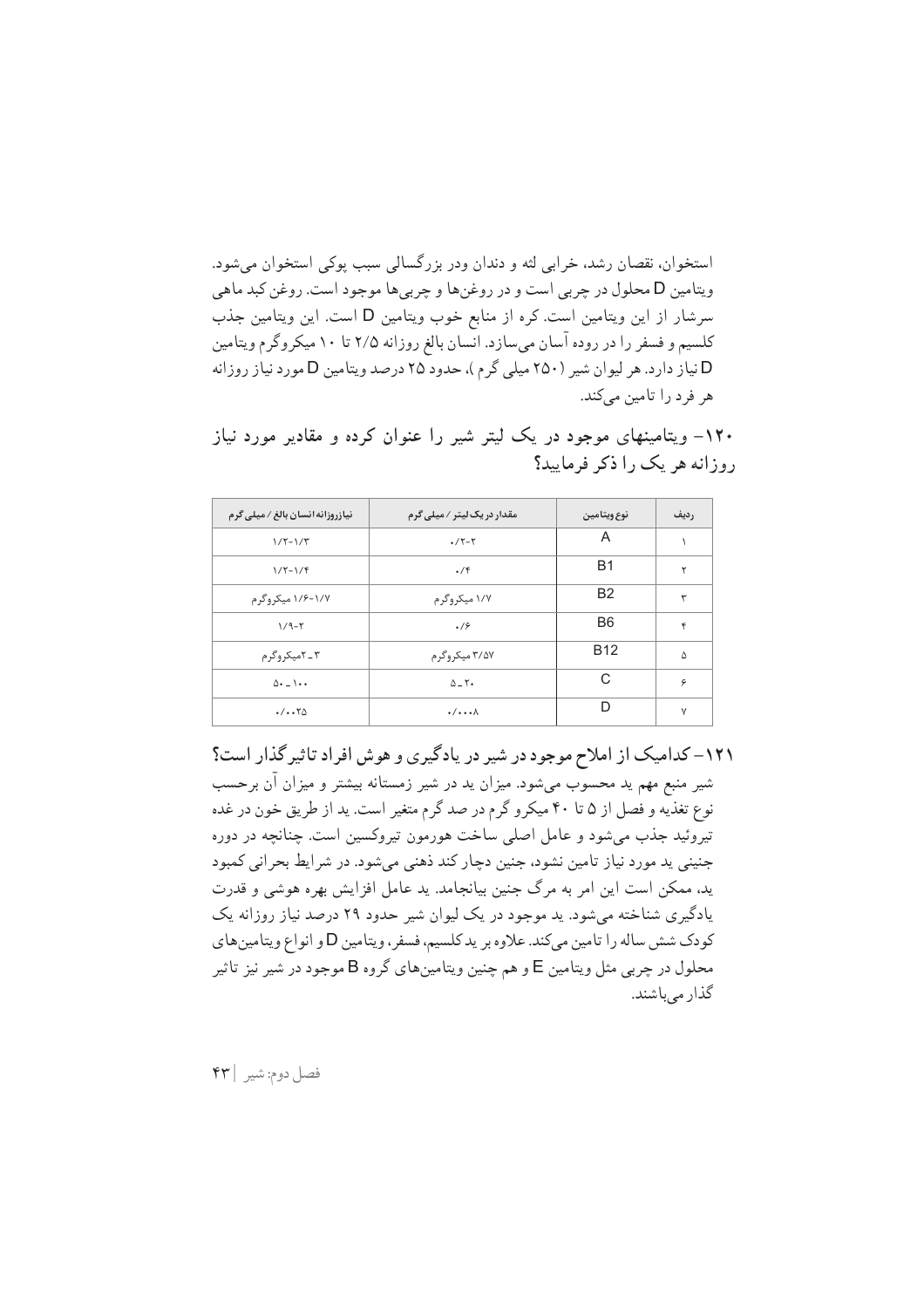استخوان، نقصان رشد، خرابی لثه و دندان ودر بزرگسالی سبب پوکی استخوان می شود. ويتامين D محلول در چربي است و در روغنها و چربي ها موجود است. روغن كبد ماهي سرشار از این ویتامین است. کره از منابع خوب ویتامین D است. این ویتامین جذب کلسیم و فسفر را در روده آسان میسازد. انسان بالغ روزانه ۲/۵ تا ۱۰ میکروگرم ویتامین D نیاز دارد. هر لیوان شیر (۲۵۰ میلی گرم )، حدود ۲۵ درصد ویتامین D مورد نیاز روزانه هر فرد را تامین میکند.

| <b>نیازروزانه انسان بالغ / میلی گرم</b> | مقدار در یک لیتر / میل <i>ی گ</i> رم | نوع ويتامين    | رديف   |
|-----------------------------------------|--------------------------------------|----------------|--------|
| $1/7 - 1/7$                             | $\cdot$ /۲-۲                         | A              |        |
| $1/5 - 1/5$                             | $\cdot$ /۴                           | B1             | ۲      |
| ۱/۷-۱/۶ میکروگرم                        | ۱/۷ میکروگرم                         | B <sub>2</sub> | ٣      |
| $1/9-7$                                 | .19                                  | B <sub>6</sub> | ۴      |
| ۳ ـ ۲میکروگرم                           | ۳/۵۷ میکروگر م                       | <b>B12</b>     | ۵      |
| $\Delta$ + $ \lambda$ + +               | $\Delta$ - $\Upsilon$                | C              | ۶      |
| $\cdot/\cdot\cdot\tau$ ۵                | $\cdot/\cdots$                       | D              | $\vee$ |

۱۲۰– ویتامینهای موجود در یک لیتر شیر را عنوان کرده و مقادیر مورد نیاز روزانه هر یک را ذکر فرمایید؟

۱۲۱– کدامیک از املاح موجود در شیر در یادگیری و هوش افراد تاثیر گذار است؟ شیر منبع مهم ید محسوب میشود. میزان ید در شیر زمستانه بیشتر و میزان آن برحسب نوع تغذیه و فصل از ۵ تا ۴۰ میکرو گرم در صد گرم متغیر است. ید از طریق خون در غده تیروئید جذب می شود و عامل اصلی ساخت هورمون تیروکسین است. چنانچه در دوره جنینی پد مورد نیاز تامین نشود، جنین دچار کند ذهنی میشود. در شرایط بحرانی کمبود ید، ممکن است این امر به مرگ جنین بیانجامد. ید عامل افزایش بهره هوشی و قدرت یادگیری شناخته می شود. ید موجود در یک لیوان شیر حدود ۲۹ درصد نیاز روزانه یک کودک شش ساله را تامین میکند. علاوه بر یدکلسیم، فسفر، ویتامین D و انواع ویتامینهای محلول در چربی مثل ویتامین E و هم چنین ویتامینهای گروه B موجود در شیر نیز تاثیر گذار مے باشند.

فصل دوم: شير | ۴۳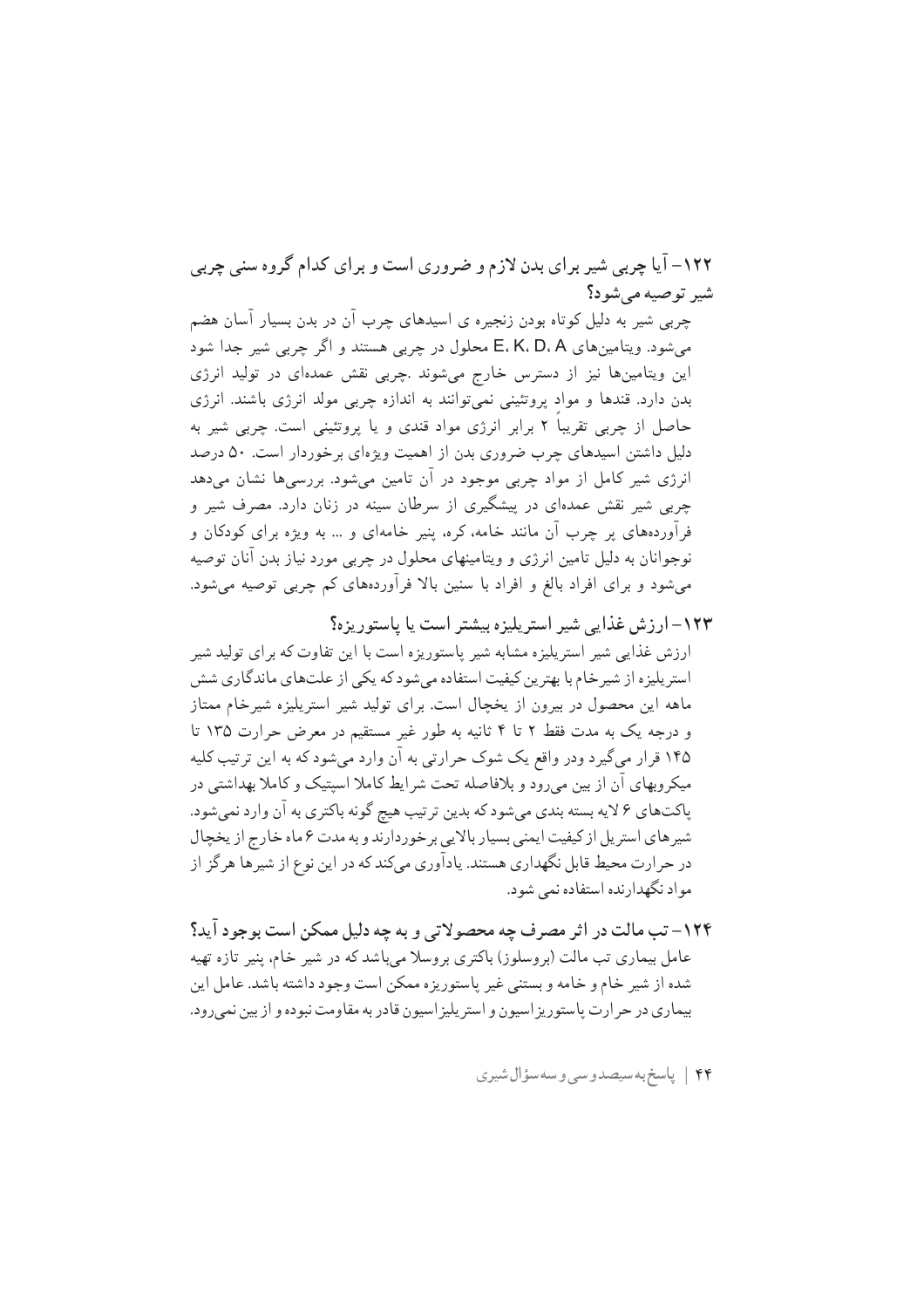۱۲۲– آیا چربی شیر برای بدن لازم و ضروری است و برای کدام گروه سنی چربی شہ توصیه مے شود؟

چربی شیر به دلیل کوتاه بودن زنجیره ی اسیدهای چرب آن در بدن بسیار آسان هضم میشود. ویتامینهای E، K، D، A محلول در چربی هستند و اگر چربی شیر جدا شود این ویتامینها نیز از دسترس خارج میشوند .چربی نقش عمدهای در تولید انرژی بدن دارد. قندها و مواد پروتئینی نمیتوانند به اندازه چربی مولد انرژی باشند. انرژی حاصل از چربی تقریباً ۲ برابر انرژی مواد قندی و یا پروتئینی است. چربی شیر به دلیل داشتن اسیدهای چرب ضروری بدن از اهمیت ویژهای برخوردار است. ۵۰ درصد انرژی شیر کامل از مواد چربی موجود در آن تامین میشود. بررسیها نشان میدهد چربی شیر نقش عمدهای در پیشگیری از سرطان سینه در زنان دارد. مصرف شیر و فرآوردههای پر چرب آن مانند خامه، کره، پنیر خامهای و … به ویژه برای کودکان و نوجوانان به دلیل تامین انرژی و ویتامینهای محلول در چربی مورد نیاز بدن آنان توصیه می شود و برای افراد بالغ و افراد با سنین بالا فرآوردههای کم چربی توصیه می شود.

- ۱۲۳– ارزش غذایی شیر استریلیزه بیشتر است یا پاستوریزه؟ ارزش غذایی شیر استریلیزه مشابه شیر پاستوریزه است با این تفاوت که برای تولید شیر استر پلیزه از شیر خام با بهترین کیفیت استفاده می شود که یکی از علتهای ماندگاری شش ماهه این محصول در بیرون از یخچال است. برای تولید شیر استریلیزه شیرخام ممتاز و درجه یک به مدت فقط ۲ تا ۴ ثانیه به طور غیر مستقیم در معرض حرارت ۱۳۵ تا ۱۴۵ قرار میگیرد ودر واقع یک شوک حرارتی به آن وارد میشود که به این ترتیب کلیه میکروبهای آن از بین می رود و بلافاصله تحت شر ایط کاملا اسپتیک و کاملا بهداشتی در پاکتهای ۶ لایه بسته بندی میشود که بدین ترتیب هیچ گونه باکتری به آن وارد نمیشود. شیرهای استریل از کیفیت ایمنی بسیار بالایی برخوردارند و به مدت ۶ ماه خارج از یخچال در حرارت محیط قابل نگهداری هستند. یادآوری میکند که در این نوع از شیرها هر گز از مواد نگهدارنده استفاده نمی شود.
- ۱۲۴– تب مالت در اثر مصرف چه محصولاتی و به چه دلیل ممکن است بوجود آید؟ عامل بیماری تب مالت (بروسلوز) باکتری بروسلا میباشد که در شیر خام، پنیر تازه تهیه شده از شیر خام و خامه و بستنی غیر پاستوریزه ممکن است وجود داشته باشد. عامل این بیماری در حر ارت پاستوریز اسپون و استر پلیز اسپون قادر به مقاومت نبوده و از بین نمی رود.

۴۴ | پاسخ به سیصدوسی و سه سؤال شیری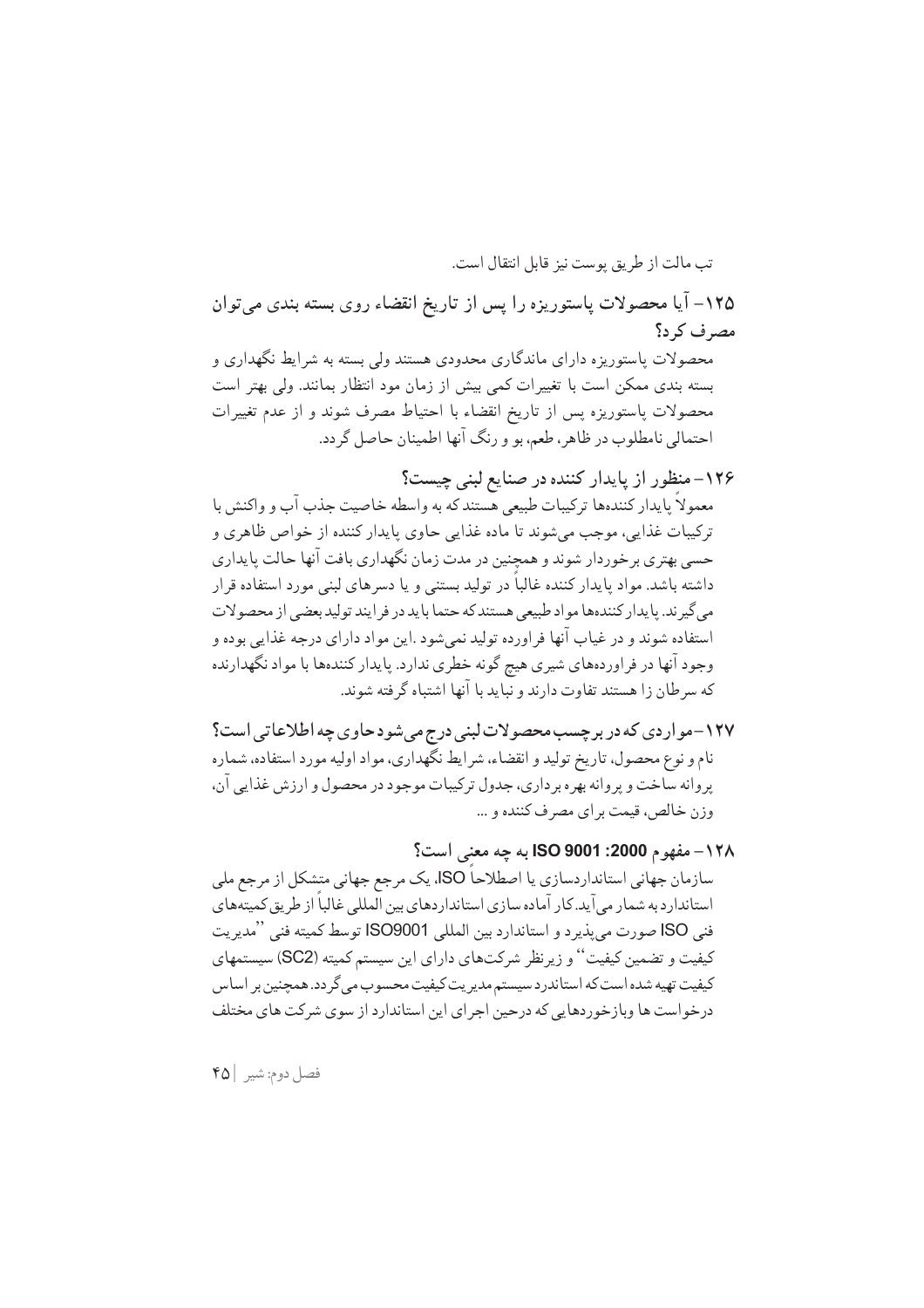تب مالت از طريق يوست نيز قابل انتقال است. ۱۲۵– آیا محصولات پاستوریزه را پس از تاریخ انقضاء روی بسته بندی میتوان مصرف کر د؟ محصولات پاستوریزه دارای ماندگاری محدودی هستند ولی بسته به شرایط نگهداری و بسته بندی ممکن است با تغییرات کمی بیش از زمان مود انتظار بمانند. ولی بهتر است محصولات پاستوریزه پس از تاریخ انقضاء با احتیاط مصرف شوند و از عدم تغییرات احتمالي نامطلوب در ظاهر، طعم، بو و رنگ آنها اطمينان حاصل گردد.

- ۱۲۶– منظور از پایدار کننده در صنایع لبنی چیست؟ معمولاً پایدار کنندهها ترکیبات طبیعی هستند که به واسطه خاصیت جذب آب و واکنش با ترکیبات غذایی، موجب میشوند تا ماده غذایی حاوی پایدار کننده از خواص ظاهری و حسی بهتری برخوردار شوند و همچنین در مدت زمان نگهداری بافت آنها حالت پایداری داشته باشد. مواد پایدار کننده غالباً در تولید بستنی و یا دسرهای لبنی مورد استفاده قرار مى گيرند. يا يدار كنندهها مواد طبيعي هستند كه حتما با يد در فر ايند توليد بعضى از محصولات استفاده شوند و در غياب آنها فراورده توليد نمي شود .اين مواد داراي درجه غذايي بوده و وجود آنها در فراوردههاي شيري هيچ گونه خطري ندارد. پايدار كنندهها با مواد نگهدارنده که سرطان زا هستند تفاوت دارند و نباید با آنها اشتباه گرفته شوند.
- ۱۲۷-مواردی که در برچسب محصولات لبنی درج می شود حاوی چه اطلاعاتی است؟ نام و نوع محصول، تاریخ تولید و انقضاء، شرایط نگّهداری، مواد اولیه مورد استفاده، شماره پروانه ساخت و پروانه بهره برداري، جدول تركيبات موجود در محصول و ارزش غذايي آن، وزن خالص، قيمت براي مصرف كننده و ...

۱۲۸ – مفهوم 2000: ISO 9001 به چه معنى است؟ سازمان جهانی استانداردسازی یا اصطلاحاً ISO، یک مرجع جهانی متشکل از مرجع ملی استاندارد به شمار می آید. کار آماده سازی استانداردهای بین المللی غالباً از طریق کمیتههای فني ISO صورت مي يذيرد و استاندارد بين المللي ISO9001 توسط كميته فني ''مديريت کیفیت و تضمین کیفیت'' و زیرنظر شرکتهای دارای این سیستم کمیته (SC2) سیستمهای کیفیت تهیه شده است که استاندرد سیستم مدیریت کیفیت محسوب می گردد. همچنین بر اساس درخواست ها وبازخوردهایی که درحین اجرای این استاندارد از سوی شرکت های مختلف

فصل دوم: شير | ۴۵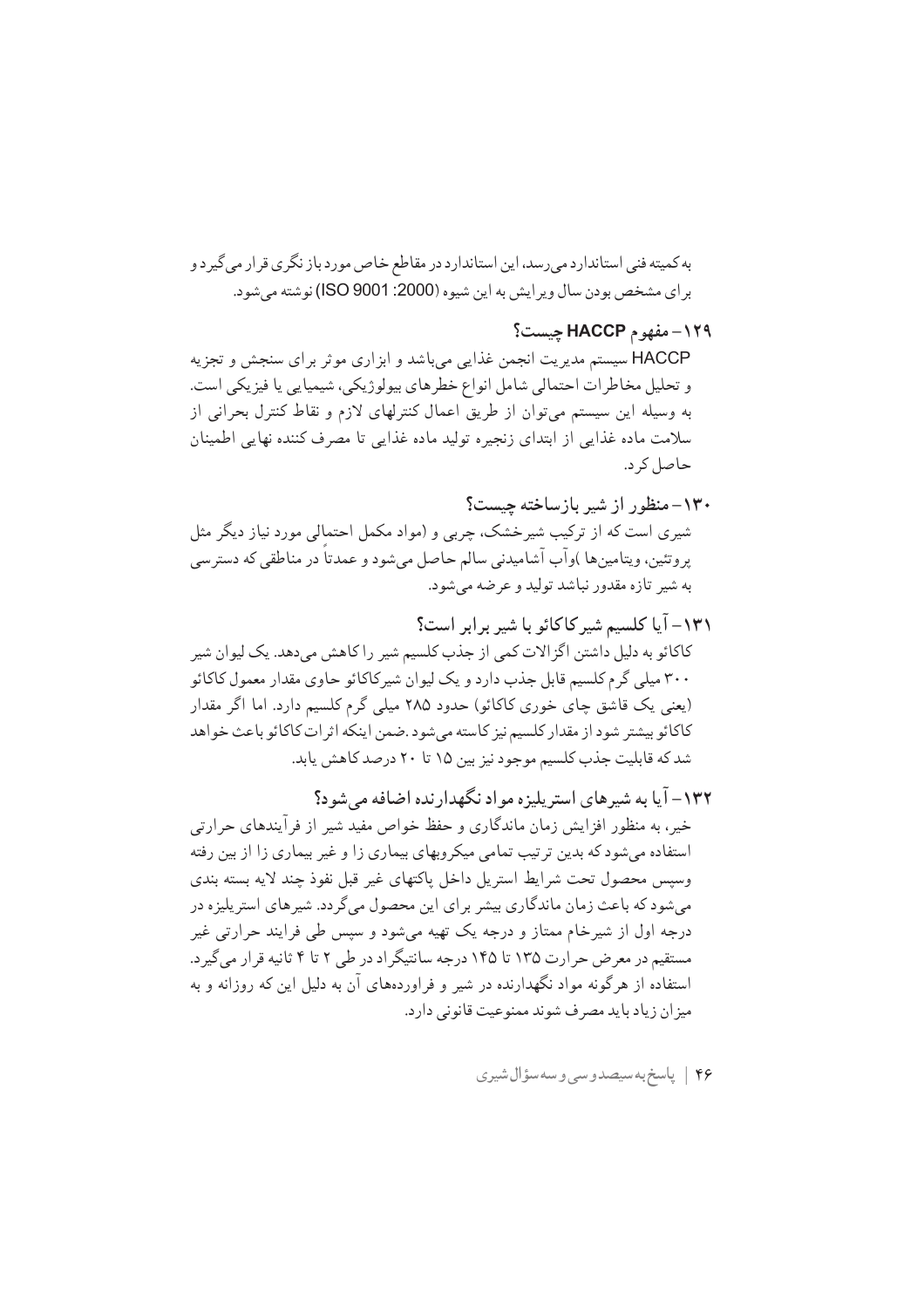به کمیته فنی استاندارد می رسد، این استاندارد در مقاطع خاص مورد باز نگری قرار می گیر د و بر اي مشخص بودن سال وير ايش به اين شيوه (2000: ISO 9001) نوشته مي شود.

۰۱۲۹–مفهوم HACCP حیست؟ HACCP سیستم مدیریت انجمن غذایی می باشد و ابزاری موثر برای سنجش و تجزیه و تحلیل مخاطر ات احتمالی شامل انواع خطرهای پیولوژیکی، شیمیایی یا فیزیکی است. به وسیله این سیستم می توان از طریق اعمال کنترلهای لازم و نقاط کنترل بحرانی از سلامت ماده غذایی از ابتدای زنجیره تولید ماده غذایی تا مصرف کننده نهایی اطمینان حاصل کر د.

- ۱۳۰–منظور از شیر بازساخته چیست؟ شیری است که از ترکیب شیرخشک، چربی و (مواد مکمل احتمالی مورد نیاز دیگر مثل پروتئين، ويتامينها )وآب آشاميدني سالم حاصل ميشود و عمدتاً در مناطقي كه دسترسي به شير تازه مقدور نباشد توليد و عرضه مي شود.
- ١٣١- آيا كلسيم شير كاكائو با شير برابر است؟ کاکائو به دلیل داشتن اگزالات کمی از جذب کلسیم شیر را کاهش میدهد. یک لیوان شیر ۳۰۰ میلی گرم کلسیم قابل جذب دارد و یک لیوان شیرکاکائو حاوی مقدار معمول کاکائو (یعنی یک قاشق چای خوری کاکائو) حدود ۲۸۵ میلی گرم کلسیم دارد. اما اگر مقدار كاكائو بيشتر شود از مقدار كلسيم نيز كاسته مىشود .ضمن اينكه اثرات كاكائو باعث خواهد شد که قابلیت جذب کلسیم موجود نیز بین ۱۵ تا ۲۰ درصد کاهش پابد.
- ۱۳۲– آیا به شیرهای استریلیزه مواد نگهدارنده اضافه می شود؟ خیر، به منظور افزایش زمان ماندگاری و حفظ خواص مفید شیر از فرآیندهای حرارتی استفاده میشود که بدین ترتیب تمامی میکروبهای بیماری زا و غیر بیماری زا از بین رفته وسيس محصول تحت شرايط استريل داخل ياكتهاى غير قبل نفوذ چند لايه بسته بندى میشود که باعث زمان ماندگاری بیشر برای این محصول میگردد. شیرهای استریلیزه در درجه اول از شیرخام ممتاز و درجه یک تهیه میشود و سپس طی فرایند حرارتی غیر مستقیم در معرض حرارت ۱۳۵ تا ۱۴۵ درجه سانتیگراد در طی ۲ تا ۴ ثانیه قرار می گیر د. استفاده از هرگونه مواد نگهدارنده در شیر و فراوردههای آن به دلیل این که روزانه و به میز ان زیاد با ید مصرف شوند ممنوعیت قانونی دارد.

۴۶ | پاسخ به سیصدوسی و سه سؤال شیری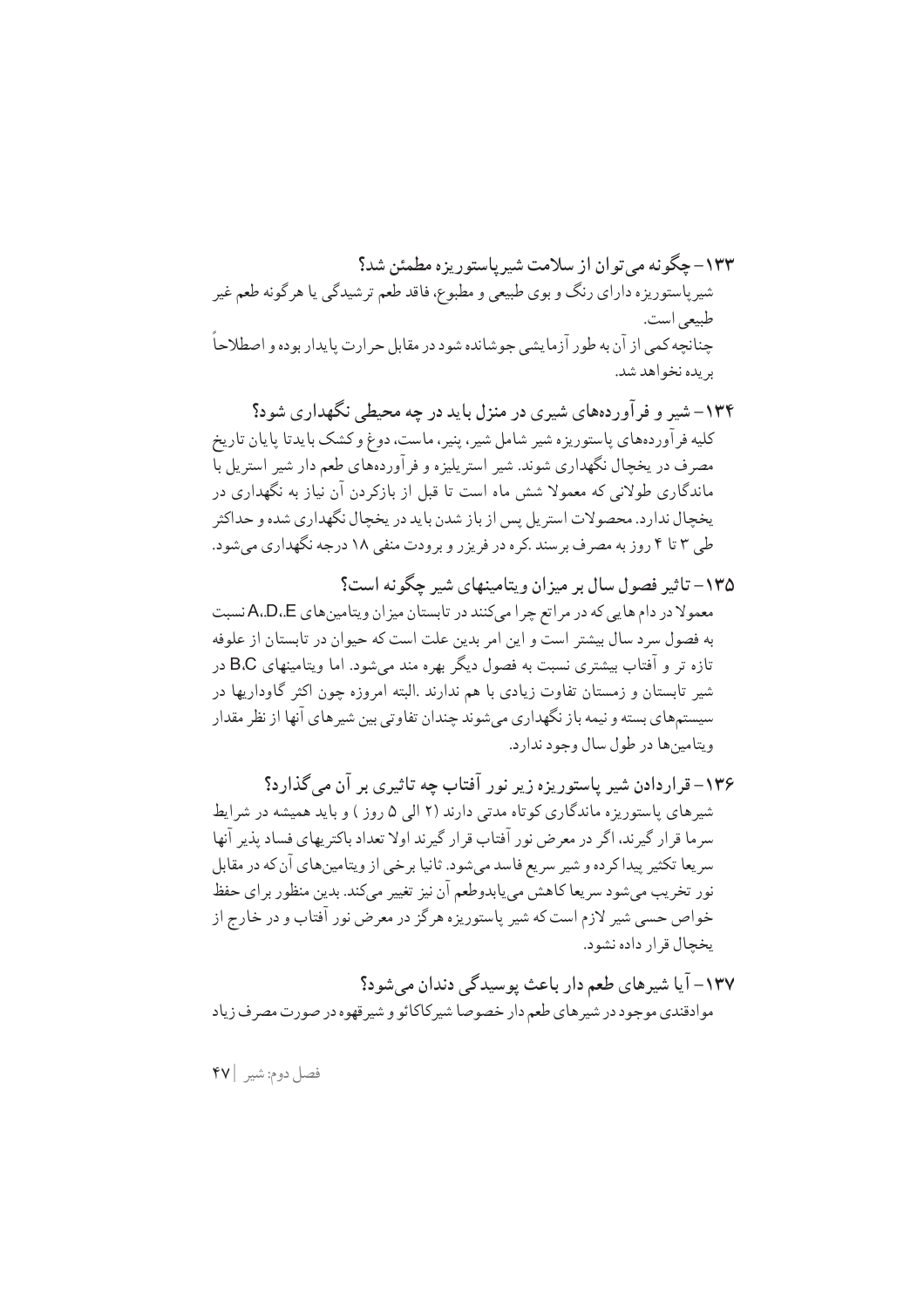۱۳۴– شیر و فرآوردههای شیری در منزل باید در چه محیطی نگهداری شود؟ کلیه فر آوردههای پاستوریزه شیر شامل شیر، پنیر، ماست، دوغ و کشک بایدتا پایان تاریخ مصرف در یخچال نگهداری شوند. شیر استریلیزه و فرآوردههای طعم دار شیر استریل با ماندگاری طولانی که معمولا شش ماه است تا قبل از بازکردن آن نیاز به نگهداری در یخچال ندار د. محصولات استریل پس از باز شدن باید در یخچال نگهداری شده و حداکثر طی ۳ تا ۴ روز به مصرف بر سند .کره در فریز ر و برودت منفی ۱۸ درجه نگهداری می شود.

- ۱۳۵ تاثیر فصول سال بر میزان ویتامینهای شیر چگونه است؟ معمولا در دام هایی که در مراتع چرا میکنند در تابستان میز ان ویتامین های A،D،E نسبت به فصول سرد سال بیشتر است و این امر بدین علت است که حیوان در تابستان از علوفه تازه تر و آفتاب بیشتری نسبت به فصول دیگر بهره مند می شود. اما ویتامینهای B.C در شیر تابستان و زمستان تفاوت زیادی با هم ندارند .البته امروزه چون اکثر گاوداریها در سیستمهای بسته و نیمه باز نگهداری میشوند چندان تفاوتی بین شیرهای آنها از نظر مقدار ويتامين ها در طول سال وجود ندارد.
- ۱۳۶– قراردادن شیر پاستوریزه زیر نور آفتاب چه تاثیری بر آن می گذارد؟ شیرهای پاستوریزه ماندگاری کوتاه مدتی دارند (۲ الی ۵ روز ) و باید همیشه در شرایط سرما قرار گیرند، اگر در معرض نور آفتاب قرار گیرند اولا تعداد باکتریهای فساد پذیر آنها سر يعا تكثير پيداكر ده و شير سريع فاسد مي شود. ثانيا بر خي از ويتامين هاي آن كه در مقابل نور تخريب مي شود سريعا كاهشّ مي يابدوطعم آن نيز تغيير مي كند. بدين منظور بر اي حفظ خواص حسی شیر لازم است که شیر پاستوریزه هرگز در معرض نور آفتاب و در خارج از يخچال قرار داده نشود.
- ۱۳۷– آیا شیرهای طعم دار باعث پوسیدگی دندان می شود؟ موادقندي موجود در شيرهاي طعم دار خصوصا شيركاكائو و شيرقهوه در صورت مصرف زياد

فصل دوم: شير | ۴۷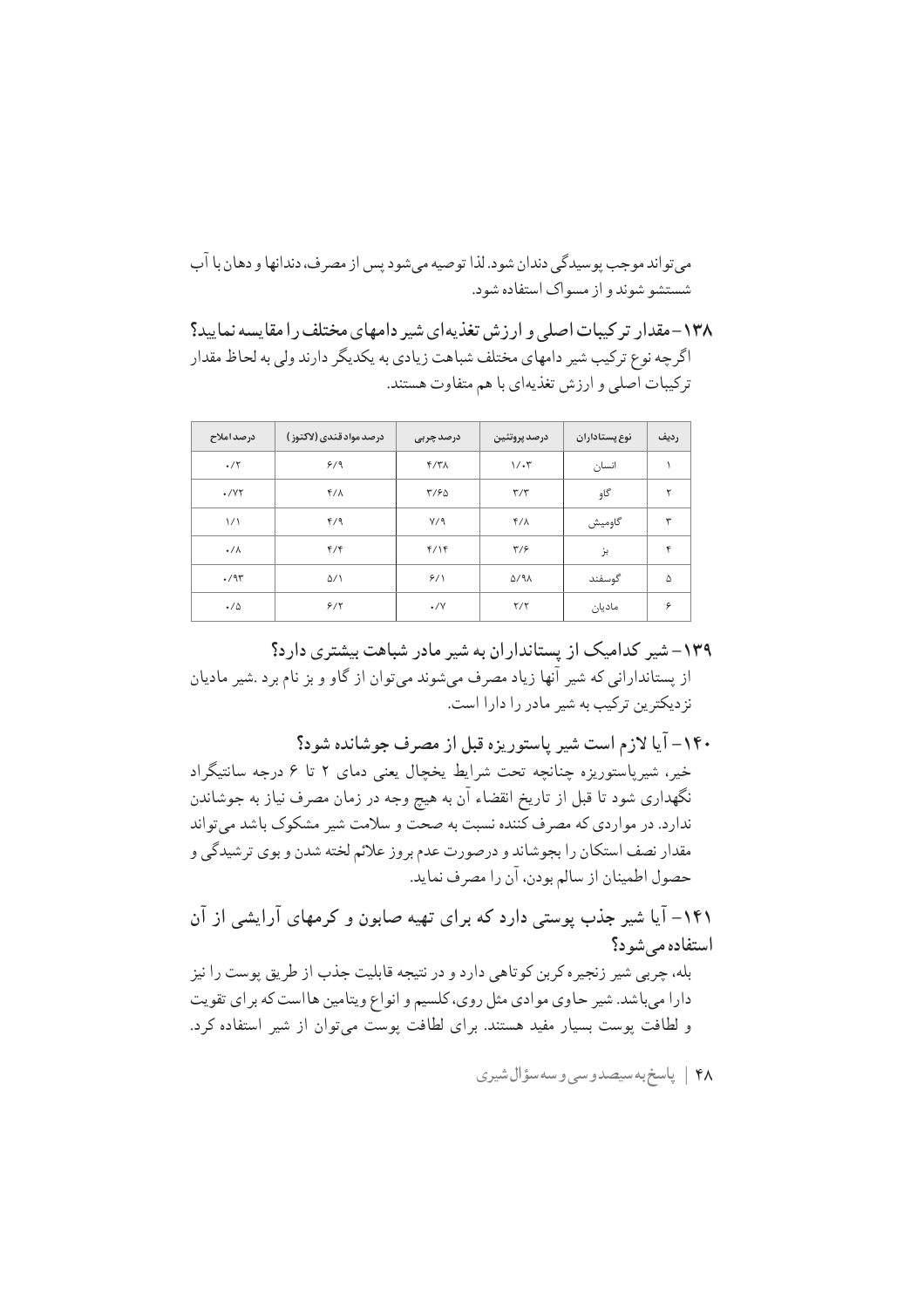مے تواند موجب یوسیدگے دندان شود. لذا توصیه مے شود پس از مصر ف، دندانها و دهان با آب شستشو شوند و از مسواک استفاده شود.

۱۳۸-مقدار ترکیبات اصلی و ارزش تغذیهای شیر دامهای مختلف را مقایسه نمایید؟ اگرچه نوع ترکیب شیر دامهای مختلف شباهت زیادی به یکدیگر دارند ولی به لحاظ مقدار تركيبات اصلى و ارزش تغذيهاي با هم متفاوت هستند.

| درصد املاح      | درصد مواد قندي (لاكتوز ) | درصد چربی  | درصد پروتئين  | نوع پستاداران | رديف |
|-----------------|--------------------------|------------|---------------|---------------|------|
| $\cdot$ /۲      | 9/9                      | Y/Y        | $1/\cdot 7$   | انسان         |      |
| $\cdot$ /YY     | $f/\lambda$              | ۳/۶۵       | $\tau/\tau$   | گاو           | ۲    |
| $\frac{1}{2}$   | f/9                      | V/9        | $f/\lambda$   | گاوميش        | ٣    |
| $\cdot/\lambda$ | f/f                      | $f/\gamma$ | $\frac{4}{3}$ | بز            | ۴    |
| 4/95            | $\Delta/1$               | 9/1        | $\Delta$ /91  | گوسفند        | ۵    |
| $\cdot/\Delta$  | 9/7                      | $\cdot$ /Y | Y/Y           | ماديان        | ۶    |

۱۳۹–شیر کدامیک از پستانداران به شیر مادر شباهت بیشتری دارد؟ از پستاندارانی که شیر آنها زیاد مصرف میشوند میتوان از گاو و بز نام برد .شیر مادیان نز دیکترین ترکیب به شیر مادر را دارا است.

۱۴۰– آیا لازم است شیر پاستوریزه قبل از مصرف جوشانده شود؟ خیر، شیرپاستوریزه چنانچه تحت شرایط یخچال یعنی دمای ۲ تا ۶ درجه سانتیگراد نگهداری شود تا قبل از تاریخ انقضاء آن به هیچ وجه در زمان مصرف نیاز به جوشاندن ندارد. در مواردی که مصرف کننده نسبت به صحت و سلامت شیر مشکوک باشد می تواند مقدار نصف استكان را بجوشاند و درصورت عدم بروز علائم لخته شدن و بوي ترشيدگي و حصول اطمينان از سالم بودن، آن را مصرف نمايد.

۱۴۱– آیا شیر جذب پوستی دارد که برای تهیه صابون و کرمهای آرایشی از آن استفاده مر شو د؟ بله، چربی شیر زنجیره کربن کوتاهی دارد و در نتیجه قابلیت جذب از طریق پوست را نیز دارا می باشد. شیر حاوی موادی مثل روی، کلسیم و انواع ویتامین هااست که برای تقویت و لطافت پوست بسیار مفید هستند. برای لطافت پوست می توان از شیر استفاده کرد.

۴۸ | پاسخ به سيصدوسي وسه سؤال شيري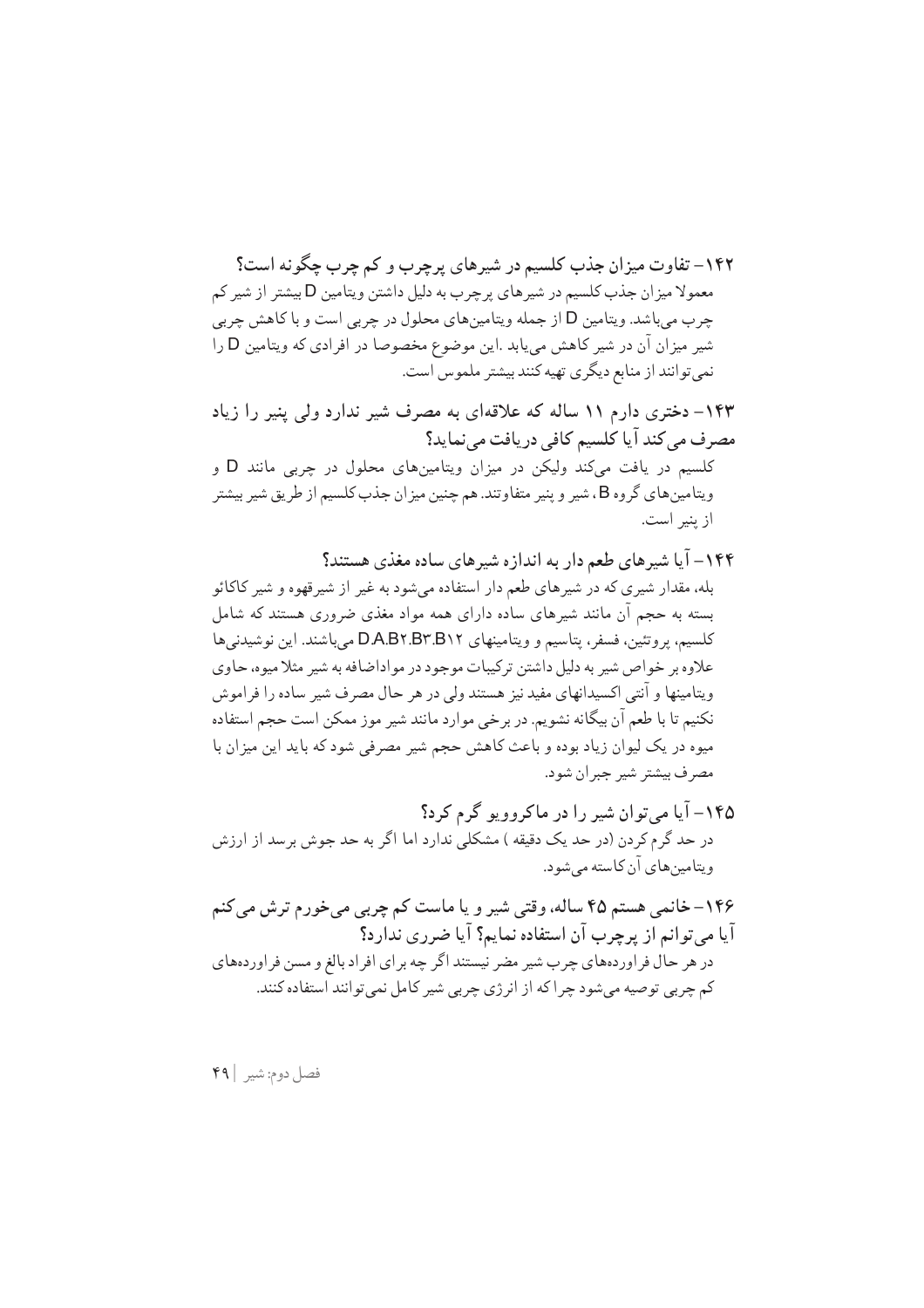۱۴۲– تفاوت میزان جذب کلسیم در شیرهای برجرب و کم جرب حگو نه است؟ معمولا میزان جذب کلسیم در شیرهای پرچرب به دلیل داشتن ویتامین D بیشتر از شیر کم چرب میباشد. ویتامین D از جمله ویتامینهای محلول در چربی است و با کاهش چربی شیر میزان ان در شیر کاهش مییابد .این موضوع مخصوصا در افرادی که ویتامین D را نمي توانند از منابع ديگري تهيه كنند بيشتر ملموس است.

۱۴۳– دختری دارم ۱۱ ساله که علاقهای به مصرف شیر ندارد ولی پنیر را زیاد مصرف می کند آیا کلسیم کافی دریافت می نماید؟ کلسیم در یافت میکند ولیکن در میزان ویتامینهای محلول در چربی مانند D و ویتامینهای گروه B، شیر و پنیر متفاوتند. هم چنین میزان جذب کلسیم از طریق شیر بیشتر از پنیر است.

- ۱۴۴– آیا شیرهای طعم دار به اندازه شیرهای ساده مغذی هستند؟ بله، مقدار شیږي که در شیږ های طعم دار استفاده می شود به غیر از شیږ قهوه و شیږ کاکائو بسته به حجم آن مانند شیرهای ساده دارای همه مواد مغذی ضروری هستند که شامل كلسيم، يروتئين، فسفر، يتاسيم و ويتامينهاي D.A.B۲.B۲.B۲.B۲ مي باشند. اين نوشيدني ها علاوه بر خواص شیر به دلیل داشتن ترکیبات موجود در مواداضافه به شیر مثلا میوه، حاوی ویتامینها و آنتی اکسیدانهای مفید نیز هستند ولی در هر حال مصرف شیر ساده را فراموش نکنیم تا با طعم آن بیگانه نشویم. در برخی موارد مانند شیر موز ممکن است حجم استفاده میوه در یک لیوان زیاد بوده و باعث کاهش حجم شیر مصرفی شود که باید این میزان با مصرف بيشتر شير جبران شود.
- ۱۴۵– آیا می توان شیر را در ماکروویو گرم کرد؟ در حد گرم کردن (در حد یک دقیقه ) مشکلی ندارد اما اگر به حد جوش برسد از ارزش ویتامین های آن کاسته مے شود.
- ۱۴۶–خانمي هستم ۴۵ ساله، وقتي شير و يا ماست كم چربي مي خورم ترش مي كنم آيا مي توانيم از پرچرب آن استفاده نماييم؟ آيا ضرري ندار د؟ در هر حال فر اوردههای چرب شیر مضر نیستند اگر چه بر ای افر اد بالغ و مسن فر اوردههای کم چربی توصیه میشود چرا که از انرژی چربی شیر کامل نمی توانند استفاده کنند.

فصل دوم: شير | ۴۹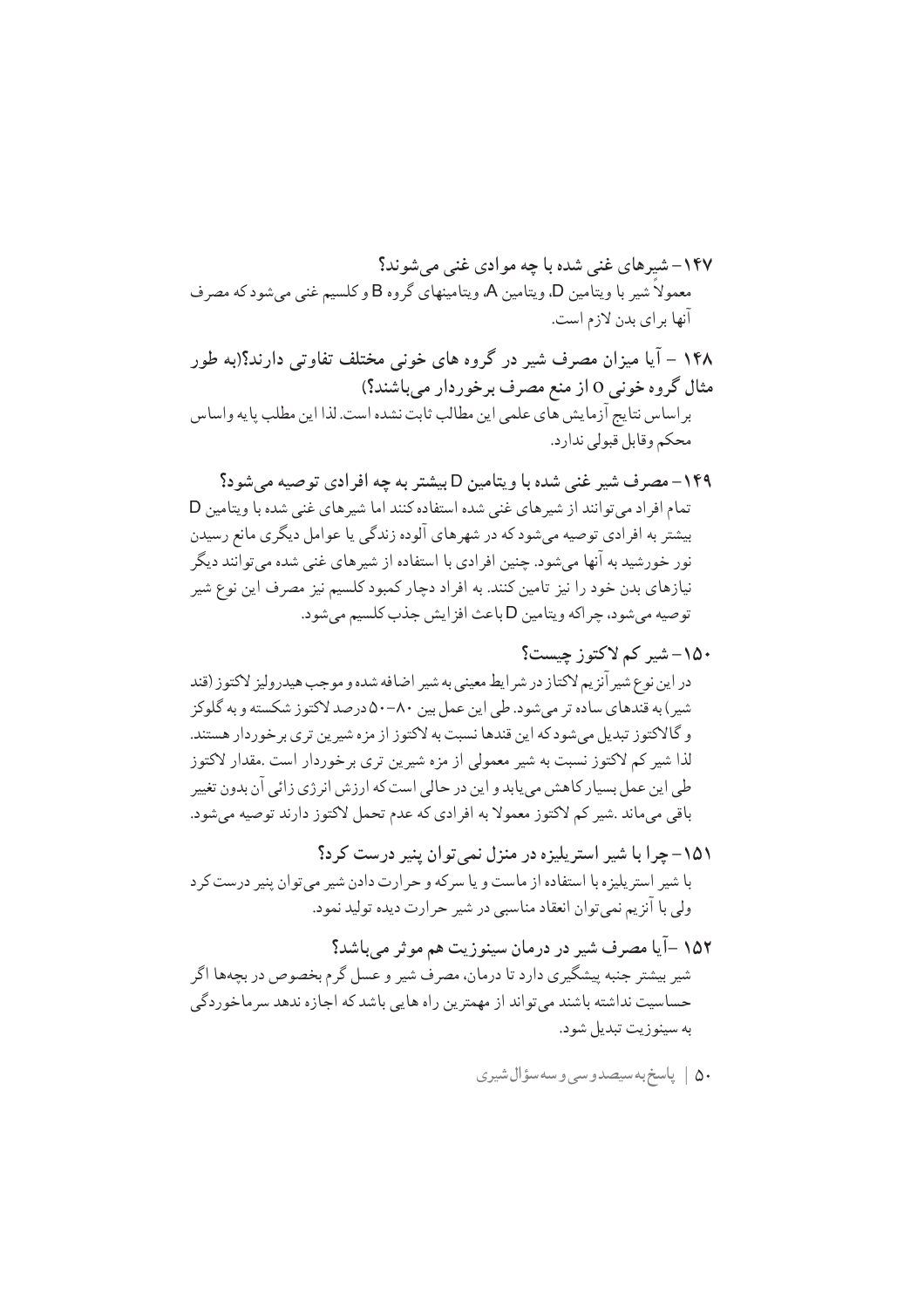۱۴۸ – آیا میزان مصرف شیر در گروه های خونی مختلف تفاوتی دارند؟(به طور مثال گروه خونی 0 از منع مصرف برخوردار میباشند؟) براساس نتايج آزمايش هاي علمي اين مطالب ثابت نشده است. لذا اين مطلب پايه واساس محكم وقابل قبولي ندارد.

۱۴۹- مصرف شیر غنی شده با ویتامین D بیشتر به چه افرادی توصیه می شود؟ تمام افراد می توانند از شیرهای غنی شده استفاده کنند اما شیرهای غنی شده با ویتامین D بیشتر به افرادی توصیه می شود که در شهرهای آلوده زندگی یا عوامل دیگری مانع رسیدن نور خورشید به آنها میشود. چنین افرادی با استفاده از شیرهای غنی شده میتوانند دیگر نیازهای بدن خود را نیز تامین کنند. به افراد دچار کمبود کلسیم نیز مصرف این نوع شیر توصيه مي شود، چر اكه ويتامين D باعث افز ايش جذب كلسيم مي شود.

۱۵۲ –آیا مصرف شیر در درمان سینوزیت هم موثر میباشد؟ شیر بیشتر جنبه پیشگیری دارد تا درمان، مصرف شیر و عسل گرم بخصوص در بچهها اگر حساسیت نداشته باشند می تواند از مهمترین راه هایی باشد که اجازه ندهد سر ماخوردگی به سینوزیت تبدیل شود.

$$
\quad \text{or} \quad \text{if} \quad \text{if} \quad \text{if} \quad \text{if} \quad \text{if} \quad \text{if} \quad \text{if} \quad \text{if} \quad \text{if} \quad \text{if} \quad \text{if} \quad \text{if} \quad \text{if} \quad \text{if} \quad \text{if} \quad \text{if} \quad \text{if} \quad \text{if} \quad \text{if} \quad \text{if} \quad \text{if} \quad \text{if} \quad \text{if} \quad \text{if} \quad \text{if} \quad \text{if} \quad \text{if} \quad \text{if} \quad \text{if} \quad \text{if} \quad \text{if} \quad \text{if} \quad \text{if} \quad \text{if} \quad \text{if} \quad \text{if} \quad \text{if} \quad \text{if} \quad \text{if} \quad \text{if} \quad \text{if} \quad \text{if} \quad \text{if} \quad \text{if} \quad \text{if} \quad \text{if} \quad \text{if} \quad \text{if} \quad \text{if} \quad \text{if} \quad \text{if} \quad \text{if} \quad \text{if} \quad \text{if} \quad \text{if} \quad \text{if} \quad \text{if} \quad \text{if} \quad \text{if} \quad \text{if} \quad \text{if} \quad \text{if} \quad \text{if} \quad \text{if} \quad \text{if} \quad \text{if} \quad \text{if} \quad \text{if} \quad \text{if} \quad \text{if} \quad \text{if} \quad \text{if} \quad \text{if} \quad \text{if} \quad \text{if} \quad \text{if} \quad \text{if} \quad \text{if} \quad \text{if} \quad \text{if} \quad \text{if} \quad \text{if} \quad \text{if} \quad \text{if} \quad \text{if} \quad \text{if} \quad \text{if} \quad \text{if} \quad \text{if} \quad \text{if} \quad \text{if} \quad \text{if} \quad \text{if} \quad \text{if} \quad \text{if} \quad \text{if} \quad \text{if} \quad \text{if} \quad \text{if} \quad \text{if} \quad \text{if} \quad \text{if} \quad \text{if} \quad \text{if} \quad \text{if} \quad \text{if} \quad \text{if} \quad \
$$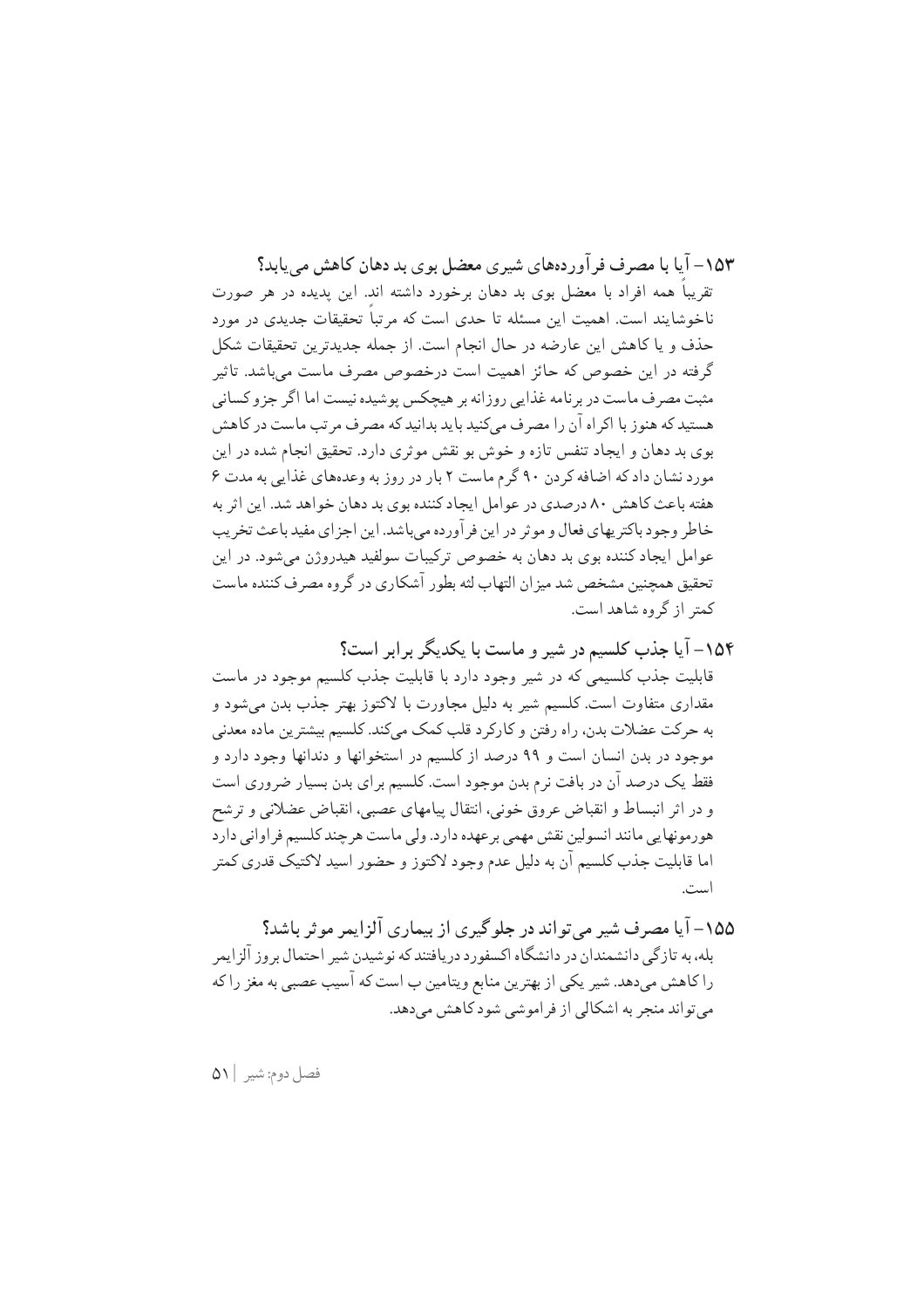١۵٣ – آیا یا مصرف فر آور دهعای شیری معضل بوی بد دهان کاهش مرباید؟ تقریباً همه افراد با معضل بوی بد دهان برخورد داشته اند. این پدیده در هر صورت ناخوشایند است. اهمیت این مسئله تا حدی است که مرتباً تحقیقات جدیدی در مورد حذف و یا کاهش این عارضه در حال انجام است. از جمله جدیدترین تحقیقات شکل گرفته در این خصوص که حائز اهمیت است درخصوص مصرف ماست می باشد. تاثیر مثبت مصر ف ماست در بر نامه غذایی روزانه بر هیچکس یوشیده نیست اما اگر جزو کسانی هستید که هنوز با اکر اه آن را مصرف میکنید باید بدانید که مصرف مرتب ماست در کاهش بوی بد دهان و ایجاد تنفس تازه و خوش بو نقش موثری دارد. تحقیق انجام شده در این مورد نشان داد که اضافه کر دن ۹۰ گرم ماست ۲ بار در روز به وعدههای غذایی به مدت ۶ هفته باعث کاهش ۸۰ درصدی در عوامل ایجاد کننده بوی بد دهان خواهد شد. این اثر به خاطر وجود باكتريهاي فعال و موثر در اين فر آورده مي باشد. اين اجزاي مفيد باعث تخريب عوامل ايجاد كننده بوي بد دهان به خصوص تركيبات سولفيد هيدروژن مى شود. در اين تحقیق همچنین مشخص شد میزان التهاب لثه بطور آشکاری در گروه مصرف کننده ماست کمتر از گروه شاهد است.

۱۵۴– آیا جذب کلسیم در شیر و ماست با یکدیگر برابر است؟ قابلیت جذب کلسیمی که در شیر وجود دارد با قابلیت جذب کلسیم موجود در ماست مقداری متفاوت است. کلسیم شیر به دلیل مجاورت با لاکتوز بهتر جذب بدن می شود و به حركت عضلات بدن، راه رفتن و كاركر د قلب كمك ميكند. كلسيم بيشترين ماده معدني موجود در بدن انسان است و ۹۹ درصد از کلسیم در استخوانها و دندانها وجود دارد و فقط یک درصد آن در بافت نرم بدن موجود است. کلسیم برای بدن بسیار ضروری است و در اثر انبساط و انقباض عروق خونی، انتقال پیامهای عصبی، انقباض عضلانی و ترشح هورمونهایی مانند انسولین نقش مهمی بر عهده دارد. ولی ماست هر چند کلسیم فر اوانی دارد اما قابلیت جذب کلسیم آن به دلیل عدم وجود لاکتوز و حضور اسید لاکتیک قدری کمتر است.

فصل دوم: شير ٥١١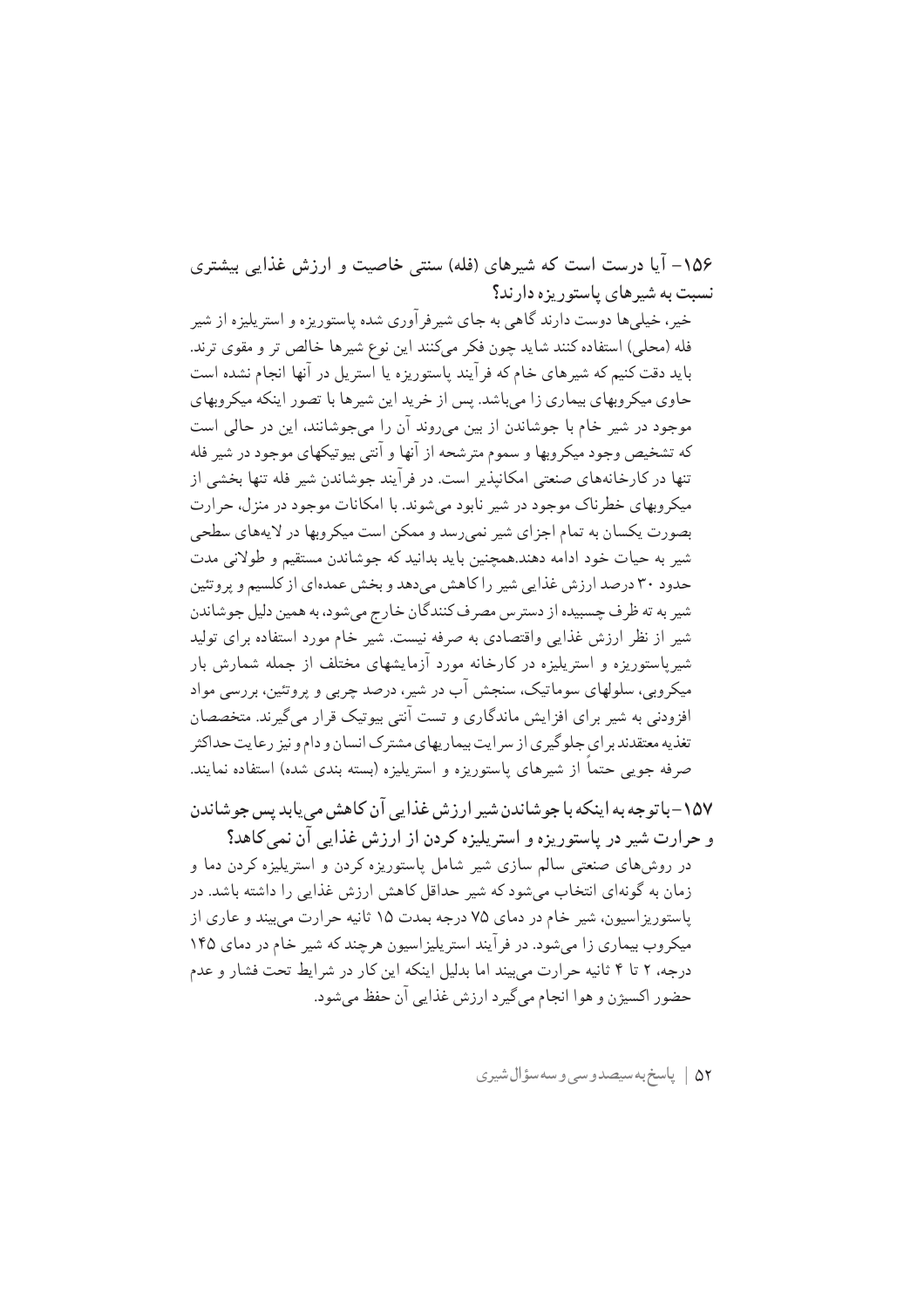۱۵۶– آیا درست است که شیرهای (فله) سنتی خاصیت و ارزش غذایی بیشتری نسبت به شیرهای پاستور بزه دارند؟

خیر ، خیلی ها دوست دارند گاهی به جای شیر فر آوری شده پاستوریز ه و استر پلیز ه از شیر فله (محلي) استفاده كنند شايد چون فكر مىكنند اين نوع شيرها خالص تر و مقوى ترند. باید دقت کنیم که شیرهای خام که فر آیند پاستوریزه یا استریل در آنها انجام نشده است حاوی میکر وبهای بیماری زا می باشد. پس از خرید این شیرها با تصور اینکه میکر وبهای موجود در شیر خام با جوشاندن از بین میروند آن را میجوشانند، این در حالی است که تشخیص وجود میکروبها و سموم متر شحه از آنها و آنتی بیوتیکهای موجود در شیر فله تنها در کارخانههای صنعتی امکانیذیر است. در فرآیند جوشاندن شیر فله تنها بخشی از میکر وبهای خطرناک موجود در شیر نابود می شوند. با امکانات موجود در منزل، حرارت بصورت یکسان به تمام اجزای شیر نمیرسد و ممکن است میکروبها در لایههای سطحی شیر به حیات خود ادامه دهند.همچنین باید بدانید که جوشاندن مستقیم و طولانی مدت حدود ۳۰ درصد ارزش غذایی شیر را کاهش میدهد و بخش عمدهای از کلسیم و پروتئین شیر به ته ظرف چسبیده از دسترس مصرف کنندگان خارج میشود، به همین دلیل جوشاندن شیر از نظر ارزش غذایی واقتصادی به صرفه نیست. شیر خام مورد استفاده برای تولید شیریاستوریزه و استریلیزه در کارخانه مورد آزمایشهای مختلف از جمله شمارش بار میکروبی، سلولهای سوماتیک، سنجش آب در شیر، درصد چربی و پروتئین، بررسی مواد افزودنی به شیر برای افزایش ماندگاری و تست آنتی بیوتیک قرار می گیرند. متخصصان تغذیه معتقدند بر ای جلوگیری از سر ایت بیماریهای مشترک انسان و دام و نیز رعایت حداکثر صرفه جویبی حتماً از شیرهای پاستوریزه و استریلیزه (بسته بندی شده) استفاده نمایند.

١۵٧-باتوجه به اينكه با جوشاندن شير ارزش غذايي آن كاهش مي يابد پس جوشاندن و حرارت شیر در پاستوریزه و استریلیزه کردن از ارزش غذایی آن نمی کاهد؟ در روشهای صنعتی سالم سازی شیر شامل پاستوریزه کردن و استرپلیزه کردن دما و زمان به گونهای انتخاب میشود که شیر حداقل کاهش ارزش غذایی را داشته باشد. در ياستوريز اسيون، شير خام در دماي ٧٥ درجه بمدت ١٥ ثانيه حرارت مي بيند و عاري از میکروب بیماری زا می شود. در فر آیند استر پلیز اسپون هرچند که شیر خام در دمای ۱۴۵ درجه، ۲ تا ۴ ثانیه حرارت می بیند اما بدلیل اینکه این کار در شرایط تحت فشار و عدم حضور اکسیژن و هوا انجام می گیر د ارزش غذایی آن حفظ می شود.

۵۲ | پاسخ به سیصدوسی و سه سؤال شیری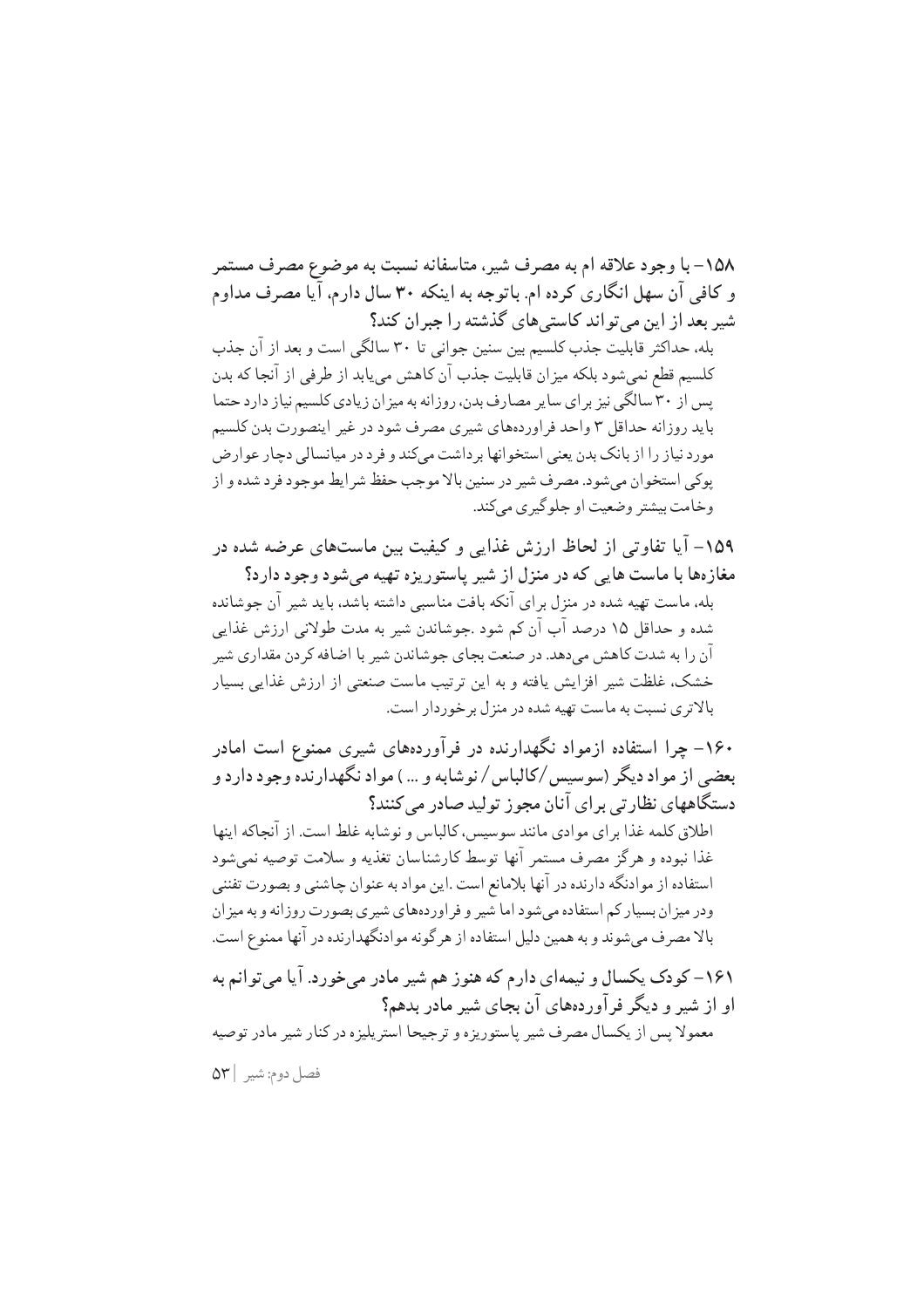١٥٨- با وجود علاقه ام به مصرف شير، متاسفانه نسبت به موضوع مصرف مستمر و کافی آن سهل انگاری کرده ام. باتوجه به اینکه ۳۰ سال دارم، آیا مصرف مداوم شیر بعد از این میتواند کاستی های گذشته را جبران کند؟

بله، حداکثر قابلیت جذب کلسیم بین سنین جوانی تا ۳۰ سالگی است و بعد از آن جذب كلسيم قطع نمي شود بلكه ميزان قابليت جذب آن كاهش مي يابد از طرفي از آنجا كه بدن یس از ۳۰ سالگی نیز بر ای سایر مصارف بدن، روزانه به میز ان زیادی کلسیم نیاز دارد حتما باید روزانه حداقل ۳ واحد فراوردههای شیری مصرف شود در غیر اینصورت بدن کلسیم مورد نیاز را از بانک بدن یعنی استخوانها بر داشت میکند و فر د در میانسالی دچار عوارض پوکي استخوان مي شود. مصرف شير در سنين بالا موجب حفظ شرايط موجود فرد شده و از وخامت بيشتر وضعيت او جلوگيري مي كند.

۱۵۹– آیا تفاوتی از لحاظ ارزش غذایی و کیفیت بین ماستهای عرضه شده در مغازهها با ماست هایی که در منزل از شیر پاستوریزه تهیه می شود وجود دارد؟

بله، ماست تهیه شده در منزل برای آنکه بافت مناسبی داشته باشد، باید شیر آن جوشانده شده و حداقل ۱۵ درصد آب آن کم شود .جوشاندن شیر به مدت طولانی ارزش غذایی آن را به شدت کاهش میدهد. در صنعت بجای جوشاندن شیر با اضافه کردن مقداری شیر خشک، غلظت شیر افزایش یافته و به این ترتیب ماست صنعتی از ارزش غذایی بسیار بالاتری نسبت به ماست تهیه شده در منزل بر خوردار است.

۱۶۰– چرا استفاده ازمواد نگهدارنده در فرآوردههای شیری ممنوع است امادر بعضی از مواد دیگر (سوسیس/کالباس/نوشابه و …) مواد نگهدارنده وجود دارد و دستگاههای نظارتی برای آنان مجوز تولید صادر می کنند؟

اطلاق کلمه غذا برای موادی مانند سوسیس، کالیاس و نوشابه غلط است. از آنجاکه اینها غذا نبوده و هرگز مصرف مستمر آنها توسط كارشناسان تغذيه و سلامت توصيه نمي شود استفاده از موادنگه دارنده در آنها بلامانع است .این مواد به عنوان چاشنی و بصورت تفننی ودر میزان بسیار کم استفاده می شود اما شیر و فراوردههای شیری بصورت روزانه و به میزان بالا مصرف میشوند و به همین دلیل استفاده از هرگونه موادنگهدارنده در آنها ممنوع است.

۱۶۱– کودک پکسال و نیمهای دارم که هنوز هم شیر مادر می خورد. آیا می توانم به او از شیر و دیگر فرآوردههای آن بجای شیر مادر بدهم؟ معمولا يس از يكسال مصرف شير پاستوريزه و ترجيحا استريليزه در كنار شير مادر توصيه فصل دوم: شير ٥٣|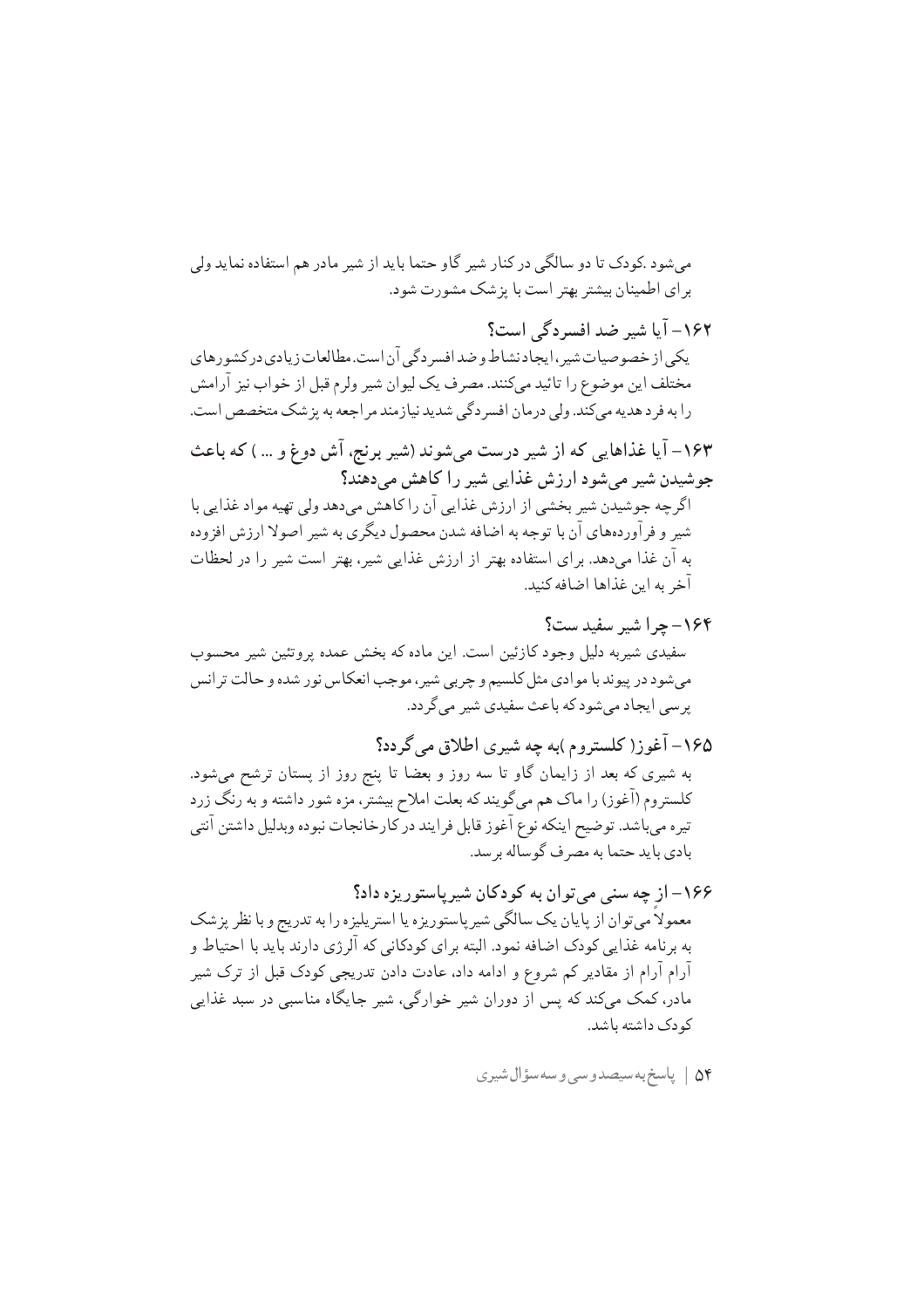مے شود کودک تا دو سالگے در کنار شیر گاو حتما باید از شیر مادر هم استفاده نماید ولی برای اطمینان بیشتر بهتر است با پزشک مشورت شود.

١۶٢- آیا شیر ضد افسردگی است؟ یکی از خصوصیات شیر، ایجاد نشاط و ضد افسر دگی آن است.مطالعات زیادی در کشورهای مختلف این موضوع را تائید میکنند. مصرف یک لیوان شیر ولرم قبل از خواب نیز آرامش را به فرد هديه مي كند. ولي درمان افسر دگي شديد نيازمند مر اجعه به پز شک متخصص است.

۱۶۳– آیا غذاهایی که از شیر درست میشوند (شیر برنج، آش دوغ و … ) که باعث جوشیدن شیر میشود ارزش غذایی شیر را کاهش میدهند؟ اگرچه جوشیدن شیر بخشی از ارزش غذایی آن را کاهش میدهد ولی تهیه مواد غذایی با شیر و فرآوردههای آن با توجه به اضافه شدن محصول دیگری به شیر اصولا ارزش افزوده

به آن غذا میدهد. برای استفاده بهتر از ارزش غذایی شیر، بهتر است شیر را در لحظات آخر به این غذاها اضافه کنید.

۱۶۴ - چرا شیر سفید ست؟ سفیدی شیربه دلیل وجود کازئین است. این ماده که بخش عمده پروتئین شیر محسوب می شود در پیوند با موادی مثل کلسیم و چربی شیر، موجب انعکاس نور شده و حالت ترانس یر سی ایجاد می شود که باعث سفیدی شیر می گردد.

۱۶۵– آغوز( کلستروم )به چه شیری اطلاق می گردد؟ به شیری که بعد از زایمان گاو تا سه روز و بعضا تا پنج روز از پستان ترشح میشود. کلستروم (آغوز) را ماک هم میگویند که بعلت املاح بیشتر، مزه شور داشته و به رنگ زرد تيره ميباشد. توضيح اينكه نوع آغوز قابل فرايند در كارخانجات نبوده وبدليل داشتن آنتي بادي بايد حتما به مصرف گوساله برسد.

۱۶۶– از چه سنی می توان به کودکان شیریاستوریزه داد؟ معمولاً مي توان از پايان يک سالگي شيرپاستوريزه يا استريليزه را به تدريج و با نظر پزشک به برنامه غذایی کودک اضافه نمود. البته برای کودکانی که آلرژی دارند باید با احتیاط و آرام آرام از مقادیر کم شروع و ادامه داد، عادت دادن تدریجی کودک قبل از ترک شیر مادر، کمک میکند که پس از دوران شیر خوارگی، شیر جایگاه مناسبی در سبد غذایی کو دک داشته باشد.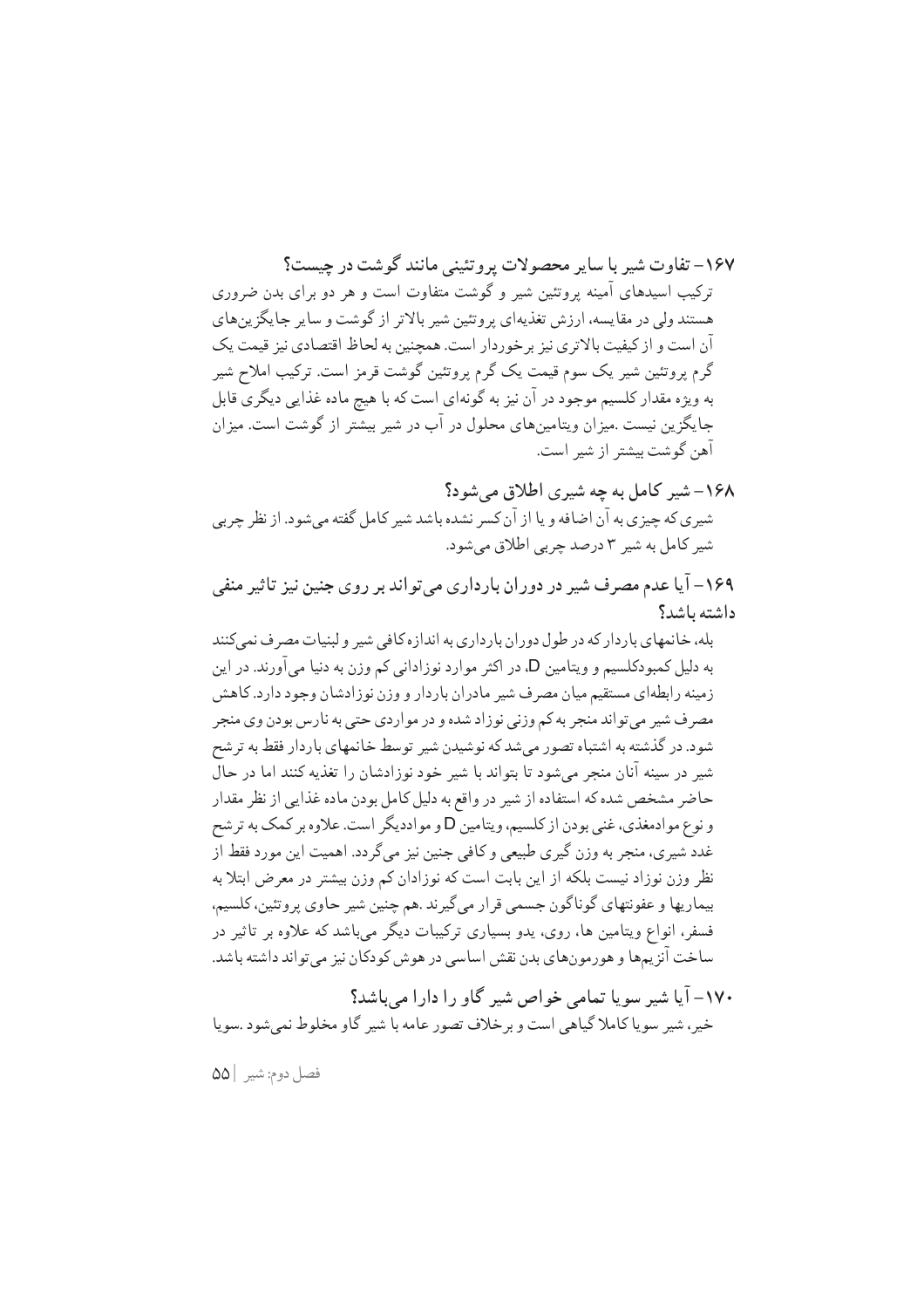۱۶۷– تفاوت شد با ساد محصولات برو تئینر مانند گوشت در حسبت؟ ترکیب اسیدهای آمینه پروتئین شیر و گوشت متفاوت است و هر دو برای بدن ضروری هستند ولی در مقایسه، ارزش تغذیهای پروتئین شیر بالاتر از گوشت و سایر جایگزین های آن است و از کیفیت بالاتری نیز بر خوردار است. همچنین به لحاظ اقتصادی نیز قیمت یک گرم پروتئین شیر یک سوم قیمت یک گرم پروتئین گوشت قرمز است. ترکیب املاح شیر به ویژه مقدار کلسیم موجود در آن نیز به گونهای است که با هیچ ماده غذایی دیگری قابل جایگزین نیست .میزان ویتامینهای محلول در آب در شیر بیشتر از گوشت است. میزان آهن گوشت بیشتر از شیر است.

۱۶۸– شیر کامل به چه شیری اطلاق میشود؟ شیری که چیزی به آن اضافه و یا از آن کسر نشده باشد شیر کامل گفته می شود. از نظر چربی شير کامل به شير ٣ درصد چربي اطلاق مي شود.

۱۶۹– آیا عدم مصرف شیر در دوران بارداری میتواند بر روی جنین نیز تاثیر منفی داشته باشد؟

بله، خانمهای باردار که در طول دوران بارداری به اندازه کافی شیر و لبنیات مصرف نمی کنند به دلیل کمبودکلسیم و ویتامین D، در اکثر موارد نوزادانی کم وزن به دنیا میآورند. در این زمینه رابطهای مستقیم میان مصرف شیر مادران باردار و وزن نوزادشان وجود دارد. کاهش مصرف شیر می تواند منجر به کم وزنی نوزاد شده و در مواردی حتبی به نارس بودن وی منجر شود. در گذشته به اشتباه تصور می شد که نوشیدن شیر توسط خانمهای باردار فقط به تر شح شیر در سینه آنان منجر میشود تا بتواند با شیر خود نوزادشان را تغذیه کنند اما در حال حاضر مشخص شده كه استفاده از شير در واقع به دليل كامل بودن ماده غذايي از نظر مقدار و نوع موادمغذي، غني بودن از كلسيم، ويتامين D و موادديگر است. علاوه بر كمك به ترشح غدد شیری، منجر به وزن گیری طبیعی و کافی جنین نیز می گردد. اهمیت این مورد فقط از نظر وزن نوزاد نیست بلکه از این بابت است که نوزادان کم وزن بیشتر در معرض ابتلا به بیماریها و عفونتهای گوناگون جسمی قرار می گیرند .هم چنین شیر حاوی پروتئین، کلسیم، فسفر، انواع ویتامین ها، روی، یدو بسیاری ترکیبات دیگر میباشد که علاوه بر تاثیر در ساخت آنزیمها و هورمونهای بدن نقش اساسی در هوش کودکان نیز میتواند داشته باشد.

۰۷۰– آیا شیر سویا تمام خواص شیر گاو را دارا مرباشد؟ خير، شير سويا كاملا گياهي است و بر خلاف تصور عامه با شير گاو مخلوط نمي شود .سويا

فصل دوم: شير ٥٥١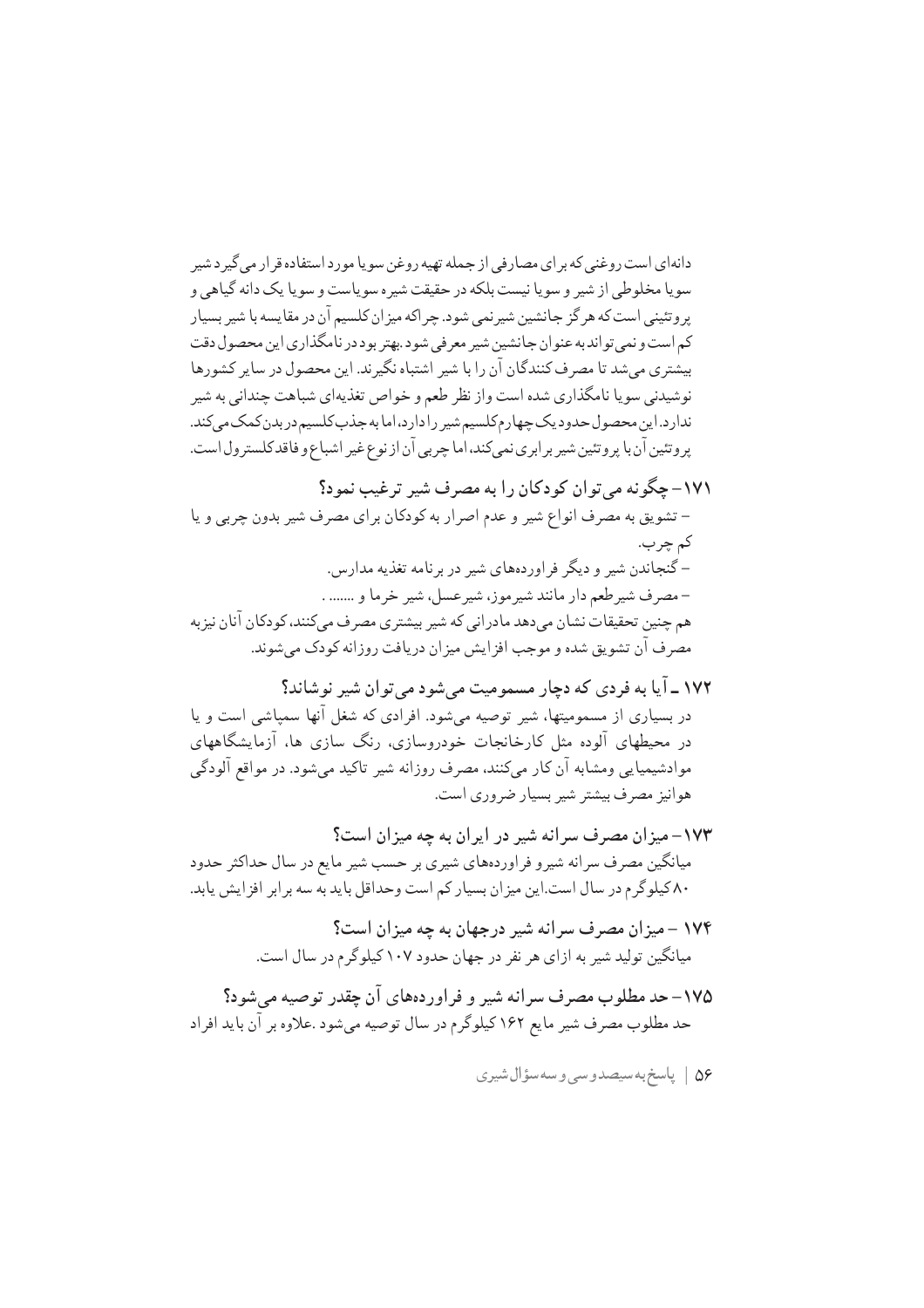دانهای است روغنی که بر ای مصارفی از جمله تهیه روغن سویا مورد استفاده قر ار می گیر د شیر سويا مخلوطي از شير و سويا نيست بلكه در حقيقت شيره سوياست و سويا يك دانه گياهي و پر و تئینی است که هر گز جانشین شیر نمی شود. چر اکه میز ان کلسیم آن در مقایسه با شیر بسیار کم است و نمي تو اند به عنو ان جانشين شيږ معر في شو د .بهتر بو د در نامگذاري اين محصول دقت بیشتری می شد تا مصرف کنندگان آن را با شیر اشتباه نگیر ند. این محصول در سایر کشورها نوشیدنی سویا نامگذاری شده است واز نظر طعم و خواص تغذیهای شباهت چندانی به شیر ندارد.این محصول حدود یک چهارم کلسیم شیر را دارد،اما به جذب کلسیم در بدن کمک می کند. پروتئین آن با پروتئین شیر برابری نمیکند، اما چربی آن از نوع غیر اشباع و فاقد کلسترول است.

۱۷۱ – حگو نه مر توان کودکان را به مصرف شیر ترغیب نمود؟ – تشويق به مصرف انواع شير و عدم اصرار به كودكان براي مصرف شير بدون چربي و يا کم چرب. –گنجاندن شیر و دیگر فراوردههای شیر در برنامه تغذیه مدارس. - مصرف شير طعم دار مانند شير موز، شير عسل، شير خرما و ....... . هم چنین تحقیقات نشان میدهد مادرانی که شیر بیشتری مصرف میکنند، کودکان آنان نیز به مصر ف آن تشویق شده و موجب افز ایش میز ان دریافت روز انه کودک می شوند.

- ۱۷۲ ـ آیا به فردی که دچار مسمومیت میشود میتوان شیر نوشاند؟ در بسیاری از مسمومیتها، شیر توصیه می شود. افرادی که شغل آنها سمیاشی است و پا در محیطهای آلوده مثل کارخانجات خودروسازی، رنگ سازی ها، آزمایشگاههای موادشیمیایی ومشابه آن کار میکنند، مصرف روزانه شیر تاکید میشود. در مواقع آلودگی هوانيز مصرف بيشتر شير بسيار ضروري است.
- ۱۷۳– میزان مصرف سرانه شیر در ایران به چه میزان است؟ میانگین مصرف سرانه شیرو فراوردههای شیری بر حسب شیر مایع در سال حداکثر حدود ۸۰ کیلوگرم در سال است.این میزان بسیار کم است وحداقل باید به سه برابر افزایش یابد.
	- ۱۷۴ میزان مصرف سرانه شیر درجهان به چه میزان است؟ میانگین تولید شیر به ازای هر نفر در جهان حدود ۱۰۷ کیلوگرم در سال است.
- ۱۷۵– حد مطلوب مصرف سرانه شیر و فراوردههای آن چقدر توصیه می شود؟ حد مطلوب مصر ف شیر مایع ۱۶۲ کیلوگر م در سال توصیه می شود .علاوه بر آن باید افراد
	- ۵۶ | پاسخ به سيصدوسي وسه سؤال شيري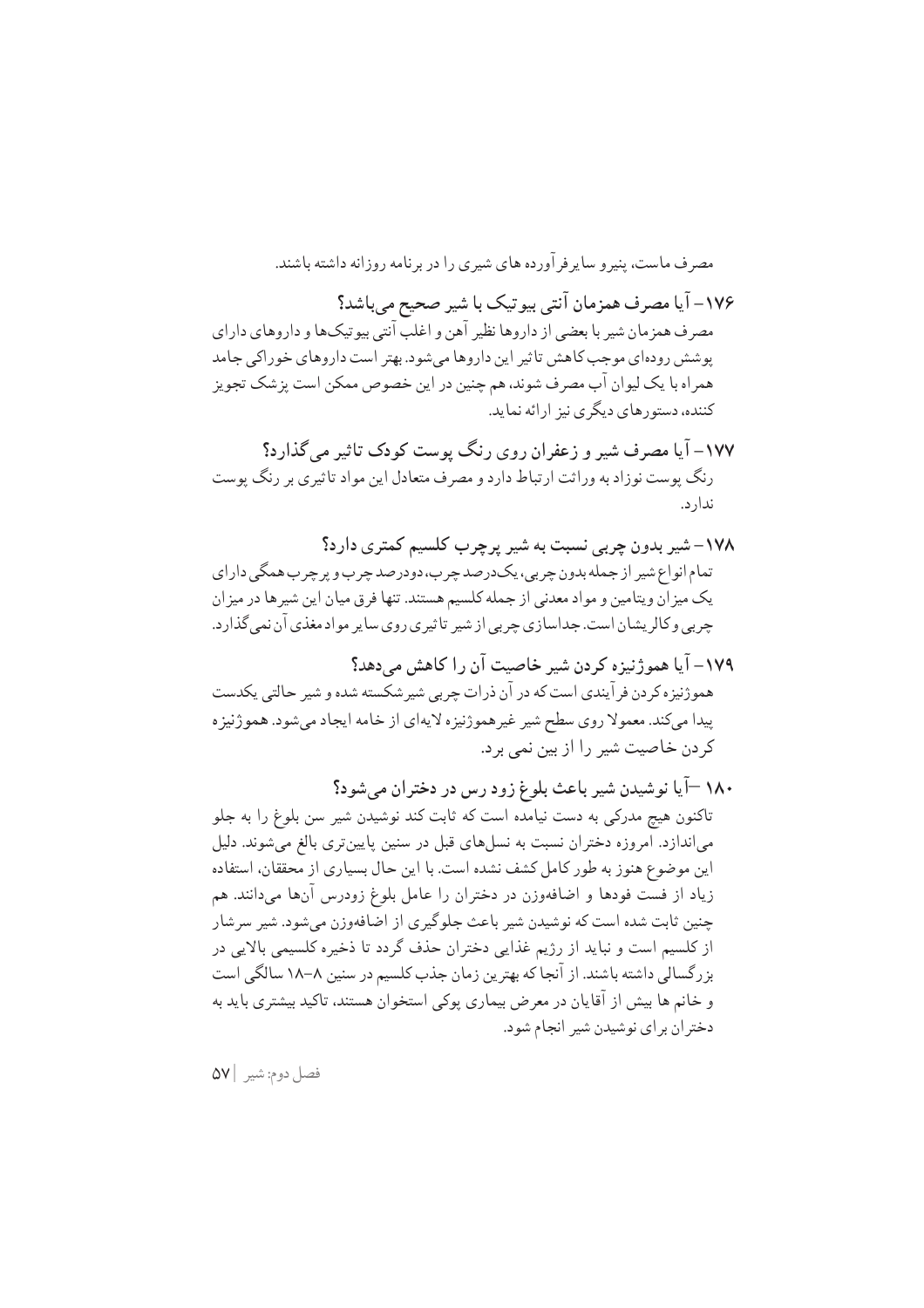مصر ف ماست، پنیر و سایر فر آورده های شیری را در برنامه روزانه داشته باشند. ۱۷۶- آیا مصرف همزمان آنتی بیوتیک با شیر صحیح میباشد؟

مصرف همزمان شیر با بعضی از داروها نظیر آهن و اغلب آنتی بیو تیکها و داروهای دارای پوشش رودهای موجب کاهش تاثیر این داروها می شود. بهتر است داروهای خوراکی جامد همراه با یک لیوان آب مصرف شوند، هم چنین در این خصوص ممکن است پزشک تجویز کننده، دستورهای دیگری نیز ارائه نماید.

- ۱۷۷– آیا مصرف شیر و زعفران روی رنگ پوست کودک تاثیر می گذارد؟ رنگ پوست نوزاد به وراثت ارتباط دارد و مصرف متعادل این مواد تاثیری بر رنگ پوست ندار د.
- ۱۷۸– شیر بدون چربی نسبت به شیر پرچرب کلسیم کمتری دارد؟ تمام انواع شير از جمله بدون چربي، پکدرصد چرب، دودرصد چرب و پر چرب همگې داراي یک میزان ویتامین و مواد معدنی از جمله کلسیم هستند. تنها فرق میان این شیرها در میزان چربی و کالریشان است. جداسازی چربی از شیر تاثیری روی سایر مواد مغذی آن نمی گذارد.
- ١٧٩- آيا همو ژنيزه كردن شير خاصيت آن را كاهش مي دهد؟ هموژنيزه کر دن فر آيندي است که در آن ذرات چربي شير شکسته شده و شير حالتي پکدست پیدا میکند. معمولا روی سطح شیر غیرهموژنیزه لایهای از خامه ایجاد میشود. هموژنیزه کر دن خاصیت شیر را از بین نمی بر د.
- ۱۸۰ –آیا نوشیدن شیر باعث بلوغ زود رس در دختران میشود؟ تاکنون هیچ مدرکی به دست نیامده است که ثابت کند نوشیدن شیر سن بلوغ را به جلو می|ندازد. امروزه دختران نسبت به نسلهای قبل در سنین پایین تری بالغ میشوند. دلیل این موضوع هنوز به طور کامل کشف نشده است. با این حال بسیاری از محققان، استفاده زیاد از فست فودها و اضافهوزن در دختران را عامل بلوغ زودرس آنها میدانند. هم چنین ثابت شده است که نوشیدن شیر باعث جلوگیری از اضافهوزن میشود. شیر سرشار از کلسیم است و نباید از رژیم غذایی دختران حذف گردد تا ذخیره کلسیمی بالایی در بزرگسالی داشته باشند. از آنجا که بهترین زمان جذب کلسیم در سنین ۸–۱۸ سالگی است و خانم ها بیش از آقایان در معرض بیماری پوکی استخوان هستند، تاکید بیشتری باید به دختر ان بر ای نوشیدن شیر انجام شود.

فصل دوم: شير ٥٧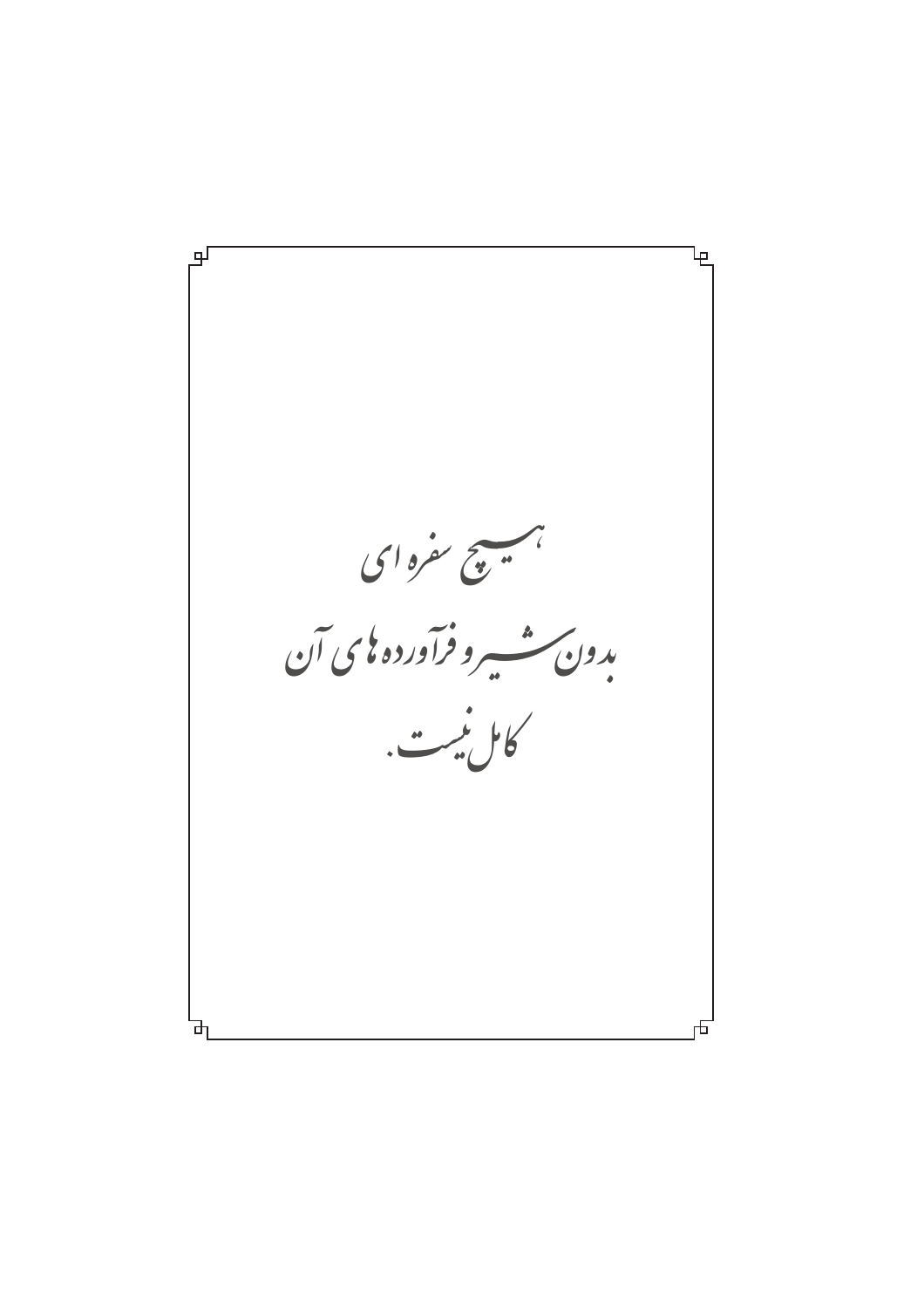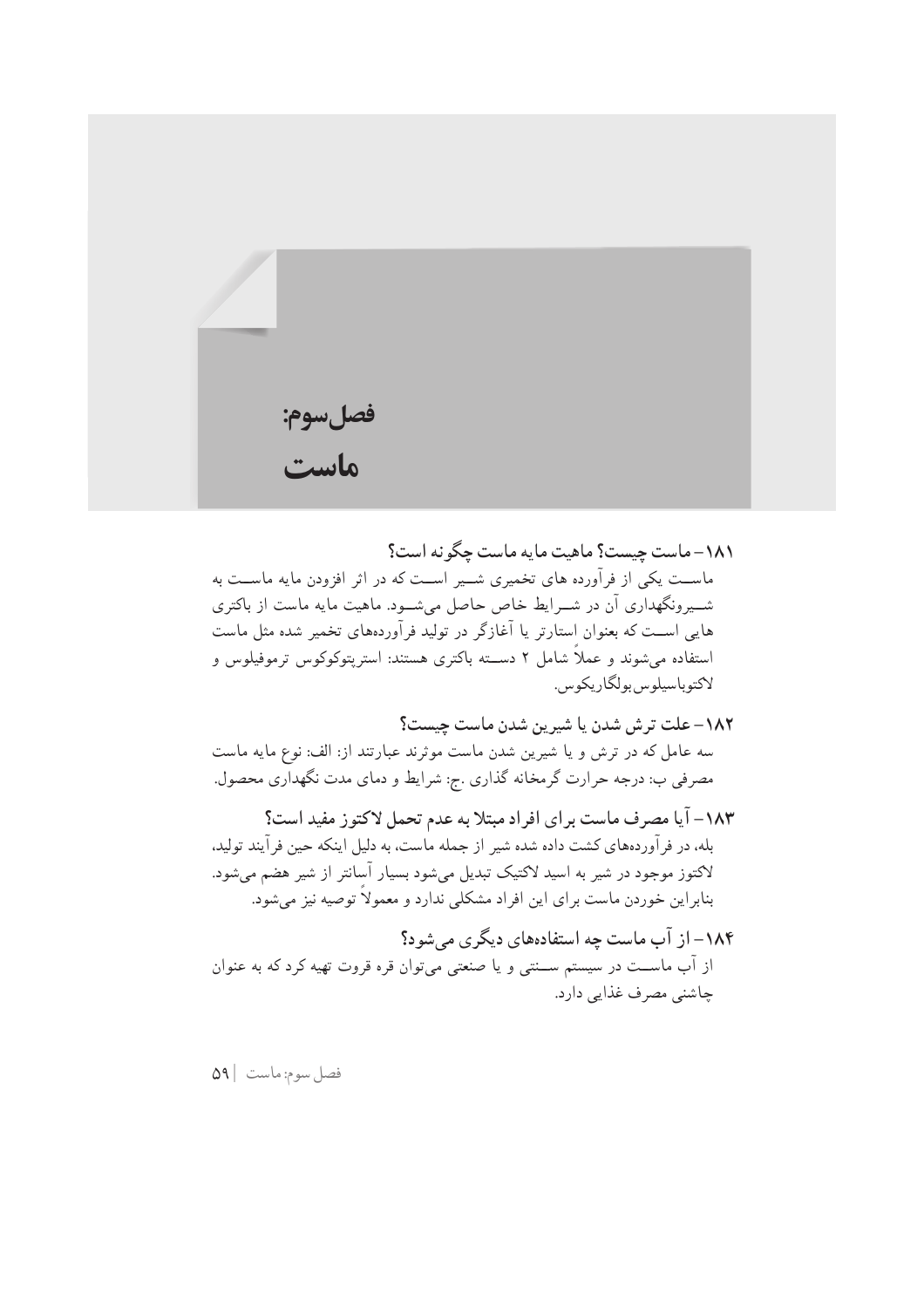| فصلسوم:<br><b>ماست</b> |  |  |
|------------------------|--|--|

١٨١–ماست چيست؟ ماهيت مايه ماست چگو نه است؟ ماســت یکی از فرآورده های تخمیری شــیر اســت که در اثر افزودن مایه ماســت به شــیرونگهداری آن در شــرایط خاص حاصل میشــود. ماهیت مایه ماست از باکتری هایی اســت که بعنوان استارتر یا آغازگر در تولید فرآوردههای تخمیر شده مثل ماست استفاده می شوند و عملاً شامل ۲ دســته باکتری هستند: استریتوکوکوس ترموفیلوس و لاكتوباسيلوس بولگاريكوس.

## ١٨٢– علت ترش شدن يا شيرين شدن ماست چيست؟

سه عامل که در ترش و یا شیرین شدن ماست موثرند عبارتند از: الف: نوع مایه ماست مصرفی ب: درجه حرارت گرمخانه گذاری .ج: شرایط و دمای مدت نگهداری محصول.

١٨٣- آيا مصرف ماست براي افراد مبتلا به عدم تحمل لاكتوز مفيد است؟ بله، در فرآوردههاي كشت داده شده شير از جمله ماست، به دليل اينكه حين فرآيند توليد، لاکتوز موجود در شیر به اسید لاکتیک تبدیل میشود بسیار آسانتر از شیر هضم میشود. بنابراین خوردن ماست برای این افراد مشکلی ندارد و معمولاً توصیه نیز میشود.

۱۸۴– از آب ماست چه استفادههای دیگری می شود؟ از آب ماســت در سیستم ســنتی و یا صنعتی میتوان قره قروت تهیه کرد که به عنوان چاشنی مصرف غذایی دارد.

فصل سوم: ماست | ٥٩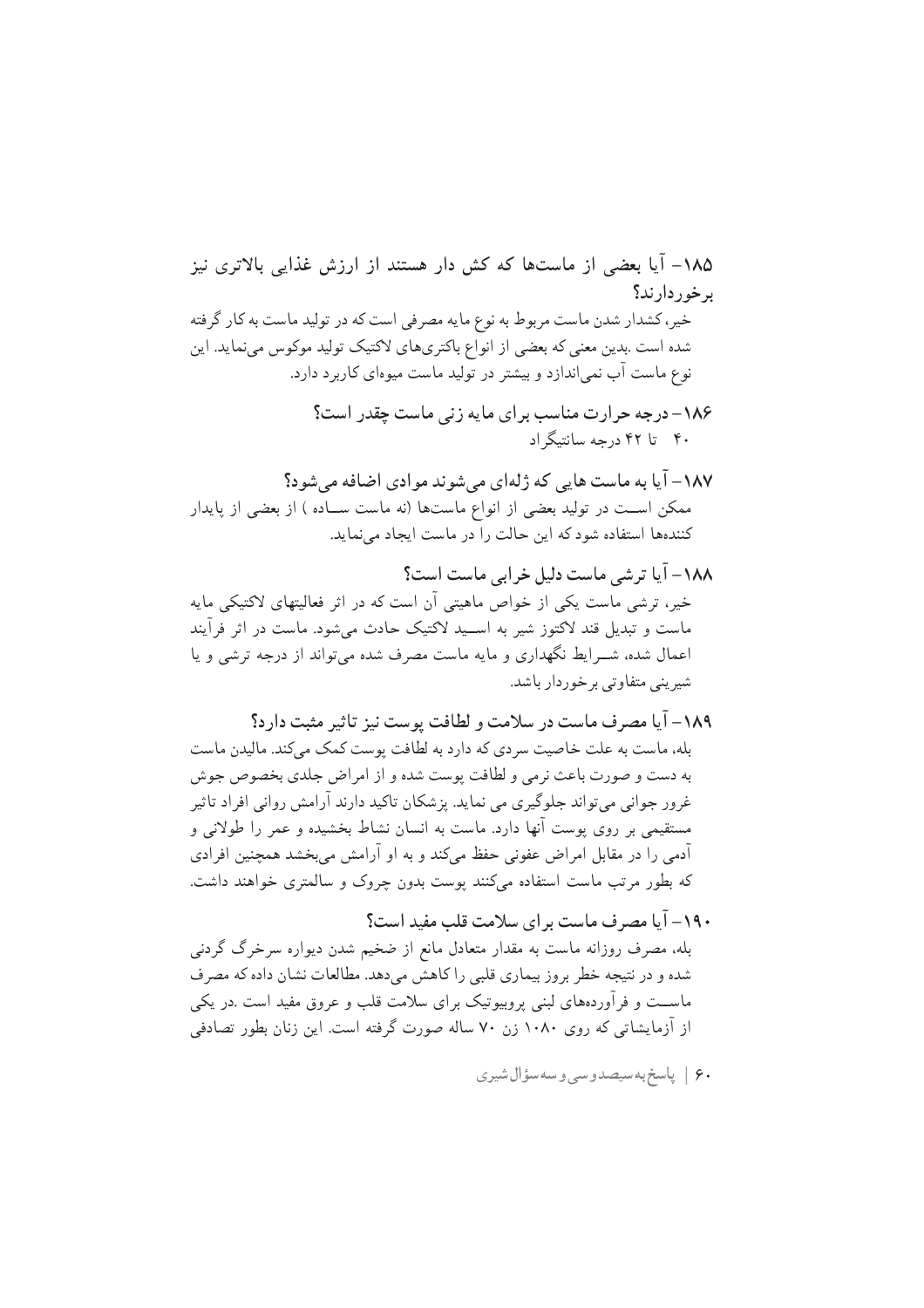۶۰ | پاسخ بهسیصدوسی و سهسؤال شیری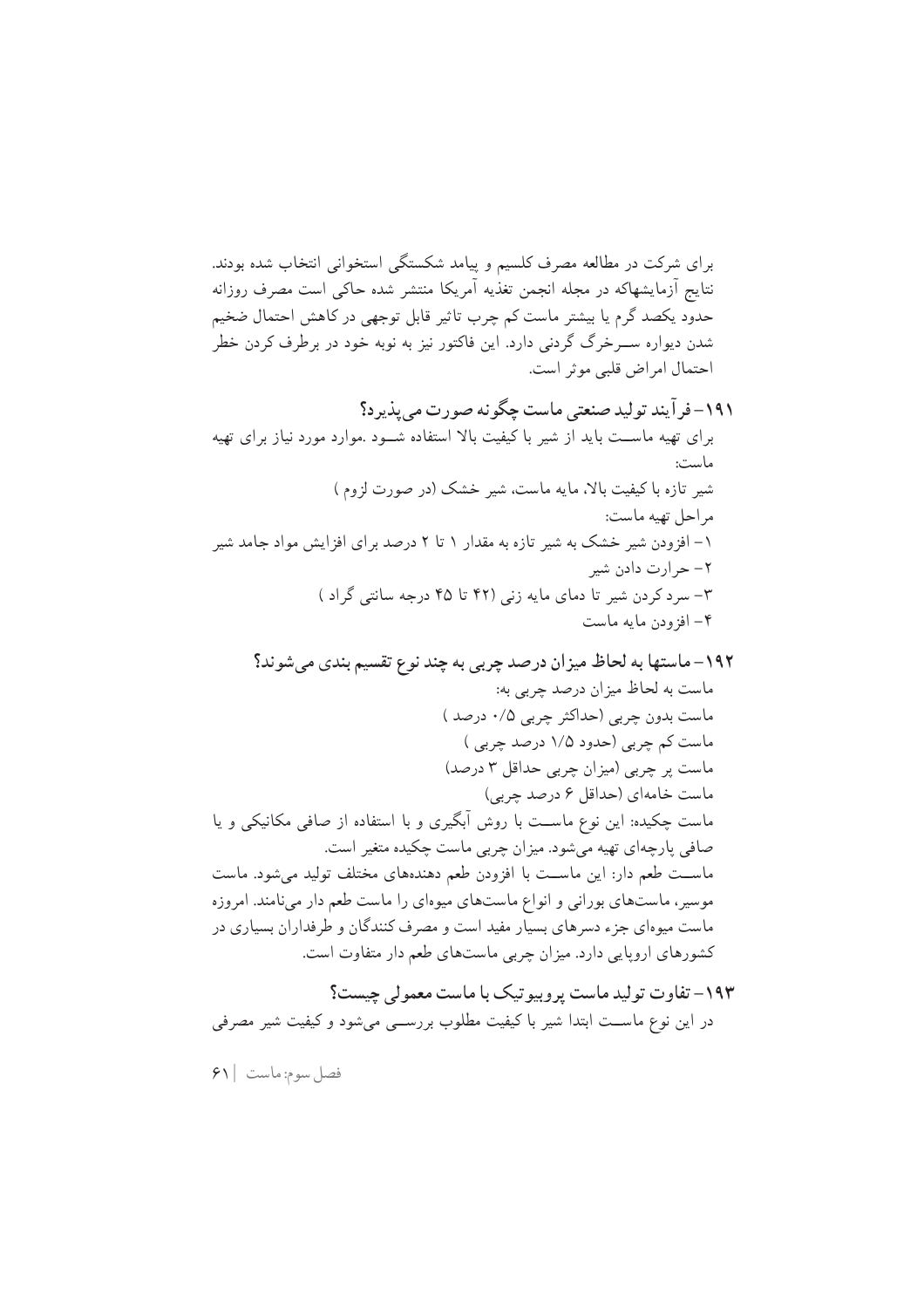برای شرکت در مطالعه مصرف کلسیم و پیامد شکستگی استخوانی انتخاب شده بودند. نتایج آزمایشهاکه در مجله انجمن تغذیه آمریکا منتشر شده حاکی است مصرف روزانه حدود یکصد گرم یا بیشتر ماست کم چرب تاثیر قابل توجهی در کاهش احتمال ضخیم شدن دیواره ســرخرگ گردنی دارد. این فاکتور نیز به نوبه خود در برطرف کردن خطر احتمال امراض قلبي موثر است.

فصل سوم: ماست |۶۱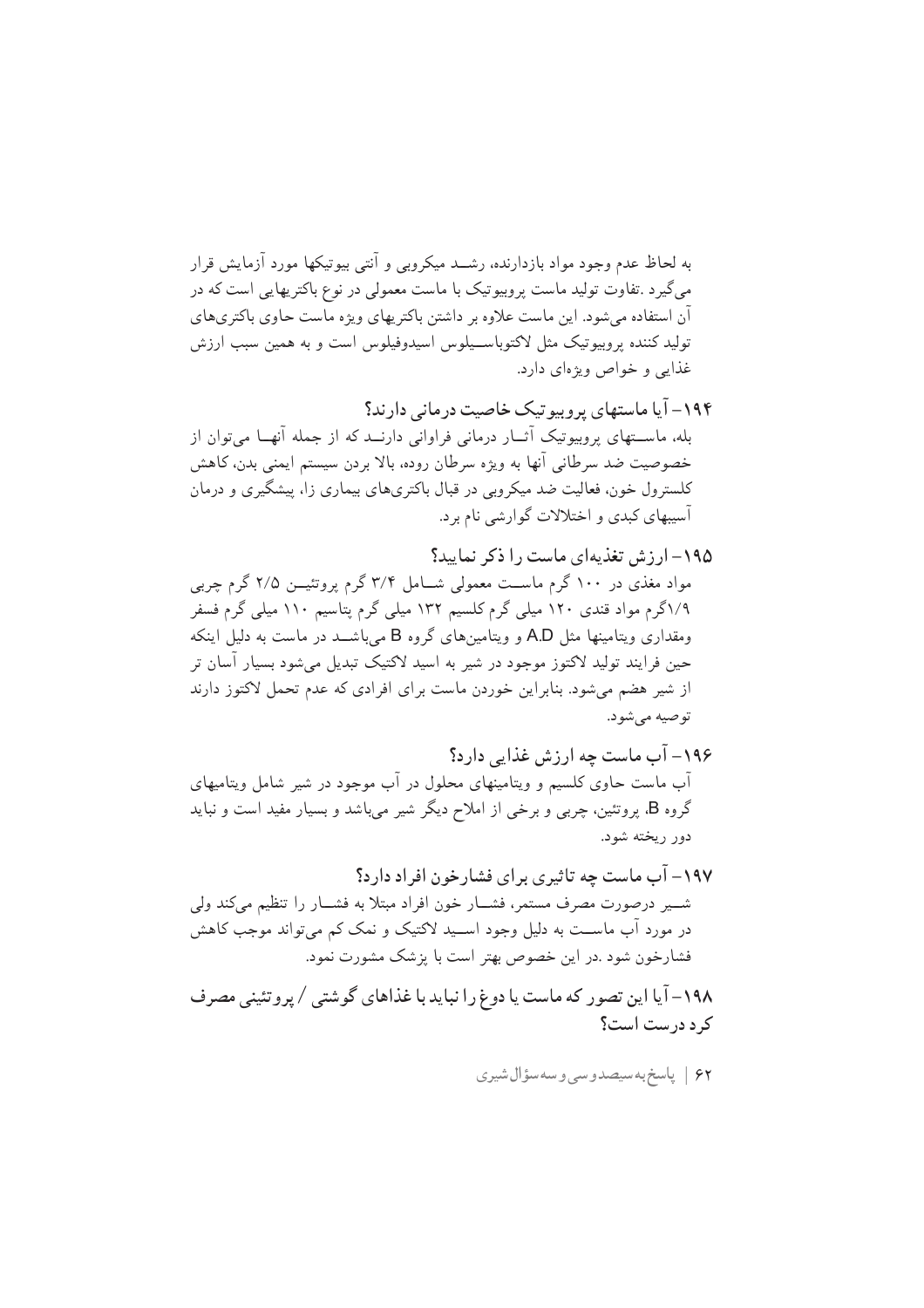به لحاظ عدم وجود مواد بازدارنده، رشــد میکروبی و آنتی بیوتیکها مورد آزمایش قرار میگیرد .تفاوت تولید ماست پروبیوتیک با ماست معمولی در نوع باکتریهایی است که در آن استفاده می شود. این ماست علاوه بر داشتن باکتر پهای ویژه ماست حاوی باکتریهای تولید کننده پروبیوتیک مثل لاکتوباسـیلوس اسپدوفیلوس است و به همین سبب ارزش غذایی و خواص ویژهای دارد.

۱۹۴– آیا ماستهای پروبیوتیک خاصیت درمانی دارند؟ بله، ماســتهای پروبیوتیک آثــار درمانی فراوانی دارنــد که از جمله آنهــا میٍتوان از خصوصیت ضد سرطانی آنها به ویژه سرطان روده، بالا بردن سیستم ایمنی بدن، کاهش کلسترول خون، فعالیت ضد میکروبی در قبال باکتریهای بیماری زا، پیشگیری و درمان آسیبهای کبدی و اختلالات گوارشی نام برد.

۱۹۸– آیا این تصور که ماست یا دوغ را نباید با غذاهای گوشتی / پروتئینی مصرف کر د درست است؟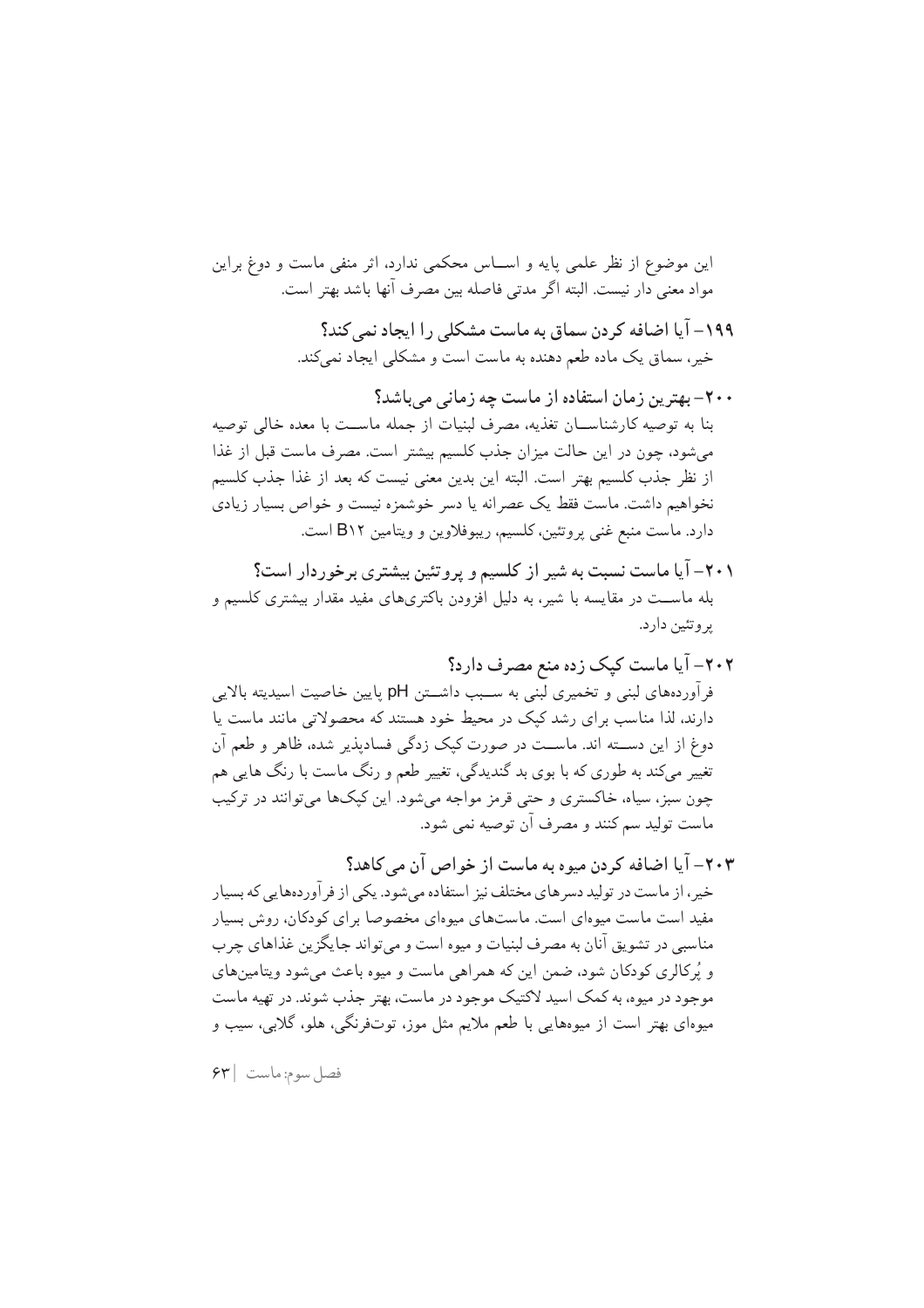این موضوع از نظر علمی پایه و اســاس محکمی ندارد، اثر منفی ماست و دوغ براین مواد معنى دار نيست. البته اگر مدتى فاصله بين مصرف آنها باشد بهتر است.

> ۱۹۹– آیا اضافه کردن سماق به ماست مشکلی را ایجاد نمی کند؟ خیر، سماق یک ماده طعم دهنده به ماست است و مشکلی ایجاد نمیکند.

۲۰۰– بهترین زمان استفاده از ماست چه زمانی می باشد؟ بنا به توصیه کارشناســان تغذیه، مصرف لبنیات از جمله ماســت با معده خالی توصیه مى شود، چون در اين حالت ميزان جذب كلسيم بيشتر است. مصرف ماست قبل از غذا از نظر جذب كلسيم بهتر است. البته اين بدين معنى نيست كه بعد از غذا جذب كلسيم نخواهیم داشت. ماست فقط یک عصرانه یا دسر خوشمزه نیست و خواص بسیار زیادی دارد. ماست منبع غني پروتئين، كلسيم، ريبوفلاوين و ويتامين B١٢ است.

- ۲۰۱– آیا ماست نسبت به شیر از کلسیم و پروتئین بیشتری برخوردار است؟ بله ماسـت در مقایسه با شیر، به دلیل افزودن باکتریهای مفید مقدار بیشتری کلسیم و یروتئین دارد.
- ۲۰۲– آیا ماست کیک زده منع مصرف دارد؟ فر آوردههای لبنی و تخمیری لبنی به ســبب داشــتن pH پایین خاصیت اسیدیته بالایی دارند، لذا مناسب برای رشد کیک در محیط خود هستند که محصولاتی مانند ماست یا دوغ از این دســته اند. ماســت در صورت کیک زدگی فسادیذیر شده، ظاهر و طعم آن تغییر میکند به طوری که با بوی بد گندیدگی، تغییر طعم و رنگ ماست با رنگ هایی هم چون سبز، سیاه، خاکستری و حتبی قرمز مواجه میشود. این کیکها میتوانند در ترکیب ماست توليد سم كنند و مصرف آن توصيه نمي شود.
- ۲۰۳– آیا اضافه کردن میوه به ماست از خواص آن مے کاهد؟ خیر ، از ماست در تولید دسر های مختلف نیز استفاده می شود. یکی از فر آوردههایی که بسیار مفید است ماست میوهای است. ماستهای میوهای مخصوصا برای کودکان، روش بسیار مناسبي در تشويق آنان به مصرف لبنيات و ميوه است و مي تواند جايگزين غذاهاي چرب و پُرکالری کودکان شود، ضمن این که همراهی ماست و میوه باعث می شود ویتامینهای موجود در میوه، به کمک اسید لاکتیک موجود در ماست، بهتر جذب شوند. در تهیه ماست میوهای بهتر است از میوههایی با طعم ملایم مثل موز، توتفرنگی، هلو، گلابی، سیب و

فصل سوم: ماست | ۶۳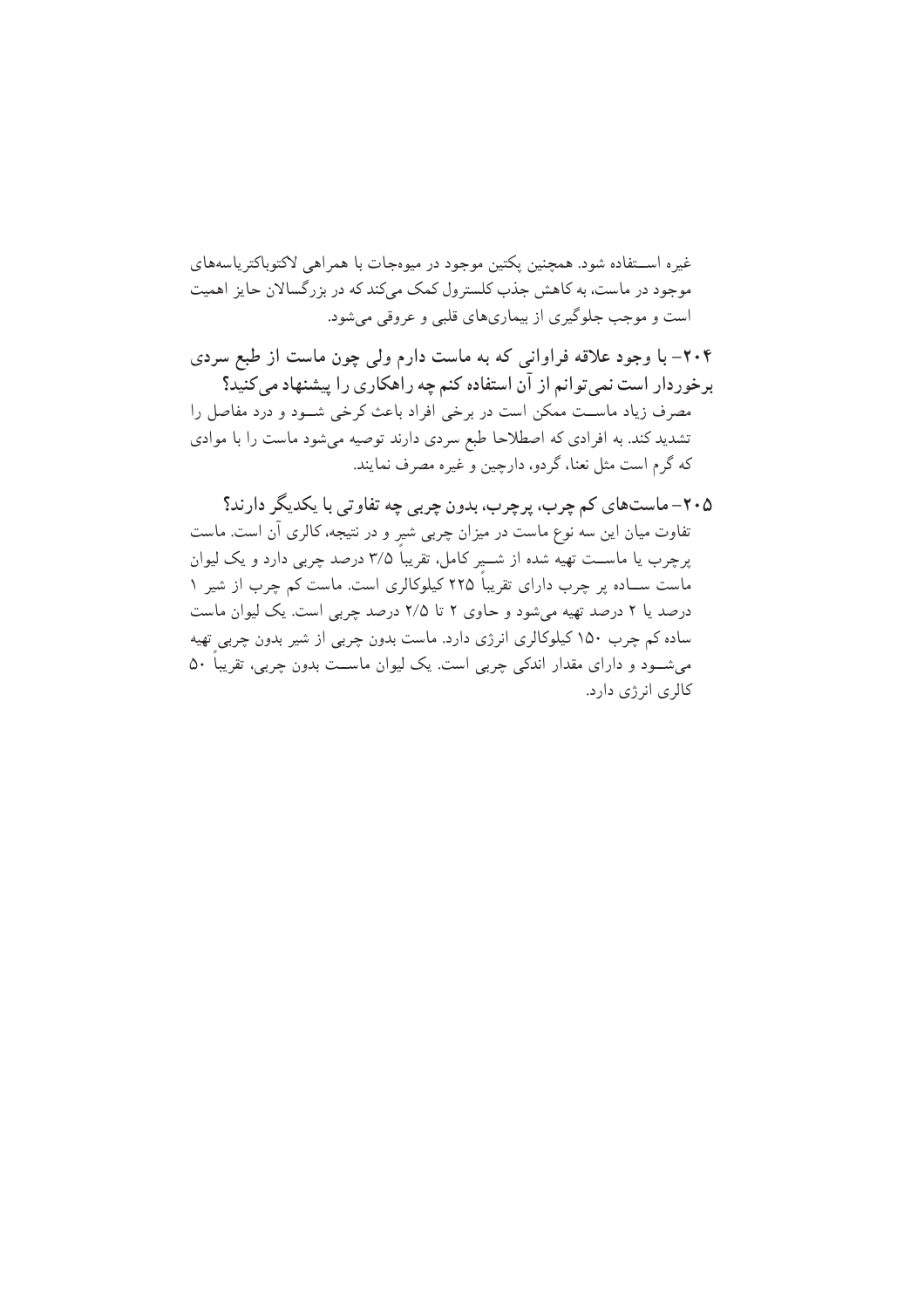غیره اســتفاده شود. همچنین پکتین موجود در میوهجات با همراهی لاکتوباکترپاسههای موجود در ماست، به کاهش جذب کلسترول کمک میکند که در بزرگسالان حایز اهمیت است و موجب جلوگیری از بیماریهای قلبی و عروقی میشود.

۲۰۴– با وجود علاقه فراوانی که به ماست دارم ولی چون ماست از طبع سردی برخوردار است نمی توانم از آن استفاده کنم چه راهکاری را پیشنهاد می کنید؟ مصرف زیاد ماست ممکن است در برخی افراد باعث کرخی شـود و درد مفاصل را تشدید کند. به افرادی که اصطلاحا طبع سردی دارند توصیه می شود ماست را با موادی كه گرم است مثل نعنا، گردو، دارچين و غيره مصرف نمايند.

۲۰۵– ماستهای کم چرب، پرچرب، بدون چربی چه تفاوتی با یکدیگر دارند؟ تفاوت میان این سه نوع ماست در میزان چربی شیر و در نتیجه، کالری آن است. ماست پرچرب یا ماســت تهیه شده از شـــیر کامل. تقریباً ۳/۵ درصد چربی دارد و یک لیوان ماست ســاده بر چرب دارای تقریباً ۲۲۵ کیلوکالری است. ماست کم چرب از شیر ۱ درصد یا ۲ درصد تهیه میشود و حاوی ۲ تا ۲/۵ درصد چربی است. یک لیوان ماست ساده کم چرب ۱۵۰ کیلوکالری انرژی دارد. ماست بدون چربی از شیر بدون چربی تهیه می شود و دارای مقدار اندکی چربی است. یک لیوان ماست بدون چربی، تقریباً ۵۰ کالری انرژی دارد.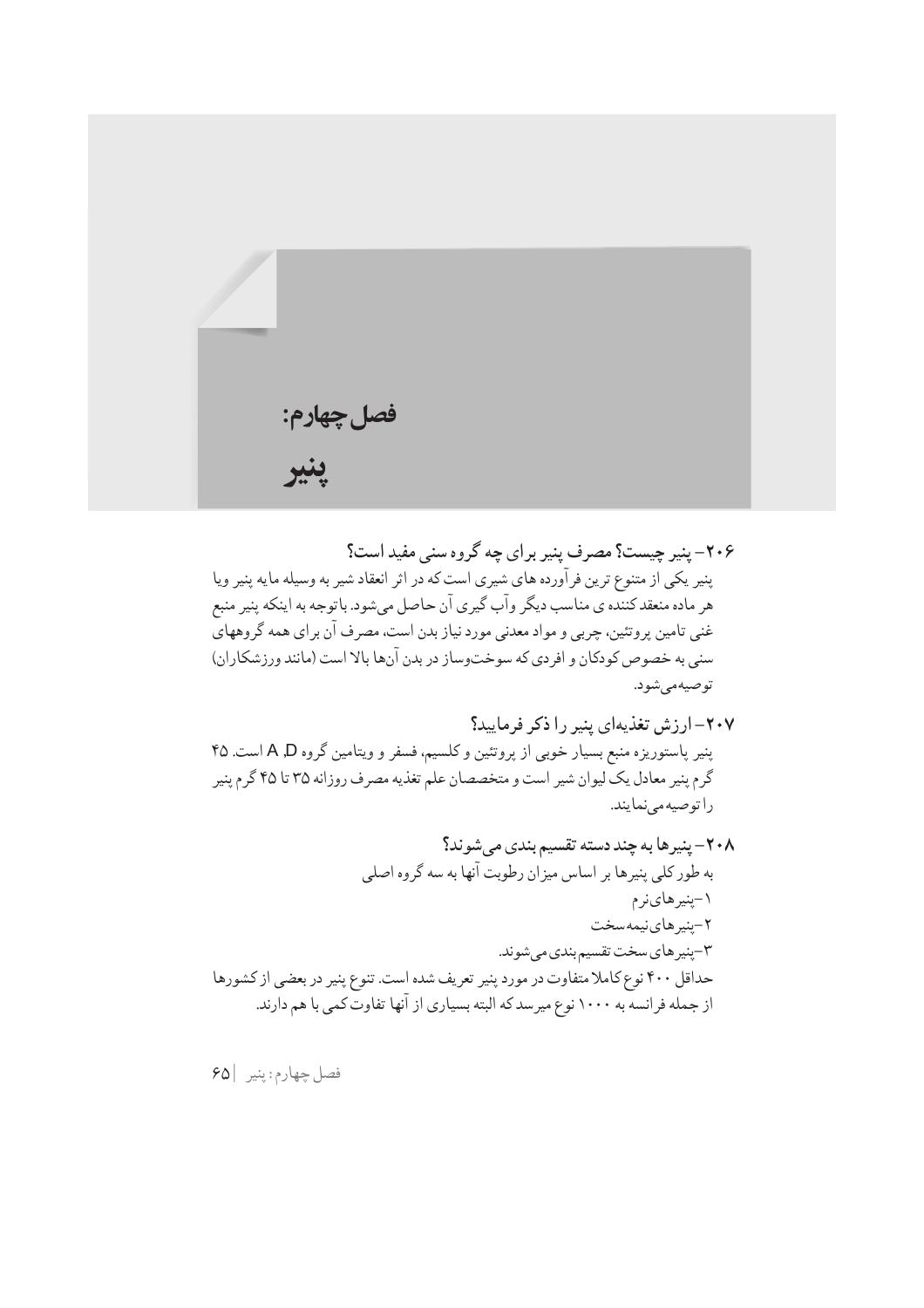

۲۰۶– پنیر چیست؟ مصرف پنیر برای چه گروه سنی مفید است؟ پنیر یکی از متنوع ترین فرآورده های شیری است که در اثر انعقاد شیر به وسیله مایه پنیر ویا هر ماده منعقدکننده ي مناسب ديگر وآب گيري آن حاصل ميشود. باتوجه به اينکه پنير منبع غنی تامین پروتئین، چربی و مواد معدنی مورد نیاز بدن است، مصرف آن برای همه گروههای سنی به خصوص کودکان و افردی که سوختوساز در بدن آنها بالا است (مانند ورزشکاران) توصيهمىشود.

٢٠٧- ارزش تغذيهاي ينير را ذكر فرماييد؟ پنیر پاستوریزه منبع بسیار خوبی از پروتئین و کلسیم، فسفر و ویتامین گروه A ,D است. ۴۵ گرم پنیر معادل یک لیوان شیر است و متخصصان علم تغذیه مصرف روزانه ۳۵ تا ۴۵ گرم پنیر را توصيه مي نما يند.

فصل چهارم: پنير |۶۵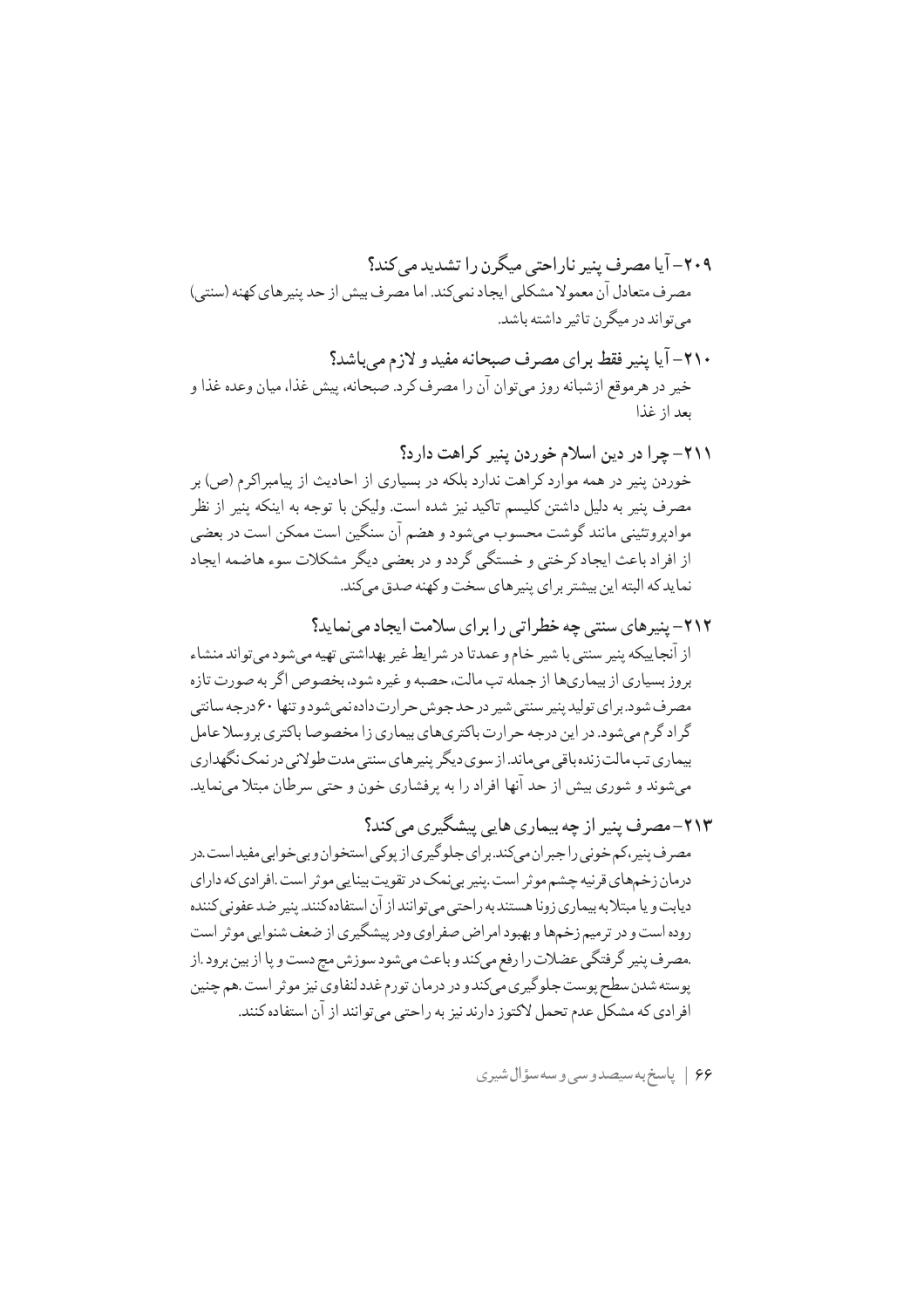- ۲۱۰– آیا پنیر فقط برای مصرف صبحانه مفید و لازم می باشد؟ خير در هرموقع ازشبانه روز مي توان آن را مصرف كر د. صبحانه، پيش غذا، ميان وعده غذا و ىعد از غذا
- ٢١١- چرا در دين اسلام خوردن پنير كراهت دارد؟ خوردن پنیر در همه موارد کراهت ندارد بلکه در بسیاری از احادیث از پیامبراکرم (ص) بر مصرف پنیر به دلیل داشتن کلیسم تاکید نیز شده است. ولیکن با توجه به اینکه پنیر از نظر موادپروتئینی مانند گوشت محسوب میشود و هضم آن سنگین است ممکن است در بعضی از افراد باعث ایجاد کرختی و خستگی گردد و در بعضی دیگر مشکلات سوء هاضمه ایجاد نما يد كه البته اين بيشتر بر اي پنير هاي سخت و كهنه صدق مه كند.
- ۲۱۲– پنیرهای سنتی چه خطراتی را برای سلامت ایجاد می نماید؟ از آنجاييكه پنير سنتي با شير خام و عمدتا در شر ايط غير بهداشتي تهيه مي شود مي تواند منشاء بروز بسیاری از بیماریها از جمله تب مالت، حصبه و غیره شود، بخصوص اگر به صورت تازه مصرف شود. بر ای تولید پنیر سنتی شیر در حد جوش حر ارت داده نمی شود و تنها ۶۰ درجه سانتی گر اد گرم می شود. در این درجه حر ارت باکتری های بیماری زا مخصوصا باکتری بر وسلا عامل بیماری تب مالت زنده باقی می ماند. از سوی دیگر پنیر های سنتی مدت طولانی در نمک نگهداری می شوند و شوری بیش از حد آنها افراد را به پرفشاری خون و حتی سرطان مبتلا مینماید.
- ۲۱۳–مصرف پنیر از چه بیماری هایی پیشگیری مے کند؟ مصرف پنیر،کم خونی را جبران میکند.برای جلوگیری از پوکی استخوان و بی خوابی مفید است.در درمان زخمهاي قرنيه چشم موثر است .پنير بي نمک در تقويت بينايي ,موثر است .افر ادي که داراي دیابت و یا مبتلا به بیماری زونا هستند به راحتی می توانند از آن استفاده کنند. پنیر ضد عفونی کننده روده است و در ترمیم زخمها و بهبود امراض صفراوی ودر پیشگیری از ضعف شنوایی موثر است .مصرف پنیر گرفتگی عضلات را رفع میکند و باعث می شود سوزش مج دست و یا از بین برود .از پوسته شدن سطح پوست جلوگیری میکند و در درمان تورم غدد لنفاوی نیز موثر است .هم چنین افر ادي كه مشكل عدم تحمل لاكتوز دارند نيز به راحتي مي توانند از آن استفاده كنند.

۶۶ | پاسخ به سیصدوسی وسه سؤال شیری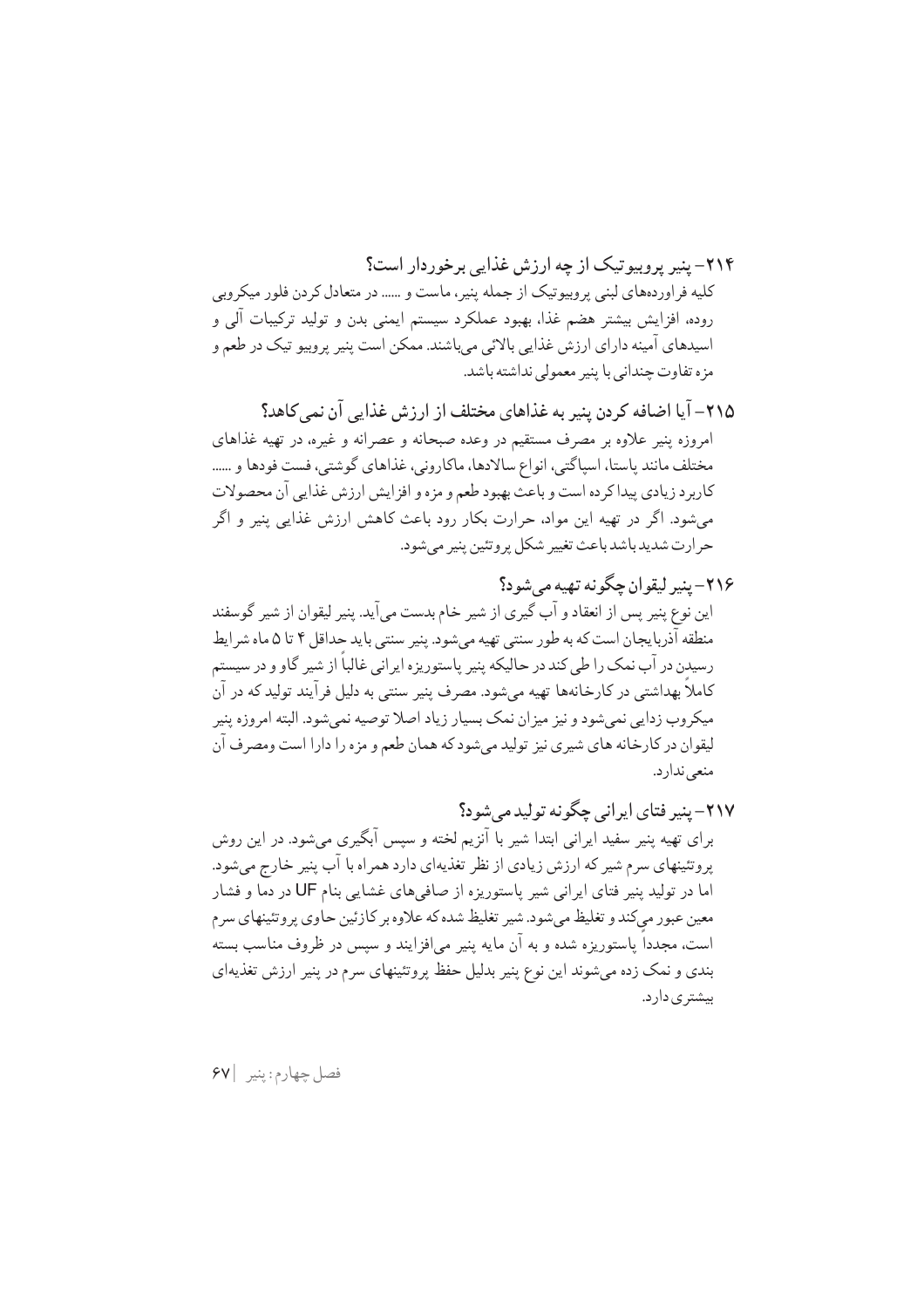۲۱۴- بنیر پروسو تیک از چه ارزش غذایی برخوردار است؟ کلیه فراوردههای لبنی پروبیوتیک از جمله پنیر، ماست و ...... در متعادل کردن فلور میکروبی روده، افزایش بیشتر هضم غذا، بهبود عملکرد سیستم ایمنی بدن و تولید ترکیبات آلمی و اسیدهای آمینه دارای ارزش غذایی بالائی میباشند. ممکن است پنیر پروبیو تیک در طعم و مزه تفاوت چندانی با پنیر معمولی نداشته باشد.

- ۲۱۵– آیا اضافه کردن پنیر به غذاهای مختلف از ارزش غذایی آن نمی کاهد؟ امروزه پنیر علاوه بر مصرف مستقیم در وعده صبحانه و عصرانه و غیره، در تهیه غذاهای مختلف مانند پاستا، اسپاگتی، انواع سالادها، ماکارونی، غذاهای گوشتی، فست فودها و ...... كاربرد زيادي ييداكر ده است و باعث بهبود طعم و مزه و افز ايش ارزش غذايي آن محصولات می شود. اگر در تھیه این مواد، حرارت بکار رود باعث کاهش ارزش غذایی پنیر و اگر حرارت شديد باشد باعث تغيير شكل پروتئين پنير مي شود.
- ۲۱۶– پنير ليقوان چگونه تهيه مي شود؟ اين نوع پنير پس از انعقاد و آب گيري از شير خام بدست مي آيد. پنير ليقوان از شير گوسفند منطقه آذربايجان است كه به طور سنتي تهيه ميشود. پنير سنتي بايد حداقل ۴ تا ۵ ماه شر ايط رسیدن در آب نمک را طی کند در حالیکه پنیر پاستوریزه ایرانی غالباً از شیر گاو و در سیستم کاملاً بھداشتے ور کارخانهھا تھیه مے شود. مصرف پنیر سنتے به دلیل فرآیند تولید که در آن میکروب زدایی نمیشود و نیز میزان نمک بسیار زیاد اصلا توصیه نمیشود. البته امروزه پنیر ليقوان در كارخانه هاي شيږي نيز توليد مي شود كه همان طعم و مزه را دارا است ومصرف آن منعي ندارد.
- ٢١٧- پنير فتاي ايراني حڳو نه توليد مر شو د؟ برای تهیه پنیر سفید ایرانی ابتدا شیر با آنزیم لخته و سپس آبگیری میشود. در این روش پروتئینهای سرم شیر که ارزش زیادی از نظر تغذیهای دارد همراه با آب پنیر خارج میشود. اما در تولید پنیر فتای ایرانی شیر پاستوریزه از صافی های غشایی بنام UF در دما و فشار معین عبور میکند و تغلیظ می شود. شیر تغلیظ شده که علاوه بر کازئین حاوی پر وتئینهای سرم است، مجدداً پاستوریزه شده و به آن مایه پنیر می|فزایند و سپس در ظروف مناسب بسته بندی و نمک زده می شوند این نوع پنیر بدلیل حفظ پروتئینهای سرم در پنیر ارزش تغذیهای بیشتر ی دار د.

فصل چهارم: ينير |۶۷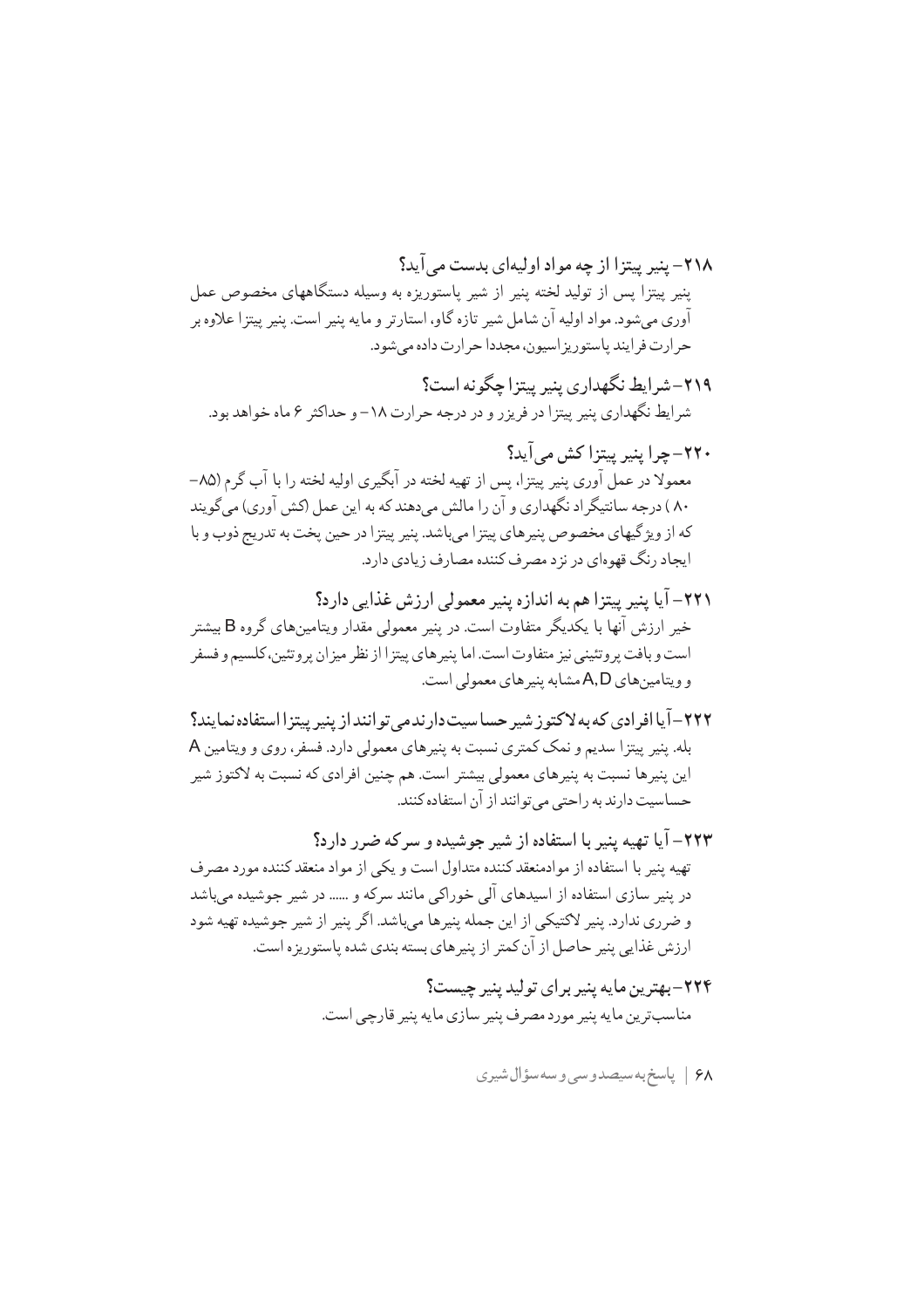- ۲۱۹-شرایط نگهداری بنیر بیتزاچگونه است؟ شرایط نگهداری پنیر پیتزا در فریزر و در درجه حرارت ۱۸– و حداکثر ۶ ماه خواهد بود.
- ٢٢٠- چرا بنير بيتزا كش مي آيد؟ معمولا در عمل آوري پنير پيتزا، پس از تهيه لخته در آبگيري اوليه لخته را با آب گرم (٨٥-۸۰ ) درجه سانتیگر اد نگهداری و آن را مالش می دهند که به این عمل (کش آوری) می گویند كه از ويژگيهاي مخصوص پنيرهاي پيتزا مي باشد. پنير پيتزا در حين پخت به تدريج ذوب و با ايجاد رنگ قهوهاي در نزد مصرف كننده مصارف زيادي دارد.
- ٢٢١– آيا پنير پيتزا هم به اندازه پنير معمولي ارزش غذايي دارد؟ خیر ارزش آنها با یکدیگر متفاوت است. در پنیر معمولی مقدار ویتامینهای گروه B بیشتر است و بافت پر وتئيني نيز متفاوت است. اما پنير هاي پيتز ا از نظر ميز ان پر وتئين، كلسيم و فسفر و ویتامین های A,D مشابه پنیر های معمولی است.
- ۲۲۲–آیا افرادی که به لاکتو ز شیر حساسیت دارندمی توانند از پنیر پیتزا استفاده نمایند؟ بله. پنیر پیتزا سدیم و نمک کمتری نسبت به پنیرهای معمولی دارد. فسفر، روی و ویتامین A این پنیرها نسبت به پنیرهای معمولی بیشتر است. هم چنین افرادی که نسبت به لاکتوز شیر حساسیت دارند به راحتی می توانند از آن استفاده کنند.
- ۲۲۳– آیا تهیه پنیر با استفاده از شیر جوشیده و سرکه ضرر دارد؟ تهیه پنیر با استفاده از موادمنعقد کننده متداول است و یکی از مواد منعقد کننده مورد مصرف در پنیر سازی استفاده از اسیدهای آلی خوراکی مانند سرکه و ...... در شیر جوشیده می پاشد و ضرري ندارد. پنير لاكتيكي از اين جمله پنيرها ميباشد. اگر پنير از شير جوشيده تهيه شود ارزش غذایی پنیر حاصل از آن کمتر از پنیرهای بسته بندی شده پاستوریزه است.
	- ۲۲۴–بهترین مایه پنیر برای تولید پنیر چیست؟ مناسب ترين مايه پنير مورد مصرف پنير سازي مايه پنير قارچي است.
		- ۶۸ | پاسخ به سيصدوسي وسه سؤال شيري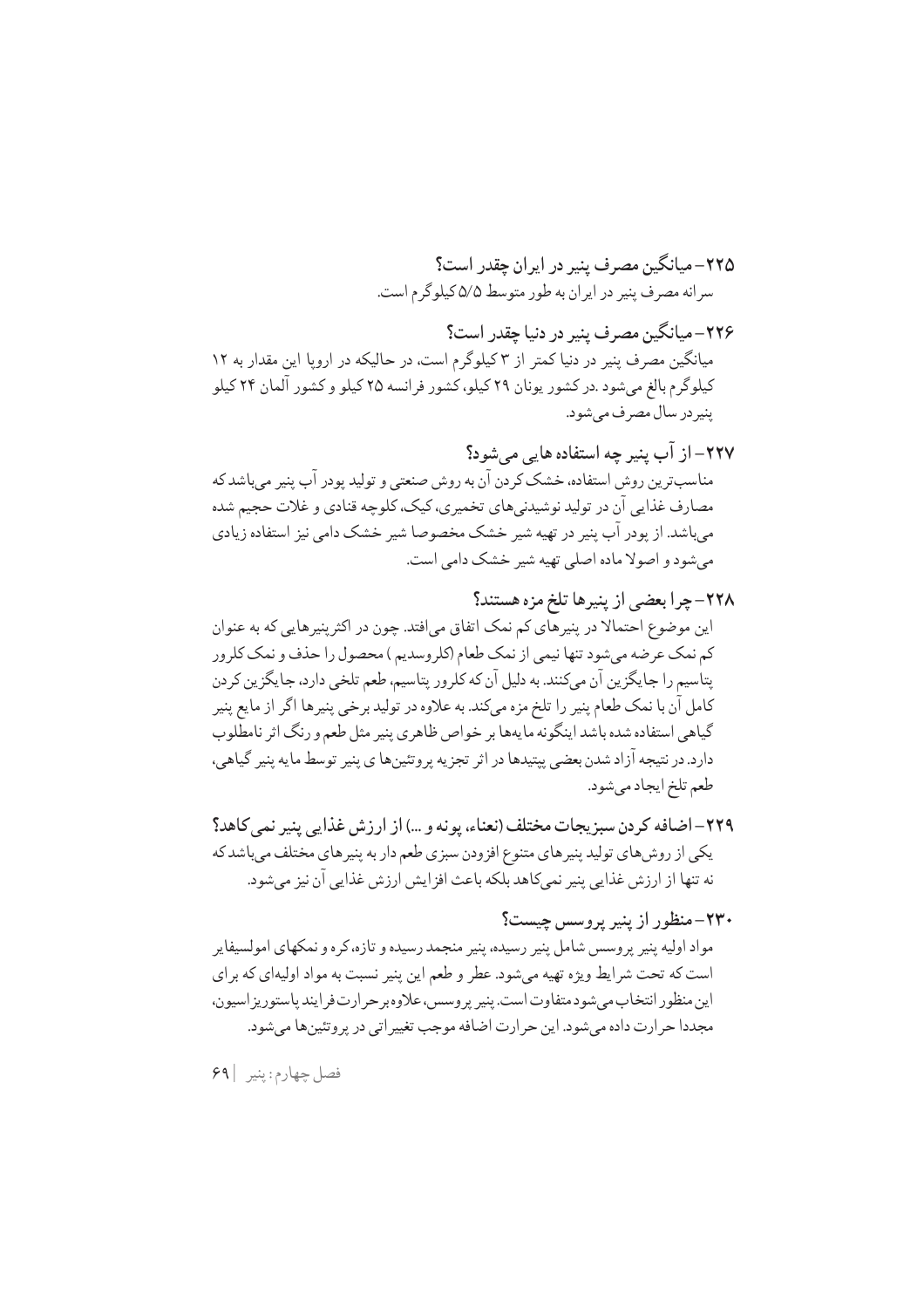۲۲۶–میانگین مصرف پنیر در دنیا چقدر است؟ میانگین مصرف پنیر در دنیا کمتر از ۳ کیلوگرم است، در حالیکه در اروپا این مقدار به ۱۲ کیلوگرم بالغ میشود .در کشور یونان ۲۹ کیلو، کشور فرانسه ۲۵ کیلو و کشور آلمان ۲۴ کیلو پنيردر سال مصرف ميشود.

٢٢٧– از آب پنير چه استفاده هايي مي شود؟ مناسبترین روش استفاده، خشک کردن آن به روش صنعتی و تولید پودر آب پنیر میباشد که مصارف غذایی آن در تولید نوشیدنیهای تخمیری، کیک، کلوچه قنادی و غلات حجیم شده میباشد. از پودر آب پنیر در تهیه شیر خشک مخصوصا شیر خشک دامی نیز استفاده زیادی مي شود و اصولا ماده اصلي تهيه شير خشک دامي است.

۲۲۹– اضافه کردن سبزیجات مختلف (نعناء، یونه و …) از ارزش غذایی پنیر نمی کاهد؟ یکی از روش های تولید پنیرهای متنوع افزودن سبزی طعم دار به پنیرهای مختلف میباشد که نه تنها از ارزش غذايي پنير نميكاهد بلكه باعث افزايش ارزش غذايي آن نيز مي شود.

۲۳۰–منظور از پنیر پروسس چیست؟ مواد اولیه پنیر پروسس شامل پنیر رسیده، پنیر منجمد رسیده و تازه،کره و نمکهای امولسیفاپر است که تحت شرایط ویژه تهیه میشود. عطر و طعم این پنیر نسبت به مواد اولیهای که برای اين منظور انتخاب مى شود متفاوت است. پنير پروسس، علاوه بر حرارت فرايند پاستوريز اسيون، مجددا حر ارت داده می شود. این حر ارت اضافه موجب تغییر اتبی در پر وتئین ها می شود.

فصل چهارم: ينير |۶۹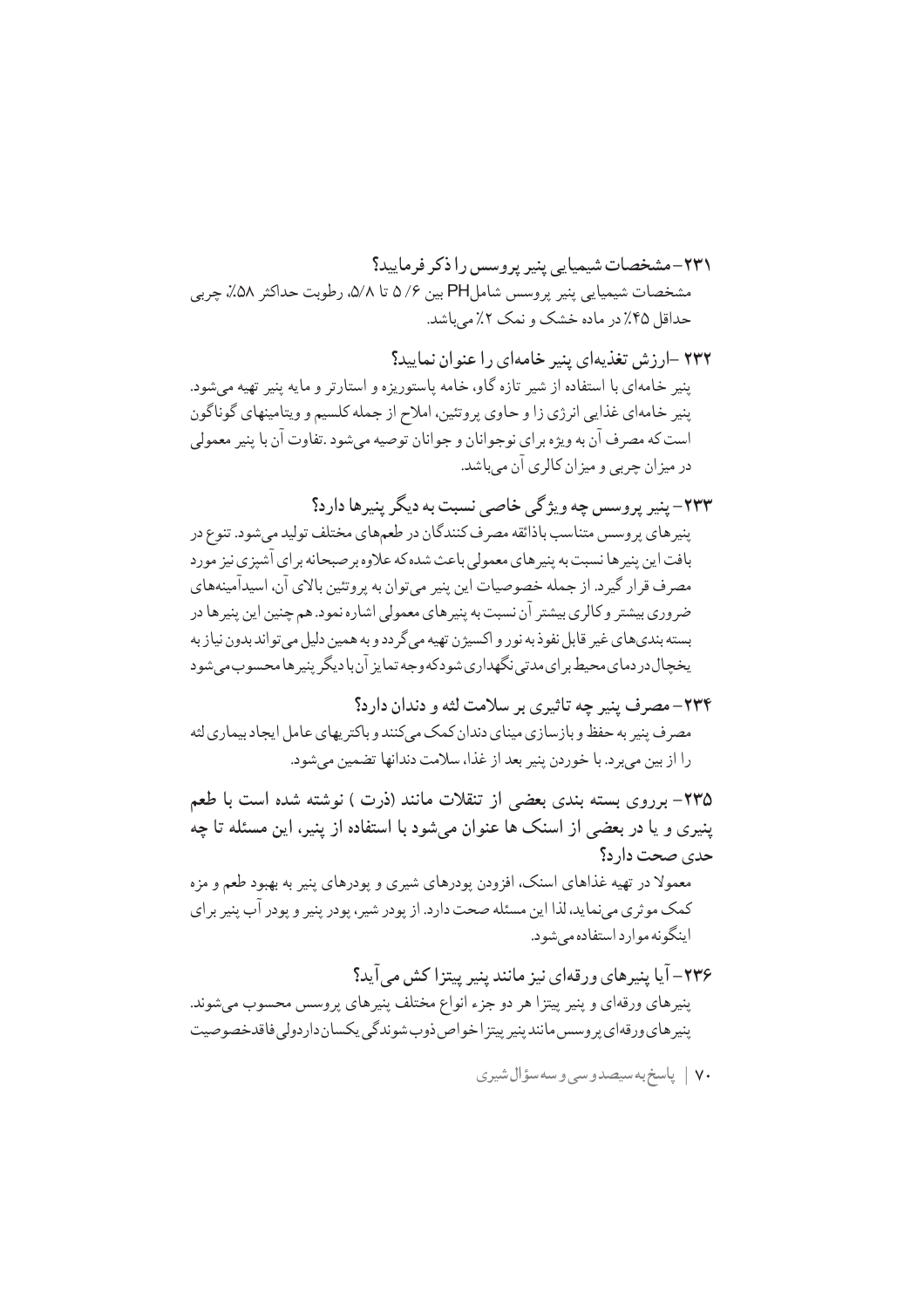۲۳۱-مشخصات شیمیایر بنیر بروسس را ذکر فرمایید؟ مشخصات شيميايي پنير پروسس شامل PH بين ۵/۶ تا ۵/۸، رطوبت حداكثر ۵۸٪ چربي حداقل ۴۵٪ در ماده خشک و نمک ۲٪ مے پاشد.

۲۳۲ –ارزش تغذیهای پنیر خامهای را عنوان نمایید؟ ینیر خامهای با استفاده از شیر تازه گاو، خامه پاستوریزه و استارتر و مایه پنیر تهیه میشود. پنیر خامهای غذایی انرژی زا و حاوی پروتئین، املاح از جمله کلسیم و ویتامینهای گوناگون است که مصر ف آن به ويژه بر اي نوجوانان و جوانان توصيه مي شود .تفاوت آن با پنير معمولي در ميز ان چربي و ميز ان كالري آن ميباشد.

۲۳۳– پنير پروسس چه ويژگي خاصي نسبت به ديگر پنيرها دارد؟ پنیرهای پروسس متناسب باذائقه مصرف کنندگان در طعمهای مختلف تولید میشود. تنوع در بافت این پنیرها نسبت به پنیرهای معمولی باعث شده که علاوه برصبحانه برای آشپزی نیز مورد مصرف قرار گیر د. از جمله خصوصیات این پنیر می توان به پروتئین بالای آن، اسیدآمینههای ضر وري بيشتر و كالري بيشتر آن نسبت به پنير هاي معمولي اشاره نمود. هم چنين اين پنير ها در بسته بنديهاي غير قابل نفوذ به نور و اكسيژن تهيه مي گر دد و به همين دليل مي تواند بدون نياز به يخچال در دماي محيط بر اي مدتي نگهداري شودكه وجه تمايز آن با ديگر پنير ها محسوب مي شود

۲۳۴- مصرف پنیر چه تاثیری بر سلامت لثه و دندان دارد؟ مصر ف پنیر به حفظ و بازسازی مینای دندان کمک مے کنند و باکتر یهای عامل ایجاد بیماری لثه را از بين ميبرد. با خوردن پنير بعد از غذا، سلامت دندانها تضمين مي شود.

۲۳۵– برروی بسته بندی بعضی از تنقلات مانند (ذرت ) نوشته شده است با طعم ینیری و یا در بعضی از اسنک ها عنوان می شود با استفاده از پنیر، این مسئله تا چه حدی صحت دار د؟

معمولا در تهیه غذاهای اسنک، افزودن یودرهای شیری و یودرهای پنیر به بهبود طعم و مزه کمک موثری مینماید، لذا این مسئله صحت دارد. از پودر شیر، پودر پنیر و پودر آب پنیر برای اینگونه موارد استفاده می شود.

٢٣۶- آيا پنيرهاي ورقهاي نيز مانند پنير پيتزا كش مي آيد؟ پنیرهای ورقهای و پنیر پیتزا هر دو جزء انواع مختلف پنیرهای پروسس محسوب میشوند. ینی<sub>د</sub> های ورقهای پر وسس مانند پنیر پیتز اخواص ذوب شوندگی یکسان داردولی فاقدخصوصیت

٧٠ | پاسخ به سيصدوسي وسه سؤال شيري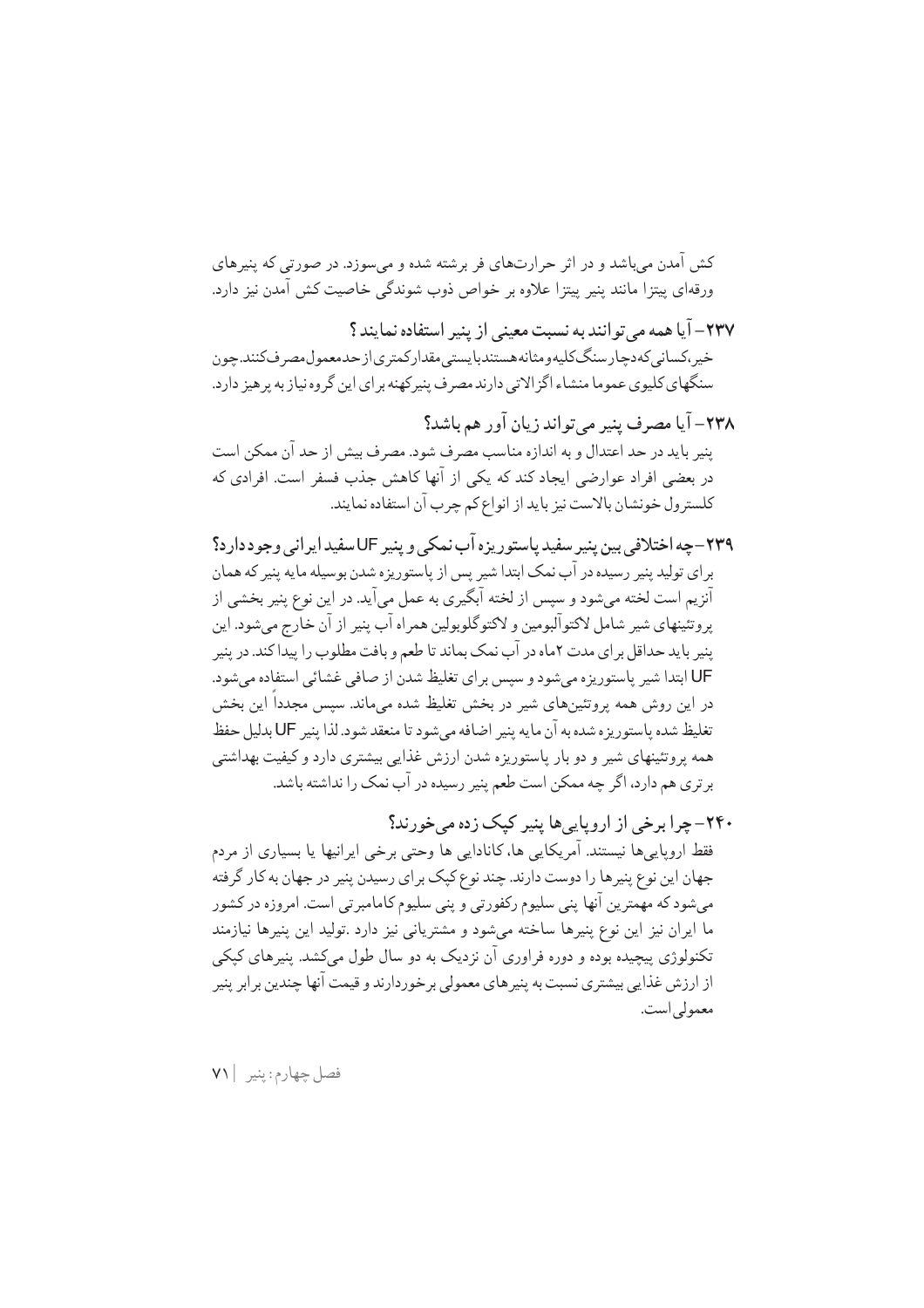کش آمدن می باشد و در اثر حرارتهای فر برشته شده و می سوزد. در صورتی که پنیرهای ورقهای پیتزا مانند پنیر پیتزا علاوه بر خواص ذوب شوندگی خاصیت کش آمدن نیز دارد.

٢٣٧– آيا همه مي تو انند به نسبت معيني از پنير استفاده نمايند ؟ خير،كساني كەدچارسنگكليەومثانەھستندبايستى مقداركمترى|زحدمعمول،صرفكنند.چون سنگهای کلیوی عموما منشاء اگزالاتی دارند مصرف پنیرکهنه برای این گروه نیاز به پرهیز دارد.

٢٣٨- آيا مصرف ينير مي تواند زيان آور هم باشد؟ ينير بايد در حد اعتدال و به اندازه مناسب مصرف شود. مصرف بيش از حد آن ممكن است در بعضی افراد عوارضی ایجاد کند که یکی از آنها کاهش جذب فسفر است. افرادی که كلسترول خونشان بالاست نيز بايد از انواع كم چرب آن استفاده نمايند.

- ۲۳۹-چه اختلافی بین پنیر سفید پاستوریزه آب نمکی و پنیر UF سفید ایرانی وجود دار د؟ بر اي توليد پنير رسيده در آب نمک ابتدا شير پس از پاستوريزه شدن بوسيله مايه پنير که همان آنزیم است لخته میشود و سپس از لخته آبگیری به عمل میآید. در این نوع پنیر بخشی از يروتئينهاي شير شامل لاكتوآلبومين و لاكتوگلوبولين همراه آب پنير از آن خارج مي شود. اين پنیر باید حداقل برای مدت ۲ماه در آب نمک بماند تا طعم و بافت مطلوب را پیداکند. در پنیر UF ابتدا شير پاستوريزه مي شود و سيس بر اي تغليظ شدن از صافي غشائي استفاده مي شود. در این روش همه بروتئینهای شیر در بخش تغلیظ شده میماند. سپس مجددا این بخش تغليظ شده پاستوريزه شده به آن مايه ينير اضافه مي شود تا منعقد شود. لذا ينير UF بدليل حفظ همه پروتئینهای شیر و دو بار پاستوریزه شدن ارزش غذایی بیشتری دارد و کیفیت بهداشتی بر تری هم دارد، اگر چه ممکن است طعم پنیر رسیده در آب نمک را نداشته باشد.
- ۲۴۰- چرا برخی از اروپایی ها پنیر کیک زده می خورند؟ فقط اروپاییها نیستند. آمریکایی ها، کانادایی ها وحتی برخی ایرانیها یا بسیاری از مردم جهان این نوع پنیرها را دوست دارند. چند نوع کپک برای رسیدن پنیر در جهان به کار گرفته میشود که مهمترین آنها پنی سلیوم رکفورتی و پنی سلیوم کامامبرتی است. امروزه در کشور ما ایران نیز این نوع پنیرها ساخته میشود و مشتریانی نیز دارد .تولید این پنیرها نیازمند تکنولوژي پيچيده بوده و دوره فراوري آن نزديک به دو سال طول مېکشد. پنيرهاي کيکې از ارزش غذایی بیشتری نسبت به پنیرهای معمولی بر خوردارند و قیمت آنها چندین بر ابر پنیر معمولي است.

فصل جهارم: ينير | ٧١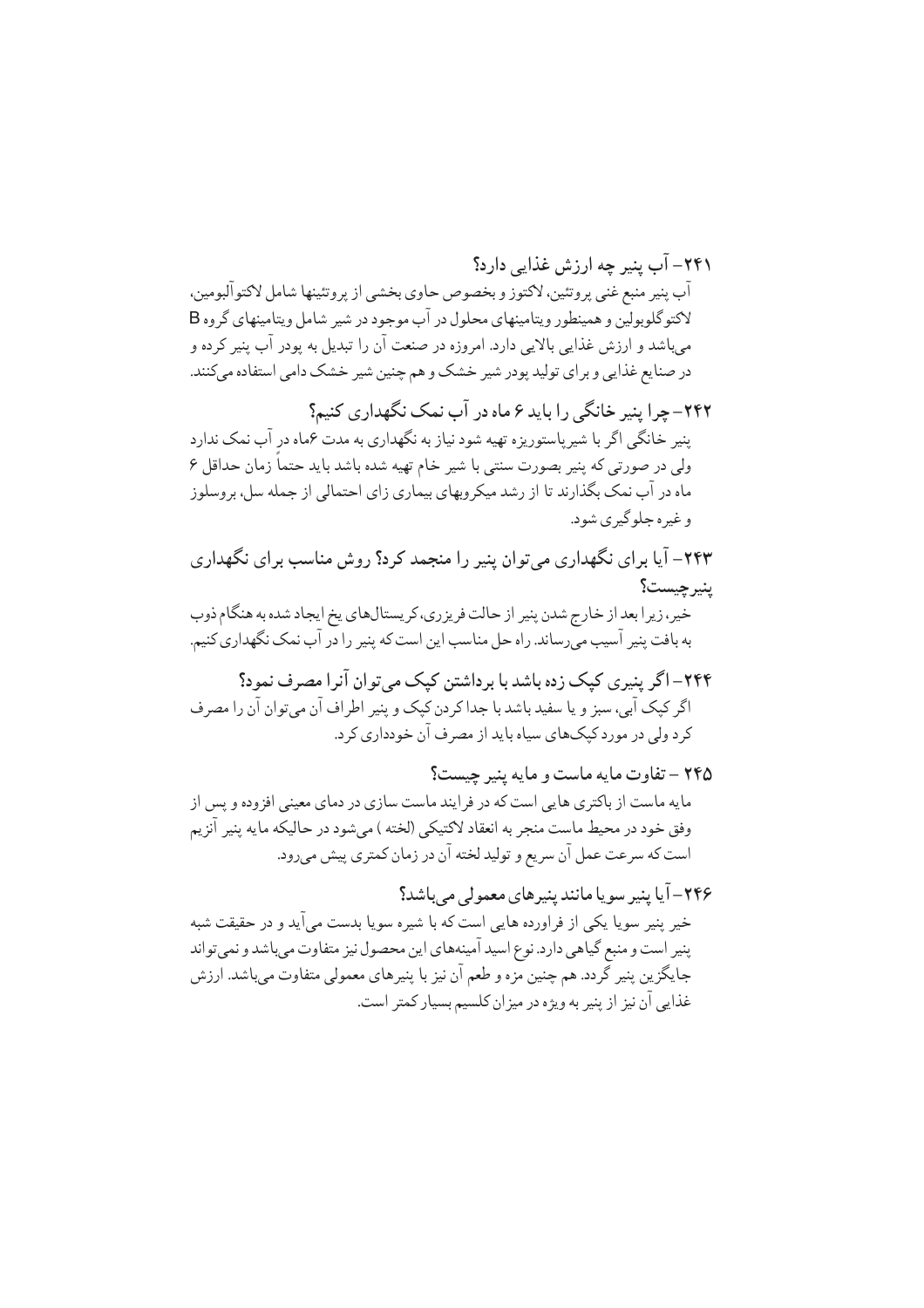۲۴۱– آب پنیر چه ارزش غذایی دارد؟ آب پنير منبع غني پروتئين، لاکتوز و بخصوص حاوي بخشي از پروتئينها شامل لاکتوآلبومين، لاکتو گلوبولین و همینطور ویتامینهای محلول در آب موجود در شیر شامل ویتامینهای گروه B میباشد و ارزش غذایی بالایی دارد. امروزه در صنعت آن را تبدیل به پودر آب پنیر کرده و در صنایع غذایی و برای تولید پودر شیر خشک و هم چنین شیر خشک دامی استفاده میکنند.

۲۴۲– چرا پنیر خانگی را باید ۶ ماه در آب نمک نگهداری کنیم؟ پنیر خانگی اگر با شیرپاستوریزه تهیه شود نیاز به نگهداری به مدت عماه در آب نمک ندارد ولی در صورتی که پنیر بصورت سنتی با شیر خام تهیه شده باشد باید حتماً زمان حداقل ۶ ماه در آب نمک بگذارند تا از رشد میکروبهای بیماری زای احتمالی از جمله سل، بروسلوز و غیره جلو گیري شود.

۲۴۳– آیا برای نگهداری می توان پنیر را منجمد کرد؟ روش مناسب برای نگهداری ينبر حيست؟ خیر ، زیر ا بعد از خارج شدن پنیر از حالت فریز ری، کر پستالهای پخ ایجاد شده به هنگام ذوب به بافت پنیر آسیب میرساند. راه حل مناسب این است که پنیر را در آب نمک نگهداری کنیم.

۲۴۴–اگر پنیری کیک زده باشد با برداشتن کیک می توان آنرا مصرف نمود؟ اگر کپک آبي، سبز و يا سفيد باشد با جدا کردن کپک و پنير اطراف آن مي توان آن را مصرف کرد ولی در مورد کیکهای سیاه باید از مصرف آن خودداری کرد.

٢۴۵ - تفاوت مايه ماست و مايه ينير چيست؟ مایه ماست از باکتری هایی است که در فرایند ماست سازی در دمای معینی افزوده و پس از وفق خود در محیط ماست منجر به انعقاد لاکتیکی (لخته ) میشود در حالیکه مایه پنیر آنزیم است كه سرعت عمل آن سريع و توليد لخته آن در زمان كمترى پيش مىرود.

۲۴۶–آیا پنیر سویا مانند پنیرهای معمولی می پاشد؟ خیر پنیر سویا یکی از فراورده هایی است که با شیره سویا بدست میآید و در حقیقت شبه پنیر است و منبع گیاهی دارد. نوع اسید آمینههای این محصول نیز متفاوت میباشد و نمیتواند جايگزين پنير گردد. هم چنين مزه و طعم آن نيز با پنيرهاي معمولي متفاوت مي باشد. ارزش غذایی آن نیز از پنیر به ویژه در میزان کلسیم بسیار کمتر است.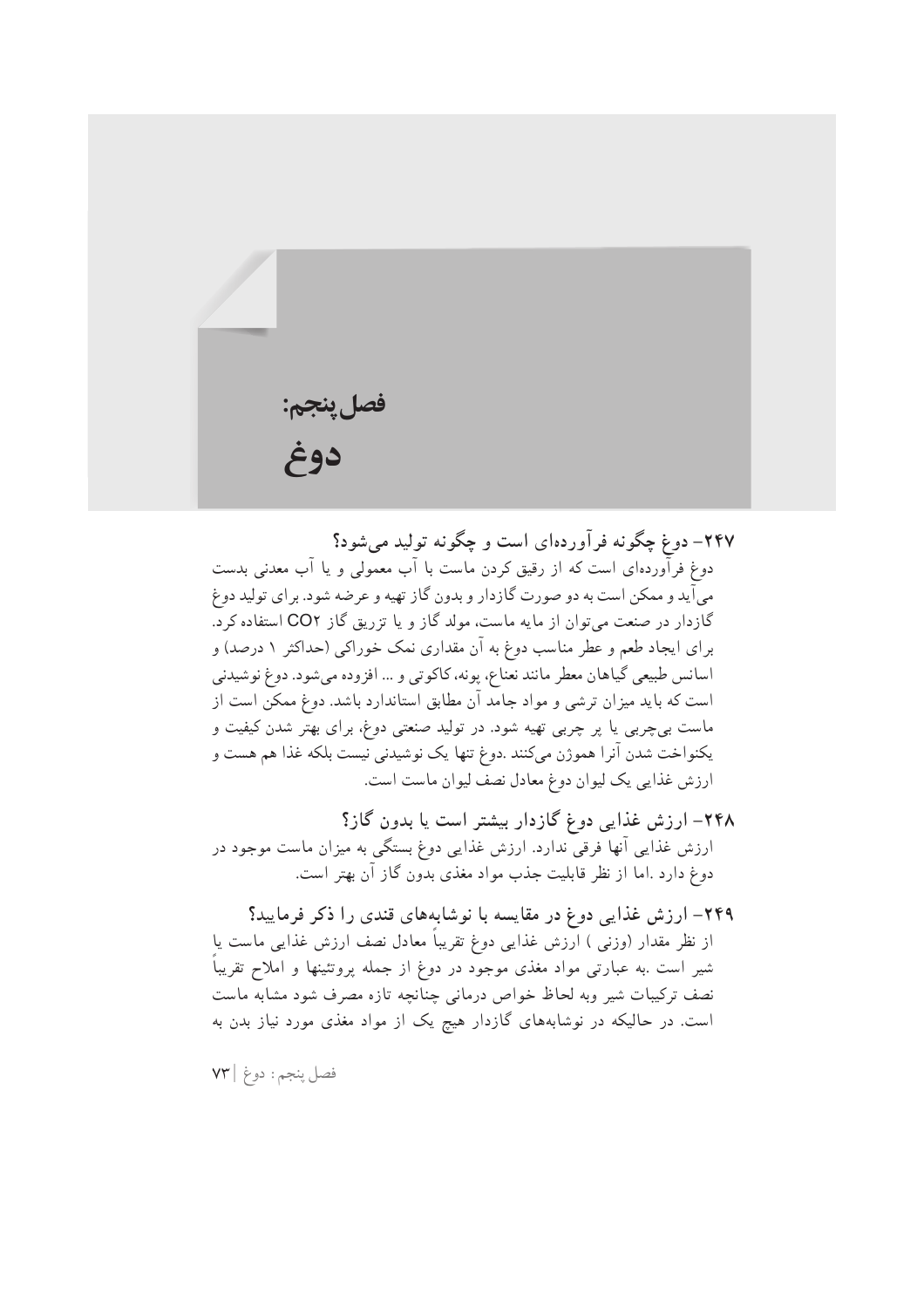فصل پنجم: دوغ

۲۴۷– دوغ چگونه فرآوردهای است و چگونه تولید می شود؟ دوغ فرآوردهای است که از رقیق کردن ماست با آب معمولی و یا آب معدنی بدست میآید و ممکن است به دو صورت گازدار و بدون گاز تهیه و عرضه شود. برای تولید دوغ گازدار در صنعت می توان از مایه ماست، مولد گاز و یا تزریق گاز CO۲ استفاده کرد. برای ایجاد طعم و عطر مناسب دوغ به آن مقداری نمک خوراکی (حداکثر ۱ درصد) و اسانس طبيعي گياهان معطر مانند نعناع، يونه، كاكوتي و … افزوده مي شود. دوغ نوشيدني است که باید میزان ترشی و مواد جامد آن مطابق استاندارد باشد. دوغ ممکن است از ماست بیچربی یا پر چربی تهیه شود. در تولید صنعتی دوغ، برای بهتر شدن کیفیت و يكنواخت شدن آنرا هموژن مىكنند .دوغ تنها يك نوشيدنى نيست بلكه غذا هم هست و ارزش غذایی یک لیوان دوغ معادل نصف لیوان ماست است.

۲۴۸– ارزش غذایی دوغ گازدار بیشتر است یا بدون گاز؟ ارزش غذایی آنها فرقی ندارد. ارزش غذایی دوغ بستگی به میزان ماست موجود در دوغ دارد .اما از نظر قابلیت جذب مواد مغذی بدون گاز آن بهتر است.

۲۴۹– ارزش غذایی دوغ در مقایسه با نوشابههای قندی را ذکر فرمایید؟ از نظر مقدار (وزنبی ) ارزش غذایی دوغ تقریباً معادل نصف ارزش غذایی ماست یا شیر است .به عبارتی مواد مغذی موجود در دوغ از جمله پروتئینها و املاح تقریباً نصف تركيبات شير وبه لحاظ خواص درماني چنانچه تازه مصرف شود مشابه ماست است. در حالیکه در نوشابههای گازدار هیچ یک از مواد مغذی مورد نیاز بدن به

فصل پنجم: دوغ | ٧٣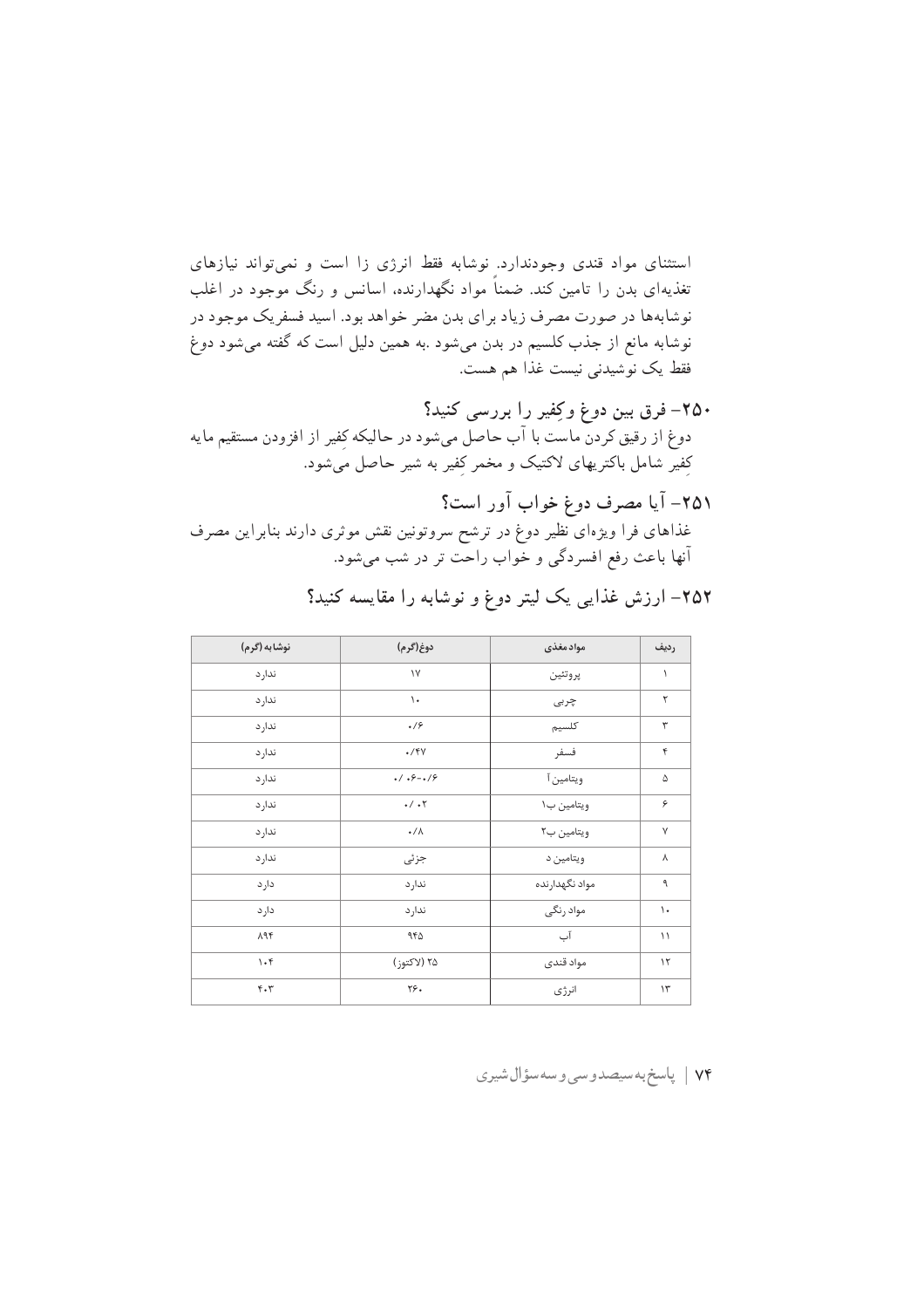استثنای مواد قندی وجودندارد. نوشابه فقط انرژی زا است و نمی تواند نیازهای تغذیهای بدن را تامین کند. ضمناً مواد نگهدارنده، اسانس و رنگ موجود در اغلب نوشابهها در صورت مصرف زیاد برای بدن مضر خواهد بود. اسید فسفریک موجود در نوشابه مانع از جذب کلسیم در بدن میشود .به همین دلیل است که گفته میشود دوغ فقط يک نوشيدني نيست غذا هم هست.

- ۲۵۰– فرق بین دوغ وکِفیر را بررسی کنید؟ دوغ از رقیق کردن ماست با آب حاصل میشود در حالیکه کِفیر از افزودن مستقیم مایه کفیر شامل باکتریهای لاکتیک و مخمر کفیر به شیر حاصل میشود.
- ٢٥١– آيا مصرف دوغ خواب آور است؟ غذاهای فرا ویژهای نظیر دوغ در ترشح سروتونین نقش موثری دارند بنابراین مصرف آنها باعث رفع افسردگی و خُواب راحت تر در شب میشود.

| نوشابه (گرم)                  | دوغ(گرم)                                                     | موادمغذى       | رديف           |
|-------------------------------|--------------------------------------------------------------|----------------|----------------|
| ندار د                        | $\backslash\mathsf{V}$                                       | پروتئين        | ١              |
| ندار د                        | $\mathcal{L}$                                                | چربی           | ٢              |
| ندار د                        | .19                                                          | كلسيم          | ٣              |
| ندار د                        | $\cdot$ /۴۷                                                  | فسفر           | ۴              |
| ندار د                        | $.7.9 - .79$                                                 | ويتامين آ      | ۵              |
| ندار د                        | $\boldsymbol{\cdot} / \boldsymbol{\cdot} \boldsymbol{\cdot}$ | ويتامين ب١     | ۶              |
| ندار د                        | $\cdot/\Lambda$                                              | ويتامين ب٢     | $\mathsf{V}$   |
| ندار د                        | جزئى                                                         | ويتامين د      | γ              |
| دار د                         | ندار د                                                       | مواد نگهدارنده | ٩              |
| دار د                         | ندار د                                                       | مواد رنگی      | $\backslash$ . |
| $\lambda$ 94                  | ۹۴۵                                                          | آب             | $\setminus$    |
| $\mathcal{N}$                 | ۲۵ (لاکتوز)                                                  | مواد قندى      | $\gamma$       |
| $\mathbf{f} \cdot \mathbf{r}$ | ۲۶.                                                          | انرژى          | $\mathcal{N}$  |

۲۵۲– ارزش غذایی یک لیتر دوغ و نوشابه را مقایسه کنید؟

۷۴ | پاسخ به سیصدوسی و سه سؤال شیری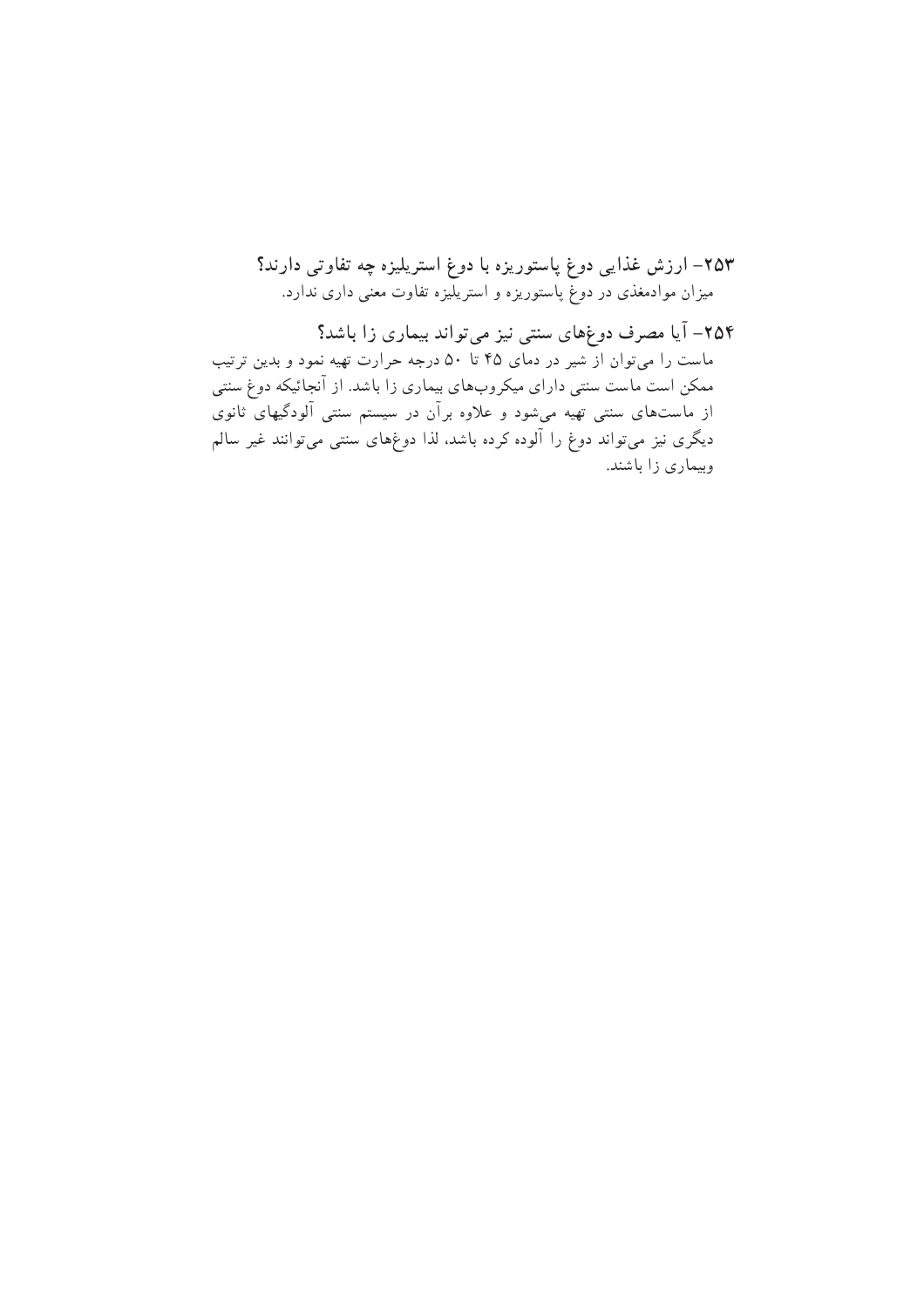٢۵٣– ارزش غذایی دوغ پاستوریزه با دوغ استریلیزه چه تفاوتی دارند؟ میزان موادمغذی در دوغ پاستوریزه و استریلیزه تفاوت معنی داری ندارد.

۲۵۴– آیا مصرف دوغهای سنتی نیز میتواند بیماری زا باشد؟ ماست را میټوان از شیر در دمای ۴۵ تا ۵۰ درجه حرارت تهیه نمود و بدین ترتیب ممکن است ماست سنتی دارای میکروبهای بیماری زا باشد. از آنجائیکه دوغ سنتی از ماستهای سنتی تهیه میشود و علاوه برآن در سیستم سنتی آلودگیهای ثانوی دیگری نیز میتواند دوغ را آلوده کرده باشد، لذا دوغهای سنتی میتوانند غیر سالم وبیماری زا باشند.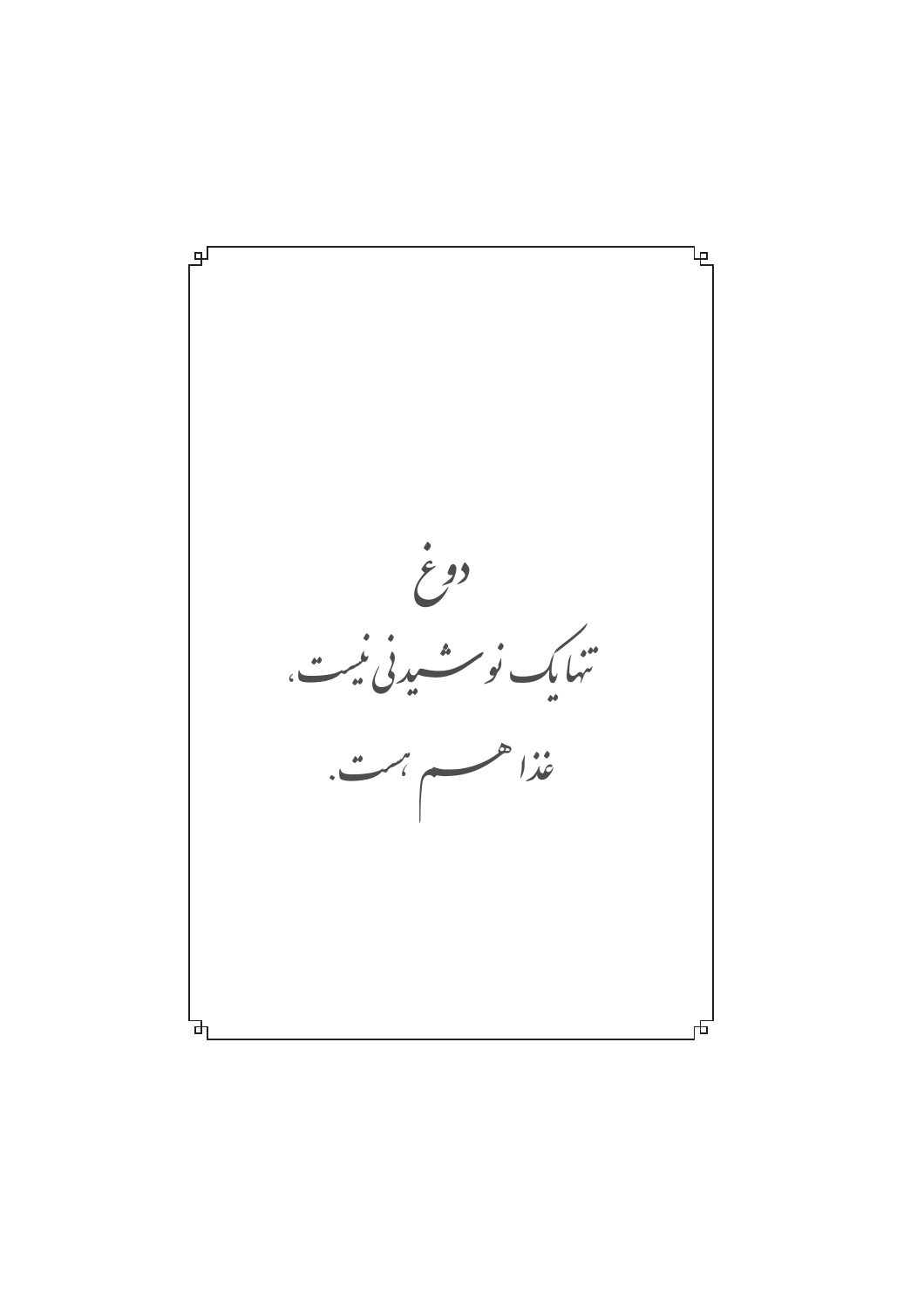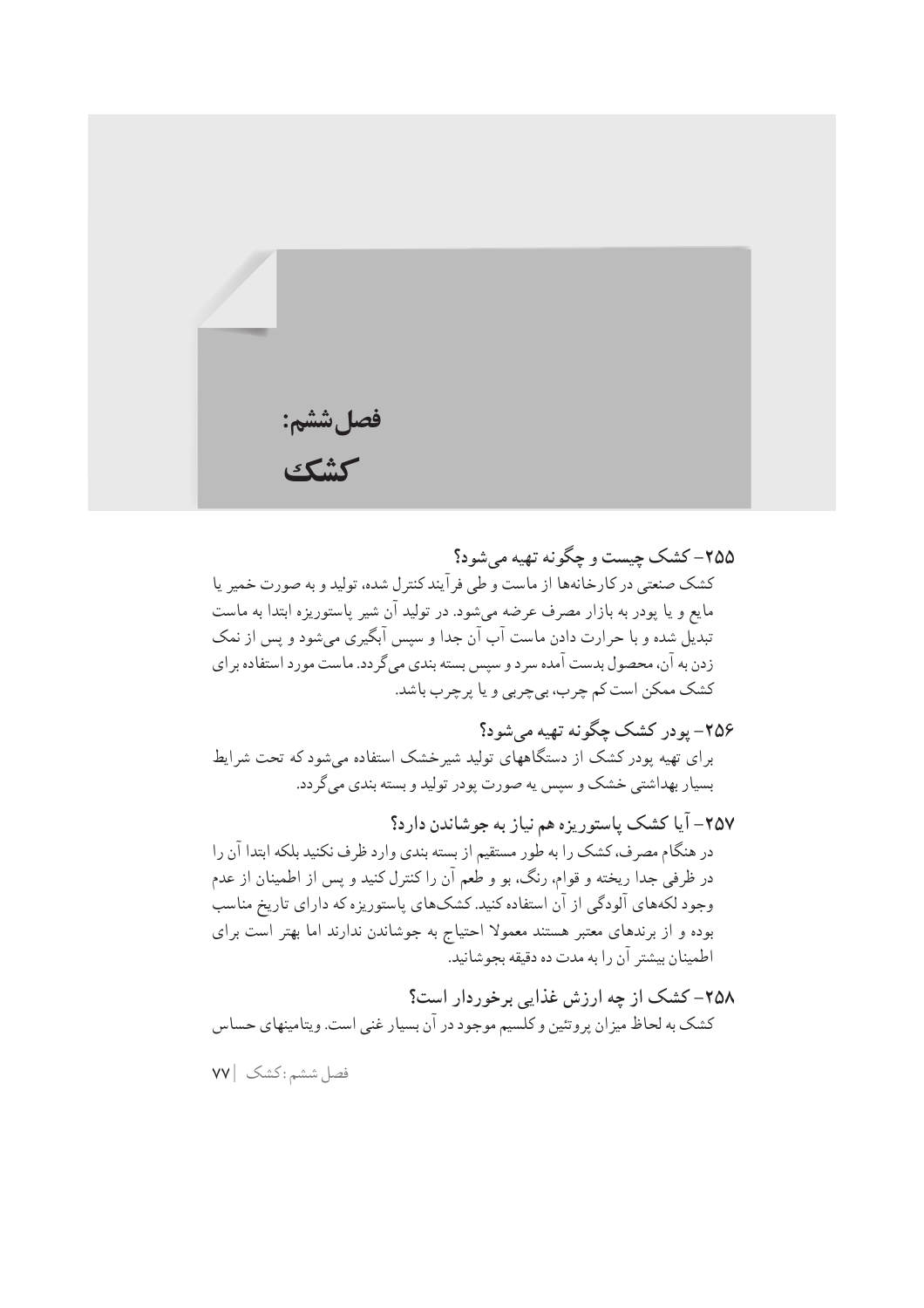

٢۵۵- کشک حست و حگونه تهیه مرشود؟ کشک صنعتی در کارخانهها از ماست و طی فرآیندکنترل شده، تولید و به صورت خمیر یا مایع و یا پودر به بازار مصرف عرضه میشود. در تولید آن شیر پاستوریزه ابتدا به ماست تبدیل شده و با حرارت دادن ماست آب آن جدا و سپس آبگیری میشود و پس از نمک زدن به آن، محصول بدست آمده سرد و سپس بسته بندي مي گردد. ماست مورد استفاده براي کشک ممکن است کم چرب، بي چربي و يا پر چرب باشد.

۲۵۶– یودر کشک چگونه تهیه می شود؟ برای تهیه پودر کشک از دستگاههای تولید شیرخشک استفاده میشود که تحت شرایط بسيار بهداشتي خشک و سيس په صورت پودر توليد و بسته بندي مي گر دد.

٢٥٧- آيا كشک پاستوريزه هم نياز به جوشاندن دارد؟ در هنگام مصرف، کشک را به طور مستقیم از بسته بندی وارد ظرف نکنید بلکه ابتدا آن را در ظرفی جدا ریخته و قوام، رنگ، بو و طعم آن را کنترل کنید و پس از اطمینان از عدم وجود لکههای آلودگی از آن استفاده کنید. کشکهای پاستوریزه که دارای تاریخ مناسب بوده و از برندهای معتبر هستند معمولا احتیاج به جوشاندن ندارند اما بهتر است برای اطمينان بيشتر آن را به مدت ده دقيقه بجوشانيد.

۲۵۸– کشک از چه ارزش غذایی برخوردار است؟ کشک به لحاظ میزان پروتئین و کلسیم موجود در آن بسیار غنی است. ویتامینهای حساس

فصل ششم: كشك | ٧٧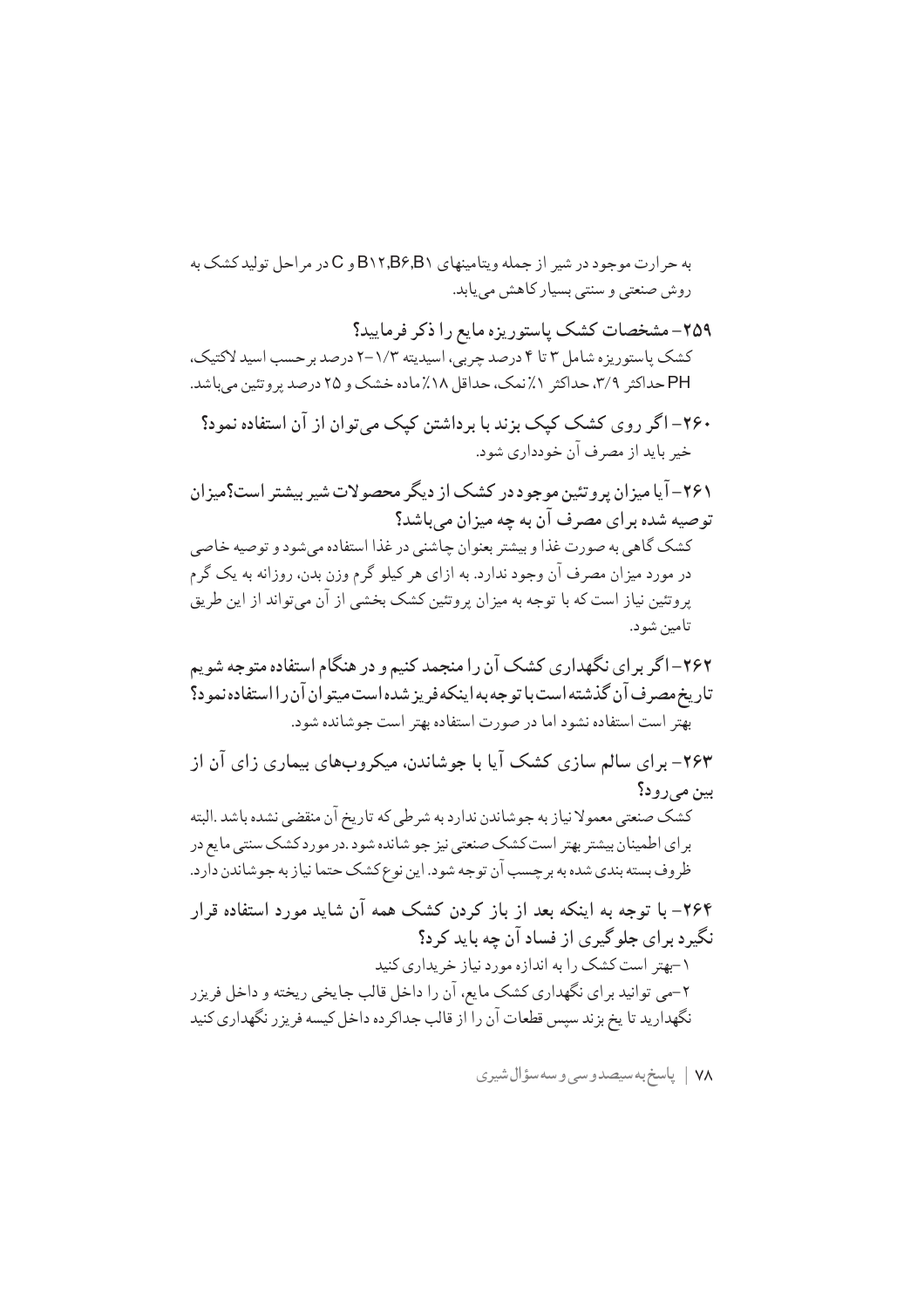به حرارت موجود در شیر از جمله ویتامینهای B۱۲٫B۶٫B۱ و C در مراحل تولید کشک به روش صنعتی و سنتی بسیار کاهش می یابد.

۲۵۹– مشخصات کشک پاستوریزه مایع را ذکر فرمایید؟ کشک پاستوریزه شامل ۳ تا ۴ درصد چربی، اسیدیته ۱/۳-۲ درصد برحسب اسید لاکتیک، PH حداکثر ٣/٩، حداکثر ١٪نمک، حداقل ١٨٪ماده خشک و ٢٥ درصد پروتئين ميباشد.

۲۶۰– اگر روی کشک کیک بزند با برداشتن کیک می توان از آن استفاده نمود؟ خير بايد از مصرف آن خودداري شود.

۲۶۱- آیا میزان پروتئین موجود در کشک از دیگر محصولات شیر بیشتر است؟میزان توصيه شده براي مصرف آن به چه ميزان مي باشد؟ کشک گاهی به صورت غذا و بیشتر بعنوان چاشنی در غذا استفاده می شود و توصیه خاصی در مورد میزان مصرف آن وجود ندارد. به ازای هر کیلو گرم وزن بدن، روزانه به یک گرم پروتئین نیاز است که با توجه به میزان پروتئین کشک بخشی از آن میتواند از این طریق تامين شود.

۲۶۳– برای سالم سازی کشک آیا با جوشاندن، میکروبهای بیماری زای آن از بين مي رود؟ كشك صنعتي معمولا نياز به جوشاندن ندارد به شرطي كه تاريخ آن منقضى نشده باشد .البته براي اطمينان بيشتر بهتر است كشك صنعتي نيز جو شانده شود .در مورد كشك سنتي ما يع در ظروف بسته بندي شده به برچسب آن توجه شود. اين نوع كشك حتما نياز به جوشاندن دارد.

۲۶۴– با توجه به اینکه بعد از باز کردن کشک همه آن شاید مورد استفاده قرار نگیرد برای جلوگیری از فساد آن چه باید کرد؟ ۱-بهتر است کشک را به اندازه مورد نیاز خریداری کنید ۲-می توانید برای نگهداری کشک مایع، آن را داخل قالب جایخی ریخته و داخل فریزر نگهدارید تا یخ بزند سپس قطعات آن را از قالب جداکرده داخل کیسه فریزر نگهداری کنید

٧٨ | پاسخ به سيصدوسي وسه سؤال شيري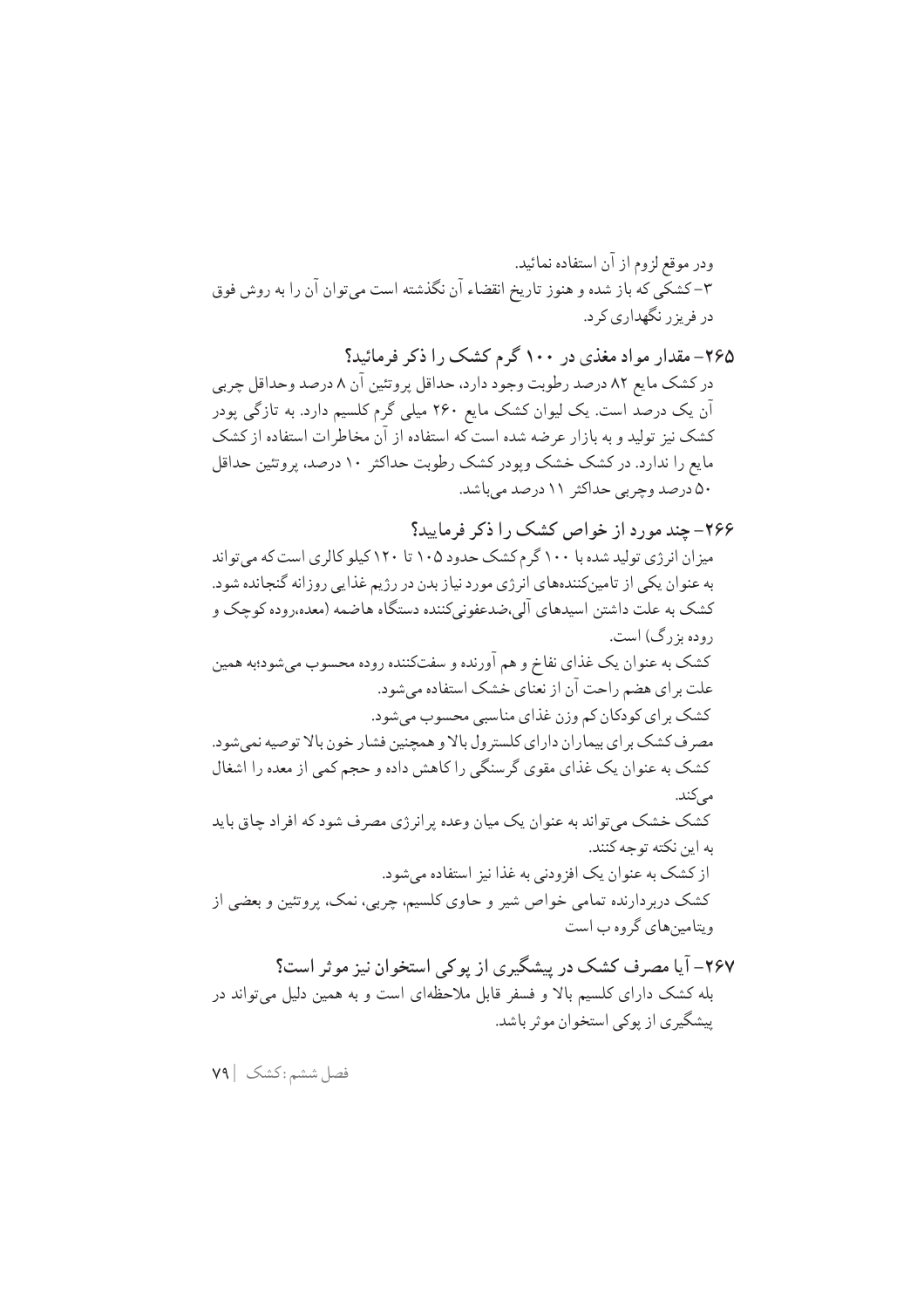۲۶۵– مقدار مواد مغذی در ۱۰۰ گرم کشک را ذکر فرمائید؟ در کشک مایع ۸۲ درصد رطوبت وجود دارد، حداقل پروتئین آن ۸ درصد وحداقل چربی آن یک درصد است. یک لیوان کشک مایع ۲۶۰ میلی گرم کلسیم دارد. به تازگی پودر کشک نیز تولید و به بازار عرضه شده است که استفاده از آن مخاطرات استفاده از کشک مایع را ندارد. در کشک خشک وپودر کشک رطوبت حداکثر ۱۰ درصد، پروتئین حداقل ۵۰ درصد وجربی حداکثر ۱۱ درصد میباشد.

## ۲۶۶- چند مورد از خواص کشک را ذکر فرمایید؟

میز ان انرژی تولید شده با ۱۰۰ گرم کشک حدود ۱۰۵ تا ۱۲۰ کیلو کالری است که می تواند به عنوان یکی از تامینکنندههای انرژی مورد نیاز بدن در رژیم غذایی روزانه گنجانده شود. کشک به علت داشتن اسیدهای آلی،ضدعفونی کننده دستگاه هاضمه (معده،روده کوچک و روده بزرگ) است. کشک به عنوان یک غذای نفاخ و هم آورنده و سفتکننده روده محسوب میشود؛به همین علت بر اي هضم راحت آن از نعناي خشک استفاده مي شود. کشک برای کودکان کم وزن غذای مناسبی محسوب میشود. مصر ف کشک بر ای بیماران دارای کلستر ول بالا و همچنین فشار خون بالا توصیه نمی شود. کشک به عنوان یک غذای مقوی گرسنگی را کاهش داده و حجم کمی از معده را اشغال مے کند. کشک خشک می تواند به عنوان یک میان وعده پرانرژی مصرف شود که افراد چاق باید به این نکته توجه کنند. از کشک به عنوان یک افزودنی به غذا نیز استفاده می شود. کشک دربردارنده تمامی خواص شیر و حاوی کلسیم، چربی، نمک، پروتئین و بعضی از ویتامین های گروه ب است ۲۶۷– آیا مصرف کشک در پیشگیری از یوکی استخوان نیز موثر است؟ بله کشک دارای کلسیم بالا و فسفر قابل ملاحظهای است و به همین دلیل میتواند در پیشگیری از پوکی استخوان موثر باشد.

فصل ششم: كشك | ٧٩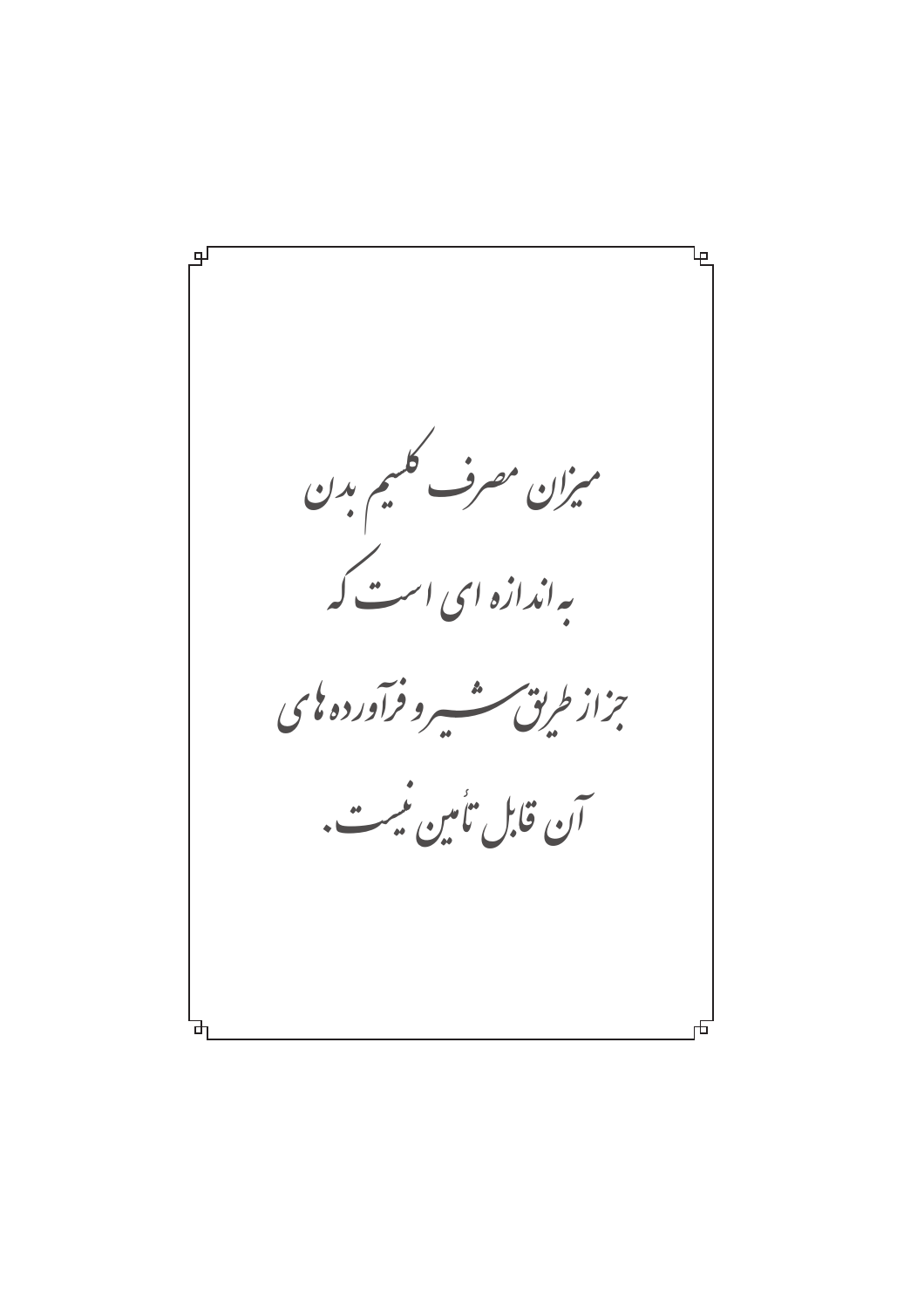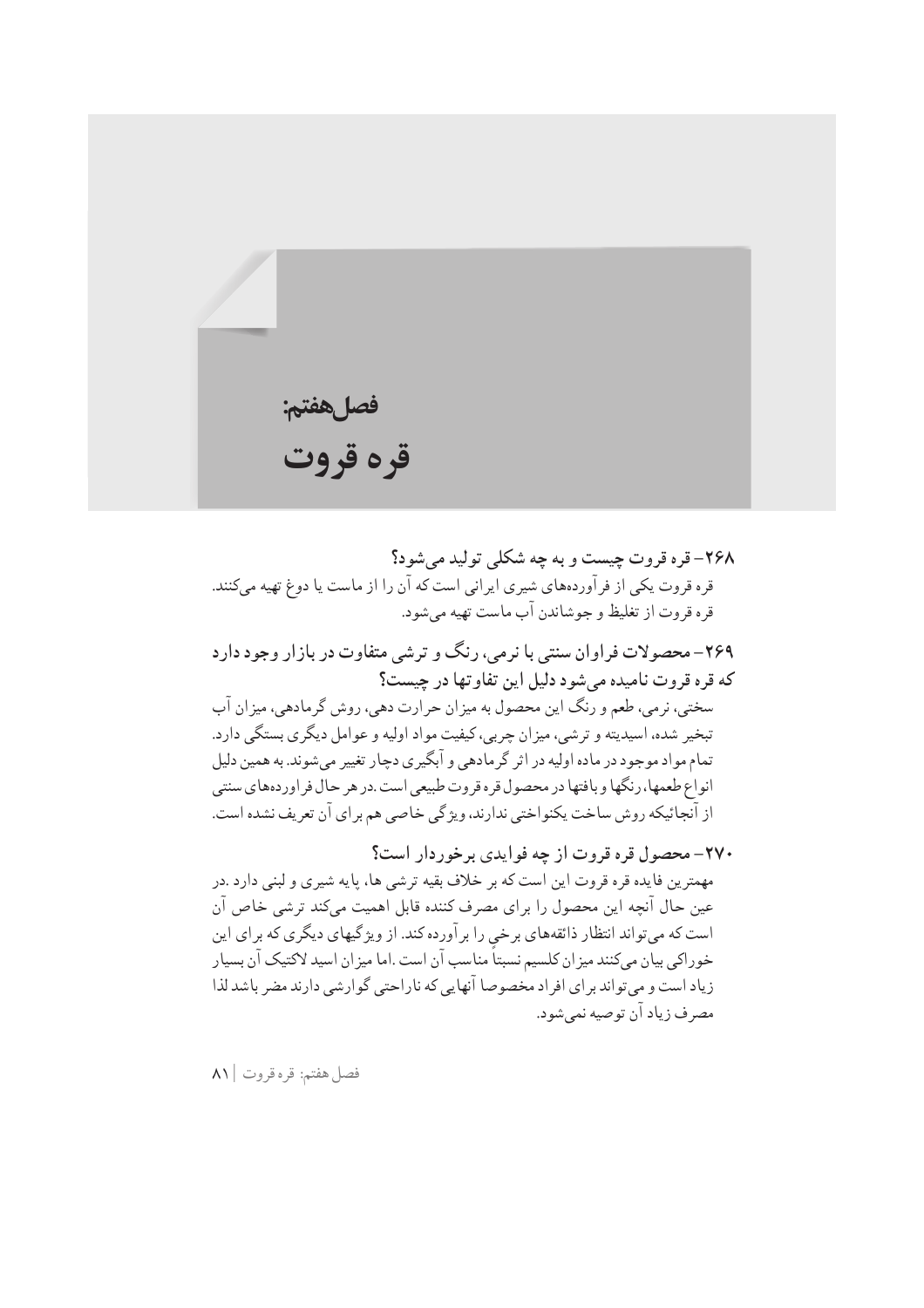فصلهفتم: قره قروت

٢۶٨- قره قروت چيست و به چه شکلي توليد مي شود؟ قره قروت یکی از فرآوردههای شیری ایرانی است که آن را از ماست یا دوغ تهیه میکنند. قره قروت از تغليظ و جوشاندن آب ماست تهيه مي شود. ۲۶۹– محصولات فراوان سنتی با نرمی، رنگ و ترشی متفاوت در بازار وجود دارد که قره قروت نامیده می شود دلیل این تفاوتها در چیست؟ سختي، نرمي، طعم و رنگ اين محصول به ميزان حرارت دهي، روش گرمادهي، ميزان آب تبخير شده، اسيديته و ترشى، ميزان چربي، كيفيت مواد اوليه و عوامل ديگرى بستگى دارد. تمام مواد موجود در ماده اولیه در اثر گر مادهی و آبگیری دچار تغییر می شوند. به همین دلیل

از آنجائيكه روش ساخت يكنواختي ندارند، ويژگي خاصي هم بر اي آن تعريف نشده است. ۲۷۰- محصول قره قروت از چه فوايدي برخوردار است؟ مهمترین فایده قره قروت این است که بر خلاف بقیه ترشی ها، پایه شیری و لبنی دارد .در عين حال آنچه اين محصول را براي مصرف كننده قابل اهميت ميكند ترشى خاص آن است که میتواند انتظار ذائقههای برخی را برآورده کند. از ویژگیهای دیگری که برای این خوراکی بیان میکنند میز ان کلسیم نسبتاً مناسب آن است .اما میز ان اسید لاکتیک آن بسیار زیاد است و می تواند بر ای افراد مخصوصا آنهایی که ناراحتی گوارشی دارند مضر باشد لذا مصر ف زياد آن توصيه نمي شود.

انواع طعمها، رنگها و بافتها در محصول قره قروت طبیعی است .در هر حال فر اوردههای سنتی

فصل هفتم: قره قروت ٨١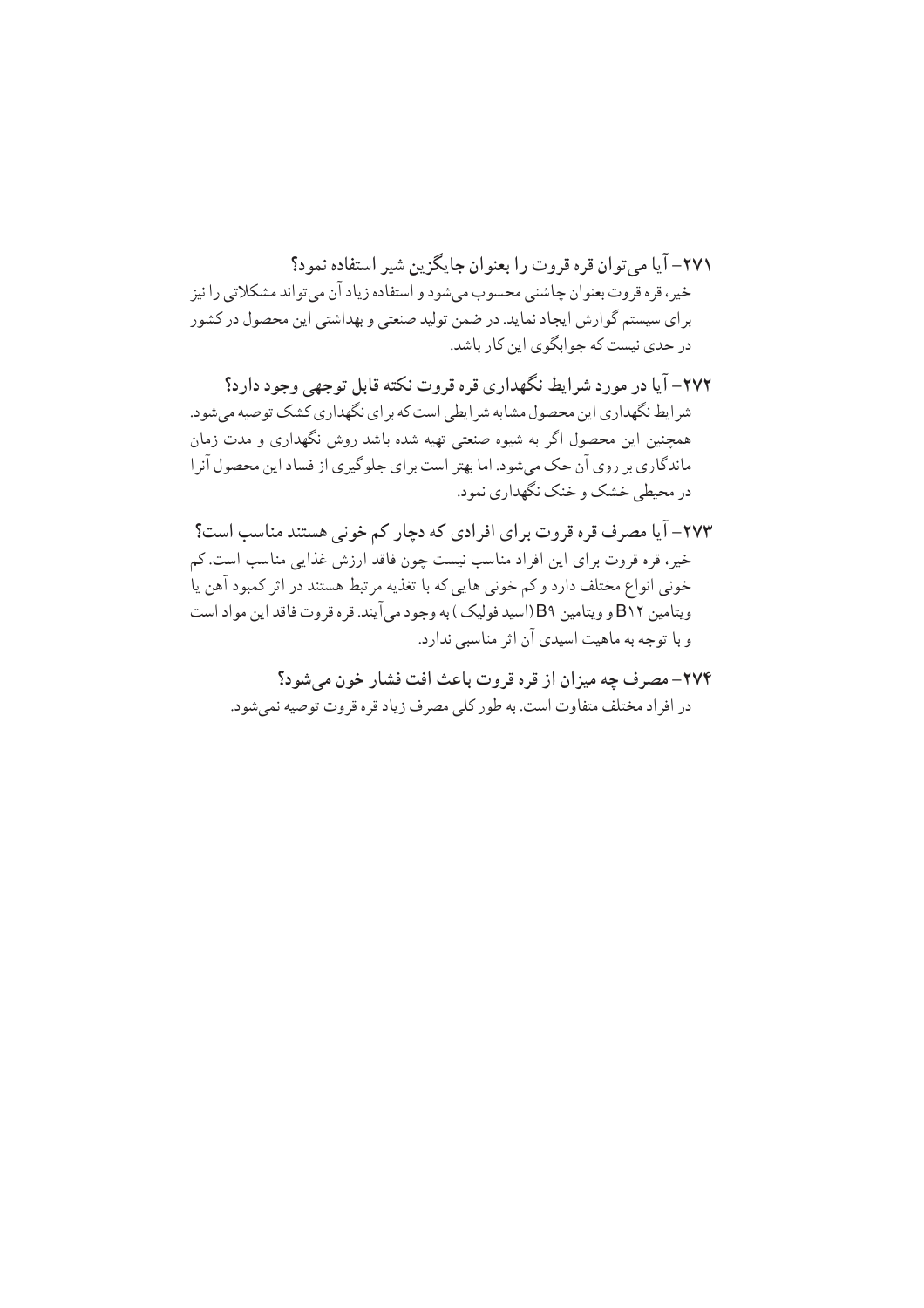۲۷۱ – آیا مرته ان قره قروت را بعنوان جایگزین شیر استفاده نمود؟ خیر، قره قروت بعنوان چاشنی محسوب میشود و استفاده زیاد آن می تواند مشکلاتی را نیز براي سيستم گوارش ايجاد نمايد. در ضمن توليد صنعتي و بهداشتي اين محصول در كشور در حدی نیست که جوابگوی این کار باشد.

۲۷۲– آیا در مورد شرایط نگهداری قره قروت نکته قابل توجهی وجود دارد؟ شر ایط نگهداری این محصول مشابه شر ایطی است که بر ای نگهداری کشک توصیه می شود. همچنین این محصول اگر به شیوه صنعتی تهیه شده باشد روش نگهداری و مدت زمان ماندگاری بر روی آن حک میشود. اما بهتر است برای جلوگیری از فساد این محصول آنرا در محیطی خشک و خنک نگهداری نمود.

۲۷۳– آیا مصرف قره قروت برای افرادی که دچار کم خونی هستند مناسب است؟ خیر، قره قروت برای این افراد مناسب نیست چون فاقد ارزش غذایی مناسب است. کم خونی انواع مختلف دارد و کم خونی هایی که با تغذیه مرتبط هستند در اثر کمبود آهن یا ويتامين B١٢ و ويتامين B٩ (اسيد فوليک) به وجود مي آيند. قره قروت فاقد اين مواد است و با توجه به ماهیت اسیدی آن اثر مناسبی ندارد.

۲۷۴- مصرف چه میزان از قره قروت باعث افت فشار خون می شود؟ در افر اد مختلف متفاوت است. به طور كلي مصرف زياد قره قروت توصيه نمي شود.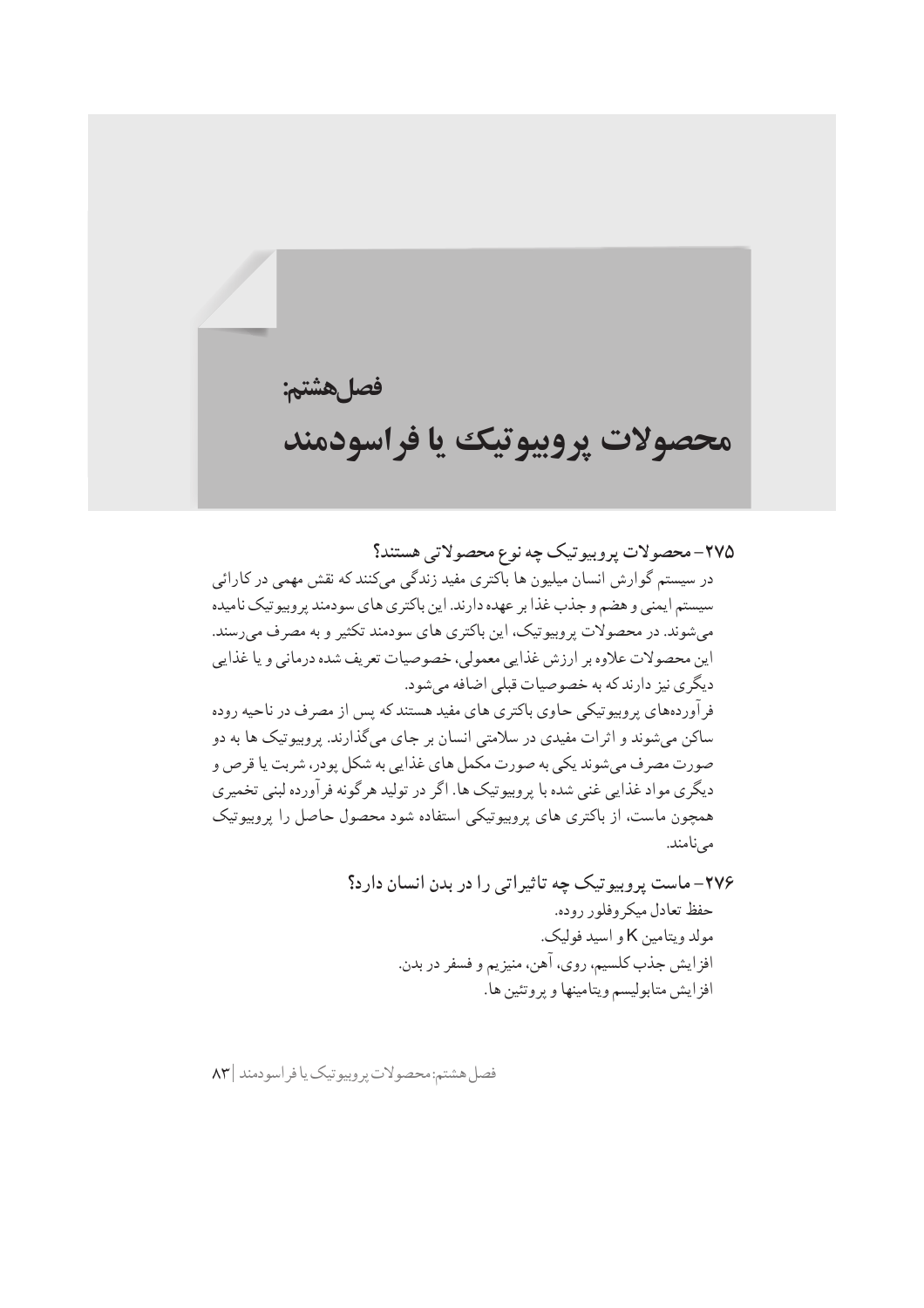فصلهشتم:

## محصولات يروبيوتيك يا فراسودمند

۲۷۵– محصولات پروبیو تیک چه نوع محصولاتی هستند؟ در سیستم گوارش انسان میلیون ها باکتری مفید زندگی میکنند که نقش مهمی در کارائی سیستم ایمنی و هضم و جذب غذا بر عهده دارند. این باکتری های سودمند پر وبیو تیک نامیده می شوند. در محصولات پروبیوتیک، این باکتری های سودمند تکثیر و به مصرف می رسند. این محصولات علاوه بر ارزش غذایی معمولی، خصوصیات تعریف شده درمانی و یا غذایی دیگری نیز دارند که به خصوصیات قبلی اضافه میشود. فرآوردههای پروبیوتیکی حاوی باکتری های مفید هستند که پس از مصرف در ناحیه روده ساکن می شوند و اثرات مفیدی در سلامتی انسان بر جای می گذارند. پروبیوتیک ها به دو صورت مصرف می شوند یکی به صورت مکمل های غذایی به شکل پودر، شربت یا قرص و دیگری مواد غذایی غنی شده با پروبیوتیک ها. اگر در تولید هر گونه فر آورده لبنی تخمیری همچون ماست، از باکتری های پروبیوتیکی استفاده شود محصول حاصل را پروبیوتیک مے نامند.

> ۲۷۶– ماست پروبیوتیک چه تاثیراتی را در بدن انسان دارد؟ حفظ تعادل ميكروفلور روده. مولد ويتامين K و اسيد فوليک. افز ايش جذب كلسيم، روى، آهن، منيزيم و فسفر در بدن. افز ايش متابوليسم ويتامينها و پروتئين ها.

فصل هشتم:محصولات پر وبيوتيک يا فر اسودمند | ٨٣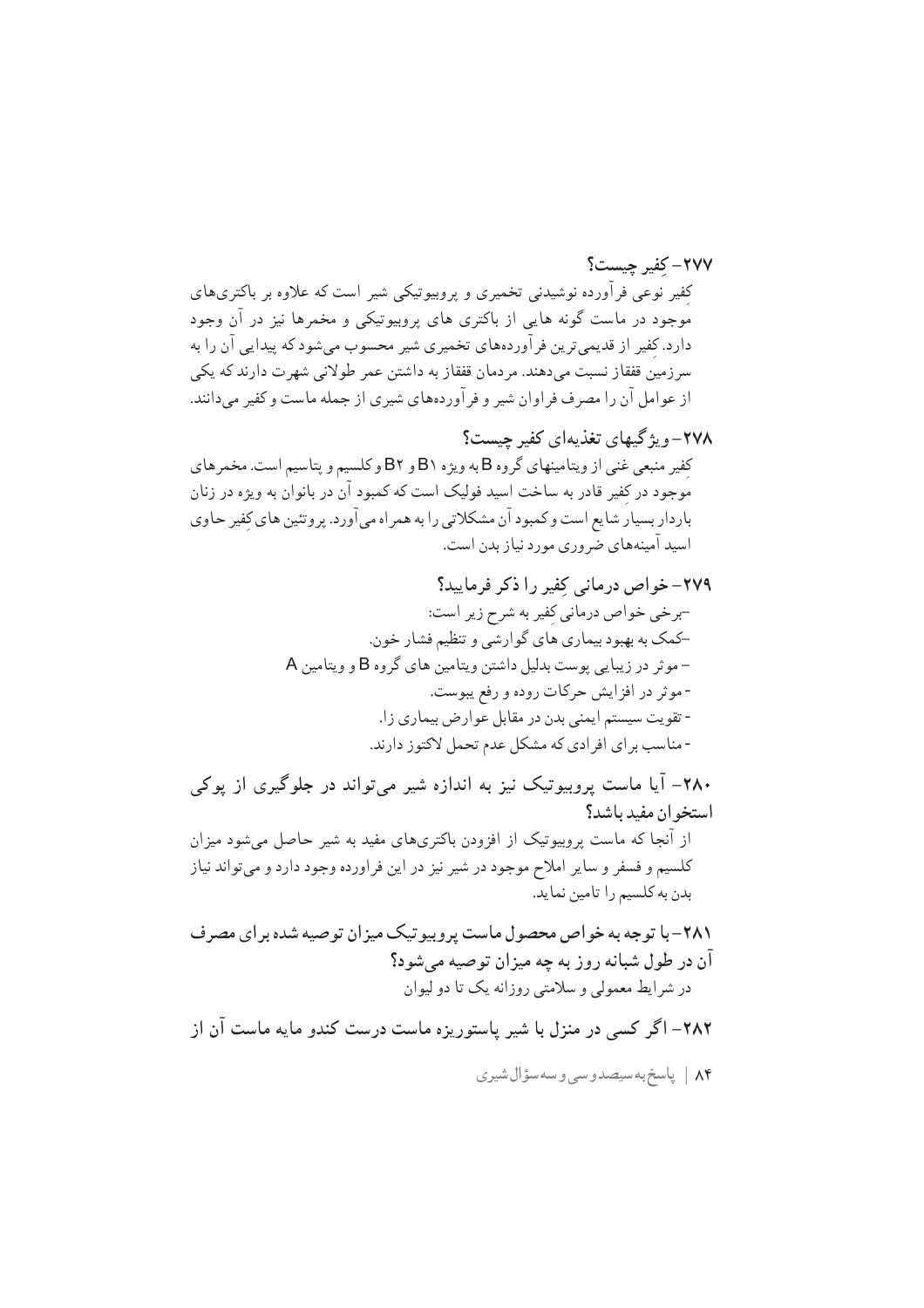٢٧٧- كفير حسبت؟ کِفیر نوعی فرآورده نوشیدنی تخمیری و پروبیوتیکی شیر است که علاوه بر باکتریهای .<br>موجود در ماست گونه هایی از باکتری های پروبیوتیکی و مخمرها نیز در آن وجود دارد. کفیر از قدیمیترین فرآوردههای تخمیری شیر محسوب میشود که پیدایی آن را به سرزمین قفقاز نسبت میدهند. مردمان قفقاز به داشتن عمر طولانی شهرت دارند که یکی از عوامل آن را مصرف فراوان شیر و فر آوردههای شیری از جمله ماست و کفیر میدانند.

۲۸۰– آیا ماست پروبیوتیک نیز به اندازه شیر میتواند در جلوگیری از پوکی استخوان مفيد باشد؟ از آنجا که ماست پروبیوتیک از افزودن باکتریهای مفید به شیر حاصل میشود میزان کلسیم و فسفر و سایر املاح موجود در شیر نیز در این فراورده وجود دارد و می تواند نیاز بدن به كلسيم را تامين نمايد.

۲۸۲– اگر کسی در منزل با شیر پاستوریزه ماست درست کندو مایه ماست آن از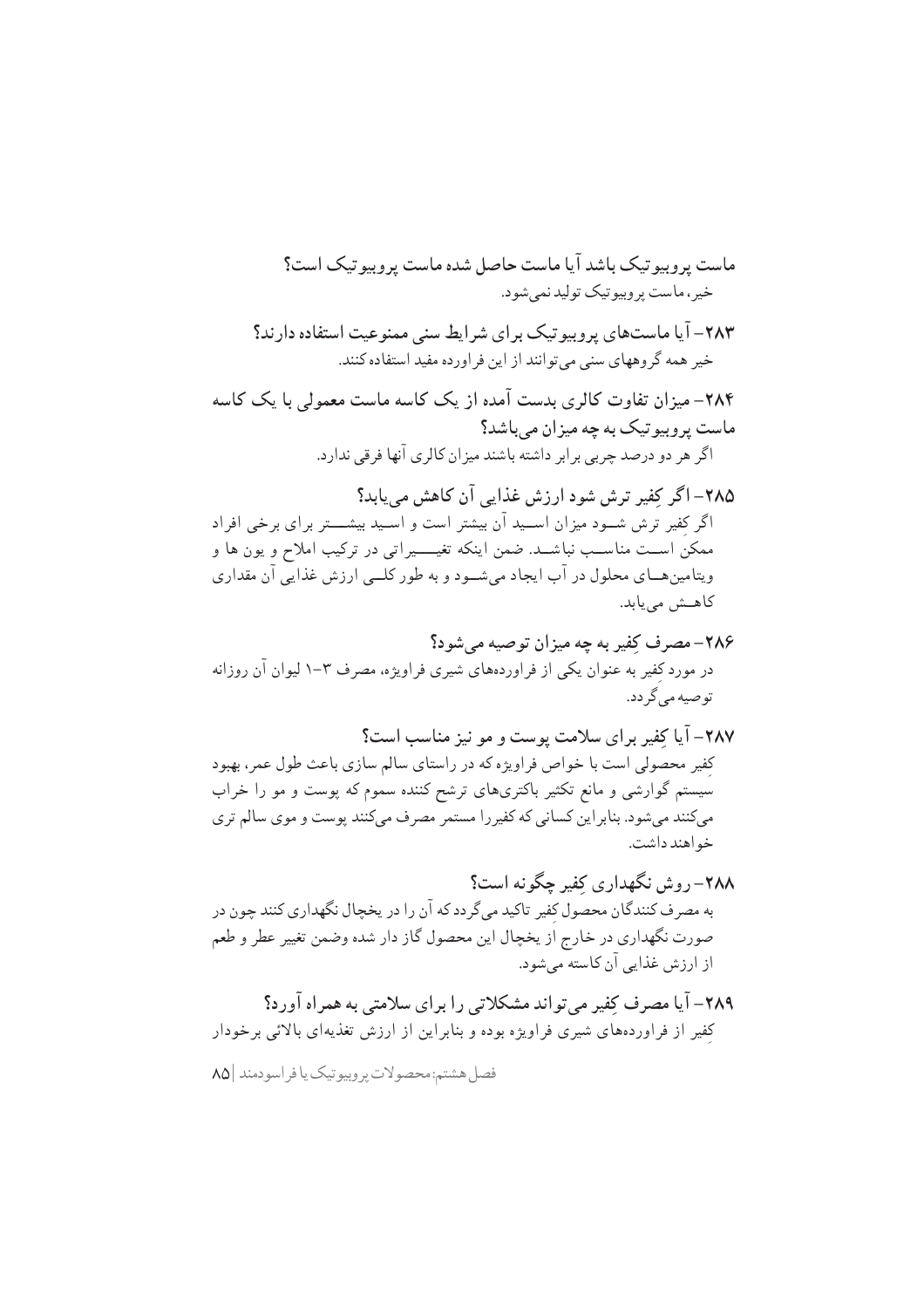فصل هشتم:محصولات پروبيوتيک يا فراسودمند |٨٥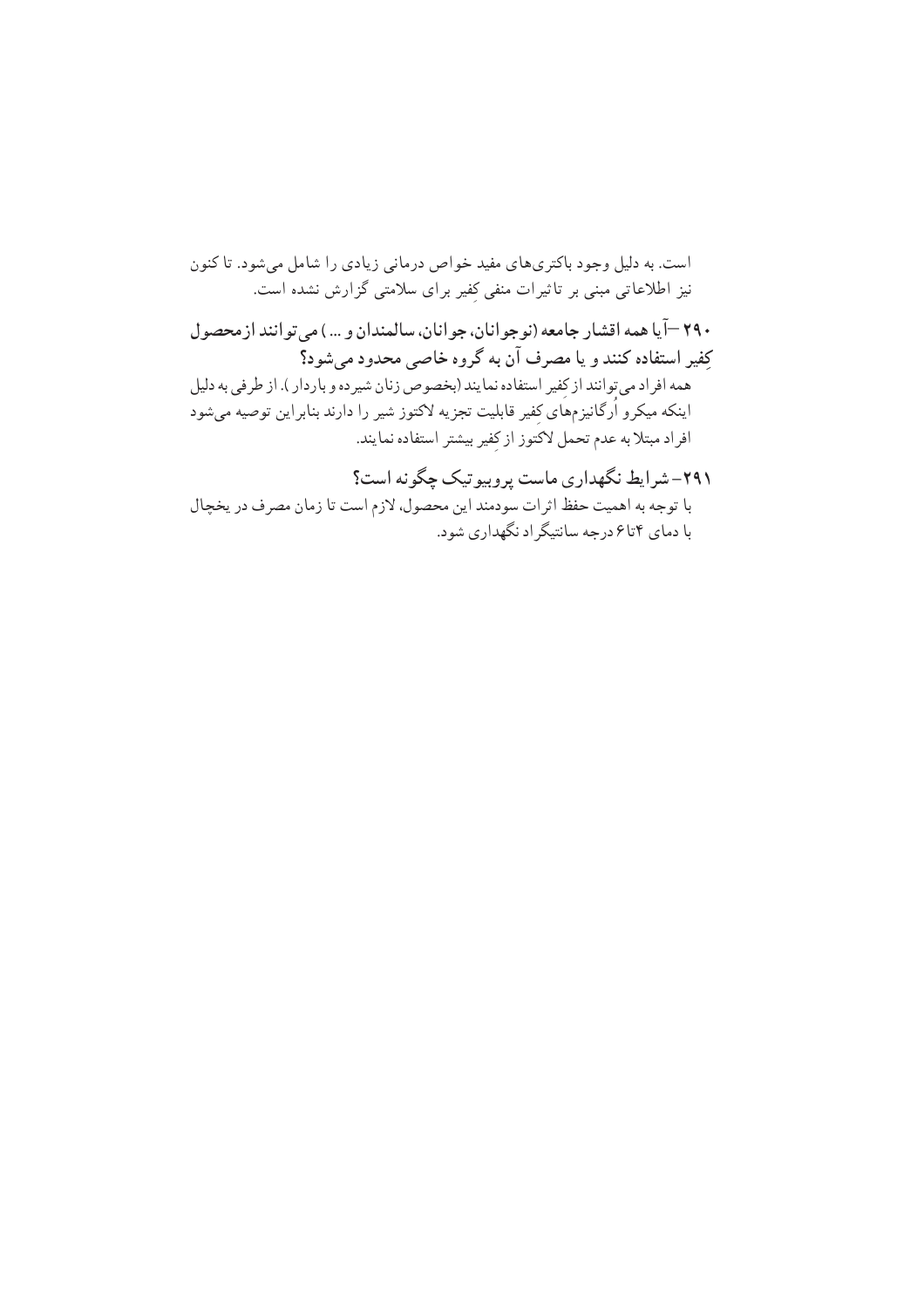است. به دلیل وجود باکتری های مفید خواص درمانی زیادی را شامل می شود. تا کنون نیز اطلاعاتی مبنی بر تاثیرات منفی کفیر برای سلامتی گزارش نشده است. ۲۹۰ —آیا همه اقشار جامعه (نوجو انان، جو انان، سالمندان و … ) مر تو انند از محصول كِفير استفاده كنند و يا مصرف آن به گروه خاصى محدود مىشود؟ \_<br>همه افراد مي توانند از كفير استفاده نمايند (بخصوص زنان شيرده و باردار ). از طرفي به دليل اینکه میکرو اُرگانیزمهای کفیر قابلیت تجزیه لاکتوز شیر را دارند بنابراین توصیه میشود افراد مبتلا به عدم تحمل لاكتوز از كفير بيشتر استفاده نمايند. ۲۹۱- شرایط نگهداری ماست پروبیوتیک چگونه است؟

با توجه به اهميت حفظ اثرات سودمند اين محصول، لازم است تا زمان مصرف در يخچال با دمای ۴تا۶ درجه سانتیگر اد نگهداری شود.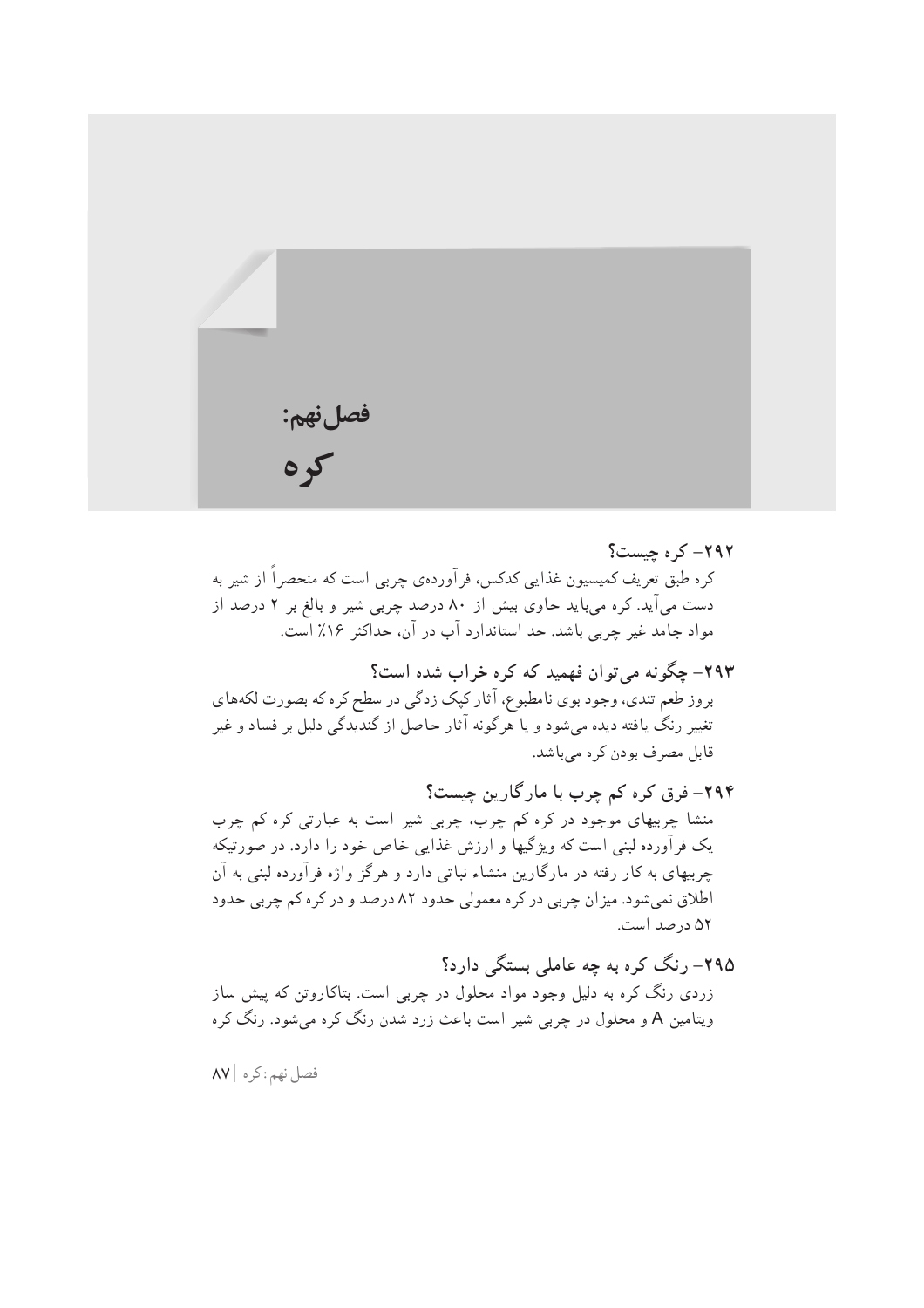

۲۹۲– کر ہ چیست؟ کره طبق تعریف کمیسیون غذایی کدکس، فرآوردهی چربی است که منحصراً از شیر به دست میآید. کره میباید حاوی بیش از ۸۰ درصد چربی شیر و بالغ بر ۲ درصد از مواد جامد غیر چربی باشد. حد استاندارد آب در آن، حداکثر ۱۶٪ است.

۲۹۳- چگونه می توان فهمید که کره خراب شده است؟ بروز طعم تندي، وجود بوي نامطبوع، آثار كيک زدگي در سطح كره كه بصورت لكههاي تغییر رنگ یافته دیده میشود و یا هرگونه آثار حاصل از گندیدگی دلیل بر فساد و غیر قابل مصرف بودن کر ہ می باشد.

۲۹۴– فرق کره کم چرب با مارگارین چیست؟ منشا چربیهای موجود در کره کم چرب، چربی شیر است به عبارتی کره کم چرب یک فرآورده لبنی است که ویژگیها و ارزش غذایی خاص خود را دارد. در صورتیکه چربیهای به کار رفته در مارگارین منشاء نباتی دارد و هرگز واژه فرآورده لبنی به آن اطلاق نمي شود. ميزان چربي در كره معمولي حدود ۸۲ درصد و در كره كم چربي حدود ۵۲ درصد است.

۲۹۵– رنگ کره به چه عاملی بستگی دارد؟ زردی رنگ کره به دلیل وجود مواد محلول در چربی است. بتاکاروتن که پیش ساز ویتامین A و محلول در چربی شیر است باعث زرد شدن رنگ کره می شود. رنگ کره

فصل نهم: کره | ۸۷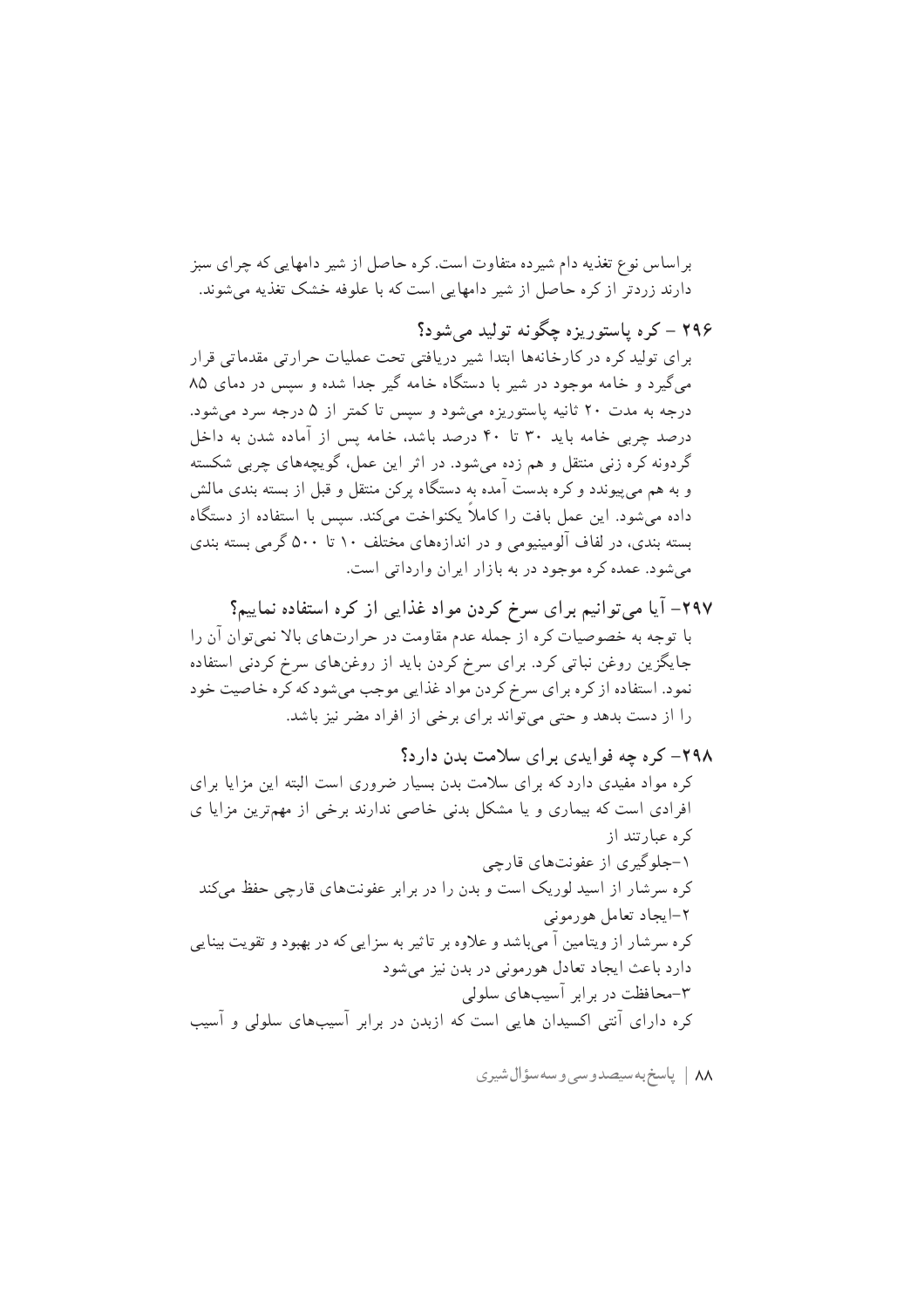بر اساس نوع تغذیه دام شیرده متفاوت است. کره حاصل از شیر دامهایی که چرای سبز دارند زردتر از کره حاصل از شیر دامهایی است که با علوفه خشک تغذیه می شوند.

۲۹۶ – کره پاستوریزه چگونه تولید میشود؟ برای تولید کره در کارخانهها ابتدا شیر دریافتی تحت عملیات حرارتی مقدماتی قرار می گیرد و خامه موجود در شیر با دستگاه خامه گیر جدا شده و سپس در دمای ۸۵ درجه به مدت ۲۰ ثانیه پاستوریزه می شود و سپس تا کمتر از ۵ درجه سرد می شود. درصد چربی خامه باید ۳۰ تا ۴۰ درصد باشد، خامه پس از آماده شدن به داخل گردونه کره زنبی منتقل و هم زده می شود. در اثر این عمل، گویچههای چربی شکسته و به هم می پیوندد و کره بدست آمده به دستگاه پرکن منتقل و قبل از بسته بندی مالش داده می شود. این عمل بافت را کاملاً یکنواخت میکند. سپس با استفاده از دستگاه بسته بندی، در لفاف آلومینیومی و در اندازههای مختلف ۱۰ تا ۵۰۰ گرمی بسته بندی می شود. عمده کره موجود در به بازار ایران وارداتی است.

۲۹۷– آیا میتوانیم برای سرخ کردن مواد غذایی از کره استفاده نماییم؟ با توجه به خصوصیات کره از جمله عدم مقاومت در حرارتهای بالا نمی توان آن را جایگزین روغن نباتی کرد. برای سرخ کردن باید از روغنهای سرخ کردنی استفاده نمود. استفاده از کره برای سرخ کردن مواد غذایی موجب میشود که کره خاصیت خود را از دست بدهد و حتی می تواند برای برخی از افراد مضر نیز باشد.

٨٨ | پاسخ به سيصدوسي وسه سؤال شيري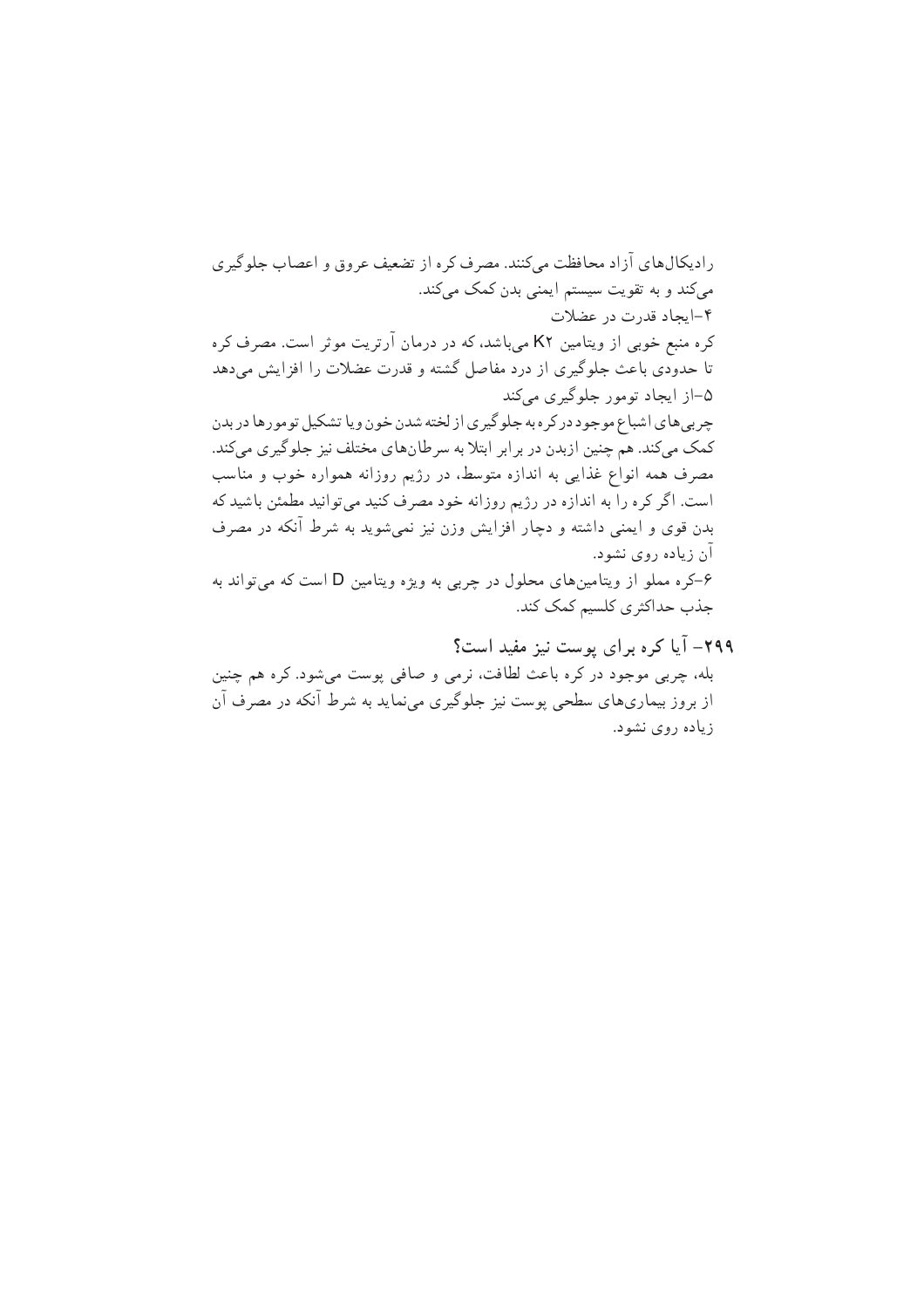رادیکال های آزاد محافظت مه کنند. مصرف کره از تضعیف عروق و اعصاب جلوگیری میکند و به تقویت سیستم ایمنی بدن کمک میکند. ۴-ایجاد قدرت در عضلات کره منبع خوبی از ویتامین K۲ میباشد، که در درمان آرتریت موثر است. مصرف کره تا حدودی باعث جلوگیری از درد مفاصل گشته و قدرت عضلات را افزایش می دهد ۵–از ایجاد تومور جلوگیری میکند چربي هاي اشباع موجود در كر ه به جلو گيري از لخته شدن خون ويا تشكيل تومور ها در بدن کمک میکند. هم چنین ازبدن در برابر ابتلا به سرطانهای مختلف نیز جلوگیری میکند. مصرف همه انواع غذایی به اندازه متوسط، در رژیم روزانه همواره خوب و مناسب است. اگر کره را به اندازه در رژیم روزانه خود مصرف کنید می توانید مطمئن باشید که بدن قوی و ایمنی داشته و دچار افزایش وزن نیز نمیشوید به شرط آنکه در مصرف آن زیاده روی نشود. ۶–کره مملو از ویتامینهای محلول در چربی به ویژه ویتامین D است که می تواند به جذب حداكثري كلسيم كمك كند. ۲۹۹– آیا کره برای پوست نیز مفید است؟

بله، چربی موجود در کره باعث لطافت، نرمی و صافی یوست می شود. کره هم چنین از بروز بیماریهای سطحی پوست نیز جلوگیری می نماید به شرط آنکه در مصرف آن زیاده روی نشود.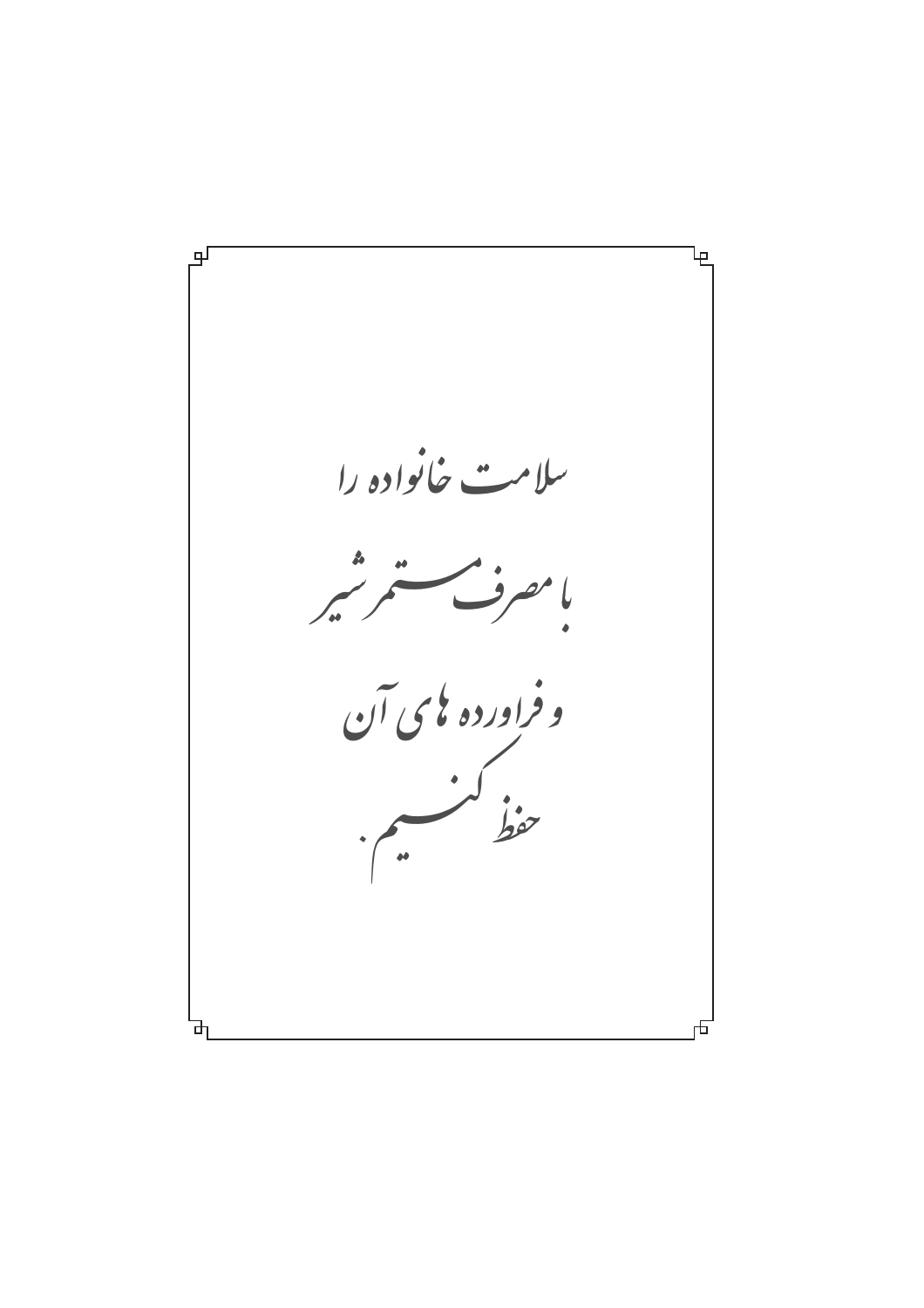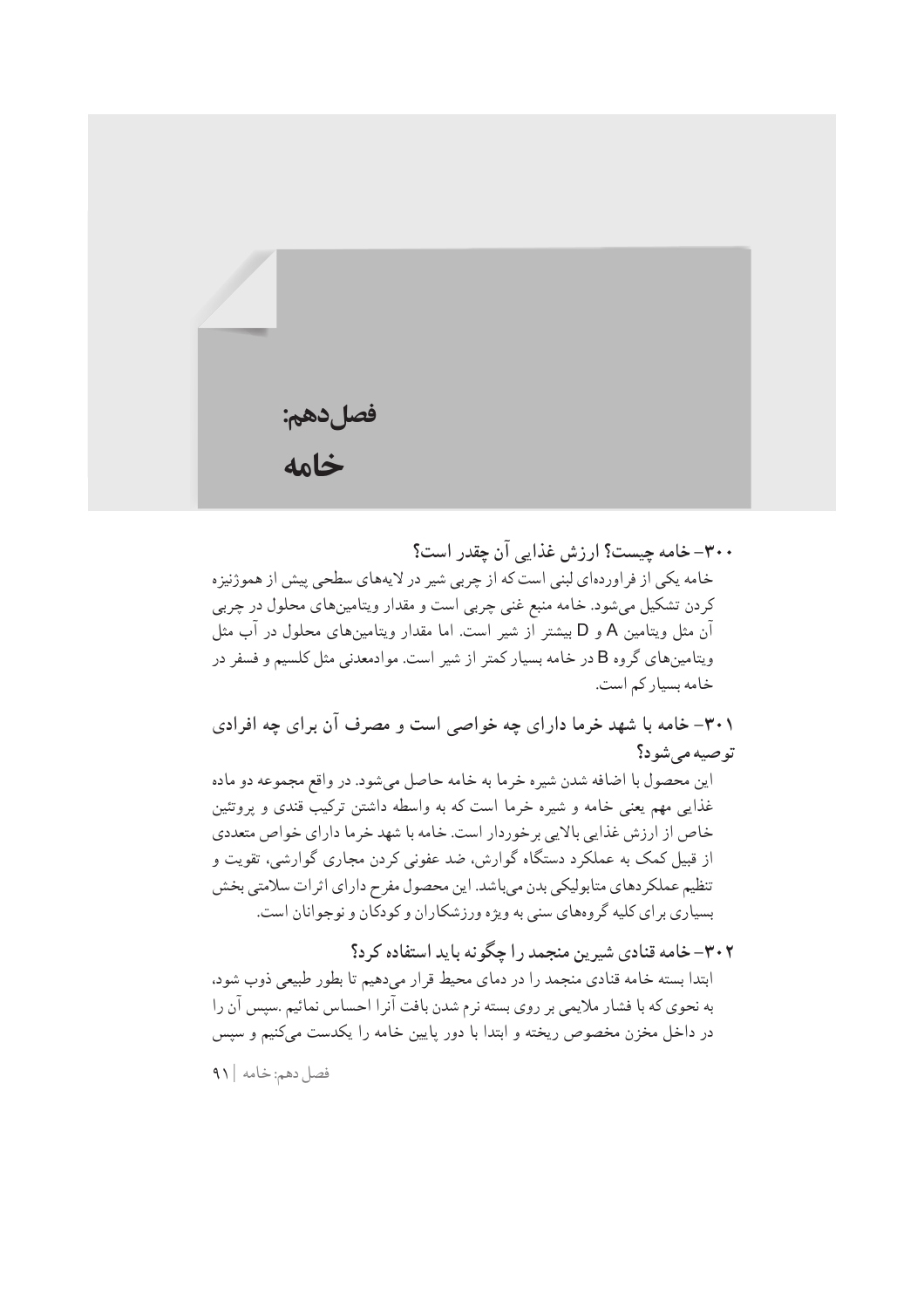| فصل دهم:<br><b>خامه</b> |  |  |
|-------------------------|--|--|

۳۰۰– خامه چیست؟ ارزش غذایی آن چقدر است؟ خامه یکی از فراوردهای لبنی است که از چربی شیر در لایههای سطحی پیش از هموژنیزه کردن تشکیل میشود. خامه منبع غنی چربی است و مقدار ویتامینهای محلول در چربی آن مثل ويتامين A و D بيشتر از شير است. اما مقدار ويتامينهاي محلول در آب مثل ویتامینهای گروه B در خامه بسیار کمتر از شیر است. موادمعدنی مثل کلسیم و فسفر در خامه بسیار کم است.

۳۰۱– خامه با شهد خرما دارای چه خواصی است و مصرف آن برای چه افرادی توصيه مي شود؟

اين محصول با اضافه شدن شيره خرما به خامه حاصل مي شود. در واقع مجموعه دو ماده غذایی مهم یعنی خامه و شیره خرما است که به واسطه داشتن ترکیب قندی و پروتئین خاص از ارزش غذایی بالایی برخوردار است. خامه با شهد خرما دارای خواص متعددی از قبیل کمک به عملکرد دستگاه گوارش، ضد عفونی کردن مجاری گوارشی، تقویت و تنظیم عملکردهای متابولیکی بدن میباشد. این محصول مفرح دارای اثرات سلامتی بخش بسیاری بر ای کلیه گروههای سنی به ویژه ورزشکاران و کودکان و نوجوانان است.

۳۰۲–خامه قنادی شیرین منجمد را چگونه باید استفاده کرد؟ ابتدا بسته خامه قنادي منجمد را در دماي محيط قرار مىدهيم تا بطور طبيعي ذوب شود. به نحوی که با فشار ملایمی بر روی بسته نرم شدن بافت آنرا احساس نمائیم .سپس آن را در داخل مخزن مخصوص ریخته و ابتدا با دور پایین خامه را یکدست میکنیم و سپس

فصل دهم: خامه | ۹۱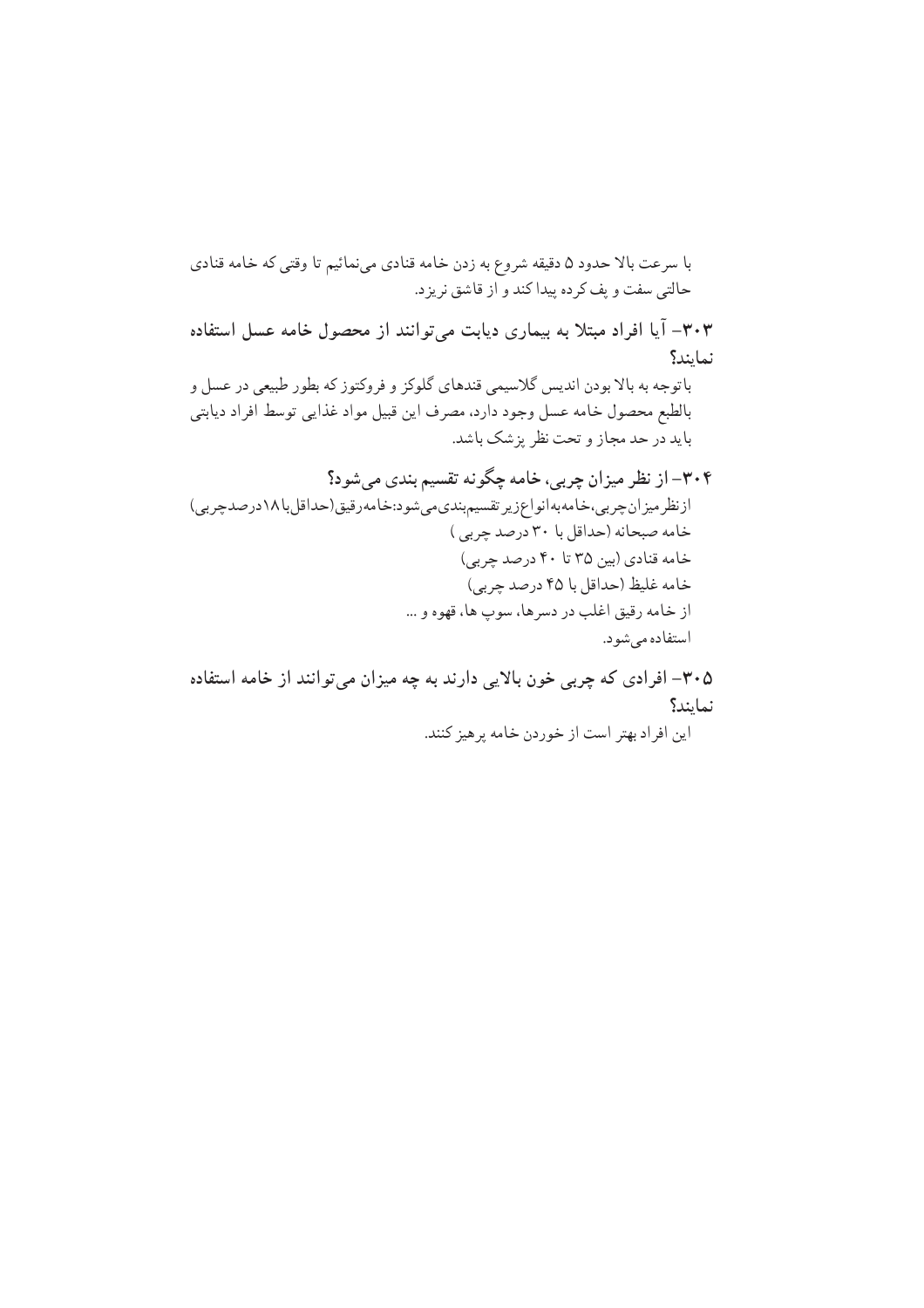با سرعت بالا حدود ۵ دقیقه شروع به زدن خامه قنادی می نمائیم تا وقتی که خامه قنادی حالتي سفت و يف كرده پيدا كند و از قاشق نريزد. ۰۳۰۳– آیا افراد مبتلا به بیماری دیابت میتوانند از محصول خامه عسل استفاده نمايند؟ باتوجه به بالا بودن انديس گلاسيمي قندهاي گلوكز و فروكتوز كه بطور طبيعي در عسل و بالطبع محصول خامه عسل وجود دارد، مصرف اين قبيل مواد غذايي توسط افراد ديابتي باید در حد مجاز و تحت نظر بزشک باشد. ۳۰۴– از نظر میزان چربی، خامه چگونه تقسیم بندی میشود؟ ازنظرمیزان چربی،خامهبهانواعزیر تقسیم بندی می شود:خامه رقیق(حداقل با ۱۸درصد چربی) خامه صبحانه (حداقل با ۳۰ درصد چربی) خامه قنادي (بين ٣۵ تا ۴۰ درصد چربي) خامه غليظ (حداقل با ۴۵ درصد چربي) از خامه رقيق اغلب در دسرها، سوپ ها، قهوه و ... استفاده مي شود.

۰۳۰۵– افرادی که چربی خون بالایی دارند به چه میزان میتوانند از خامه استفاده نمايند؟ این افراد بهتر است از خوردن خامه پرهیز کنند.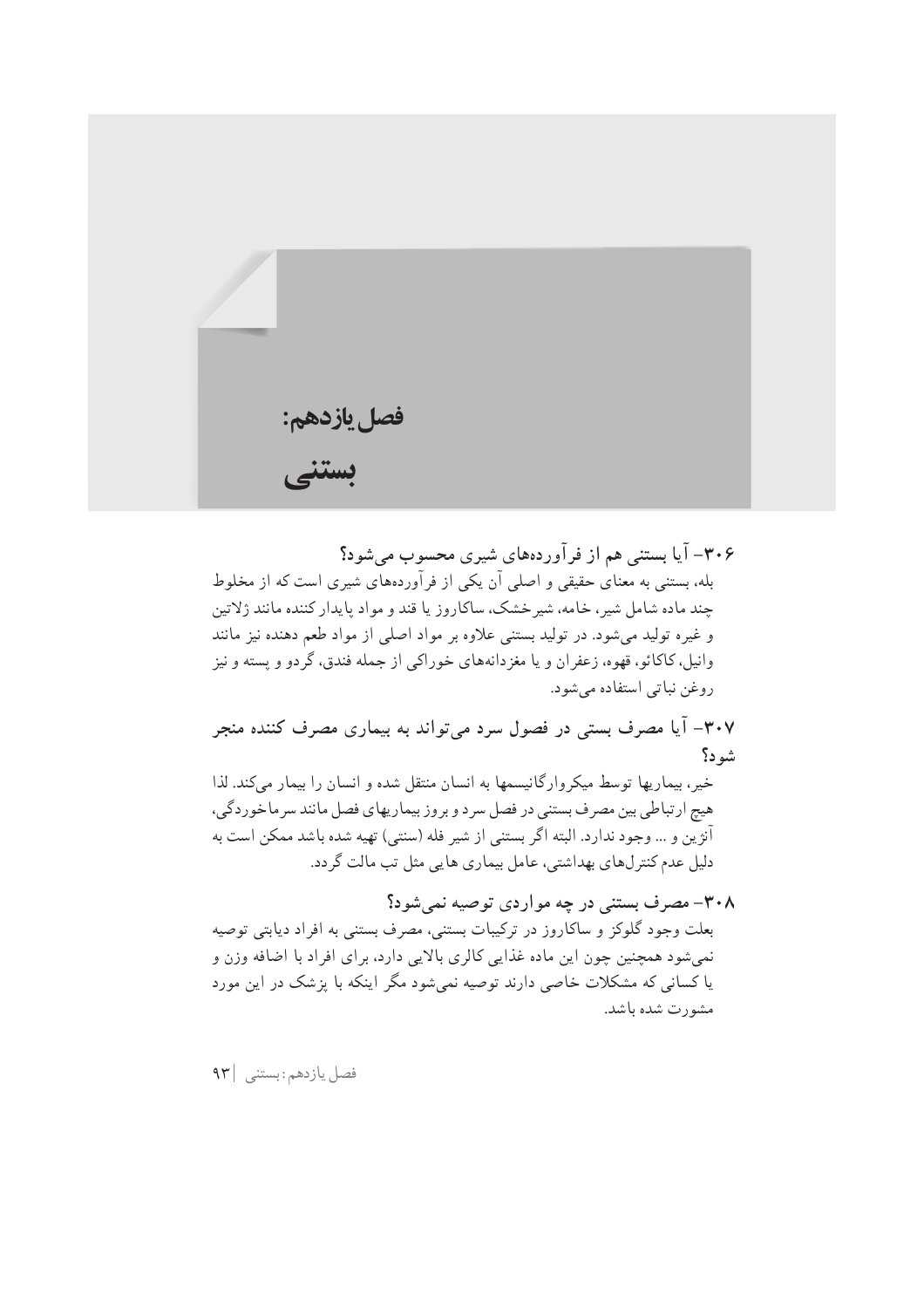

۳۰۶– آیا بستنی هم از فرآوردههای شیری محسوب می شود؟ بله، بستنی به معنای حقیقی و اصلی آن یکی از فرآوردههای شیری است که از مخلوط چند ماده شامل شیر ، خامه، شیر خشک، ساکاروز یا قند و مواد پایدار کننده مانند ژلاتین و غیره تولید میشود. در تولید بستنی علاوه بر مواد اصلی از مواد طعم دهنده نیز مانند وانيل، كاكائو، قهوه، زعفران و يا مغزدانههاي خوراكي از جمله فندق، گردو و يسته و نيز روغن نباتي استفاده مي شود.

۰۳۰۷– آیا مصرف بستی در فصول سرد میتواند به بیماری مصرف کننده منجر شو د؟

خیر، بیماریها توسط میکروارگانیسمها به انسان منتقل شده و انسان را بیمار میکند. لذا هيچ ارتباطي بين مصرف بستني در فصل سرد و بروز بيماريهاي فصل مانند سرماخوردگي، آنژین و … وجود ندارد. البته اگر بستنی از شیر فله (سنتی) تهیه شده باشد ممکن است به دلیل عدم کنترلهای بهداشتی، عامل بیماری هایی مثل تب مالت گردد.

۳۰۸– مصرف بستنی در چه مواردی توصیه نمیشود؟ بعلت وجود گلوکز و ساکاروز در ترکیبات بستنی، مصرف بستنی به افراد دیابتی توصیه نمي شود همچنين چون اين ماده غذايي كالري بالايي دارد، براي افراد با اضافه وزن و یا کسانی که مشکلات خاصی دارند توصیه نمیشود مگر اینکه با پزشک در این مورد مشورت شده باشد.

فصل يازدهم: بستنى | ٩٣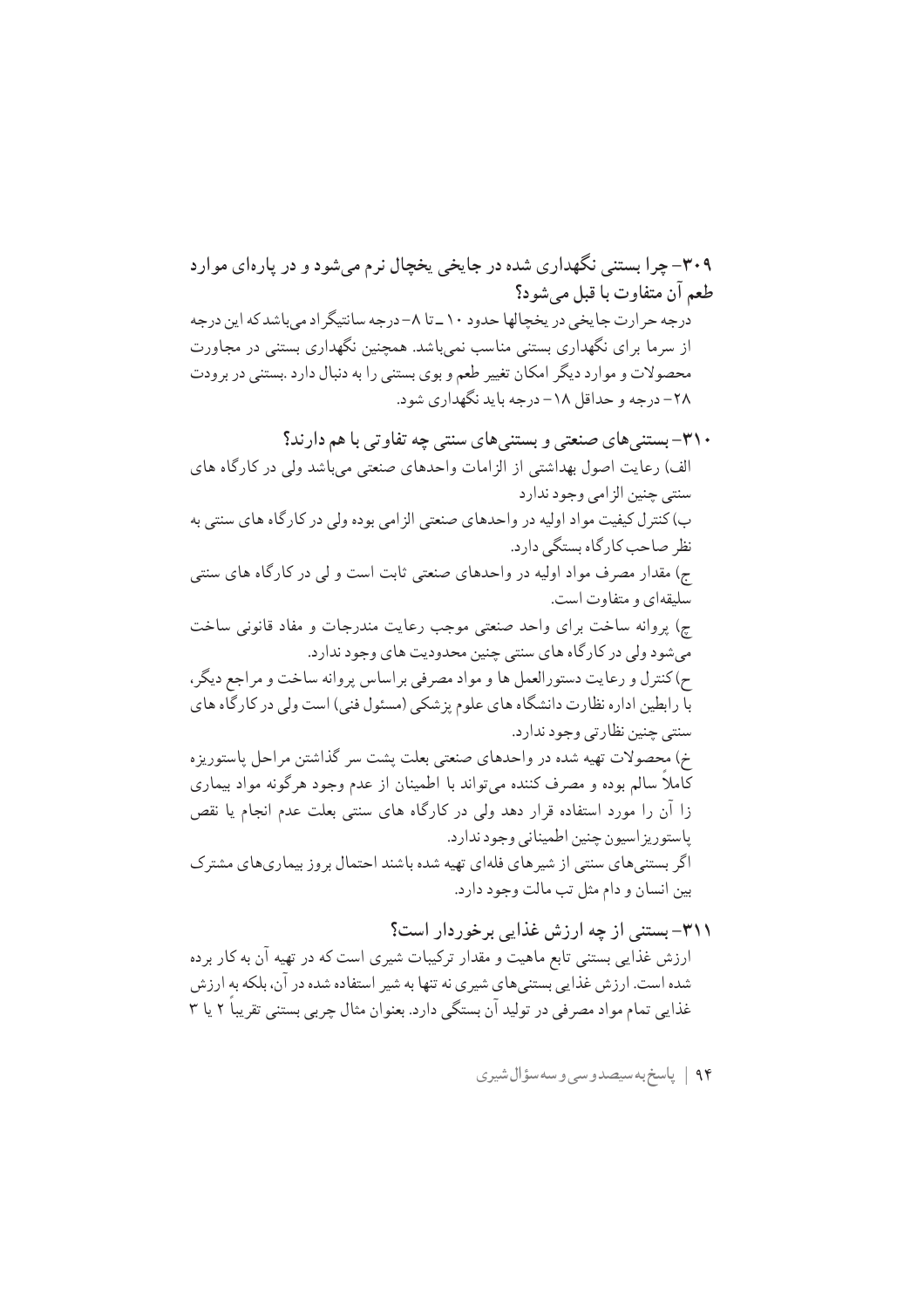ارزش غذا<sub>یعی</sub> بستن<sub>ی</sub> تابع ماهیت و مقدار ترکیبات شیری است که در تهیه آن به کار برده شده است. ارزش غذایی بستنیهای شیری نه تنها به شیر استفاده شده در آن، بلکه به ارزش .<br>غذایی تمام مواد مصرفی در تولید آن بستگی دارد. بعنوان مثال چربی بستنی تقریباً ۲ یا ۳

۹۴ | پاسخ بەسىصدوسى وسەسؤال شيرى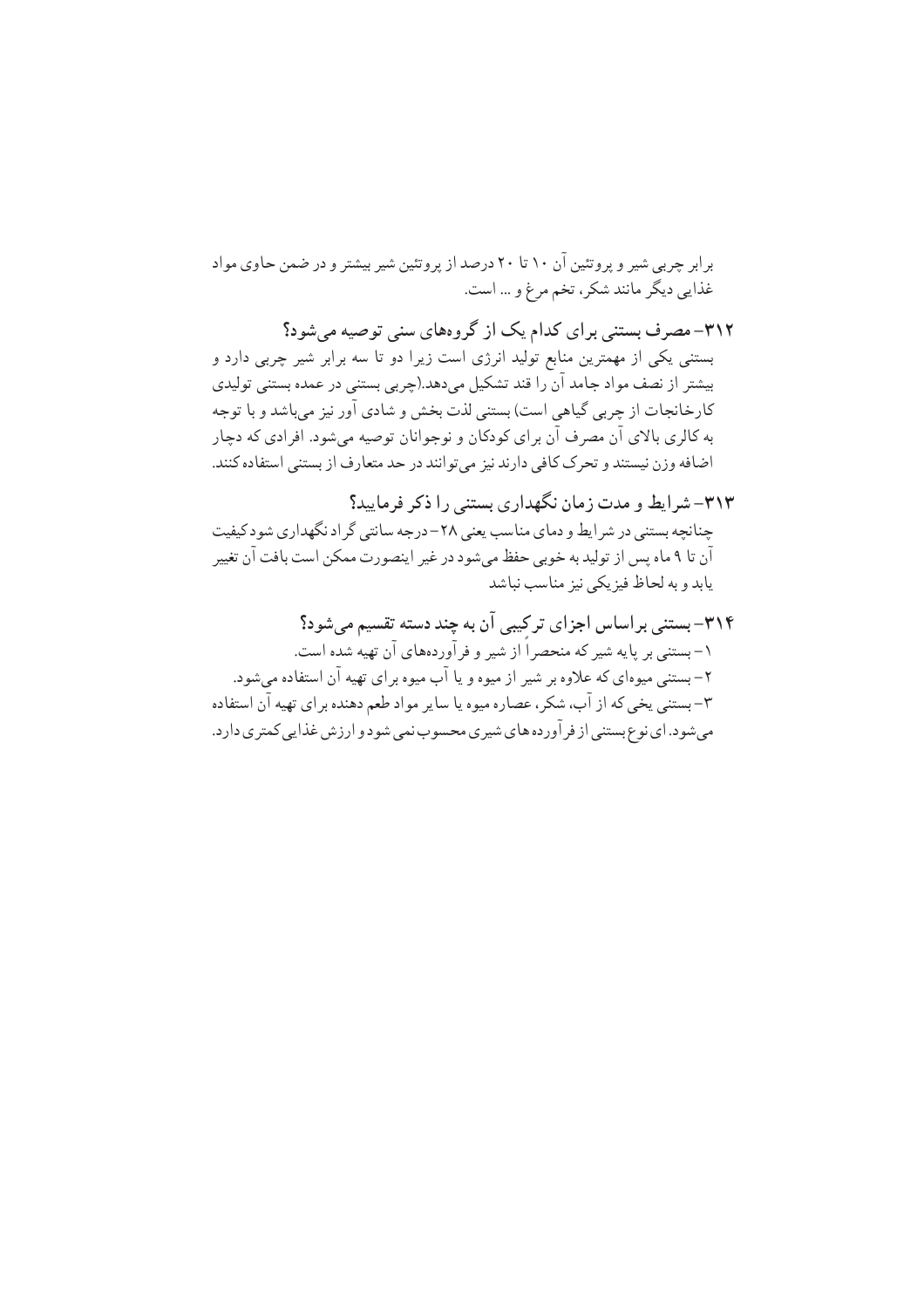بر ابر چربی شیر و پروتئین آن ۱۰ تا ۲۰ درصد از پروتئین شیر بیشتر و در ضمن حاوی مواد غذايي ديگر مانند شكر، تخم مرغ و ... است.

۳۱۲– مصرف بستنی برای کدام یک از گروههای سنی توصیه می شود؟ بستنی یکی از مهمترین منابع تولید انرژی است زیرا دو تا سه برابر شیر چربی دارد و بیشتر از نصف مواد جامد آن را قند تشکیل میدهد.(چربی بستنی در عمده بستنی تولیدی كارخانجات از چربي گياهي است) بستني لذت بخش و شادي آور نيز مي باشد و با توجه به کالري بالاي آن مصرف آن براي کودکان و نوجوانان توصيه مي شود. افرادي که دچار اضافه وزن نیستند و تحرک کافی دارند نیز میتوانند در حد متعارف از بستنی استفاده کنند.

- ۳۱۳-شرایط و مدت زمان نگهداری بستنی را ذکر فرمایید؟ چنانچه بستنی در شرایط و دمای مناسب یعنی ۲۸-درجه سانتی گراد نگهداری شود کیفیت آن تا ۹ ماه پس از تولید به خوبی حفظ میشود در غیر اینصورت ممکن است بافت آن تغییر يابد و به لحاظ فيزيكي نيز مناسب نباشد
- ۳۱۴– بستنی براساس اجزای ترکیبی آن به چند دسته تقسیم می شود؟ ۱–بستنی بر پایه شیر که منحصر اُ از شیر و فر آوردههای آن تهیه شده است. ۲ – بستنی میوهای که علاوه بر شیر از میوه و یا آب میوه بر ای تهیه آن استفاده می شود. ۳-بستنی یخی که از آب، شکر ، عصاره میوه یا سایر مواد طعم دهنده برای تهیه آن استفاده می شود. ای نوع بستنی از فر آورده های شیری محسوب نمی شود و ارزش غذایی کمتری دارد.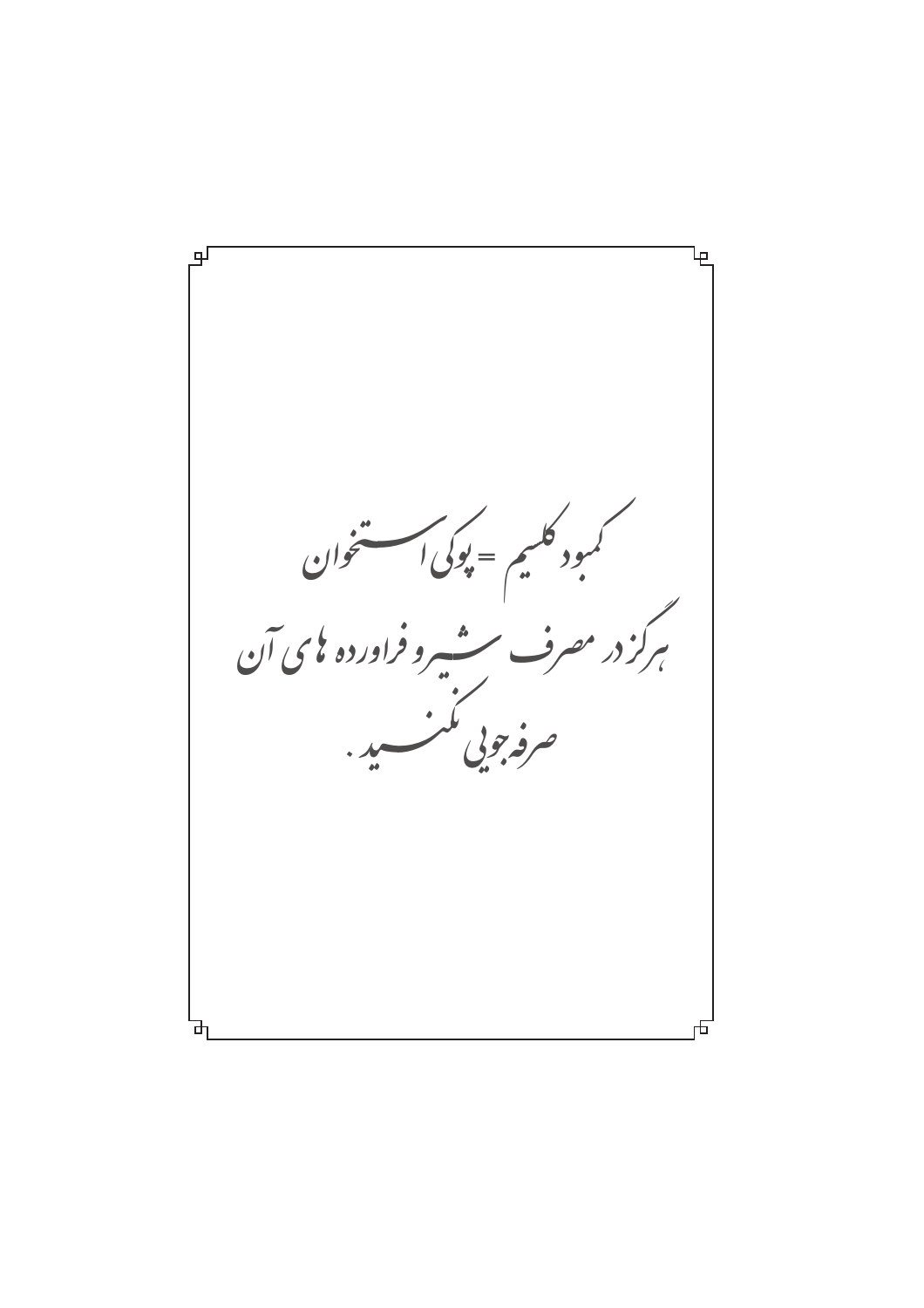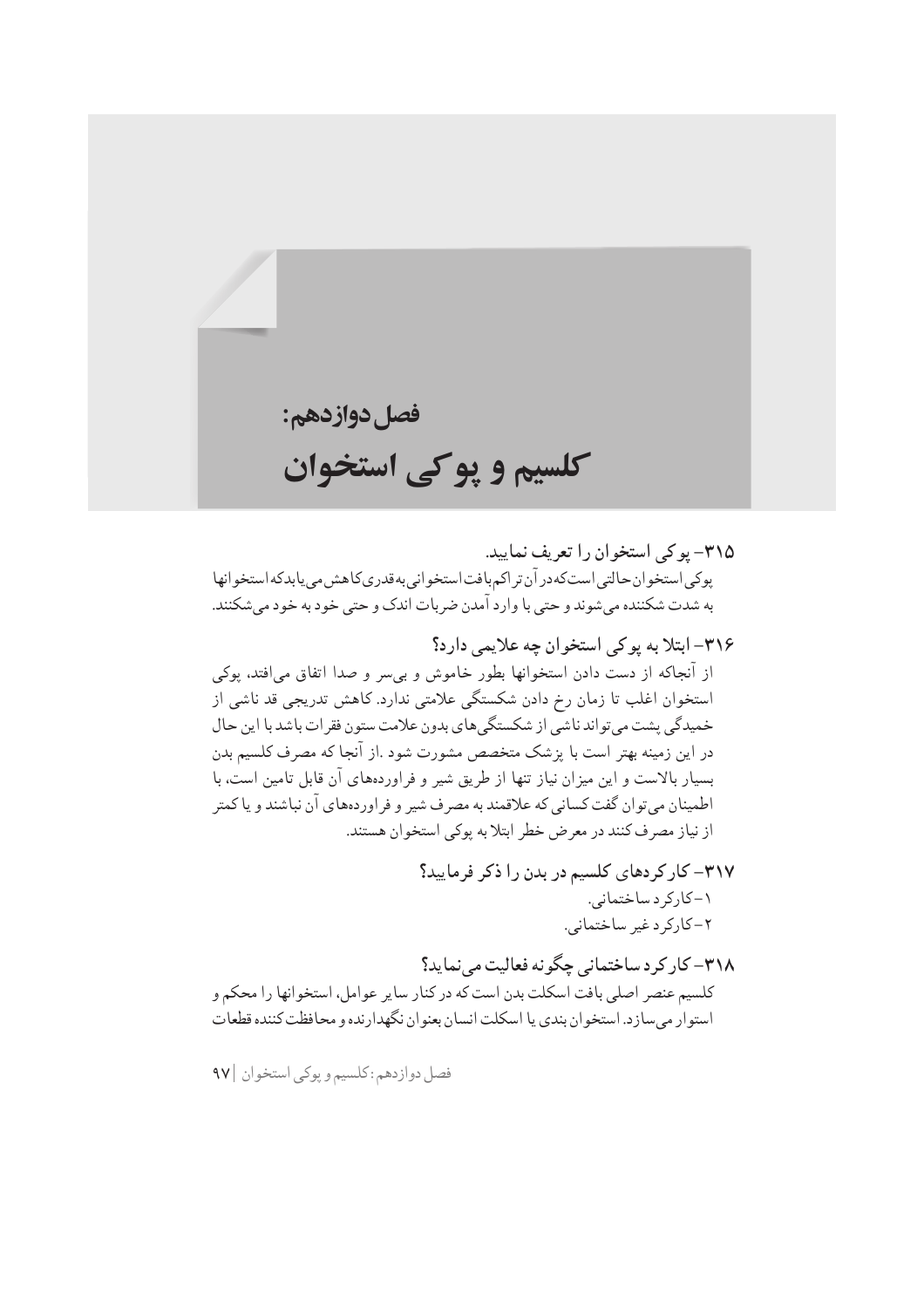فصل دوازدهم: كلسيم و پوكي استخوان

۳۱۸– کار کرد ساختمانی چگونه فعالیت مینماید؟ ۔<br>کلسیم عنصر اصلی بافت اسکلت بدن است که در کنار سایر عوامل، استخوانها را محکم و استوار میسازد. استخوان بندی یا اسکلت انسان بعنوان نگهدارنده و محافظت کننده قطعات

فصل دوازدهم :كلسيم و پوكي استخوان |۹۷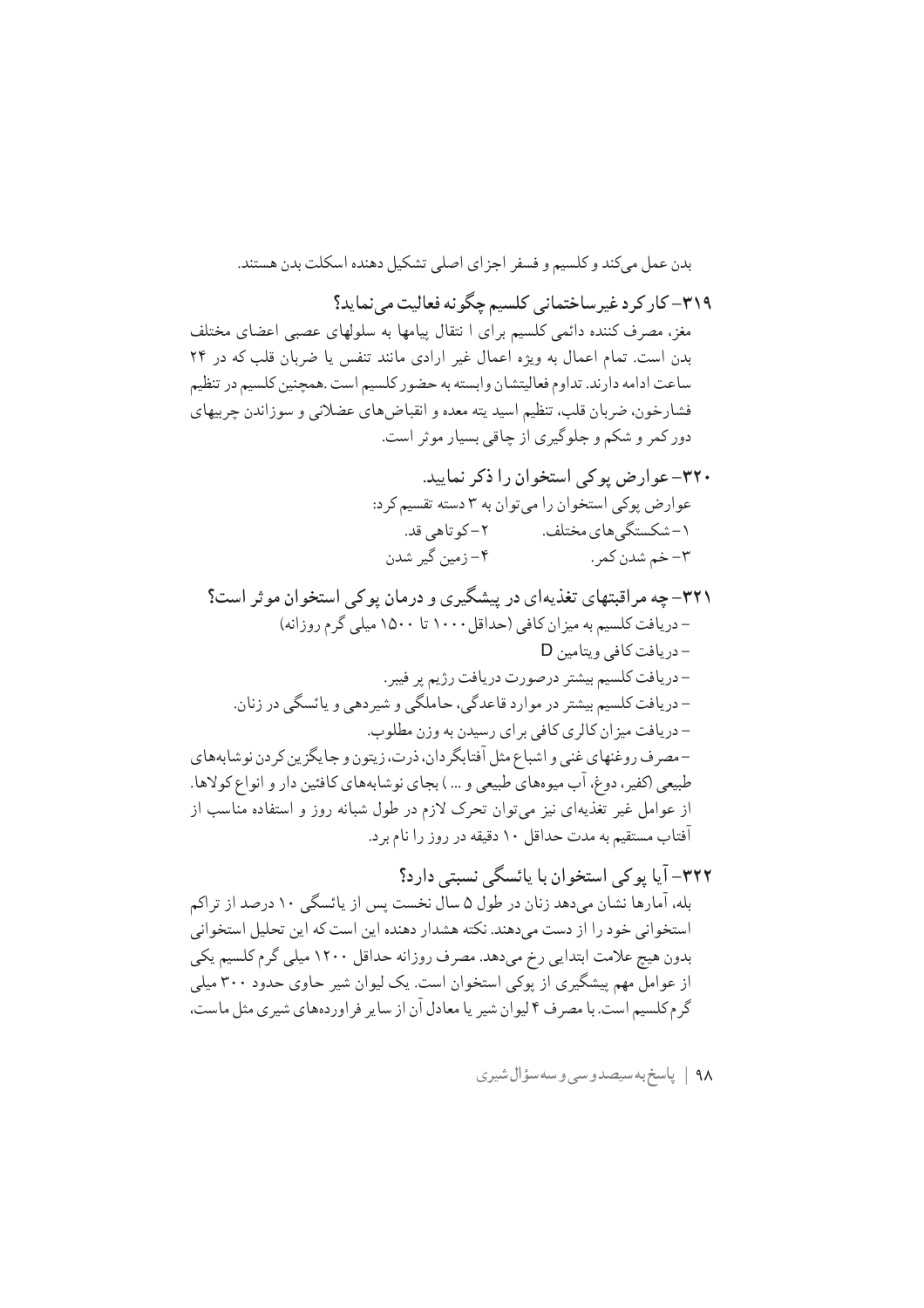بدن عمل مے کند و کلسیم و فسفر اجزای اصلی تشکیل دهنده اسکلت بدن هستند.

۳۱۹– کار کرد غیرساختمانی کلسیم چگونه فعالیت می نماید؟

مغز، مصرف کننده دائمی کلسیم برای ا نتقال پیامها به سلولهای عصبی اعضای مختلف بدن است. تمام اعمال به ویژه اعمال غیر ارادی مانند تنفس یا ضربان قلب که در ۲۴ ساعت ادامه دارند. تداوم فعالیتشان وابسته به حضور کلسیم است .همچنین کلسیم در تنظیم فشارخون، ضربان قلب، تنظیم اسید یته معده و انقباضهای عضلانی و سوزاندن چربیهای دور کمر و شکم و جلوگیری از چاقی بسیار موثر است.

- ۳۲۰- عوارض یو کی استخوان را ذکر نمایید. عوارض يوكي استخوان را مي توان به ٣ دسته تقسيم كرد: ١-شكستگي هاي مختلف. ٢- كوتاهي قد. ۴– زمین گیر شدن ٣- خم شدن کمر .
- ۳۲۱– چه مراقبتهای تغذیهای در پیشگیری و درمان پوکی استخوان موثر است؟ - دریافت کلسیم به میز ان کافی (حداقل ۱۰۰۰ تا ۱۵۰۰ میلی گرم روزانه) - دريافت كافي ويتامين D -دريافت كلسيم بيشتر درصورت دريافت رژيم پر فيبر. – دریافت کلسیم بیشتر در موارد قاعدگی، حاملگی و شیر دهی و پائسگی در زنان. – دریافت میز ان کالری کافی بر ای رسیدن به وزن مطلوب. -مصرف روغنهای غنی و اشباع مثل آفتابگردان، ذرت، زیتون و جایگزین کردن نوشابههای طبیعی (کفیر، دوغ، آب میوههای طبیعی و … ) بجای نوشابههای کافئین دار و انواع کولاها. از عوامل غیر تغذیهای نیز میتوان تحرک لازم در طول شبانه روز و استفاده مناسب از آفتاب مستقیم به مدت حداقل ۱۰ دقیقه در روز را نام برد.

٩٨ | پاسخ به سيصدوسي وسه سؤال شيري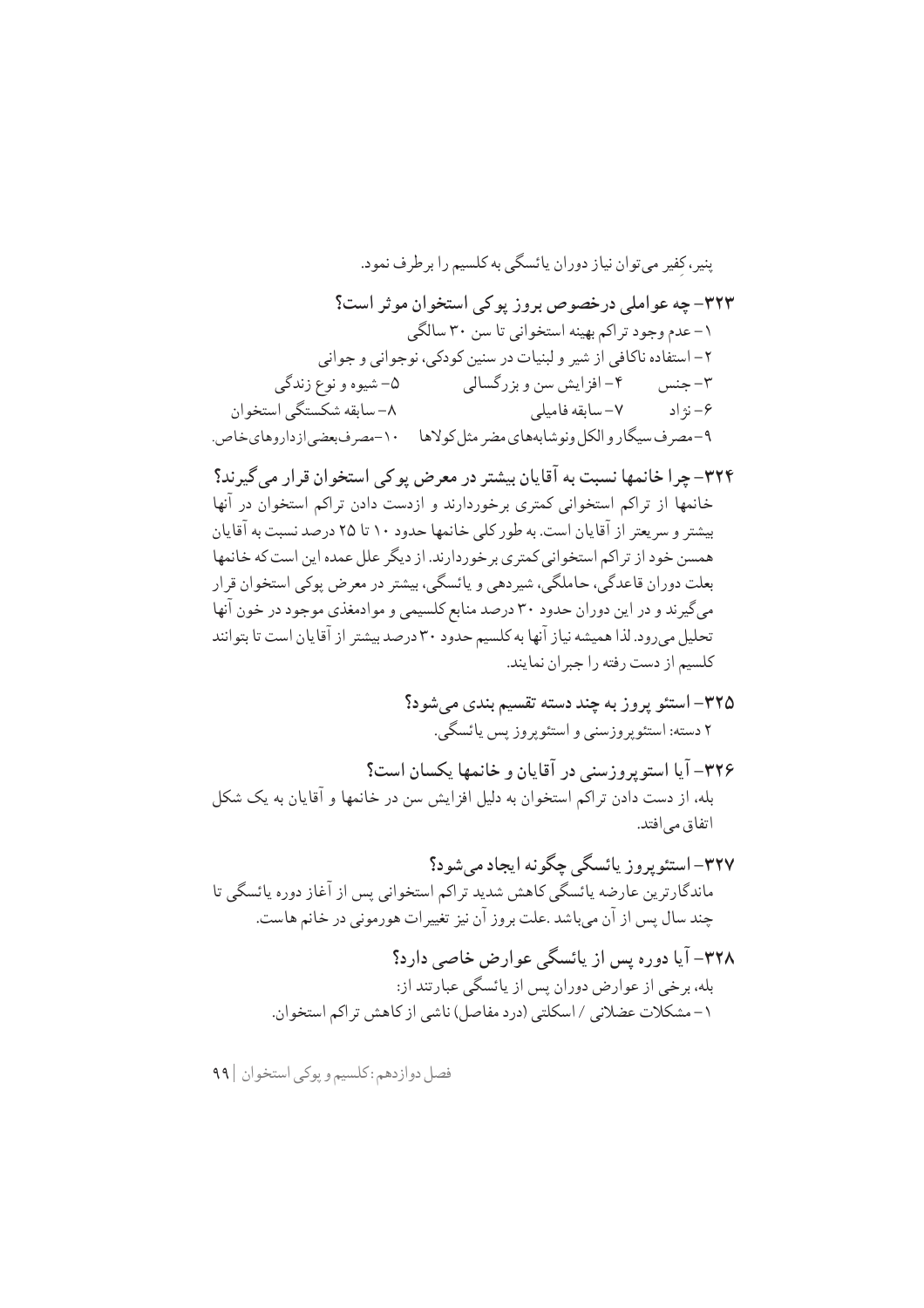فصل دوازدهم : كلسيم و پوكي استخوان | ۹۹